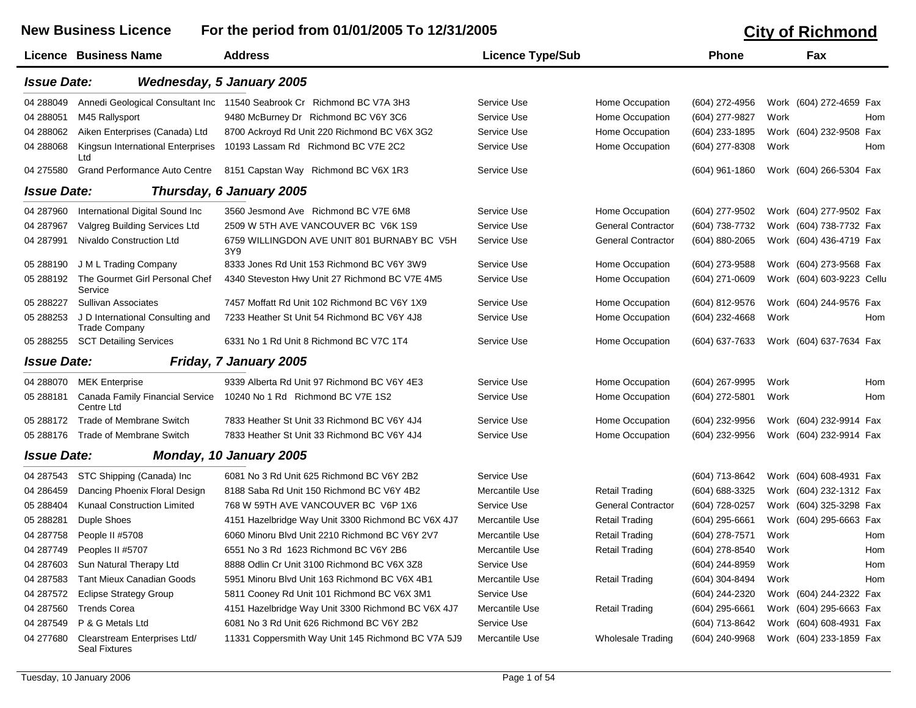|                    | <b>New Business Licence</b>                              | For the period from 01/01/2005 To 12/31/2005                           |                         |                           | <b>City of Richmond</b> |      |                           |
|--------------------|----------------------------------------------------------|------------------------------------------------------------------------|-------------------------|---------------------------|-------------------------|------|---------------------------|
|                    | <b>Licence Business Name</b>                             | <b>Address</b>                                                         | <b>Licence Type/Sub</b> |                           | <b>Phone</b>            |      | Fax                       |
| <b>Issue Date:</b> |                                                          | <b>Wednesday, 5 January 2005</b>                                       |                         |                           |                         |      |                           |
| 04 288049          |                                                          | Annedi Geological Consultant Inc 11540 Seabrook Cr Richmond BC V7A 3H3 | Service Use             | Home Occupation           | (604) 272-4956          |      | Work (604) 272-4659 Fax   |
| 04 288051          | M45 Rallysport                                           | 9480 McBurney Dr Richmond BC V6Y 3C6                                   | Service Use             | Home Occupation           | (604) 277-9827          | Work | Hom                       |
| 04 288062          | Aiken Enterprises (Canada) Ltd                           | 8700 Ackroyd Rd Unit 220 Richmond BC V6X 3G2                           | Service Use             | Home Occupation           | (604) 233-1895          |      | Work (604) 232-9508 Fax   |
| 04 288068          | Kingsun International Enterprises<br>Ltd                 | 10193 Lassam Rd Richmond BC V7E 2C2                                    | Service Use             | Home Occupation           | (604) 277-8308          | Work | Hom                       |
| 04 275580          | <b>Grand Performance Auto Centre</b>                     | 8151 Capstan Way Richmond BC V6X 1R3                                   | Service Use             |                           | $(604)$ 961-1860        |      | Work (604) 266-5304 Fax   |
| <b>Issue Date:</b> |                                                          | Thursday, 6 January 2005                                               |                         |                           |                         |      |                           |
| 04 287960          | International Digital Sound Inc                          | 3560 Jesmond Ave Richmond BC V7E 6M8                                   | Service Use             | Home Occupation           | (604) 277-9502          |      | Work (604) 277-9502 Fax   |
| 04 287967          | Valgreg Building Services Ltd                            | 2509 W 5TH AVE VANCOUVER BC V6K 1S9                                    | Service Use             | <b>General Contractor</b> | (604) 738-7732          |      | Work (604) 738-7732 Fax   |
| 04 287991          | Nivaldo Construction Ltd                                 | 6759 WILLINGDON AVE UNIT 801 BURNABY BC V5H<br>3Y9                     | Service Use             | <b>General Contractor</b> | (604) 880-2065          |      | Work (604) 436-4719 Fax   |
| 05 288190          | J M L Trading Company                                    | 8333 Jones Rd Unit 153 Richmond BC V6Y 3W9                             | Service Use             | Home Occupation           | (604) 273-9588          |      | Work (604) 273-9568 Fax   |
| 05 288192          | The Gourmet Girl Personal Chef<br>Service                | 4340 Steveston Hwy Unit 27 Richmond BC V7E 4M5                         | Service Use             | Home Occupation           | (604) 271-0609          |      | Work (604) 603-9223 Cellu |
| 05 288227          | Sullivan Associates                                      | 7457 Moffatt Rd Unit 102 Richmond BC V6Y 1X9                           | Service Use             | Home Occupation           | (604) 812-9576          |      | Work (604) 244-9576 Fax   |
| 05 288253          | J D International Consulting and<br><b>Trade Company</b> | 7233 Heather St Unit 54 Richmond BC V6Y 4J8                            | Service Use             | Home Occupation           | (604) 232-4668          | Work | Hom                       |
| 05 288255          | <b>SCT Detailing Services</b>                            | 6331 No 1 Rd Unit 8 Richmond BC V7C 1T4                                | Service Use             | Home Occupation           | (604) 637-7633          |      | Work (604) 637-7634 Fax   |
| <b>Issue Date:</b> |                                                          | Friday, 7 January 2005                                                 |                         |                           |                         |      |                           |
| 04 288070          | <b>MEK Enterprise</b>                                    | 9339 Alberta Rd Unit 97 Richmond BC V6Y 4E3                            | Service Use             | Home Occupation           | (604) 267-9995          | Work | Hom                       |
| 05 288181          | Canada Family Financial Service<br>Centre Ltd            | 10240 No 1 Rd Richmond BC V7E 1S2                                      | Service Use             | Home Occupation           | (604) 272-5801          | Work | Hom                       |
| 05 288172          | <b>Trade of Membrane Switch</b>                          | 7833 Heather St Unit 33 Richmond BC V6Y 4J4                            | Service Use             | Home Occupation           | (604) 232-9956          |      | Work (604) 232-9914 Fax   |
| 05 288176          | Trade of Membrane Switch                                 | 7833 Heather St Unit 33 Richmond BC V6Y 4J4                            | Service Use             | Home Occupation           | (604) 232-9956          |      | Work (604) 232-9914 Fax   |
| <b>Issue Date:</b> |                                                          | Monday, 10 January 2005                                                |                         |                           |                         |      |                           |
| 04 287543          | STC Shipping (Canada) Inc                                | 6081 No 3 Rd Unit 625 Richmond BC V6Y 2B2                              | Service Use             |                           | (604) 713-8642          |      | Work (604) 608-4931 Fax   |
| 04 28 6459         | Dancing Phoenix Floral Design                            | 8188 Saba Rd Unit 150 Richmond BC V6Y 4B2                              | Mercantile Use          | <b>Retail Trading</b>     | (604) 688-3325          |      | Work (604) 232-1312 Fax   |
| 05 288404          | <b>Kunaal Construction Limited</b>                       | 768 W 59TH AVE VANCOUVER BC V6P 1X6                                    | Service Use             | <b>General Contractor</b> | (604) 728-0257          |      | Work (604) 325-3298 Fax   |
| 05 288281          | <b>Duple Shoes</b>                                       | 4151 Hazelbridge Way Unit 3300 Richmond BC V6X 4J7                     | Mercantile Use          | <b>Retail Trading</b>     | (604) 295-6661          |      | Work (604) 295-6663 Fax   |
| 04 287758          | People II #5708                                          | 6060 Minoru Blvd Unit 2210 Richmond BC V6Y 2V7                         | Mercantile Use          | <b>Retail Trading</b>     | (604) 278-7571          | Work | Hom                       |
| 04 287749          | Peoples II #5707                                         | 6551 No 3 Rd 1623 Richmond BC V6Y 2B6                                  | Mercantile Use          | <b>Retail Trading</b>     | (604) 278-8540          | Work | Hom                       |
| 04 287603          | Sun Natural Therapy Ltd                                  | 8888 Odlin Cr Unit 3100 Richmond BC V6X 3Z8                            | Service Use             |                           | (604) 244-8959          | Work | Hom                       |
| 04 287583          | <b>Tant Mieux Canadian Goods</b>                         | 5951 Minoru Blvd Unit 163 Richmond BC V6X 4B1                          | Mercantile Use          | <b>Retail Trading</b>     | (604) 304-8494          | Work | Hom                       |
| 04 287572          | <b>Eclipse Strategy Group</b>                            | 5811 Cooney Rd Unit 101 Richmond BC V6X 3M1                            | Service Use             |                           | (604) 244-2320          |      | Work (604) 244-2322 Fax   |
| 04 287560          | <b>Trends Corea</b>                                      | 4151 Hazelbridge Way Unit 3300 Richmond BC V6X 4J7                     | Mercantile Use          | <b>Retail Trading</b>     | $(604)$ 295-6661        |      | Work (604) 295-6663 Fax   |
| 04 287549          | P & G Metals Ltd                                         | 6081 No 3 Rd Unit 626 Richmond BC V6Y 2B2                              | Service Use             |                           | (604) 713-8642          |      | Work (604) 608-4931 Fax   |
| 04 277680          | Clearstream Enterprises Ltd/<br><b>Seal Fixtures</b>     | 11331 Coppersmith Way Unit 145 Richmond BC V7A 5J9                     | Mercantile Use          | <b>Wholesale Trading</b>  | (604) 240-9968          |      | Work (604) 233-1859 Fax   |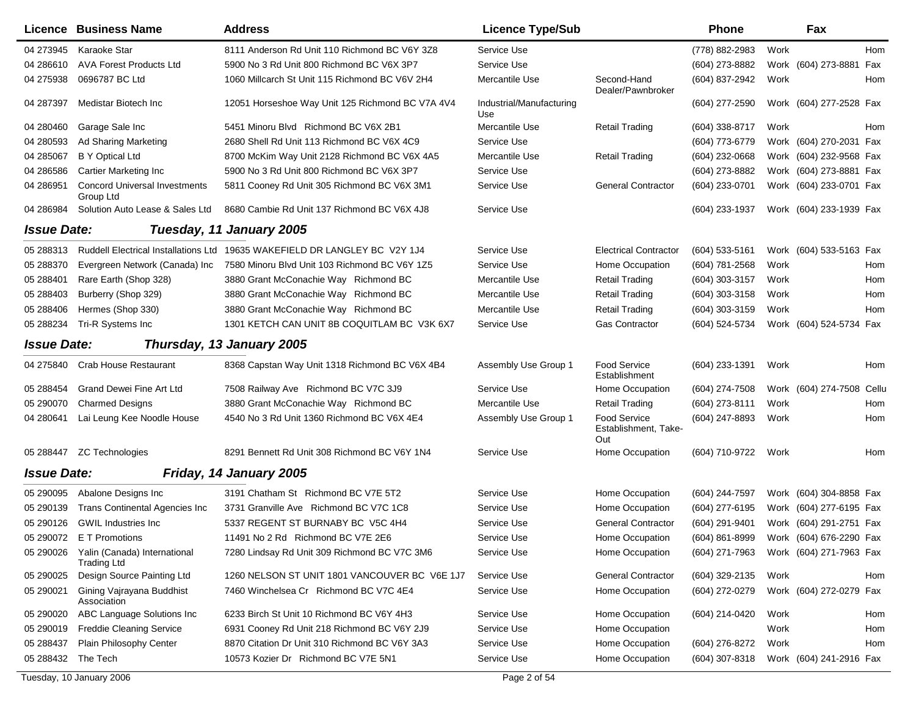|                    | Licence Business Name                                        | <b>Address</b>                                                             | <b>Licence Type/Sub</b>         |                                             | Phone            |      | Fax                                    |
|--------------------|--------------------------------------------------------------|----------------------------------------------------------------------------|---------------------------------|---------------------------------------------|------------------|------|----------------------------------------|
| 04 273945          | Karaoke Star                                                 | 8111 Anderson Rd Unit 110 Richmond BC V6Y 3Z8                              | Service Use                     |                                             | (778) 882-2983   | Work | Hom                                    |
| 04 286610          | <b>AVA Forest Products Ltd</b>                               | 5900 No 3 Rd Unit 800 Richmond BC V6X 3P7                                  | Service Use                     |                                             | (604) 273-8882   |      | Work (604) 273-8881<br>Fax             |
| 04 275938          | 0696787 BC Ltd                                               | 1060 Millcarch St Unit 115 Richmond BC V6V 2H4                             | Mercantile Use                  | Second-Hand<br>Dealer/Pawnbroker            | (604) 837-2942   | Work | Hom                                    |
| 04 287397          | Medistar Biotech Inc                                         | 12051 Horseshoe Way Unit 125 Richmond BC V7A 4V4                           | Industrial/Manufacturing<br>Use |                                             | (604) 277-2590   |      | Work (604) 277-2528 Fax                |
| 04 280460          | Garage Sale Inc                                              | 5451 Minoru Blvd Richmond BC V6X 2B1                                       | Mercantile Use                  | <b>Retail Trading</b>                       | $(604)$ 338-8717 | Work | Hom                                    |
| 04 280593          | Ad Sharing Marketing                                         | 2680 Shell Rd Unit 113 Richmond BC V6X 4C9                                 | Service Use                     |                                             | (604) 773-6779   |      | Work (604) 270-2031 Fax                |
| 04 285067          | B Y Optical Ltd                                              | 8700 McKim Way Unit 2128 Richmond BC V6X 4A5                               | Mercantile Use                  | <b>Retail Trading</b>                       | $(604)$ 232-0668 |      | Work (604) 232-9568 Fax                |
| 04 286586          | Cartier Marketing Inc                                        | 5900 No 3 Rd Unit 800 Richmond BC V6X 3P7                                  | Service Use                     |                                             | (604) 273-8882   |      | Work (604) 273-8881 Fax                |
| 04 286951          | <b>Concord Universal Investments</b><br>Group Ltd            | 5811 Cooney Rd Unit 305 Richmond BC V6X 3M1                                | Service Use                     | <b>General Contractor</b>                   | (604) 233-0701   |      | Work (604) 233-0701 Fax                |
| 04 286984          | Solution Auto Lease & Sales Ltd                              | 8680 Cambie Rd Unit 137 Richmond BC V6X 4J8                                | Service Use                     |                                             | (604) 233-1937   |      | Work (604) 233-1939 Fax                |
| <b>Issue Date:</b> |                                                              | Tuesday, 11 January 2005                                                   |                                 |                                             |                  |      |                                        |
| 05 288313          |                                                              | Ruddell Electrical Installations Ltd 19635 WAKEFIELD DR LANGLEY BC V2Y 1J4 | Service Use                     | <b>Electrical Contractor</b>                | $(604)$ 533-5161 |      | Work (604) 533-5163 Fax                |
| 05 288370          | Evergreen Network (Canada) Inc                               | 7580 Minoru Blvd Unit 103 Richmond BC V6Y 1Z5                              | Service Use                     | Home Occupation                             | (604) 781-2568   | Work | Hom                                    |
| 05 288401          | Rare Earth (Shop 328)                                        | 3880 Grant McConachie Way Richmond BC                                      | Mercantile Use                  | <b>Retail Trading</b>                       | $(604)$ 303-3157 | Work | Hom                                    |
| 05 288403          | Burberry (Shop 329)                                          | 3880 Grant McConachie Way Richmond BC                                      | Mercantile Use                  | <b>Retail Trading</b>                       | (604) 303-3158   | Work | Hom                                    |
| 05 288406          | Hermes (Shop 330)                                            | 3880 Grant McConachie Way Richmond BC                                      | Mercantile Use                  | <b>Retail Trading</b>                       | $(604)$ 303-3159 | Work | Hom                                    |
| 05 288234          | Tri-R Systems Inc                                            | 1301 KETCH CAN UNIT 8B COQUITLAM BC V3K 6X7                                | Service Use                     | <b>Gas Contractor</b>                       | (604) 524-5734   |      | Work (604) 524-5734 Fax                |
| <b>Issue Date:</b> |                                                              | Thursday, 13 January 2005                                                  |                                 |                                             |                  |      |                                        |
| 04 275840          | <b>Crab House Restaurant</b>                                 | 8368 Capstan Way Unit 1318 Richmond BC V6X 4B4                             | Assembly Use Group 1            | <b>Food Service</b><br>Establishment        | (604) 233-1391   | Work | Hom                                    |
| 05 288454          | Grand Dewei Fine Art Ltd                                     | 7508 Railway Ave Richmond BC V7C 3J9                                       | Service Use                     | Home Occupation                             | (604) 274-7508   |      | Work (604) 274-7508<br>Cellu           |
| 05 290070          | <b>Charmed Designs</b>                                       | 3880 Grant McConachie Way Richmond BC                                      | Mercantile Use                  | <b>Retail Trading</b>                       | $(604)$ 273-8111 | Work | Hom                                    |
| 04 280641          | Lai Leung Kee Noodle House                                   | 4540 No 3 Rd Unit 1360 Richmond BC V6X 4E4                                 | Assembly Use Group 1            | Food Service<br>Establishment, Take-<br>Out | (604) 247-8893   | Work | Hom                                    |
| 05 288447          | <b>ZC Technologies</b>                                       | 8291 Bennett Rd Unit 308 Richmond BC V6Y 1N4                               | Service Use                     | Home Occupation                             | (604) 710-9722   | Work | Hom                                    |
| <b>Issue Date:</b> |                                                              | Friday, 14 January 2005                                                    |                                 |                                             |                  |      |                                        |
| 05 290095          | Abalone Designs Inc                                          | 3191 Chatham St Richmond BC V7E 5T2                                        | Service Use                     | Home Occupation                             | (604) 244-7597   |      | Work (604) 304-8858 Fax                |
| 05 290139          | Trans Continental Agencies Inc                               | 3731 Granville Ave Richmond BC V7C 1C8                                     | Service Use                     | Home Occupation                             | (604) 277-6195   |      | Work (604) 277-6195 Fax                |
| 05 290126          | <b>GWIL Industries Inc.</b>                                  | 5337 REGENT ST BURNABY BC V5C 4H4                                          | Service Use                     | <b>General Contractor</b>                   | (604) 291-9401   |      | Work (604) 291-2751 Fax                |
|                    | 05 290072 E T Promotions                                     | 11491 No 2 Rd Richmond BC V7E 2E6                                          | Service Use                     | Home Occupation                             |                  |      | (604) 861-8999 Work (604) 676-2290 Fax |
|                    | 05 290026 Yalin (Canada) International<br><b>Trading Ltd</b> | 7280 Lindsay Rd Unit 309 Richmond BC V7C 3M6                               | Service Use                     | Home Occupation                             | (604) 271-7963   |      | Work (604) 271-7963 Fax                |
| 05 290025          | Design Source Painting Ltd                                   | 1260 NELSON ST UNIT 1801 VANCOUVER BC V6E 1J7                              | Service Use                     | <b>General Contractor</b>                   | (604) 329-2135   | Work | Hom                                    |
| 05 290021          | Gining Vajrayana Buddhist<br>Association                     | 7460 Winchelsea Cr Richmond BC V7C 4E4                                     | Service Use                     | Home Occupation                             | (604) 272-0279   |      | Work (604) 272-0279 Fax                |
| 05 290020          | ABC Language Solutions Inc                                   | 6233 Birch St Unit 10 Richmond BC V6Y 4H3                                  | Service Use                     | Home Occupation                             | (604) 214-0420   | Work | Hom                                    |
| 05 290019          | <b>Freddie Cleaning Service</b>                              | 6931 Cooney Rd Unit 218 Richmond BC V6Y 2J9                                | Service Use                     | Home Occupation                             |                  | Work | Hom                                    |
| 05 288437          | Plain Philosophy Center                                      | 8870 Citation Dr Unit 310 Richmond BC V6Y 3A3                              | Service Use                     | Home Occupation                             | (604) 276-8272   | Work | Hom                                    |
| 05 288432          | The Tech                                                     | 10573 Kozier Dr Richmond BC V7E 5N1                                        | Service Use                     | Home Occupation                             | (604) 307-8318   |      | Work (604) 241-2916 Fax                |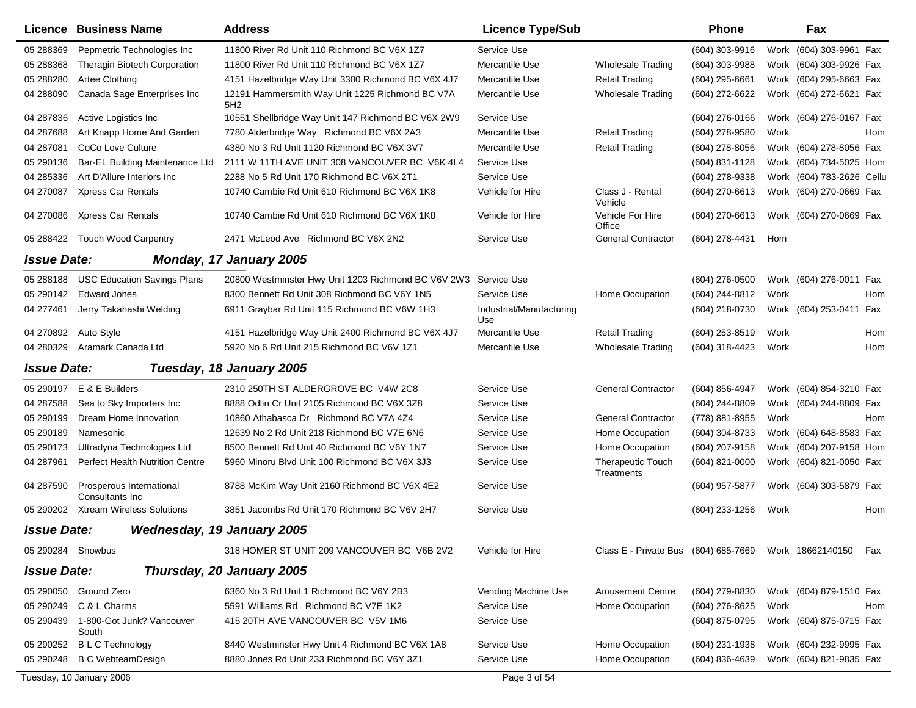|                    | <b>Licence Business Name</b>                 | <b>Address</b>                                                  | <b>Licence Type/Sub</b>         |                                                           | <b>Phone</b>     |      | Fax                       |     |
|--------------------|----------------------------------------------|-----------------------------------------------------------------|---------------------------------|-----------------------------------------------------------|------------------|------|---------------------------|-----|
| 05 288369          | Pepmetric Technologies Inc                   | 11800 River Rd Unit 110 Richmond BC V6X 127                     | Service Use                     |                                                           | (604) 303-9916   |      | Work (604) 303-9961 Fax   |     |
| 05 288368          | Theragin Biotech Corporation                 | 11800 River Rd Unit 110 Richmond BC V6X 1Z7                     | Mercantile Use                  | <b>Wholesale Trading</b>                                  | (604) 303-9988   |      | Work (604) 303-9926 Fax   |     |
| 05 288280          | Artee Clothing                               | 4151 Hazelbridge Way Unit 3300 Richmond BC V6X 4J7              | Mercantile Use                  | <b>Retail Trading</b>                                     | $(604)$ 295-6661 |      | Work (604) 295-6663 Fax   |     |
| 04 288090          | Canada Sage Enterprises Inc                  | 12191 Hammersmith Way Unit 1225 Richmond BC V7A<br>5H2          | Mercantile Use                  | <b>Wholesale Trading</b>                                  | (604) 272-6622   |      | Work (604) 272-6621 Fax   |     |
| 04 287836          | Active Logistics Inc.                        | 10551 Shellbridge Way Unit 147 Richmond BC V6X 2W9              | Service Use                     |                                                           | $(604)$ 276-0166 |      | Work (604) 276-0167 Fax   |     |
| 04 287688          | Art Knapp Home And Garden                    | 7780 Alderbridge Way Richmond BC V6X 2A3                        | Mercantile Use                  | <b>Retail Trading</b>                                     | (604) 278-9580   | Work |                           | Hom |
| 04 287081          | CoCo Love Culture                            | 4380 No 3 Rd Unit 1120 Richmond BC V6X 3V7                      | Mercantile Use                  | <b>Retail Trading</b>                                     | (604) 278-8056   |      | Work (604) 278-8056 Fax   |     |
| 05 290136          | Bar-EL Building Maintenance Ltd              | 2111 W 11TH AVE UNIT 308 VANCOUVER BC V6K 4L4                   | Service Use                     |                                                           | (604) 831-1128   |      | Work (604) 734-5025 Hom   |     |
| 04 285336          | Art D'Allure Interiors Inc                   | 2288 No 5 Rd Unit 170 Richmond BC V6X 2T1                       | Service Use                     |                                                           | (604) 278-9338   |      | Work (604) 783-2626 Cellu |     |
| 04 270087          | Xpress Car Rentals                           | 10740 Cambie Rd Unit 610 Richmond BC V6X 1K8                    | Vehicle for Hire                | Class J - Rental<br>Vehicle                               | (604) 270-6613   |      | Work (604) 270-0669 Fax   |     |
| 04 270086          | Xpress Car Rentals                           | 10740 Cambie Rd Unit 610 Richmond BC V6X 1K8                    | Vehicle for Hire                | Vehicle For Hire<br>Office                                | (604) 270-6613   |      | Work (604) 270-0669 Fax   |     |
| 05 288422          | <b>Touch Wood Carpentry</b>                  | 2471 McLeod Ave Richmond BC V6X 2N2                             | Service Use                     | <b>General Contractor</b>                                 | (604) 278-4431   | Hom  |                           |     |
| <b>Issue Date:</b> |                                              | Monday, 17 January 2005                                         |                                 |                                                           |                  |      |                           |     |
| 05 288188          | <b>USC Education Savings Plans</b>           | 20800 Westminster Hwy Unit 1203 Richmond BC V6V 2W3 Service Use |                                 |                                                           | (604) 276-0500   |      | Work (604) 276-0011 Fax   |     |
| 05 290142          | <b>Edward Jones</b>                          | 8300 Bennett Rd Unit 308 Richmond BC V6Y 1N5                    | Service Use                     | Home Occupation                                           | (604) 244-8812   | Work |                           | Hom |
| 04 277461          | Jerry Takahashi Welding                      | 6911 Graybar Rd Unit 115 Richmond BC V6W 1H3                    | Industrial/Manufacturing<br>Use |                                                           | (604) 218-0730   |      | Work (604) 253-0411 Fax   |     |
| 04 270892          | Auto Style                                   | 4151 Hazelbridge Way Unit 2400 Richmond BC V6X 4J7              | Mercantile Use                  | <b>Retail Trading</b>                                     | (604) 253-8519   | Work |                           | Hom |
| 04 280329          | Aramark Canada Ltd                           | 5920 No 6 Rd Unit 215 Richmond BC V6V 1Z1                       | Mercantile Use                  | <b>Wholesale Trading</b>                                  | (604) 318-4423   | Work |                           | Hom |
| <b>Issue Date:</b> |                                              | Tuesday, 18 January 2005                                        |                                 |                                                           |                  |      |                           |     |
| 05 290197          | E & E Builders                               | 2310 250TH ST ALDERGROVE BC V4W 2C8                             | Service Use                     | <b>General Contractor</b>                                 | (604) 856-4947   |      | Work (604) 854-3210 Fax   |     |
| 04 287588          | Sea to Sky Importers Inc                     | 8888 Odlin Cr Unit 2105 Richmond BC V6X 3Z8                     | Service Use                     |                                                           | (604) 244-8809   |      | Work (604) 244-8809 Fax   |     |
| 05 290199          | Dream Home Innovation                        | 10860 Athabasca Dr Richmond BC V7A 4Z4                          | Service Use                     | <b>General Contractor</b>                                 | (778) 881-8955   | Work |                           | Hom |
| 05 290189          | Namesonic                                    | 12639 No 2 Rd Unit 218 Richmond BC V7E 6N6                      | Service Use                     | Home Occupation                                           | (604) 304-8733   |      | Work (604) 648-8583 Fax   |     |
| 05 290173          | Ultradyna Technologies Ltd                   | 8500 Bennett Rd Unit 40 Richmond BC V6Y 1N7                     | Service Use                     | Home Occupation                                           | (604) 207-9158   |      | Work (604) 207-9158 Hom   |     |
| 04 287961          | <b>Perfect Health Nutrition Centre</b>       | 5960 Minoru Blvd Unit 100 Richmond BC V6X 3J3                   | Service Use                     | <b>Therapeutic Touch</b><br>Treatments                    | $(604)$ 821-0000 |      | Work (604) 821-0050 Fax   |     |
| 04 287590          | Prosperous International<br>Consultants Inc. | 8788 McKim Way Unit 2160 Richmond BC V6X 4E2                    | Service Use                     |                                                           | (604) 957-5877   |      | Work (604) 303-5879 Fax   |     |
| 05 290202          | <b>Xtream Wireless Solutions</b>             | 3851 Jacombs Rd Unit 170 Richmond BC V6V 2H7                    | Service Use                     |                                                           | (604) 233-1256   | Work |                           | Hom |
| <b>Issue Date:</b> |                                              | <b>Wednesday, 19 January 2005</b>                               |                                 |                                                           |                  |      |                           |     |
| 05 290284 Snowbus  |                                              | 318 HOMER ST UNIT 209 VANCOUVER BC V6B 2V2                      | Vehicle for Hire                | Class E - Private Bus (604) 685-7669 Work 18662140150 Fax |                  |      |                           |     |
| <b>Issue Date:</b> |                                              | Thursday, 20 January 2005                                       |                                 |                                                           |                  |      |                           |     |
| 05 290050          | Ground Zero                                  | 6360 No 3 Rd Unit 1 Richmond BC V6Y 2B3                         | Vending Machine Use             | <b>Amusement Centre</b>                                   | (604) 279-8830   |      | Work (604) 879-1510 Fax   |     |
| 05 290249          | C & L Charms                                 | 5591 Williams Rd Richmond BC V7E 1K2                            | Service Use                     | Home Occupation                                           | (604) 276-8625   | Work |                           | Hom |
| 05 290439          | 1-800-Got Junk? Vancouver<br>South           | 415 20TH AVE VANCOUVER BC V5V 1M6                               | Service Use                     |                                                           | (604) 875-0795   |      | Work (604) 875-0715 Fax   |     |
| 05 290252          | <b>BLC</b> Technology                        | 8440 Westminster Hwy Unit 4 Richmond BC V6X 1A8                 | Service Use                     | Home Occupation                                           | (604) 231-1938   |      | Work (604) 232-9995 Fax   |     |
|                    | 05 290248 B C WebteamDesign                  | 8880 Jones Rd Unit 233 Richmond BC V6Y 3Z1                      | Service Use                     | Home Occupation                                           | (604) 836-4639   |      | Work (604) 821-9835 Fax   |     |
|                    | Tuesday, 10 January 2006                     |                                                                 | Page 3 of 54                    |                                                           |                  |      |                           |     |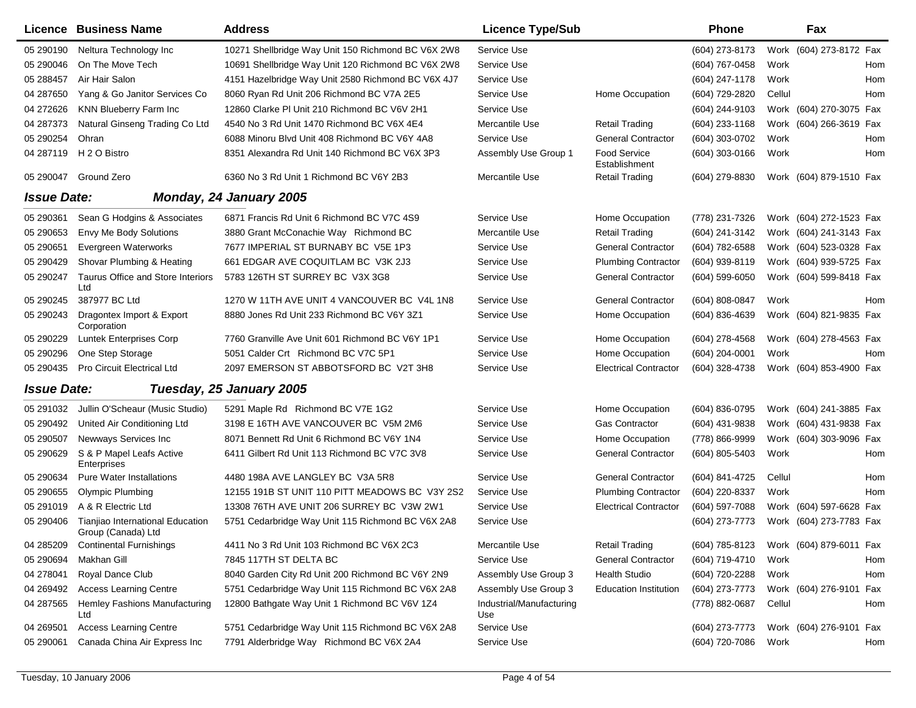|                    | Licence Business Name                                  | <b>Address</b>                                     | <b>Licence Type/Sub</b>         |                               | <b>Phone</b>     |        | Fax                        |
|--------------------|--------------------------------------------------------|----------------------------------------------------|---------------------------------|-------------------------------|------------------|--------|----------------------------|
| 05 290190          | Neltura Technology Inc                                 | 10271 Shellbridge Way Unit 150 Richmond BC V6X 2W8 | Service Use                     |                               | (604) 273-8173   |        | Work (604) 273-8172 Fax    |
| 05 290046          | On The Move Tech                                       | 10691 Shellbridge Way Unit 120 Richmond BC V6X 2W8 | Service Use                     |                               | (604) 767-0458   | Work   | Hom                        |
| 05 288457          | Air Hair Salon                                         | 4151 Hazelbridge Way Unit 2580 Richmond BC V6X 4J7 | Service Use                     |                               | (604) 247-1178   | Work   | Hom                        |
| 04 287650          | Yang & Go Janitor Services Co                          | 8060 Ryan Rd Unit 206 Richmond BC V7A 2E5          | Service Use                     | Home Occupation               | (604) 729-2820   | Cellul | Hom                        |
| 04 27 26 26        | KNN Blueberry Farm Inc                                 | 12860 Clarke PI Unit 210 Richmond BC V6V 2H1       | Service Use                     |                               | (604) 244-9103   |        | Work (604) 270-3075 Fax    |
| 04 287373          | Natural Ginseng Trading Co Ltd                         | 4540 No 3 Rd Unit 1470 Richmond BC V6X 4E4         | Mercantile Use                  | <b>Retail Trading</b>         | (604) 233-1168   |        | Work (604) 266-3619<br>Fax |
| 05 290254          | Ohran                                                  | 6088 Minoru Blvd Unit 408 Richmond BC V6Y 4A8      | Service Use                     | <b>General Contractor</b>     | (604) 303-0702   | Work   | Hom                        |
| 04 287119          | H 2 O Bistro                                           | 8351 Alexandra Rd Unit 140 Richmond BC V6X 3P3     | Assembly Use Group 1            | Food Service<br>Establishment | $(604)$ 303-0166 | Work   | Hom                        |
| 05 290047          | Ground Zero                                            | 6360 No 3 Rd Unit 1 Richmond BC V6Y 2B3            | Mercantile Use                  | <b>Retail Trading</b>         | (604) 279-8830   |        | Work (604) 879-1510 Fax    |
| <b>Issue Date:</b> |                                                        | <b>Monday, 24 January 2005</b>                     |                                 |                               |                  |        |                            |
| 05 290361          | Sean G Hodgins & Associates                            | 6871 Francis Rd Unit 6 Richmond BC V7C 4S9         | Service Use                     | Home Occupation               | (778) 231-7326   |        | Work (604) 272-1523 Fax    |
| 05 290653          | Envy Me Body Solutions                                 | 3880 Grant McConachie Way Richmond BC              | Mercantile Use                  | <b>Retail Trading</b>         | (604) 241-3142   |        | Work (604) 241-3143 Fax    |
| 05 290651          | Evergreen Waterworks                                   | 7677 IMPERIAL ST BURNABY BC V5E 1P3                | Service Use                     | <b>General Contractor</b>     | (604) 782-6588   |        | Work (604) 523-0328 Fax    |
| 05 290429          | Shovar Plumbing & Heating                              | 661 EDGAR AVE COQUITLAM BC V3K 2J3                 | Service Use                     | <b>Plumbing Contractor</b>    | (604) 939-8119   |        | Work (604) 939-5725 Fax    |
| 05 290247          | Taurus Office and Store Interiors<br>Ltd               | 5783 126TH ST SURREY BC V3X 3G8                    | Service Use                     | <b>General Contractor</b>     | (604) 599-6050   |        | Work (604) 599-8418 Fax    |
| 05 290245          | 387977 BC Ltd                                          | 1270 W 11TH AVE UNIT 4 VANCOUVER BC V4L 1N8        | Service Use                     | <b>General Contractor</b>     | (604) 808-0847   | Work   | Hom                        |
| 05 290243          | Dragontex Import & Export<br>Corporation               | 8880 Jones Rd Unit 233 Richmond BC V6Y 3Z1         | Service Use                     | Home Occupation               | (604) 836-4639   |        | Work (604) 821-9835 Fax    |
| 05 290229          | <b>Luntek Enterprises Corp</b>                         | 7760 Granville Ave Unit 601 Richmond BC V6Y 1P1    | Service Use                     | Home Occupation               | (604) 278-4568   |        | Work (604) 278-4563 Fax    |
| 05 290296          | One Step Storage                                       | 5051 Calder Crt Richmond BC V7C 5P1                | Service Use                     | Home Occupation               | (604) 204-0001   | Work   | Hom                        |
| 05 290435          | Pro Circuit Electrical Ltd                             | 2097 EMERSON ST ABBOTSFORD BC V2T 3H8              | Service Use                     | <b>Electrical Contractor</b>  | (604) 328-4738   |        | Work (604) 853-4900 Fax    |
| <b>Issue Date:</b> |                                                        | Tuesday, 25 January 2005                           |                                 |                               |                  |        |                            |
| 05 291032          | Jullin O'Scheaur (Music Studio)                        | 5291 Maple Rd Richmond BC V7E 1G2                  | Service Use                     | Home Occupation               | (604) 836-0795   |        | Work (604) 241-3885 Fax    |
| 05 290492          | United Air Conditioning Ltd                            | 3198 E 16TH AVE VANCOUVER BC V5M 2M6               | Service Use                     | <b>Gas Contractor</b>         | (604) 431-9838   |        | Work (604) 431-9838 Fax    |
| 05 29 0507         | Newways Services Inc                                   | 8071 Bennett Rd Unit 6 Richmond BC V6Y 1N4         | Service Use                     | Home Occupation               | (778) 866-9999   |        | Work (604) 303-9096 Fax    |
| 05 290629          | S & P Mapel Leafs Active<br>Enterprises                | 6411 Gilbert Rd Unit 113 Richmond BC V7C 3V8       | Service Use                     | <b>General Contractor</b>     | (604) 805-5403   | Work   | Hom                        |
| 05 290634          | <b>Pure Water Installations</b>                        | 4480 198A AVE LANGLEY BC V3A 5R8                   | Service Use                     | <b>General Contractor</b>     | (604) 841-4725   | Cellul | Hom                        |
| 05 290655          | <b>Olympic Plumbing</b>                                | 12155 191B ST UNIT 110 PITT MEADOWS BC V3Y 2S2     | Service Use                     | <b>Plumbing Contractor</b>    | (604) 220-8337   | Work   | Hom                        |
| 05 291019          | A & R Electric Ltd                                     | 13308 76TH AVE UNIT 206 SURREY BC V3W 2W1          | Service Use                     | <b>Electrical Contractor</b>  | (604) 597-7088   |        | Work (604) 597-6628<br>Fax |
| 05 290406          | Tianjiao International Education<br>Group (Canada) Ltd | 5751 Cedarbridge Way Unit 115 Richmond BC V6X 2A8  | Service Use                     |                               | (604) 273-7773   |        | Work (604) 273-7783 Fax    |
| 04 285209          | <b>Continental Furnishings</b>                         | 4411 No 3 Rd Unit 103 Richmond BC V6X 2C3          | Mercantile Use                  | <b>Retail Trading</b>         | (604) 785-8123   |        | Work (604) 879-6011 Fax    |
| 05 290694          | Makhan Gill                                            | 7845 117TH ST DELTA BC                             | Service Use                     | <b>General Contractor</b>     | (604) 719-4710   | Work   | Hom                        |
| 04 278041          | Royal Dance Club                                       | 8040 Garden City Rd Unit 200 Richmond BC V6Y 2N9   | Assembly Use Group 3            | <b>Health Studio</b>          | (604) 720-2288   | Work   | Hom                        |
| 04 269492          | <b>Access Learning Centre</b>                          | 5751 Cedarbridge Way Unit 115 Richmond BC V6X 2A8  | Assembly Use Group 3            | <b>Education Institution</b>  | (604) 273-7773   |        | Work (604) 276-9101<br>Fax |
| 04 287565          | Hemley Fashions Manufacturing<br>Ltd                   | 12800 Bathgate Way Unit 1 Richmond BC V6V 1Z4      | Industrial/Manufacturing<br>Use |                               | (778) 882-0687   | Cellul | Hom                        |
| 04 269501          | <b>Access Learning Centre</b>                          | 5751 Cedarbridge Way Unit 115 Richmond BC V6X 2A8  | Service Use                     |                               | (604) 273-7773   |        | Work (604) 276-9101 Fax    |
| 05 290061          | Canada China Air Express Inc                           | 7791 Alderbridge Way Richmond BC V6X 2A4           | Service Use                     |                               | (604) 720-7086   | Work   | Hom                        |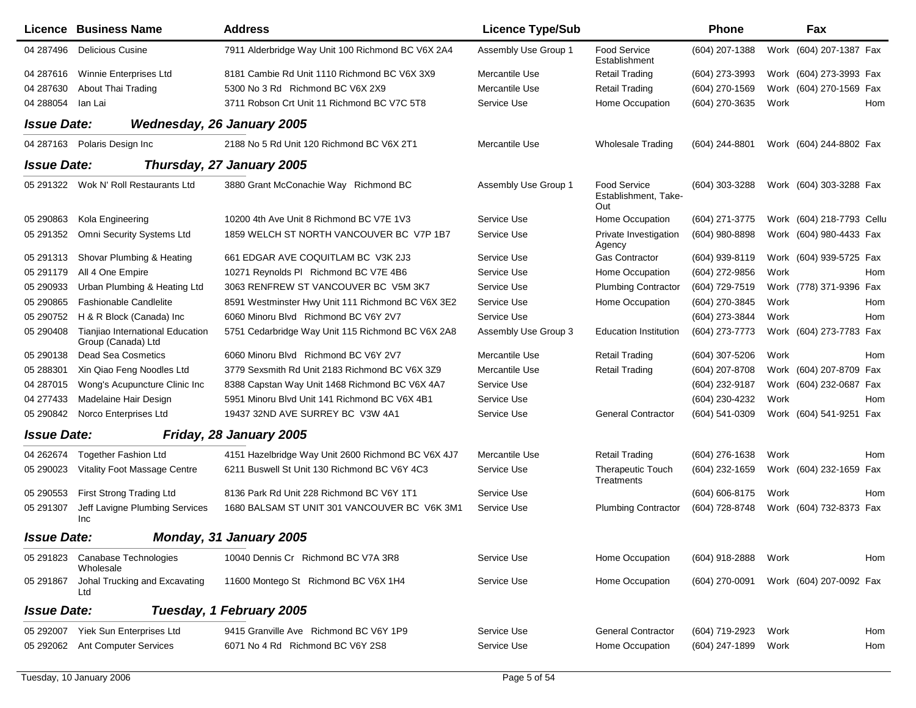|                    | <b>Licence Business Name</b>                           | <b>Address</b>                                     | <b>Licence Type/Sub</b> |                                                    | <b>Phone</b>     |      | Fax                       |     |
|--------------------|--------------------------------------------------------|----------------------------------------------------|-------------------------|----------------------------------------------------|------------------|------|---------------------------|-----|
| 04 287496          | <b>Delicious Cusine</b>                                | 7911 Alderbridge Way Unit 100 Richmond BC V6X 2A4  | Assembly Use Group 1    | <b>Food Service</b><br>Establishment               | (604) 207-1388   |      | Work (604) 207-1387 Fax   |     |
| 04 287616          | Winnie Enterprises Ltd                                 | 8181 Cambie Rd Unit 1110 Richmond BC V6X 3X9       | Mercantile Use          | <b>Retail Trading</b>                              | (604) 273-3993   |      | Work (604) 273-3993 Fax   |     |
| 04 287630          | About Thai Trading                                     | 5300 No 3 Rd Richmond BC V6X 2X9                   | Mercantile Use          | <b>Retail Trading</b>                              | (604) 270-1569   |      | Work (604) 270-1569 Fax   |     |
| 04 288054          | lan Lai                                                | 3711 Robson Crt Unit 11 Richmond BC V7C 5T8        | Service Use             | Home Occupation                                    | (604) 270-3635   | Work |                           | Hom |
| <b>Issue Date:</b> |                                                        | <b>Wednesday, 26 January 2005</b>                  |                         |                                                    |                  |      |                           |     |
| 04 287163          | Polaris Design Inc                                     | 2188 No 5 Rd Unit 120 Richmond BC V6X 2T1          | Mercantile Use          | <b>Wholesale Trading</b>                           | (604) 244-8801   |      | Work (604) 244-8802 Fax   |     |
| <b>Issue Date:</b> |                                                        | Thursday, 27 January 2005                          |                         |                                                    |                  |      |                           |     |
|                    | 05 291322 Wok N' Roll Restaurants Ltd                  | 3880 Grant McConachie Way Richmond BC              | Assembly Use Group 1    | <b>Food Service</b><br>Establishment, Take-<br>Out | (604) 303-3288   |      | Work (604) 303-3288 Fax   |     |
| 05 290863          | Kola Engineering                                       | 10200 4th Ave Unit 8 Richmond BC V7E 1V3           | Service Use             | Home Occupation                                    | (604) 271-3775   |      | Work (604) 218-7793 Cellu |     |
| 05 291352          | <b>Omni Security Systems Ltd</b>                       | 1859 WELCH ST NORTH VANCOUVER BC V7P 1B7           | Service Use             | Private Investigation<br>Agency                    | (604) 980-8898   |      | Work (604) 980-4433 Fax   |     |
| 05 291313          | Shovar Plumbing & Heating                              | 661 EDGAR AVE COQUITLAM BC V3K 2J3                 | Service Use             | <b>Gas Contractor</b>                              | (604) 939-8119   |      | Work (604) 939-5725 Fax   |     |
| 05 291179          | All 4 One Empire                                       | 10271 Reynolds PI Richmond BC V7E 4B6              | Service Use             | Home Occupation                                    | (604) 272-9856   | Work |                           | Hom |
| 05 290933          | Urban Plumbing & Heating Ltd                           | 3063 RENFREW ST VANCOUVER BC V5M 3K7               | Service Use             | <b>Plumbing Contractor</b>                         | (604) 729-7519   |      | Work (778) 371-9396 Fax   |     |
| 05 290865          | <b>Fashionable Candlelite</b>                          | 8591 Westminster Hwy Unit 111 Richmond BC V6X 3E2  | Service Use             | Home Occupation                                    | (604) 270-3845   | Work |                           | Hom |
| 05 290752          | H & R Block (Canada) Inc                               | 6060 Minoru Blvd Richmond BC V6Y 2V7               | Service Use             |                                                    | (604) 273-3844   | Work |                           | Hom |
| 05 290408          | Tianjiao International Education<br>Group (Canada) Ltd | 5751 Cedarbridge Way Unit 115 Richmond BC V6X 2A8  | Assembly Use Group 3    | <b>Education Institution</b>                       | (604) 273-7773   |      | Work (604) 273-7783 Fax   |     |
| 05 290138          | <b>Dead Sea Cosmetics</b>                              | 6060 Minoru Blvd Richmond BC V6Y 2V7               | Mercantile Use          | <b>Retail Trading</b>                              | (604) 307-5206   | Work |                           | Hom |
| 05 288301          | Xin Qiao Feng Noodles Ltd                              | 3779 Sexsmith Rd Unit 2183 Richmond BC V6X 3Z9     | Mercantile Use          | <b>Retail Trading</b>                              | (604) 207-8708   |      | Work (604) 207-8709 Fax   |     |
| 04 287015          | Wong's Acupuncture Clinic Inc                          | 8388 Capstan Way Unit 1468 Richmond BC V6X 4A7     | Service Use             |                                                    | (604) 232-9187   |      | Work (604) 232-0687 Fax   |     |
| 04 277433          | Madelaine Hair Design                                  | 5951 Minoru Blvd Unit 141 Richmond BC V6X 4B1      | Service Use             |                                                    | (604) 230-4232   | Work |                           | Hom |
| 05 290842          | Norco Enterprises Ltd                                  | 19437 32ND AVE SURREY BC V3W 4A1                   | Service Use             | <b>General Contractor</b>                          | (604) 541-0309   |      | Work (604) 541-9251 Fax   |     |
| <b>Issue Date:</b> |                                                        | Friday, 28 January 2005                            |                         |                                                    |                  |      |                           |     |
| 04 26 26 74        | <b>Together Fashion Ltd</b>                            | 4151 Hazelbridge Way Unit 2600 Richmond BC V6X 4J7 | Mercantile Use          | <b>Retail Trading</b>                              | (604) 276-1638   | Work |                           | Hom |
| 05 290023          | Vitality Foot Massage Centre                           | 6211 Buswell St Unit 130 Richmond BC V6Y 4C3       | Service Use             | <b>Therapeutic Touch</b><br>Treatments             | (604) 232-1659   |      | Work (604) 232-1659 Fax   |     |
| 05 29 05 53        | First Strong Trading Ltd                               | 8136 Park Rd Unit 228 Richmond BC V6Y 1T1          | Service Use             |                                                    | (604) 606-8175   | Work |                           | Hom |
| 05 291307          | Jeff Lavigne Plumbing Services<br>Inc                  | 1680 BALSAM ST UNIT 301 VANCOUVER BC V6K 3M1       | Service Use             | <b>Plumbing Contractor</b>                         | (604) 728-8748   |      | Work (604) 732-8373 Fax   |     |
| <b>Issue Date:</b> |                                                        | Monday, 31 January 2005                            |                         |                                                    |                  |      |                           |     |
| 05 291823          | Canabase Technologies<br>Wholesale                     | 10040 Dennis Cr Richmond BC V7A 3R8                | Service Use             | Home Occupation                                    | (604) 918-2888   | Work |                           | Hom |
| 05 291867          | Johal Trucking and Excavating<br>Ltd                   | 11600 Montego St Richmond BC V6X 1H4               | Service Use             | Home Occupation                                    | $(604)$ 270-0091 |      | Work (604) 207-0092 Fax   |     |
| <b>Issue Date:</b> |                                                        | Tuesday, 1 February 2005                           |                         |                                                    |                  |      |                           |     |
| 05 292007          | Yiek Sun Enterprises Ltd                               | 9415 Granville Ave Richmond BC V6Y 1P9             | Service Use             | <b>General Contractor</b>                          | (604) 719-2923   | Work |                           | Hom |
| 05 292062          | <b>Ant Computer Services</b>                           | 6071 No 4 Rd Richmond BC V6Y 2S8                   | Service Use             | Home Occupation                                    | (604) 247-1899   | Work |                           | Hom |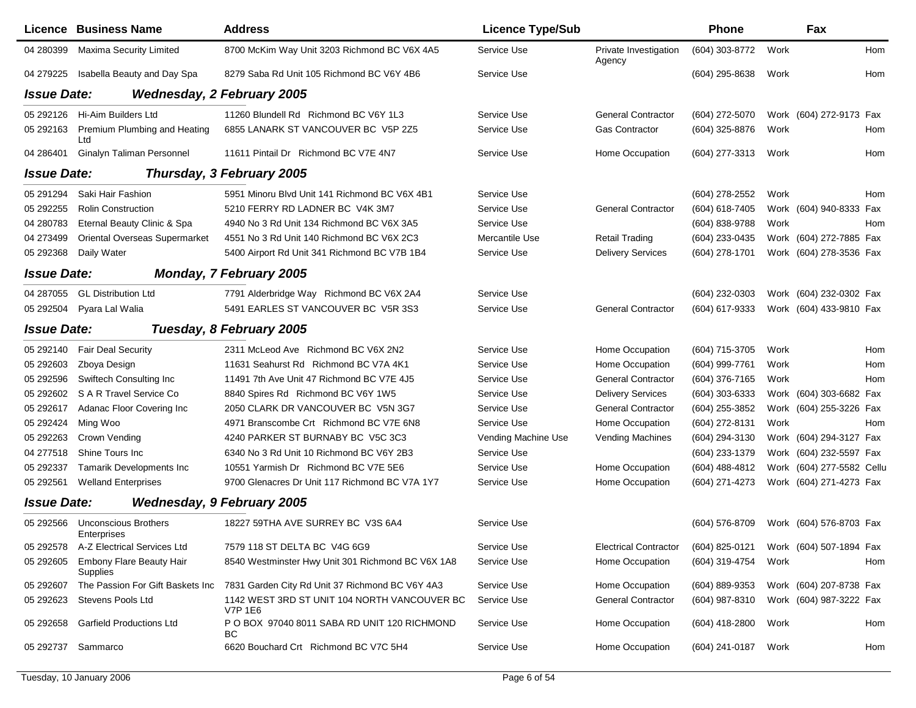|                    | <b>Licence Business Name</b>                | <b>Address</b>                                                 | <b>Licence Type/Sub</b> |                                 | <b>Phone</b>     |      | Fax                       |     |
|--------------------|---------------------------------------------|----------------------------------------------------------------|-------------------------|---------------------------------|------------------|------|---------------------------|-----|
| 04 280399          | Maxima Security Limited                     | 8700 McKim Way Unit 3203 Richmond BC V6X 4A5                   | Service Use             | Private Investigation<br>Agency | (604) 303-8772   | Work |                           | Hom |
| 04 279225          | Isabella Beauty and Day Spa                 | 8279 Saba Rd Unit 105 Richmond BC V6Y 4B6                      | Service Use             |                                 | (604) 295-8638   | Work |                           | Hom |
| <b>Issue Date:</b> |                                             | <b>Wednesday, 2 February 2005</b>                              |                         |                                 |                  |      |                           |     |
| 05 29 21 26        | Hi-Aim Builders Ltd                         | 11260 Blundell Rd Richmond BC V6Y 1L3                          | Service Use             | <b>General Contractor</b>       | (604) 272-5070   |      | Work (604) 272-9173 Fax   |     |
| 05 29 21 63        | Premium Plumbing and Heating<br>Ltd         | 6855 LANARK ST VANCOUVER BC V5P 2Z5                            | Service Use             | Gas Contractor                  | (604) 325-8876   | Work |                           | Hom |
| 04 28 64 01        | <b>Ginalyn Taliman Personnel</b>            | 11611 Pintail Dr Richmond BC V7E 4N7                           | Service Use             | Home Occupation                 | (604) 277-3313   | Work |                           | Hom |
| <b>Issue Date:</b> |                                             | Thursday, 3 February 2005                                      |                         |                                 |                  |      |                           |     |
| 05 291 294         | Saki Hair Fashion                           | 5951 Minoru Blvd Unit 141 Richmond BC V6X 4B1                  | Service Use             |                                 | (604) 278-2552   | Work |                           | Hom |
| 05 29 2255         | <b>Rolin Construction</b>                   | 5210 FERRY RD LADNER BC V4K 3M7                                | Service Use             | <b>General Contractor</b>       | (604) 618-7405   |      | Work (604) 940-8333 Fax   |     |
| 04 280783          | Eternal Beauty Clinic & Spa                 | 4940 No 3 Rd Unit 134 Richmond BC V6X 3A5                      | Service Use             |                                 | (604) 838-9788   | Work |                           | Hom |
| 04 273499          | Oriental Overseas Supermarket               | 4551 No 3 Rd Unit 140 Richmond BC V6X 2C3                      | Mercantile Use          | <b>Retail Trading</b>           | (604) 233-0435   |      | Work (604) 272-7885 Fax   |     |
| 05 29 2368         | Daily Water                                 | 5400 Airport Rd Unit 341 Richmond BC V7B 1B4                   | Service Use             | <b>Delivery Services</b>        | (604) 278-1701   |      | Work (604) 278-3536 Fax   |     |
| <b>Issue Date:</b> |                                             | <b>Monday, 7 February 2005</b>                                 |                         |                                 |                  |      |                           |     |
| 04 287055          | <b>GL Distribution Ltd</b>                  | 7791 Alderbridge Way Richmond BC V6X 2A4                       | Service Use             |                                 | (604) 232-0303   |      | Work (604) 232-0302 Fax   |     |
| 05 29 2504         | Pyara Lal Walia                             | 5491 EARLES ST VANCOUVER BC V5R 3S3                            | Service Use             | <b>General Contractor</b>       | (604) 617-9333   |      | Work (604) 433-9810 Fax   |     |
| <b>Issue Date:</b> |                                             | Tuesday, 8 February 2005                                       |                         |                                 |                  |      |                           |     |
| 05 29 2140         | <b>Fair Deal Security</b>                   | 2311 McLeod Ave Richmond BC V6X 2N2                            | Service Use             | Home Occupation                 | (604) 715-3705   | Work |                           | Hom |
| 05 29 260 3        | Zboya Design                                | 11631 Seahurst Rd Richmond BC V7A 4K1                          | Service Use             | Home Occupation                 | (604) 999-7761   | Work |                           | Hom |
| 05 29 2596         | Swiftech Consulting Inc                     | 11491 7th Ave Unit 47 Richmond BC V7E 4J5                      | Service Use             | <b>General Contractor</b>       | (604) 376-7165   | Work |                           | Hom |
| 05 29 260 2        | S A R Travel Service Co                     | 8840 Spires Rd Richmond BC V6Y 1W5                             | Service Use             | <b>Delivery Services</b>        | (604) 303-6333   |      | Work (604) 303-6682 Fax   |     |
| 05 29 2617         | Adanac Floor Covering Inc                   | 2050 CLARK DR VANCOUVER BC V5N 3G7                             | Service Use             | <b>General Contractor</b>       | (604) 255-3852   |      | Work (604) 255-3226 Fax   |     |
| 05 29 24 24        | Ming Woo                                    | 4971 Branscombe Crt Richmond BC V7E 6N8                        | Service Use             | Home Occupation                 | (604) 272-8131   | Work |                           | Hom |
| 05 29 2263         | Crown Vending                               | 4240 PARKER ST BURNABY BC V5C 3C3                              | Vending Machine Use     | Vending Machines                | (604) 294-3130   |      | Work (604) 294-3127 Fax   |     |
| 04 277518          | Shine Tours Inc                             | 6340 No 3 Rd Unit 10 Richmond BC V6Y 2B3                       | Service Use             |                                 | (604) 233-1379   |      | Work (604) 232-5597 Fax   |     |
| 05 29 2337         | Tamarik Developments Inc                    | 10551 Yarmish Dr Richmond BC V7E 5E6                           | Service Use             | Home Occupation                 | (604) 488-4812   |      | Work (604) 277-5582 Cellu |     |
| 05 29 2561         | <b>Welland Enterprises</b>                  | 9700 Glenacres Dr Unit 117 Richmond BC V7A 1Y7                 | Service Use             | Home Occupation                 | (604) 271-4273   |      | Work (604) 271-4273 Fax   |     |
| <b>Issue Date:</b> |                                             | <b>Wednesday, 9 February 2005</b>                              |                         |                                 |                  |      |                           |     |
| 05 29 2566         | <b>Unconscious Brothers</b><br>Enterprises  | 18227 59THA AVE SURREY BC V3S 6A4                              | Service Use             |                                 | $(604)$ 576-8709 |      | Work (604) 576-8703 Fax   |     |
| 05 29 25 78        | A-Z Electrical Services Ltd                 | 7579 118 ST DELTA BC V4G 6G9                                   | Service Use             | <b>Electrical Contractor</b>    | (604) 825-0121   |      | Work (604) 507-1894 Fax   |     |
| 05 29 260 5        | Embony Flare Beauty Hair<br><b>Supplies</b> | 8540 Westminster Hwy Unit 301 Richmond BC V6X 1A8              | Service Use             | Home Occupation                 | (604) 319-4754   | Work |                           | Hom |
| 05 29 260 7        | The Passion For Gift Baskets Inc            | 7831 Garden City Rd Unit 37 Richmond BC V6Y 4A3                | Service Use             | Home Occupation                 | (604) 889-9353   |      | Work (604) 207-8738 Fax   |     |
| 05 29 26 23        | Stevens Pools Ltd                           | 1142 WEST 3RD ST UNIT 104 NORTH VANCOUVER BC<br><b>V7P 1E6</b> | Service Use             | <b>General Contractor</b>       | (604) 987-8310   |      | Work (604) 987-3222 Fax   |     |
| 05 29 2658         | <b>Garfield Productions Ltd</b>             | P O BOX 97040 8011 SABA RD UNIT 120 RICHMOND<br>ВC             | Service Use             | Home Occupation                 | $(604)$ 418-2800 | Work |                           | Hom |
| 05 292737          | Sammarco                                    | 6620 Bouchard Crt Richmond BC V7C 5H4                          | Service Use             | Home Occupation                 | (604) 241-0187   | Work |                           | Hom |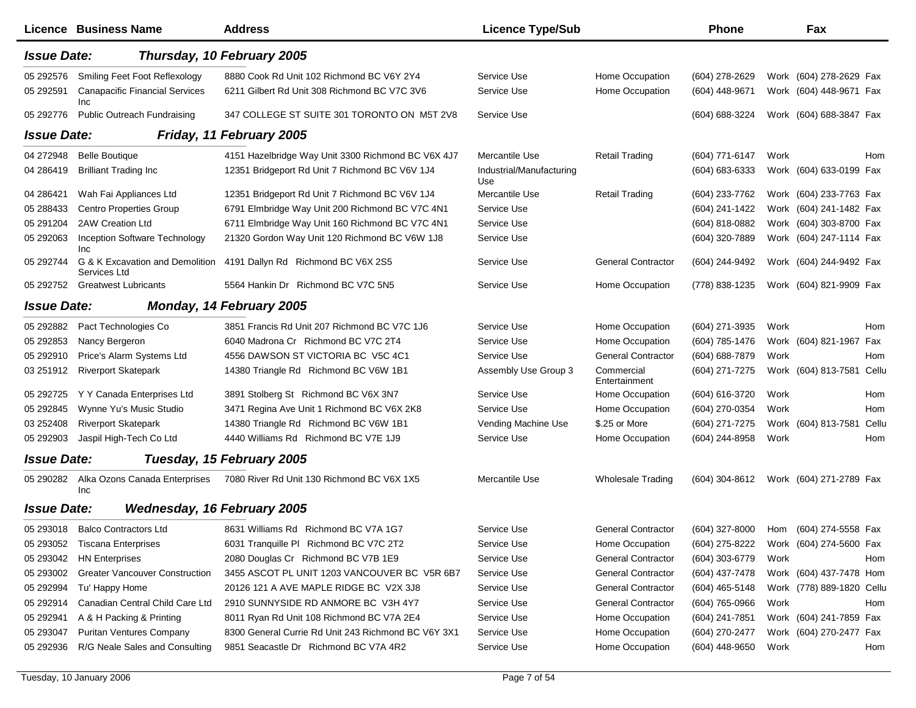|                    | <b>Licence Business Name</b>                 | <b>Address</b>                                                     | <b>Licence Type/Sub</b>         |                             | <b>Phone</b>       |      | Fax                       |       |
|--------------------|----------------------------------------------|--------------------------------------------------------------------|---------------------------------|-----------------------------|--------------------|------|---------------------------|-------|
| <b>Issue Date:</b> |                                              | Thursday, 10 February 2005                                         |                                 |                             |                    |      |                           |       |
| 05 292576          | Smiling Feet Foot Reflexology                | 8880 Cook Rd Unit 102 Richmond BC V6Y 2Y4                          | Service Use                     | Home Occupation             | (604) 278-2629     |      | Work (604) 278-2629 Fax   |       |
| 05 29 25 91        | <b>Canapacific Financial Services</b><br>Inc | 6211 Gilbert Rd Unit 308 Richmond BC V7C 3V6                       | Service Use                     | Home Occupation             | (604) 448-9671     |      | Work (604) 448-9671 Fax   |       |
| 05 29 2776         | <b>Public Outreach Fundraising</b>           | 347 COLLEGE ST SUITE 301 TORONTO ON M5T 2V8                        | Service Use                     |                             | (604) 688-3224     |      | Work (604) 688-3847 Fax   |       |
| <b>Issue Date:</b> |                                              | Friday, 11 February 2005                                           |                                 |                             |                    |      |                           |       |
| 04 272948          | <b>Belle Boutique</b>                        | 4151 Hazelbridge Way Unit 3300 Richmond BC V6X 4J7                 | Mercantile Use                  | <b>Retail Trading</b>       | (604) 771-6147     | Work |                           | Hom   |
| 04 28 6419         | <b>Brilliant Trading Inc</b>                 | 12351 Bridgeport Rd Unit 7 Richmond BC V6V 1J4                     | Industrial/Manufacturing<br>Use |                             | $(604) 683 - 6333$ |      | Work (604) 633-0199 Fax   |       |
| 04 28 64 21        | Wah Fai Appliances Ltd                       | 12351 Bridgeport Rd Unit 7 Richmond BC V6V 1J4                     | Mercantile Use                  | <b>Retail Trading</b>       | (604) 233-7762     |      | Work (604) 233-7763 Fax   |       |
| 05 288433          | <b>Centro Properties Group</b>               | 6791 Elmbridge Way Unit 200 Richmond BC V7C 4N1                    | Service Use                     |                             | (604) 241-1422     |      | Work (604) 241-1482 Fax   |       |
| 05 291 204         | 2AW Creation Ltd                             | 6711 Elmbridge Way Unit 160 Richmond BC V7C 4N1                    | Service Use                     |                             | (604) 818-0882     |      | Work (604) 303-8700 Fax   |       |
| 05 29 20 63        | Inception Software Technology<br><b>Inc</b>  | 21320 Gordon Way Unit 120 Richmond BC V6W 1J8                      | Service Use                     |                             | (604) 320-7889     |      | Work (604) 247-1114 Fax   |       |
| 05 29 2744         | Services Ltd                                 | G & K Excavation and Demolition 4191 Dallyn Rd Richmond BC V6X 2S5 | Service Use                     | <b>General Contractor</b>   | (604) 244-9492     |      | Work (604) 244-9492 Fax   |       |
|                    | 05 292752 Greatwest Lubricants               | 5564 Hankin Dr Richmond BC V7C 5N5                                 | Service Use                     | Home Occupation             | (778) 838-1235     |      | Work (604) 821-9909 Fax   |       |
| <b>Issue Date:</b> |                                              | Monday, 14 February 2005                                           |                                 |                             |                    |      |                           |       |
| 05 292882          | Pact Technologies Co                         | 3851 Francis Rd Unit 207 Richmond BC V7C 1J6                       | Service Use                     | Home Occupation             | (604) 271-3935     | Work |                           | Hom   |
| 05 29 28 53        | Nancy Bergeron                               | 6040 Madrona Cr Richmond BC V7C 2T4                                | Service Use                     | Home Occupation             | (604) 785-1476     |      | Work (604) 821-1967 Fax   |       |
| 05 29 29 10        | Price's Alarm Systems Ltd                    | 4556 DAWSON ST VICTORIA BC V5C 4C1                                 | Service Use                     | <b>General Contractor</b>   | (604) 688-7879     | Work |                           | Hom   |
| 03 251912          | <b>Riverport Skatepark</b>                   | 14380 Triangle Rd Richmond BC V6W 1B1                              | Assembly Use Group 3            | Commercial<br>Entertainment | (604) 271-7275     |      | Work (604) 813-7581 Cellu |       |
| 05 29 27 25        | Y Y Canada Enterprises Ltd                   | 3891 Stolberg St Richmond BC V6X 3N7                               | Service Use                     | Home Occupation             | (604) 616-3720     | Work |                           | Hom   |
| 05 29 2845         | Wynne Yu's Music Studio                      | 3471 Regina Ave Unit 1 Richmond BC V6X 2K8                         | Service Use                     | Home Occupation             | (604) 270-0354     | Work |                           | Hom   |
| 03 252408          | <b>Riverport Skatepark</b>                   | 14380 Triangle Rd Richmond BC V6W 1B1                              | Vending Machine Use             | \$.25 or More               | (604) 271-7275     |      | Work (604) 813-7581       | Cellu |
| 05 29 29 03        | Jaspil High-Tech Co Ltd                      | 4440 Williams Rd Richmond BC V7E 1J9                               | Service Use                     | Home Occupation             | (604) 244-8958     | Work |                           | Hom   |
| <b>Issue Date:</b> |                                              | Tuesday, 15 February 2005                                          |                                 |                             |                    |      |                           |       |
| 05 290282          | Alka Ozons Canada Enterprises<br>Inc         | 7080 River Rd Unit 130 Richmond BC V6X 1X5                         | Mercantile Use                  | <b>Wholesale Trading</b>    | (604) 304-8612     |      | Work (604) 271-2789 Fax   |       |
| <b>Issue Date:</b> | Wednesday, 16 February 2005                  |                                                                    |                                 |                             |                    |      |                           |       |
|                    | 05 293018 Balco Contractors Ltd              | 8631 Williams Rd Richmond BC V7A 1G7                               | Service Use                     | General Contractor          | (604) 327-8000     |      | Hom (604) 274-5558 Fax    |       |
|                    | 05 293052 Tiscana Enterprises                | 6031 Tranquille PI Richmond BC V7C 2T2                             | Service Use                     | Home Occupation             | (604) 275-8222     |      | Work (604) 274-5600 Fax   |       |
| 05 293042          | <b>HN Enterprises</b>                        | 2080 Douglas Cr Richmond BC V7B 1E9                                | Service Use                     | <b>General Contractor</b>   | (604) 303-6779     | Work |                           | Hom   |
| 05 293002          | <b>Greater Vancouver Construction</b>        | 3455 ASCOT PL UNIT 1203 VANCOUVER BC V5R 6B7                       | Service Use                     | <b>General Contractor</b>   | (604) 437-7478     |      | Work (604) 437-7478 Hom   |       |
| 05 29 29 94        | Tu' Happy Home                               | 20126 121 A AVE MAPLE RIDGE BC V2X 3J8                             | Service Use                     | <b>General Contractor</b>   | $(604)$ 465-5148   |      | Work (778) 889-1820 Cellu |       |
| 05 29 29 14        | Canadian Central Child Care Ltd              | 2910 SUNNYSIDE RD ANMORE BC V3H 4Y7                                | Service Use                     | <b>General Contractor</b>   | (604) 765-0966     | Work |                           | Hom   |
| 05 29 2941         | A & H Packing & Printing                     | 8011 Ryan Rd Unit 108 Richmond BC V7A 2E4                          | Service Use                     | Home Occupation             | (604) 241-7851     |      | Work (604) 241-7859 Fax   |       |
| 05 293047          | <b>Puritan Ventures Company</b>              | 8300 General Currie Rd Unit 243 Richmond BC V6Y 3X1                | Service Use                     | Home Occupation             | (604) 270-2477     |      | Work (604) 270-2477 Fax   |       |
| 05 29 29 36        | R/G Neale Sales and Consulting               | 9851 Seacastle Dr Richmond BC V7A 4R2                              | Service Use                     | Home Occupation             | (604) 448-9650     | Work |                           | Hom   |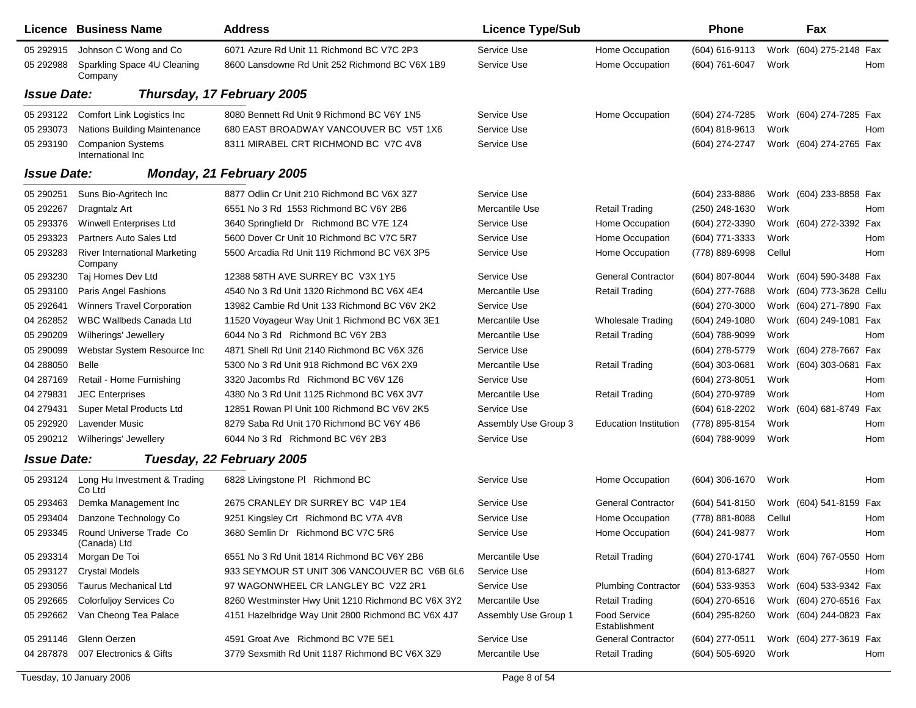|                    | Licence Business Name                         | <b>Address</b>                                     | <b>Licence Type/Sub</b> |                                      | <b>Phone</b>     |        | Fax                        |
|--------------------|-----------------------------------------------|----------------------------------------------------|-------------------------|--------------------------------------|------------------|--------|----------------------------|
| 05 29 29 15        | Johnson C Wong and Co                         | 6071 Azure Rd Unit 11 Richmond BC V7C 2P3          | Service Use             | Home Occupation                      | (604) 616-9113   |        | Work (604) 275-2148 Fax    |
| 05 29 2988         | Sparkling Space 4U Cleaning<br>Company        | 8600 Lansdowne Rd Unit 252 Richmond BC V6X 1B9     | Service Use             | Home Occupation                      | (604) 761-6047   | Work   | Hom                        |
| <b>Issue Date:</b> |                                               | Thursday, 17 February 2005                         |                         |                                      |                  |        |                            |
| 05 293122          | Comfort Link Logistics Inc                    | 8080 Bennett Rd Unit 9 Richmond BC V6Y 1N5         | Service Use             | Home Occupation                      | (604) 274-7285   |        | Work (604) 274-7285 Fax    |
| 05 293073          | <b>Nations Building Maintenance</b>           | 680 EAST BROADWAY VANCOUVER BC V5T 1X6             | Service Use             |                                      | $(604)$ 818-9613 | Work   | Hom                        |
| 05 293190          | <b>Companion Systems</b><br>International Inc | 8311 MIRABEL CRT RICHMOND BC V7C 4V8               | Service Use             |                                      | (604) 274-2747   |        | Work (604) 274-2765 Fax    |
| <b>Issue Date:</b> |                                               | Monday, 21 February 2005                           |                         |                                      |                  |        |                            |
| 05 290251          | Suns Bio-Agritech Inc                         | 8877 Odlin Cr Unit 210 Richmond BC V6X 3Z7         | Service Use             |                                      | $(604)$ 233-8886 |        | Work (604) 233-8858 Fax    |
| 05 29 2267         | Dragntalz Art                                 | 6551 No 3 Rd 1553 Richmond BC V6Y 2B6              | Mercantile Use          | <b>Retail Trading</b>                | (250) 248-1630   | Work   | Hom                        |
| 05 293376          | <b>Winwell Enterprises Ltd</b>                | 3640 Springfield Dr Richmond BC V7E 1Z4            | Service Use             | Home Occupation                      | (604) 272-3390   |        | Work (604) 272-3392 Fax    |
| 05 293323          | Partners Auto Sales Ltd                       | 5600 Dover Cr Unit 10 Richmond BC V7C 5R7          | Service Use             | Home Occupation                      | (604) 771-3333   | Work   | Hom                        |
| 05 293283          | River International Marketing<br>Company      | 5500 Arcadia Rd Unit 119 Richmond BC V6X 3P5       | Service Use             | Home Occupation                      | (778) 889-6998   | Cellul | Hom                        |
| 05 293230          | Taj Homes Dev Ltd                             | 12388 58TH AVE SURREY BC V3X 1Y5                   | Service Use             | <b>General Contractor</b>            | $(604)$ 807-8044 |        | Work (604) 590-3488 Fax    |
| 05 293100          | Paris Angel Fashions                          | 4540 No 3 Rd Unit 1320 Richmond BC V6X 4E4         | Mercantile Use          | <b>Retail Trading</b>                | (604) 277-7688   |        | Work (604) 773-3628 Cellu  |
| 05 29 2641         | <b>Winners Travel Corporation</b>             | 13982 Cambie Rd Unit 133 Richmond BC V6V 2K2       | Service Use             |                                      | (604) 270-3000   |        | Work (604) 271-7890 Fax    |
| 04 26 28 52        | WBC Wallbeds Canada Ltd                       | 11520 Voyageur Way Unit 1 Richmond BC V6X 3E1      | Mercantile Use          | <b>Wholesale Trading</b>             | (604) 249-1080   |        | Work (604) 249-1081 Fax    |
| 05 290209          | Wilherings' Jewellery                         | 6044 No 3 Rd Richmond BC V6Y 2B3                   | Mercantile Use          | <b>Retail Trading</b>                | $(604)$ 788-9099 | Work   | Hom                        |
| 05 290099          | Webstar System Resource Inc                   | 4871 Shell Rd Unit 2140 Richmond BC V6X 3Z6        | Service Use             |                                      | (604) 278-5779   |        | Work (604) 278-7667 Fax    |
| 04 288050          | <b>Belle</b>                                  | 5300 No 3 Rd Unit 918 Richmond BC V6X 2X9          | Mercantile Use          | <b>Retail Trading</b>                | (604) 303-0681   |        | Work (604) 303-0681 Fax    |
| 04 287169          | Retail - Home Furnishing                      | 3320 Jacombs Rd Richmond BC V6V 1Z6                | Service Use             |                                      | (604) 273-8051   | Work   | Hom                        |
| 04 279831          | <b>JEC Enterprises</b>                        | 4380 No 3 Rd Unit 1125 Richmond BC V6X 3V7         | Mercantile Use          | <b>Retail Trading</b>                | (604) 270-9789   | Work   | Hom                        |
| 04 279431          | Super Metal Products Ltd                      | 12851 Rowan PI Unit 100 Richmond BC V6V 2K5        | Service Use             |                                      | (604) 618-2202   |        | Work (604) 681-8749<br>Fax |
| 05 29 29 20        | Lavender Music                                | 8279 Saba Rd Unit 170 Richmond BC V6Y 4B6          | Assembly Use Group 3    | <b>Education Institution</b>         | (778) 895-8154   | Work   | <b>Hom</b>                 |
| 05 290212          | Wilherings' Jewellery                         | 6044 No 3 Rd Richmond BC V6Y 2B3                   | Service Use             |                                      | (604) 788-9099   | Work   | Hom                        |
| <b>Issue Date:</b> |                                               | Tuesday, 22 February 2005                          |                         |                                      |                  |        |                            |
| 05 293124          | Long Hu Investment & Trading<br>Co Ltd        | 6828 Livingstone PI Richmond BC                    | Service Use             | Home Occupation                      | (604) 306-1670   | Work   | Hom                        |
| 05 293463          | Demka Management Inc                          | 2675 CRANLEY DR SURREY BC V4P 1E4                  | Service Use             | <b>General Contractor</b>            | $(604)$ 541-8150 |        | Work (604) 541-8159 Fax    |
| 05 293404          | Danzone Technology Co                         | 9251 Kingsley Crt Richmond BC V7A 4V8              | Service Use             | Home Occupation                      | (778) 881-8088   | Cellul | Hom                        |
| 05 293345          | Round Universe Trade Co<br>(Canada) Ltd       | 3680 Semlin Dr Richmond BC V7C 5R6                 | Service Use             | Home Occupation                      | (604) 241-9877   | Work   | Hom                        |
| 05 293314          | Morgan De Toi                                 | 6551 No 3 Rd Unit 1814 Richmond BC V6Y 2B6         | Mercantile Use          | <b>Retail Trading</b>                | $(604)$ 270-1741 |        | Work (604) 767-0550 Hom    |
| 05 293127          | <b>Crystal Models</b>                         | 933 SEYMOUR ST UNIT 306 VANCOUVER BC V6B 6L6       | Service Use             |                                      | (604) 813-6827   | Work   | Hom                        |
| 05 293056          | <b>Taurus Mechanical Ltd</b>                  | 97 WAGONWHEEL CR LANGLEY BC V2Z 2R1                | Service Use             | <b>Plumbing Contractor</b>           | (604) 533-9353   |        | Work (604) 533-9342 Fax    |
| 05 29 2665         | Colorfuljoy Services Co                       | 8260 Westminster Hwy Unit 1210 Richmond BC V6X 3Y2 | Mercantile Use          | <b>Retail Trading</b>                | (604) 270-6516   |        | Work (604) 270-6516 Fax    |
| 05 29 266 2        | Van Cheong Tea Palace                         | 4151 Hazelbridge Way Unit 2800 Richmond BC V6X 4J7 | Assembly Use Group 1    | <b>Food Service</b><br>Establishment | (604) 295-8260   |        | Work (604) 244-0823 Fax    |
| 05 291146          | Glenn Oerzen                                  | 4591 Groat Ave Richmond BC V7E 5E1                 | Service Use             | <b>General Contractor</b>            | (604) 277-0511   |        | Work (604) 277-3619 Fax    |
| 04 287878          | 007 Electronics & Gifts                       | 3779 Sexsmith Rd Unit 1187 Richmond BC V6X 3Z9     | Mercantile Use          | <b>Retail Trading</b>                | (604) 505-6920   | Work   | Hom                        |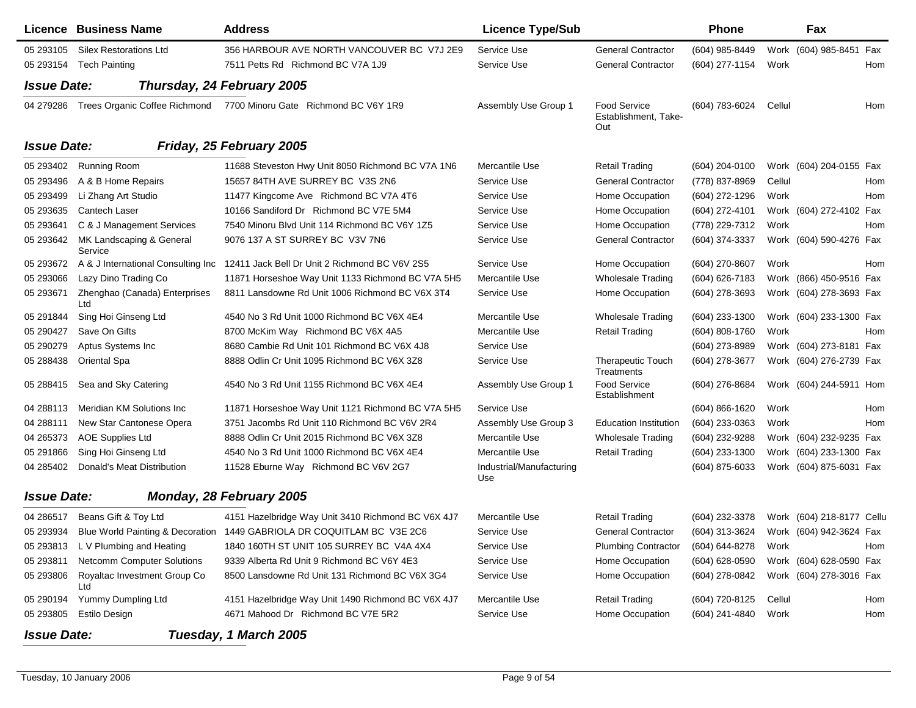|                    | <b>Licence Business Name</b>         | <b>Address</b>                                                                   | <b>Licence Type/Sub</b>         |                                             | <b>Phone</b>       |        | Fax                       |     |
|--------------------|--------------------------------------|----------------------------------------------------------------------------------|---------------------------------|---------------------------------------------|--------------------|--------|---------------------------|-----|
| 05 293105          | <b>Silex Restorations Ltd</b>        | 356 HARBOUR AVE NORTH VANCOUVER BC V7J 2E9                                       | Service Use                     | <b>General Contractor</b>                   | (604) 985-8449     |        | Work (604) 985-8451 Fax   |     |
|                    | 05 293154 Tech Painting              | 7511 Petts Rd Richmond BC V7A 1J9                                                | Service Use                     | <b>General Contractor</b>                   | (604) 277-1154     | Work   |                           | Hom |
| <b>Issue Date:</b> |                                      | Thursday, 24 February 2005                                                       |                                 |                                             |                    |        |                           |     |
| 04 279286          | Trees Organic Coffee Richmond        | 7700 Minoru Gate Richmond BC V6Y 1R9                                             | Assembly Use Group 1            | Food Service<br>Establishment, Take-<br>Out | (604) 783-6024     | Cellul |                           | Hom |
| <b>Issue Date:</b> |                                      | Friday, 25 February 2005                                                         |                                 |                                             |                    |        |                           |     |
| 05 293402          | <b>Running Room</b>                  | 11688 Steveston Hwy Unit 8050 Richmond BC V7A 1N6                                | Mercantile Use                  | <b>Retail Trading</b>                       | (604) 204-0100     |        | Work (604) 204-0155 Fax   |     |
| 05 293496          | A & B Home Repairs                   | 15657 84TH AVE SURREY BC V3S 2N6                                                 | Service Use                     | <b>General Contractor</b>                   | (778) 837-8969     | Cellul |                           | Hom |
| 05 293499          | Li Zhang Art Studio                  | 11477 Kingcome Ave Richmond BC V7A 4T6                                           | Service Use                     | Home Occupation                             | (604) 272-1296     | Work   |                           | Hom |
| 05 293635          | Cantech Laser                        | 10166 Sandiford Dr Richmond BC V7E 5M4                                           | Service Use                     | Home Occupation                             | (604) 272-4101     |        | Work (604) 272-4102 Fax   |     |
| 05 293641          | C & J Management Services            | 7540 Minoru Blvd Unit 114 Richmond BC V6Y 1Z5                                    | Service Use                     | Home Occupation                             | (778) 229-7312     | Work   |                           | Hom |
| 05 293642          | MK Landscaping & General<br>Service  | 9076 137 A ST SURREY BC V3V 7N6                                                  | Service Use                     | <b>General Contractor</b>                   | (604) 374-3337     |        | Work (604) 590-4276 Fax   |     |
| 05 293672          |                                      | A & J International Consulting Inc 12411 Jack Bell Dr Unit 2 Richmond BC V6V 2S5 | Service Use                     | Home Occupation                             | (604) 270-8607     | Work   |                           | Hom |
| 05 293066          | Lazy Dino Trading Co                 | 11871 Horseshoe Way Unit 1133 Richmond BC V7A 5H5                                | Mercantile Use                  | <b>Wholesale Trading</b>                    | (604) 626-7183     |        | Work (866) 450-9516 Fax   |     |
| 05 293671          | Zhenghao (Canada) Enterprises<br>Ltd | 8811 Lansdowne Rd Unit 1006 Richmond BC V6X 3T4                                  | Service Use                     | Home Occupation                             | (604) 278-3693     |        | Work (604) 278-3693 Fax   |     |
| 05 291844          | Sing Hoi Ginseng Ltd                 | 4540 No 3 Rd Unit 1000 Richmond BC V6X 4E4                                       | Mercantile Use                  | <b>Wholesale Trading</b>                    | (604) 233-1300     |        | Work (604) 233-1300 Fax   |     |
| 05 290427          | Save On Gifts                        | 8700 McKim Way Richmond BC V6X 4A5                                               | Mercantile Use                  | <b>Retail Trading</b>                       | (604) 808-1760     | Work   |                           | Hom |
| 05 290279          | Aptus Systems Inc                    | 8680 Cambie Rd Unit 101 Richmond BC V6X 4J8                                      | Service Use                     |                                             | (604) 273-8989     |        | Work (604) 273-8181 Fax   |     |
| 05 288438          | Oriental Spa                         | 8888 Odlin Cr Unit 1095 Richmond BC V6X 3Z8                                      | Service Use                     | <b>Therapeutic Touch</b><br>Treatments      | (604) 278-3677     |        | Work (604) 276-2739 Fax   |     |
| 05 288415          | Sea and Sky Catering                 | 4540 No 3 Rd Unit 1155 Richmond BC V6X 4E4                                       | Assembly Use Group 1            | Food Service<br>Establishment               | (604) 276-8684     |        | Work (604) 244-5911 Hom   |     |
| 04 288113          | Meridian KM Solutions Inc            | 11871 Horseshoe Way Unit 1121 Richmond BC V7A 5H5                                | Service Use                     |                                             | $(604) 866 - 1620$ | Work   |                           | Hom |
| 04 288111          | New Star Cantonese Opera             | 3751 Jacombs Rd Unit 110 Richmond BC V6V 2R4                                     | Assembly Use Group 3            | <b>Education Institution</b>                | (604) 233-0363     | Work   |                           | Hom |
| 04 265373          | <b>AOE Supplies Ltd</b>              | 8888 Odlin Cr Unit 2015 Richmond BC V6X 3Z8                                      | Mercantile Use                  | <b>Wholesale Trading</b>                    | (604) 232-9288     |        | Work (604) 232-9235 Fax   |     |
| 05 291866          | Sing Hoi Ginseng Ltd                 | 4540 No 3 Rd Unit 1000 Richmond BC V6X 4E4                                       | Mercantile Use                  | <b>Retail Trading</b>                       | (604) 233-1300     |        | Work (604) 233-1300 Fax   |     |
| 04 285402          | Donald's Meat Distribution           | 11528 Eburne Way Richmond BC V6V 2G7                                             | Industrial/Manufacturing<br>Use |                                             | (604) 875-6033     |        | Work (604) 875-6031 Fax   |     |
| <b>Issue Date:</b> |                                      | Monday, 28 February 2005                                                         |                                 |                                             |                    |        |                           |     |
| 04 286517          | Beans Gift & Toy Ltd                 | 4151 Hazelbridge Way Unit 3410 Richmond BC V6X 4J7                               | Mercantile Use                  | Retail Trading                              | (604) 232-3378     |        | Work (604) 218-8177 Cellu |     |
| 05 293934          |                                      | Blue World Painting & Decoration 1449 GABRIOLA DR COQUITLAM BC V3E 2C6           | Service Use                     | <b>General Contractor</b>                   | (604) 313-3624     |        | Work (604) 942-3624 Fax   |     |
|                    | 05 293813 L V Plumbing and Heating   | 1840 160TH ST UNIT 105 SURREY BC V4A 4X4                                         | Service Use                     | <b>Plumbing Contractor</b>                  | (604) 644-8278     | Work   |                           | Hom |
| 05 29 38 11        | Netcomm Computer Solutions           | 9339 Alberta Rd Unit 9 Richmond BC V6Y 4E3                                       | Service Use                     | Home Occupation                             | (604) 628-0590     |        | Work (604) 628-0590 Fax   |     |
| 05 293806          | Royaltac Investment Group Co<br>Ltd  | 8500 Lansdowne Rd Unit 131 Richmond BC V6X 3G4                                   | Service Use                     | Home Occupation                             | (604) 278-0842     |        | Work (604) 278-3016 Fax   |     |
| 05 290194          | Yummy Dumpling Ltd                   | 4151 Hazelbridge Way Unit 1490 Richmond BC V6X 4J7                               | Mercantile Use                  | Retail Trading                              | (604) 720-8125     | Cellul |                           | Hom |
| 05 293805          | Estilo Design                        | 4671 Mahood Dr Richmond BC V7E 5R2                                               | Service Use                     | Home Occupation                             | (604) 241-4840     | Work   |                           | Hom |
| <b>Issue Date:</b> |                                      | Tuesday, 1 March 2005                                                            |                                 |                                             |                    |        |                           |     |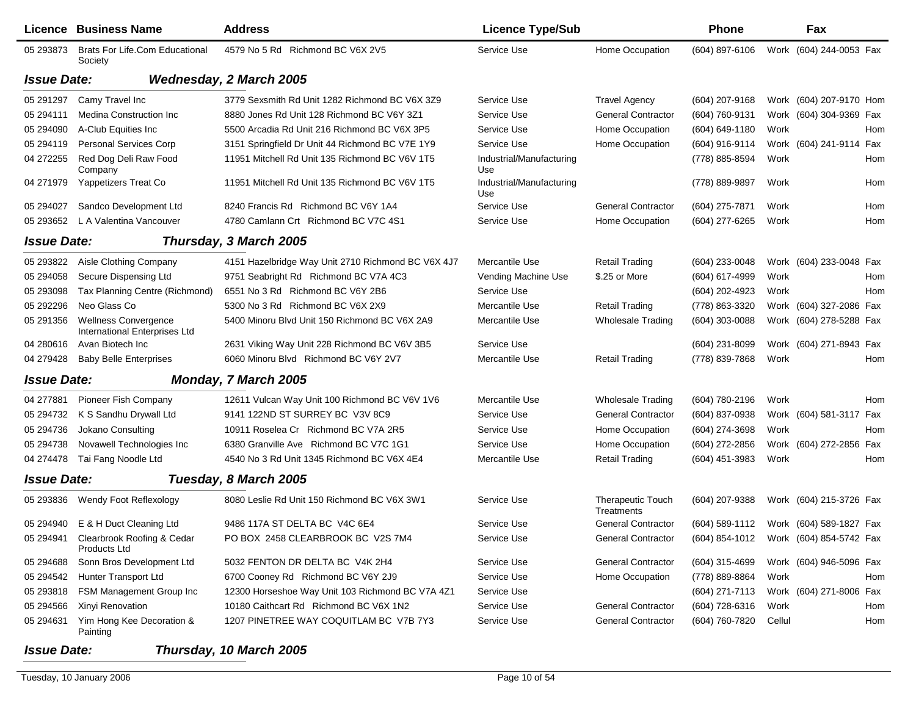|                    | Licence Business Name                                        | <b>Address</b>                                     | <b>Licence Type/Sub</b>         |                                        | <b>Phone</b>       | Fax                                    |
|--------------------|--------------------------------------------------------------|----------------------------------------------------|---------------------------------|----------------------------------------|--------------------|----------------------------------------|
| 05 293873          | <b>Brats For Life.Com Educational</b><br>Society             | 4579 No 5 Rd Richmond BC V6X 2V5                   | Service Use                     | Home Occupation                        | (604) 897-6106     | Work (604) 244-0053 Fax                |
| <b>Issue Date:</b> |                                                              | <b>Wednesday, 2 March 2005</b>                     |                                 |                                        |                    |                                        |
| 05 291 297         | Camy Travel Inc                                              | 3779 Sexsmith Rd Unit 1282 Richmond BC V6X 3Z9     | Service Use                     | <b>Travel Agency</b>                   | (604) 207-9168     | Work (604) 207-9170 Hom                |
| 05 294111          | <b>Medina Construction Inc.</b>                              | 8880 Jones Rd Unit 128 Richmond BC V6Y 3Z1         | Service Use                     | <b>General Contractor</b>              | (604) 760-9131     | Work (604) 304-9369 Fax                |
| 05 294090          | A-Club Equities Inc                                          | 5500 Arcadia Rd Unit 216 Richmond BC V6X 3P5       | Service Use                     | Home Occupation                        | $(604) 649 - 1180$ | Work<br>Hom                            |
| 05 294119          | Personal Services Corp                                       | 3151 Springfield Dr Unit 44 Richmond BC V7E 1Y9    | Service Use                     | Home Occupation                        | (604) 916-9114     | Work (604) 241-9114 Fax                |
| 04 272255          | Red Dog Deli Raw Food<br>Company                             | 11951 Mitchell Rd Unit 135 Richmond BC V6V 1T5     | Industrial/Manufacturing<br>Use |                                        | (778) 885-8594     | Work<br>Hom                            |
| 04 271979          | Yappetizers Treat Co                                         | 11951 Mitchell Rd Unit 135 Richmond BC V6V 1T5     | Industrial/Manufacturing<br>Use |                                        | (778) 889-9897     | Work<br>Hom                            |
| 05 294027          | Sandco Development Ltd                                       | 8240 Francis Rd Richmond BC V6Y 1A4                | Service Use                     | <b>General Contractor</b>              | (604) 275-7871     | Work<br>Hom                            |
| 05 293652          | L A Valentina Vancouver                                      | 4780 Camlann Crt Richmond BC V7C 4S1               | Service Use                     | Home Occupation                        | (604) 277-6265     | Work<br>Hom                            |
| <b>Issue Date:</b> |                                                              | Thursday, 3 March 2005                             |                                 |                                        |                    |                                        |
| 05 293822          | Aisle Clothing Company                                       | 4151 Hazelbridge Way Unit 2710 Richmond BC V6X 4J7 | Mercantile Use                  | <b>Retail Trading</b>                  | (604) 233-0048     | Work (604) 233-0048 Fax                |
| 05 294058          | Secure Dispensing Ltd                                        | 9751 Seabright Rd Richmond BC V7A 4C3              | Vending Machine Use             | \$.25 or More                          | (604) 617-4999     | Work<br>Hom                            |
| 05 293098          | Tax Planning Centre (Richmond)                               | 6551 No 3 Rd Richmond BC V6Y 2B6                   | Service Use                     |                                        | (604) 202-4923     | Work<br>Hom                            |
| 05 29 22 29 6      | Neo Glass Co                                                 | 5300 No 3 Rd Richmond BC V6X 2X9                   | Mercantile Use                  | <b>Retail Trading</b>                  | (778) 863-3320     | Work (604) 327-2086 Fax                |
| 05 291356          | <b>Wellness Convergence</b><br>International Enterprises Ltd | 5400 Minoru Blvd Unit 150 Richmond BC V6X 2A9      | Mercantile Use                  | <b>Wholesale Trading</b>               | (604) 303-0088     | Work (604) 278-5288 Fax                |
| 04 280616          | Avan Biotech Inc                                             | 2631 Viking Way Unit 228 Richmond BC V6V 3B5       | Service Use                     |                                        | (604) 231-8099     | Work (604) 271-8943 Fax                |
| 04 279428          | <b>Baby Belle Enterprises</b>                                | 6060 Minoru Blvd Richmond BC V6Y 2V7               | Mercantile Use                  | <b>Retail Trading</b>                  | (778) 839-7868     | Work<br>Hom                            |
| <b>Issue Date:</b> |                                                              | Monday, 7 March 2005                               |                                 |                                        |                    |                                        |
| 04 277881          | Pioneer Fish Company                                         | 12611 Vulcan Way Unit 100 Richmond BC V6V 1V6      | Mercantile Use                  | <b>Wholesale Trading</b>               | (604) 780-2196     | Work<br>Hom                            |
| 05 294732          | K S Sandhu Drywall Ltd                                       | 9141 122ND ST SURREY BC V3V 8C9                    | Service Use                     | <b>General Contractor</b>              | (604) 837-0938     | Work (604) 581-3117 Fax                |
| 05 294736          | Jokano Consulting                                            | 10911 Roselea Cr Richmond BC V7A 2R5               | Service Use                     | Home Occupation                        | (604) 274-3698     | Work<br>Hom                            |
| 05 294738          | Novawell Technologies Inc                                    | 6380 Granville Ave Richmond BC V7C 1G1             | Service Use                     | Home Occupation                        | (604) 272-2856     | Work (604) 272-2856 Fax                |
| 04 274478          | Tai Fang Noodle Ltd                                          | 4540 No 3 Rd Unit 1345 Richmond BC V6X 4E4         | Mercantile Use                  | <b>Retail Trading</b>                  | (604) 451-3983     | Work<br>Hom                            |
| <b>Issue Date:</b> |                                                              | Tuesday, 8 March 2005                              |                                 |                                        |                    |                                        |
| 05 293836          | Wendy Foot Reflexology                                       | 8080 Leslie Rd Unit 150 Richmond BC V6X 3W1        | Service Use                     | <b>Therapeutic Touch</b><br>Treatments | (604) 207-9388     | Work (604) 215-3726 Fax                |
|                    | 05 294940 E & H Duct Cleaning Ltd                            | 9486 117A ST DELTA BC V4C 6E4                      | Service Use                     | <b>General Contractor</b>              |                    | (604) 589-1112 Work (604) 589-1827 Fax |
|                    | 05 294941 Clearbrook Roofing & Cedar<br>Products Ltd         | PO BOX 2458 CLEARBROOK BC V2S 7M4                  | Service Use                     | General Contractor                     |                    | (604) 854-1012 Work (604) 854-5742 Fax |
| 05 294688          | Sonn Bros Development Ltd                                    | 5032 FENTON DR DELTA BC V4K 2H4                    | Service Use                     | <b>General Contractor</b>              | (604) 315-4699     | Work (604) 946-5096 Fax                |
| 05 294542          | Hunter Transport Ltd                                         | 6700 Cooney Rd Richmond BC V6Y 2J9                 | Service Use                     | Home Occupation                        | (778) 889-8864     | Work<br>Hom                            |
| 05 293818          | FSM Management Group Inc                                     | 12300 Horseshoe Way Unit 103 Richmond BC V7A 4Z1   | Service Use                     |                                        | (604) 271-7113     | Work (604) 271-8006 Fax                |
| 05 294566          | Xinyi Renovation                                             | 10180 Caithcart Rd Richmond BC V6X 1N2             | Service Use                     | <b>General Contractor</b>              | (604) 728-6316     | Work<br>Hom                            |
| 05 294631          | Yim Hong Kee Decoration &<br>Painting                        | 1207 PINETREE WAY COQUITLAM BC V7B 7Y3             | Service Use                     | <b>General Contractor</b>              | (604) 760-7820     | Cellul<br>Hom                          |
| <b>Issue Date:</b> |                                                              | Thursday, 10 March 2005                            |                                 |                                        |                    |                                        |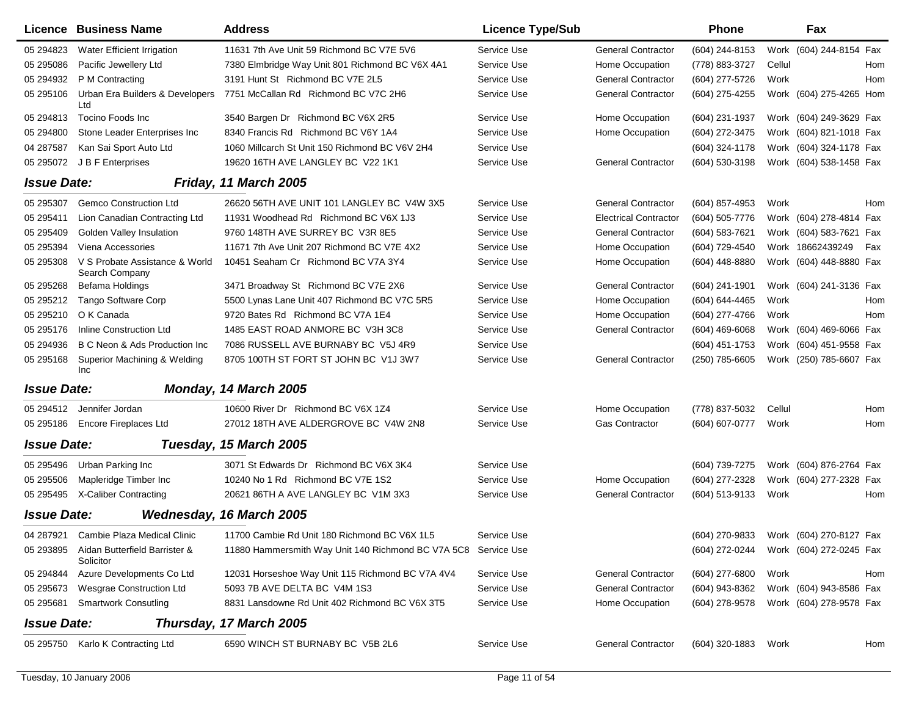|                    | Licence Business Name                                | <b>Address</b>                                                 | <b>Licence Type/Sub</b> |                              | <b>Phone</b>     | Fax                                    |
|--------------------|------------------------------------------------------|----------------------------------------------------------------|-------------------------|------------------------------|------------------|----------------------------------------|
| 05 294823          | Water Efficient Irrigation                           | 11631 7th Ave Unit 59 Richmond BC V7E 5V6                      | Service Use             | <b>General Contractor</b>    | (604) 244-8153   | Work (604) 244-8154 Fax                |
| 05 295086          | Pacific Jewellery Ltd                                | 7380 Elmbridge Way Unit 801 Richmond BC V6X 4A1                | Service Use             | Home Occupation              | (778) 883-3727   | Cellul<br>Hom                          |
| 05 294932          | P M Contracting                                      | 3191 Hunt St Richmond BC V7E 2L5                               | Service Use             | <b>General Contractor</b>    | (604) 277-5726   | Work<br>Hom                            |
| 05 295106          | Urban Era Builders & Developers<br>Ltd               | 7751 McCallan Rd Richmond BC V7C 2H6                           | Service Use             | <b>General Contractor</b>    | (604) 275-4255   | Work (604) 275-4265 Hom                |
| 05 294813          | Tocino Foods Inc                                     | 3540 Bargen Dr Richmond BC V6X 2R5                             | Service Use             | Home Occupation              | (604) 231-1937   | Work (604) 249-3629 Fax                |
| 05 294800          | Stone Leader Enterprises Inc                         | 8340 Francis Rd Richmond BC V6Y 1A4                            | Service Use             | Home Occupation              | (604) 272-3475   | Work (604) 821-1018 Fax                |
| 04 287587          | Kan Sai Sport Auto Ltd                               | 1060 Millcarch St Unit 150 Richmond BC V6V 2H4                 | Service Use             |                              | (604) 324-1178   | Work (604) 324-1178 Fax                |
| 05 295072          | J B F Enterprises                                    | 19620 16TH AVE LANGLEY BC V22 1K1                              | Service Use             | <b>General Contractor</b>    | (604) 530-3198   | Work (604) 538-1458 Fax                |
| <b>Issue Date:</b> |                                                      | Friday, 11 March 2005                                          |                         |                              |                  |                                        |
| 05 295307          | <b>Gemco Construction Ltd</b>                        | 26620 56TH AVE UNIT 101 LANGLEY BC V4W 3X5                     | Service Use             | <b>General Contractor</b>    | (604) 857-4953   | Work<br>Hom                            |
| 05 29 5411         | Lion Canadian Contracting Ltd                        | 11931 Woodhead Rd Richmond BC V6X 1J3                          | Service Use             | <b>Electrical Contractor</b> | (604) 505-7776   | Work (604) 278-4814 Fax                |
| 05 295409          | Golden Valley Insulation                             | 9760 148TH AVE SURREY BC V3R 8E5                               | Service Use             | <b>General Contractor</b>    | (604) 583-7621   | Work (604) 583-7621 Fax                |
| 05 295394          | Viena Accessories                                    | 11671 7th Ave Unit 207 Richmond BC V7E 4X2                     | Service Use             | Home Occupation              | (604) 729-4540   | Work 18662439249<br>Fax                |
| 05 295308          | V S Probate Assistance & World<br>Search Company     | 10451 Seaham Cr Richmond BC V7A 3Y4                            | Service Use             | Home Occupation              | (604) 448-8880   | Work (604) 448-8880 Fax                |
| 05 295 268         | Befama Holdings                                      | 3471 Broadway St Richmond BC V7E 2X6                           | Service Use             | <b>General Contractor</b>    | $(604)$ 241-1901 | Work (604) 241-3136 Fax                |
| 05 295212          | <b>Tango Software Corp</b>                           | 5500 Lynas Lane Unit 407 Richmond BC V7C 5R5                   | Service Use             | Home Occupation              | (604) 644-4465   | Work<br>Hom                            |
| 05 295210          | O K Canada                                           | 9720 Bates Rd Richmond BC V7A 1E4                              | Service Use             | Home Occupation              | (604) 277-4766   | Work<br>Hom                            |
| 05 295176          | Inline Construction Ltd                              | 1485 EAST ROAD ANMORE BC V3H 3C8                               | Service Use             | <b>General Contractor</b>    | $(604)$ 469-6068 | Work (604) 469-6066 Fax                |
| 05 294936          | B C Neon & Ads Production Inc                        | 7086 RUSSELL AVE BURNABY BC V5J 4R9                            | Service Use             |                              | (604) 451-1753   | Work (604) 451-9558 Fax                |
| 05 295168          | Superior Machining & Welding<br><b>Inc</b>           | 8705 100TH ST FORT ST JOHN BC V1J 3W7                          | Service Use             | <b>General Contractor</b>    | (250) 785-6605   | Work (250) 785-6607 Fax                |
| <b>Issue Date:</b> |                                                      | Monday, 14 March 2005                                          |                         |                              |                  |                                        |
| 05 294512          | Jennifer Jordan                                      | 10600 River Dr Richmond BC V6X 1Z4                             | Service Use             | Home Occupation              | (778) 837-5032   | Hom<br>Cellul                          |
| 05 295186          | <b>Encore Fireplaces Ltd</b>                         | 27012 18TH AVE ALDERGROVE BC V4W 2N8                           | Service Use             | <b>Gas Contractor</b>        | (604) 607-0777   | Hom<br>Work                            |
| <b>Issue Date:</b> |                                                      | Tuesday, 15 March 2005                                         |                         |                              |                  |                                        |
| 05 295496          | Urban Parking Inc                                    | 3071 St Edwards Dr Richmond BC V6X 3K4                         | Service Use             |                              | (604) 739-7275   | Work (604) 876-2764 Fax                |
| 05 295506          | Mapleridge Timber Inc                                | 10240 No 1 Rd Richmond BC V7E 1S2                              | Service Use             | Home Occupation              | (604) 277-2328   | Work (604) 277-2328 Fax                |
| 05 29 54 95        | X-Caliber Contracting                                | 20621 86TH A AVE LANGLEY BC V1M 3X3                            | Service Use             | <b>General Contractor</b>    | (604) 513-9133   | Work<br>Hom                            |
| <b>Issue Date:</b> |                                                      | Wednesday, 16 March 2005                                       |                         |                              |                  |                                        |
|                    | 04 287921 Cambie Plaza Medical Clinic                | 11700 Cambie Rd Unit 180 Richmond BC V6X 1L5                   | Service Use             |                              |                  | (604) 270-9833 Work (604) 270-8127 Fax |
|                    | 05 293895 Aidan Butterfield Barrister &<br>Solicitor | 11880 Hammersmith Way Unit 140 Richmond BC V7A 5C8 Service Use |                         |                              |                  | (604) 272-0244 Work (604) 272-0245 Fax |
| 05 294844          | Azure Developments Co Ltd                            | 12031 Horseshoe Way Unit 115 Richmond BC V7A 4V4               | Service Use             | <b>General Contractor</b>    | (604) 277-6800   | Work<br>Hom                            |
| 05 295673          | <b>Wesgrae Construction Ltd</b>                      | 5093 7B AVE DELTA BC V4M 1S3                                   | Service Use             | <b>General Contractor</b>    | (604) 943-8362   | Work (604) 943-8586 Fax                |
|                    | 05 295681 Smartwork Consutling                       | 8831 Lansdowne Rd Unit 402 Richmond BC V6X 3T5                 | Service Use             | Home Occupation              | (604) 278-9578   | Work (604) 278-9578 Fax                |
| <b>Issue Date:</b> |                                                      | Thursday, 17 March 2005                                        |                         |                              |                  |                                        |
|                    | 05 295750 Karlo K Contracting Ltd                    | 6590 WINCH ST BURNABY BC V5B 2L6                               | Service Use             | <b>General Contractor</b>    | (604) 320-1883   | Work<br>Hom                            |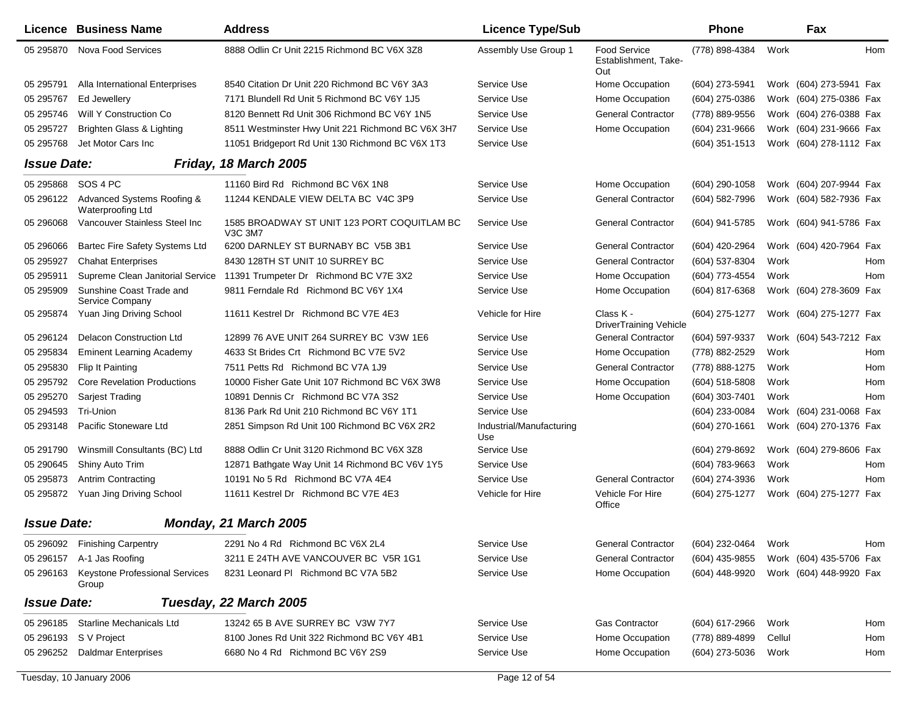|                    | <b>Licence Business Name</b>                    | <b>Address</b>                                                | <b>Licence Type/Sub</b>         |                                             | Phone            |        | Fax                     |     |
|--------------------|-------------------------------------------------|---------------------------------------------------------------|---------------------------------|---------------------------------------------|------------------|--------|-------------------------|-----|
| 05 295870          | <b>Nova Food Services</b>                       | 8888 Odlin Cr Unit 2215 Richmond BC V6X 3Z8                   | Assembly Use Group 1            | Food Service<br>Establishment, Take-<br>Out | (778) 898-4384   | Work   |                         | Hom |
| 05 295791          | Alla International Enterprises                  | 8540 Citation Dr Unit 220 Richmond BC V6Y 3A3                 | Service Use                     | Home Occupation                             | (604) 273-5941   |        | Work (604) 273-5941 Fax |     |
| 05 295767          | Ed Jewellery                                    | 7171 Blundell Rd Unit 5 Richmond BC V6Y 1J5                   | Service Use                     | Home Occupation                             | (604) 275-0386   |        | Work (604) 275-0386 Fax |     |
| 05 295746          | Will Y Construction Co                          | 8120 Bennett Rd Unit 306 Richmond BC V6Y 1N5                  | Service Use                     | <b>General Contractor</b>                   | (778) 889-9556   |        | Work (604) 276-0388 Fax |     |
| 05 295727          | Brighten Glass & Lighting                       | 8511 Westminster Hwy Unit 221 Richmond BC V6X 3H7             | Service Use                     | Home Occupation                             | (604) 231-9666   |        | Work (604) 231-9666 Fax |     |
| 05 295768          | Jet Motor Cars Inc                              | 11051 Bridgeport Rd Unit 130 Richmond BC V6X 1T3              | Service Use                     |                                             | $(604)$ 351-1513 |        | Work (604) 278-1112 Fax |     |
| <b>Issue Date:</b> |                                                 | Friday, 18 March 2005                                         |                                 |                                             |                  |        |                         |     |
| 05 295868          | SOS 4 PC                                        | 11160 Bird Rd Richmond BC V6X 1N8                             | Service Use                     | Home Occupation                             | (604) 290-1058   |        | Work (604) 207-9944 Fax |     |
| 05 29 61 22        | Advanced Systems Roofing &<br>Waterproofing Ltd | 11244 KENDALE VIEW DELTA BC V4C 3P9                           | Service Use                     | <b>General Contractor</b>                   | (604) 582-7996   |        | Work (604) 582-7936 Fax |     |
| 05 296068          | Vancouver Stainless Steel Inc                   | 1585 BROADWAY ST UNIT 123 PORT COQUITLAM BC<br><b>V3C 3M7</b> | Service Use                     | <b>General Contractor</b>                   | (604) 941-5785   |        | Work (604) 941-5786 Fax |     |
| 05 296066          | Bartec Fire Safety Systems Ltd                  | 6200 DARNLEY ST BURNABY BC V5B 3B1                            | Service Use                     | <b>General Contractor</b>                   | (604) 420-2964   |        | Work (604) 420-7964 Fax |     |
| 05 295927          | <b>Chahat Enterprises</b>                       | 8430 128TH ST UNIT 10 SURREY BC                               | Service Use                     | <b>General Contractor</b>                   | (604) 537-8304   | Work   |                         | Hom |
| 05 295911          | Supreme Clean Janitorial Service                | 11391 Trumpeter Dr Richmond BC V7E 3X2                        | Service Use                     | Home Occupation                             | (604) 773-4554   | Work   |                         | Hom |
| 05 295909          | Sunshine Coast Trade and<br>Service Company     | 9811 Ferndale Rd Richmond BC V6Y 1X4                          | Service Use                     | Home Occupation                             | (604) 817-6368   |        | Work (604) 278-3609 Fax |     |
| 05 295874          | Yuan Jing Driving School                        | 11611 Kestrel Dr Richmond BC V7E 4E3                          | Vehicle for Hire                | Class K -<br><b>DriverTraining Vehicle</b>  | (604) 275-1277   |        | Work (604) 275-1277 Fax |     |
| 05 29 61 24        | <b>Delacon Construction Ltd</b>                 | 12899 76 AVE UNIT 264 SURREY BC V3W 1E6                       | Service Use                     | <b>General Contractor</b>                   | (604) 597-9337   |        | Work (604) 543-7212 Fax |     |
| 05 295834          | <b>Eminent Learning Academy</b>                 | 4633 St Brides Crt Richmond BC V7E 5V2                        | Service Use                     | Home Occupation                             | (778) 882-2529   | Work   |                         | Hom |
| 05 295830          | Flip It Painting                                | 7511 Petts Rd Richmond BC V7A 1J9                             | Service Use                     | <b>General Contractor</b>                   | (778) 888-1275   | Work   |                         | Hom |
| 05 295792          | <b>Core Revelation Productions</b>              | 10000 Fisher Gate Unit 107 Richmond BC V6X 3W8                | Service Use                     | Home Occupation                             | (604) 518-5808   | Work   |                         | Hom |
| 05 295270          | Sarjest Trading                                 | 10891 Dennis Cr Richmond BC V7A 3S2                           | Service Use                     | Home Occupation                             | (604) 303-7401   | Work   |                         | Hom |
| 05 29 45 93        | Tri-Union                                       | 8136 Park Rd Unit 210 Richmond BC V6Y 1T1                     | Service Use                     |                                             | (604) 233-0084   |        | Work (604) 231-0068 Fax |     |
| 05 293148          | Pacific Stoneware Ltd                           | 2851 Simpson Rd Unit 100 Richmond BC V6X 2R2                  | Industrial/Manufacturing<br>Use |                                             | (604) 270-1661   |        | Work (604) 270-1376 Fax |     |
| 05 291790          | Winsmill Consultants (BC) Ltd                   | 8888 Odlin Cr Unit 3120 Richmond BC V6X 3Z8                   | Service Use                     |                                             | (604) 279-8692   |        | Work (604) 279-8606 Fax |     |
| 05 290645          | Shiny Auto Trim                                 | 12871 Bathgate Way Unit 14 Richmond BC V6V 1Y5                | Service Use                     |                                             | (604) 783-9663   | Work   |                         | Hom |
| 05 29 58 73        | <b>Antrim Contracting</b>                       | 10191 No 5 Rd Richmond BC V7A 4E4                             | Service Use                     | <b>General Contractor</b>                   | (604) 274-3936   | Work   |                         | Hom |
| 05 295872          | Yuan Jing Driving School                        | 11611 Kestrel Dr Richmond BC V7E 4E3                          | Vehicle for Hire                | Vehicle For Hire<br>Office                  | (604) 275-1277   |        | Work (604) 275-1277 Fax |     |
| <b>Issue Date:</b> |                                                 | Monday, 21 March 2005                                         |                                 |                                             |                  |        |                         |     |
|                    | 05 296092 Finishing Carpentry                   | 2291 No 4 Rd Richmond BC V6X 2L4                              | Service Use                     | <b>General Contractor</b>                   | (604) 232-0464   | Work   |                         | Hom |
| 05 29 6157         | A-1 Jas Roofing                                 | 3211 E 24TH AVE VANCOUVER BC V5R 1G1                          | Service Use                     | <b>General Contractor</b>                   | (604) 435-9855   |        | Work (604) 435-5706 Fax |     |
| 05 296163          | <b>Keystone Professional Services</b><br>Group  | 8231 Leonard PI Richmond BC V7A 5B2                           | Service Use                     | Home Occupation                             | (604) 448-9920   |        | Work (604) 448-9920 Fax |     |
| <b>Issue Date:</b> |                                                 | Tuesday, 22 March 2005                                        |                                 |                                             |                  |        |                         |     |
|                    | 05 296185 Starline Mechanicals Ltd              | 13242 65 B AVE SURREY BC V3W 7Y7                              | Service Use                     | <b>Gas Contractor</b>                       | (604) 617-2966   | Work   |                         | Hom |
|                    | 05 296193 S V Project                           | 8100 Jones Rd Unit 322 Richmond BC V6Y 4B1                    | Service Use                     | Home Occupation                             | (778) 889-4899   | Cellul |                         | Hom |
| 05 296252          | <b>Daldmar Enterprises</b>                      | 6680 No 4 Rd Richmond BC V6Y 2S9                              | Service Use                     | Home Occupation                             | (604) 273-5036   | Work   |                         | Hom |
|                    |                                                 |                                                               |                                 |                                             |                  |        |                         |     |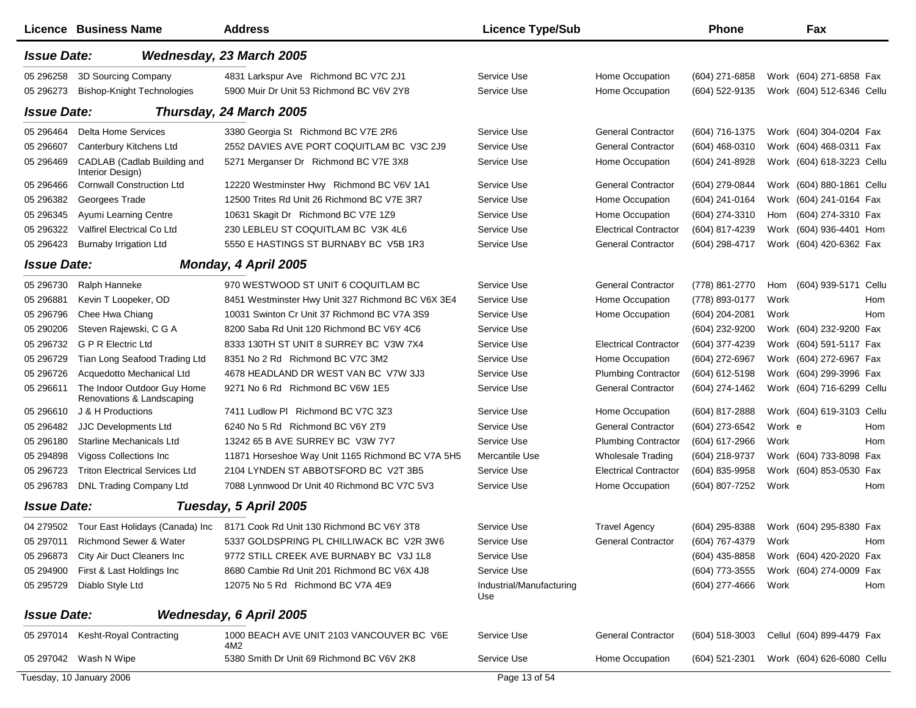|                    | <b>Licence Business Name</b>                             | <b>Address</b>                                                                      | <b>Licence Type/Sub</b>         |                              | <b>Phone</b>     |        | Fax                       |
|--------------------|----------------------------------------------------------|-------------------------------------------------------------------------------------|---------------------------------|------------------------------|------------------|--------|---------------------------|
| <b>Issue Date:</b> |                                                          | Wednesday, 23 March 2005                                                            |                                 |                              |                  |        |                           |
| 05 29 6258         | 3D Sourcing Company                                      | 4831 Larkspur Ave Richmond BC V7C 2J1                                               | Service Use                     | Home Occupation              | (604) 271-6858   |        | Work (604) 271-6858 Fax   |
| 05 296273          | <b>Bishop-Knight Technologies</b>                        | 5900 Muir Dr Unit 53 Richmond BC V6V 2Y8                                            | Service Use                     | Home Occupation              | (604) 522-9135   |        | Work (604) 512-6346 Cellu |
| <b>Issue Date:</b> |                                                          | Thursday, 24 March 2005                                                             |                                 |                              |                  |        |                           |
| 05 29 64 64        | <b>Delta Home Services</b>                               | 3380 Georgia St Richmond BC V7E 2R6                                                 | Service Use                     | <b>General Contractor</b>    | (604) 716-1375   |        | Work (604) 304-0204 Fax   |
| 05 29 6607         | Canterbury Kitchens Ltd                                  | 2552 DAVIES AVE PORT COQUITLAM BC V3C 2J9                                           | Service Use                     | <b>General Contractor</b>    | $(604)$ 468-0310 |        | Work (604) 468-0311 Fax   |
| 05 29 64 69        | CADLAB (Cadlab Building and<br>Interior Design)          | 5271 Merganser Dr Richmond BC V7E 3X8                                               | Service Use                     | Home Occupation              | (604) 241-8928   |        | Work (604) 618-3223 Cellu |
| 05 29 64 66        | <b>Cornwall Construction Ltd</b>                         | 12220 Westminster Hwy Richmond BC V6V 1A1                                           | Service Use                     | <b>General Contractor</b>    | (604) 279-0844   |        | Work (604) 880-1861 Cellu |
| 05 296382          | Georgees Trade                                           | 12500 Trites Rd Unit 26 Richmond BC V7E 3R7                                         | Service Use                     | Home Occupation              | (604) 241-0164   |        | Work (604) 241-0164 Fax   |
| 05 29 6345         | Ayumi Learning Centre                                    | 10631 Skagit Dr Richmond BC V7E 1Z9                                                 | Service Use                     | Home Occupation              | (604) 274-3310   | Hom    | (604) 274-3310 Fax        |
| 05 29 63 22        | Valfirel Electrical Co Ltd                               | 230 LEBLEU ST COQUITLAM BC V3K 4L6                                                  | Service Use                     | <b>Electrical Contractor</b> | (604) 817-4239   |        | Work (604) 936-4401 Hom   |
| 05 29 64 23        | <b>Burnaby Irrigation Ltd</b>                            | 5550 E HASTINGS ST BURNABY BC V5B 1R3                                               | Service Use                     | <b>General Contractor</b>    | (604) 298-4717   |        | Work (604) 420-6362 Fax   |
| <b>Issue Date:</b> |                                                          | Monday, 4 April 2005                                                                |                                 |                              |                  |        |                           |
| 05 29 6730         | Ralph Hanneke                                            | 970 WESTWOOD ST UNIT 6 COQUITLAM BC                                                 | Service Use                     | <b>General Contractor</b>    | (778) 861-2770   | Hom    | (604) 939-5171<br>Cellu   |
| 05 29 6881         | Kevin T Loopeker, OD                                     | 8451 Westminster Hwy Unit 327 Richmond BC V6X 3E4                                   | Service Use                     | Home Occupation              | (778) 893-0177   | Work   | Hom                       |
| 05 29 679 6        | Chee Hwa Chiang                                          | 10031 Swinton Cr Unit 37 Richmond BC V7A 3S9                                        | Service Use                     | Home Occupation              | (604) 204-2081   | Work   | Hom                       |
| 05 290 206         | Steven Rajewski, C G A                                   | 8200 Saba Rd Unit 120 Richmond BC V6Y 4C6                                           | Service Use                     |                              | (604) 232-9200   |        | Work (604) 232-9200 Fax   |
| 05 29 6732         | G P R Electric Ltd                                       | 8333 130TH ST UNIT 8 SURREY BC V3W 7X4                                              | Service Use                     | <b>Electrical Contractor</b> | (604) 377-4239   |        | Work (604) 591-5117 Fax   |
| 05 29 6729         | Tian Long Seafood Trading Ltd                            | 8351 No 2 Rd Richmond BC V7C 3M2                                                    | Service Use                     | Home Occupation              | (604) 272-6967   |        | Work (604) 272-6967 Fax   |
| 05 296726          | Acquedotto Mechanical Ltd                                | 4678 HEADLAND DR WEST VAN BC V7W 3J3                                                | Service Use                     | <b>Plumbing Contractor</b>   | (604) 612-5198   |        | Work (604) 299-3996 Fax   |
| 05 296611          | The Indoor Outdoor Guy Home<br>Renovations & Landscaping | 9271 No 6 Rd Richmond BC V6W 1E5                                                    | Service Use                     | <b>General Contractor</b>    | (604) 274-1462   |        | Work (604) 716-6299 Cellu |
| 05 296610          | J & H Productions                                        | 7411 Ludlow PI Richmond BC V7C 3Z3                                                  | Service Use                     | Home Occupation              | (604) 817-2888   |        | Work (604) 619-3103 Cellu |
| 05 29 6482         | <b>JJC Developments Ltd</b>                              | 6240 No 5 Rd Richmond BC V6Y 2T9                                                    | Service Use                     | <b>General Contractor</b>    | (604) 273-6542   | Work e | Hom                       |
| 05 29 6180         | Starline Mechanicals Ltd                                 | 13242 65 B AVE SURREY BC V3W 7Y7                                                    | Service Use                     | <b>Plumbing Contractor</b>   | (604) 617-2966   | Work   | Hom                       |
| 05 294898          | Vigoss Collections Inc                                   | 11871 Horseshoe Way Unit 1165 Richmond BC V7A 5H5                                   | Mercantile Use                  | <b>Wholesale Trading</b>     | (604) 218-9737   |        | Work (604) 733-8098 Fax   |
| 05 29 6723         | <b>Triton Electrical Services Ltd</b>                    | 2104 LYNDEN ST ABBOTSFORD BC V2T 3B5                                                | Service Use                     | <b>Electrical Contractor</b> | (604) 835-9958   |        | Work (604) 853-0530 Fax   |
| 05 29 6783         | DNL Trading Company Ltd                                  | 7088 Lynnwood Dr Unit 40 Richmond BC V7C 5V3                                        | Service Use                     | Home Occupation              | (604) 807-7252   | Work   | Hom                       |
| <b>Issue Date:</b> |                                                          | Tuesday, 5 April 2005                                                               |                                 |                              |                  |        |                           |
|                    |                                                          | 04 279502 Tour East Holidays (Canada) Inc 8171 Cook Rd Unit 130 Richmond BC V6Y 3T8 | Service Use                     | <b>Travel Agency</b>         | (604) 295-8388   |        | Work (604) 295-8380 Fax   |
| 05 297011          | <b>Richmond Sewer &amp; Water</b>                        | 5337 GOLDSPRING PL CHILLIWACK BC V2R 3W6                                            | Service Use                     | <b>General Contractor</b>    | (604) 767-4379   | Work   | Hom                       |
| 05 296873          | City Air Duct Cleaners Inc                               | 9772 STILL CREEK AVE BURNABY BC V3J 1L8                                             | Service Use                     |                              | (604) 435-8858   |        | Work (604) 420-2020 Fax   |
| 05 294900          | First & Last Holdings Inc                                | 8680 Cambie Rd Unit 201 Richmond BC V6X 4J8                                         | Service Use                     |                              | (604) 773-3555   |        | Work (604) 274-0009 Fax   |
| 05 295729          | Diablo Style Ltd                                         | 12075 No 5 Rd Richmond BC V7A 4E9                                                   | Industrial/Manufacturing<br>Use |                              | (604) 277-4666   | Work   | Hom                       |
| <b>Issue Date:</b> |                                                          | Wednesday, 6 April 2005                                                             |                                 |                              |                  |        |                           |
|                    | 05 297014 Kesht-Royal Contracting                        | 1000 BEACH AVE UNIT 2103 VANCOUVER BC V6E<br>4M2                                    | Service Use                     | <b>General Contractor</b>    | $(604)$ 518-3003 |        | Cellul (604) 899-4479 Fax |
|                    | 05 297042 Wash N Wipe                                    | 5380 Smith Dr Unit 69 Richmond BC V6V 2K8                                           | Service Use                     | Home Occupation              | (604) 521-2301   |        | Work (604) 626-6080 Cellu |
|                    | Tuesday, 10 January 2006                                 |                                                                                     | Page 13 of 54                   |                              |                  |        |                           |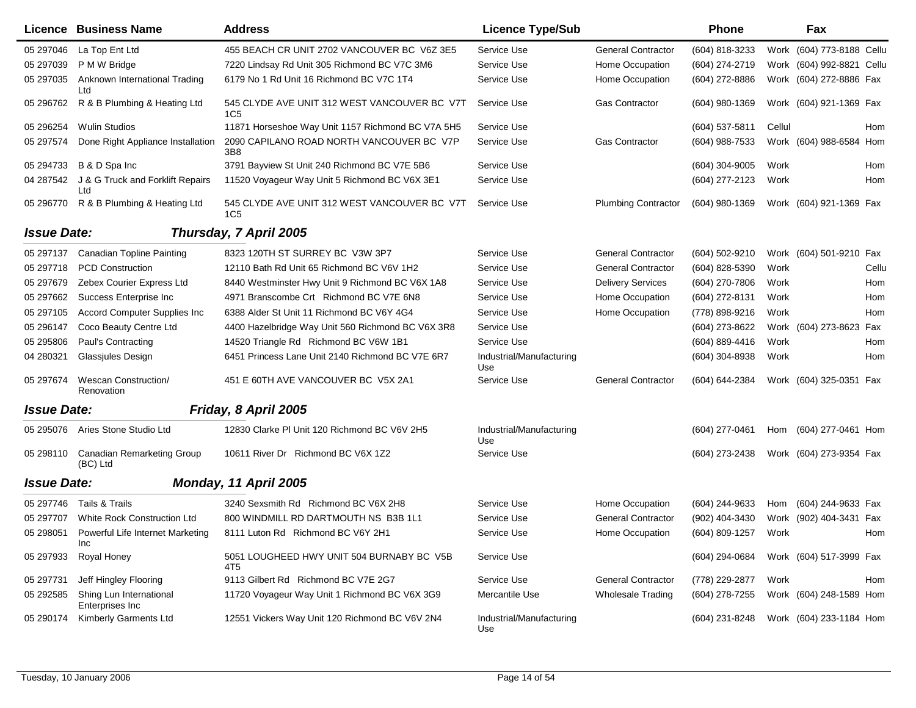|                    | <b>Licence Business Name</b>               | <b>Address</b>                                                  | <b>Licence Type/Sub</b>         |                            | Phone            |        | Fax                        |  |
|--------------------|--------------------------------------------|-----------------------------------------------------------------|---------------------------------|----------------------------|------------------|--------|----------------------------|--|
| 05 297046          | La Top Ent Ltd                             | 455 BEACH CR UNIT 2702 VANCOUVER BC V6Z 3E5                     | Service Use                     | <b>General Contractor</b>  | (604) 818-3233   |        | Work (604) 773-8188 Cellu  |  |
| 05 297039          | P M W Bridge                               | 7220 Lindsay Rd Unit 305 Richmond BC V7C 3M6                    | Service Use                     | Home Occupation            | (604) 274-2719   |        | Work (604) 992-8821 Cellu  |  |
| 05 297035          | Anknown International Trading<br>Ltd       | 6179 No 1 Rd Unit 16 Richmond BC V7C 1T4                        | Service Use                     | Home Occupation            | (604) 272-8886   |        | Work (604) 272-8886 Fax    |  |
| 05 29 6762         | R & B Plumbing & Heating Ltd               | 545 CLYDE AVE UNIT 312 WEST VANCOUVER BC V7T<br>1C <sub>5</sub> | Service Use                     | <b>Gas Contractor</b>      | (604) 980-1369   |        | Work (604) 921-1369 Fax    |  |
| 05 29 6254         | <b>Wulin Studios</b>                       | 11871 Horseshoe Way Unit 1157 Richmond BC V7A 5H5               | Service Use                     |                            | (604) 537-5811   | Cellul | Hom                        |  |
| 05 297574          | Done Right Appliance Installation          | 2090 CAPILANO ROAD NORTH VANCOUVER BC V7P<br>3B8                | Service Use                     | Gas Contractor             | (604) 988-7533   |        | Work (604) 988-6584<br>Hom |  |
| 05 294733          | B & D Spa Inc                              | 3791 Bayview St Unit 240 Richmond BC V7E 5B6                    | Service Use                     |                            | (604) 304-9005   | Work   | Hom                        |  |
| 04 287542          | J & G Truck and Forklift Repairs<br>Ltd    | 11520 Voyageur Way Unit 5 Richmond BC V6X 3E1                   | Service Use                     |                            | (604) 277-2123   | Work   | Hom                        |  |
| 05 296770          | R & B Plumbing & Heating Ltd               | 545 CLYDE AVE UNIT 312 WEST VANCOUVER BC V7T<br>1C5             | Service Use                     | <b>Plumbing Contractor</b> | (604) 980-1369   |        | Work (604) 921-1369 Fax    |  |
| <b>Issue Date:</b> |                                            | Thursday, 7 April 2005                                          |                                 |                            |                  |        |                            |  |
| 05 297137          | <b>Canadian Topline Painting</b>           | 8323 120TH ST SURREY BC V3W 3P7                                 | Service Use                     | <b>General Contractor</b>  | (604) 502-9210   |        | Work (604) 501-9210 Fax    |  |
| 05 297718          | <b>PCD Construction</b>                    | 12110 Bath Rd Unit 65 Richmond BC V6V 1H2                       | Service Use                     | <b>General Contractor</b>  | (604) 828-5390   | Work   | Cellu                      |  |
| 05 297679          | Zebex Courier Express Ltd                  | 8440 Westminster Hwy Unit 9 Richmond BC V6X 1A8                 | Service Use                     | <b>Delivery Services</b>   | (604) 270-7806   | Work   | Hom                        |  |
| 05 297662          | Success Enterprise Inc                     | 4971 Branscombe Crt Richmond BC V7E 6N8                         | Service Use                     | Home Occupation            | (604) 272-8131   | Work   | Hom                        |  |
| 05 297105          | Accord Computer Supplies Inc               | 6388 Alder St Unit 11 Richmond BC V6Y 4G4                       | Service Use                     | Home Occupation            | (778) 898-9216   | Work   | Hom                        |  |
| 05 29 6147         | Coco Beauty Centre Ltd                     | 4400 Hazelbridge Way Unit 560 Richmond BC V6X 3R8               | Service Use                     |                            | (604) 273-8622   |        | Work (604) 273-8623<br>Fax |  |
| 05 295806          | Paul's Contracting                         | 14520 Triangle Rd Richmond BC V6W 1B1                           | Service Use                     |                            | $(604)$ 889-4416 | Work   | Hom                        |  |
| 04 280321          | <b>Glassjules Design</b>                   | 6451 Princess Lane Unit 2140 Richmond BC V7E 6R7                | Industrial/Manufacturing<br>Use |                            | $(604)$ 304-8938 | Work   | Hom                        |  |
| 05 297674          | <b>Wescan Construction/</b><br>Renovation  | 451 E 60TH AVE VANCOUVER BC V5X 2A1                             | Service Use                     | <b>General Contractor</b>  | (604) 644-2384   |        | Work (604) 325-0351 Fax    |  |
| <b>Issue Date:</b> |                                            | Friday, 8 April 2005                                            |                                 |                            |                  |        |                            |  |
|                    | 05 295076 Aries Stone Studio Ltd           | 12830 Clarke PI Unit 120 Richmond BC V6V 2H5                    | Industrial/Manufacturing<br>Use |                            | (604) 277-0461   | Hom    | (604) 277-0461 Hom         |  |
| 05 298110          | Canadian Remarketing Group<br>(BC) Ltd     | 10611 River Dr Richmond BC V6X 1Z2                              | Service Use                     |                            | (604) 273-2438   |        | Work (604) 273-9354 Fax    |  |
| <b>Issue Date:</b> |                                            | Monday, 11 April 2005                                           |                                 |                            |                  |        |                            |  |
| 05 297746          | Tails & Trails                             | 3240 Sexsmith Rd Richmond BC V6X 2H8                            | Service Use                     | Home Occupation            | (604) 244-9633   | Hom    | (604) 244-9633 Fax         |  |
| 05 297707          | White Rock Construction Ltd                | 800 WINDMILL RD DARTMOUTH NS B3B 1L1                            | Service Use                     | <b>General Contractor</b>  | (902) 404-3430   |        | Work (902) 404-3431 Fax    |  |
| 05 298051          | Powerful Life Internet Marketing<br>Inc    | 8111 Luton Rd Richmond BC V6Y 2H1                               | Service Use                     | Home Occupation            | (604) 809-1257   | Work   | Hom                        |  |
| 05 297933          | Royal Honey                                | 5051 LOUGHEED HWY UNIT 504 BURNABY BC V5B<br>4T5                | Service Use                     |                            | (604) 294-0684   |        | Work (604) 517-3999 Fax    |  |
| 05 297731          | Jeff Hingley Flooring                      | 9113 Gilbert Rd Richmond BC V7E 2G7                             | Service Use                     | <b>General Contractor</b>  | (778) 229-2877   | Work   | Hom                        |  |
| 05 29 2585         | Shing Lun International<br>Enterprises Inc | 11720 Voyageur Way Unit 1 Richmond BC V6X 3G9                   | Mercantile Use                  | <b>Wholesale Trading</b>   | (604) 278-7255   |        | Work (604) 248-1589 Hom    |  |
| 05 290174          | Kimberly Garments Ltd                      | 12551 Vickers Way Unit 120 Richmond BC V6V 2N4                  | Industrial/Manufacturing<br>Use |                            | (604) 231-8248   |        | Work (604) 233-1184 Hom    |  |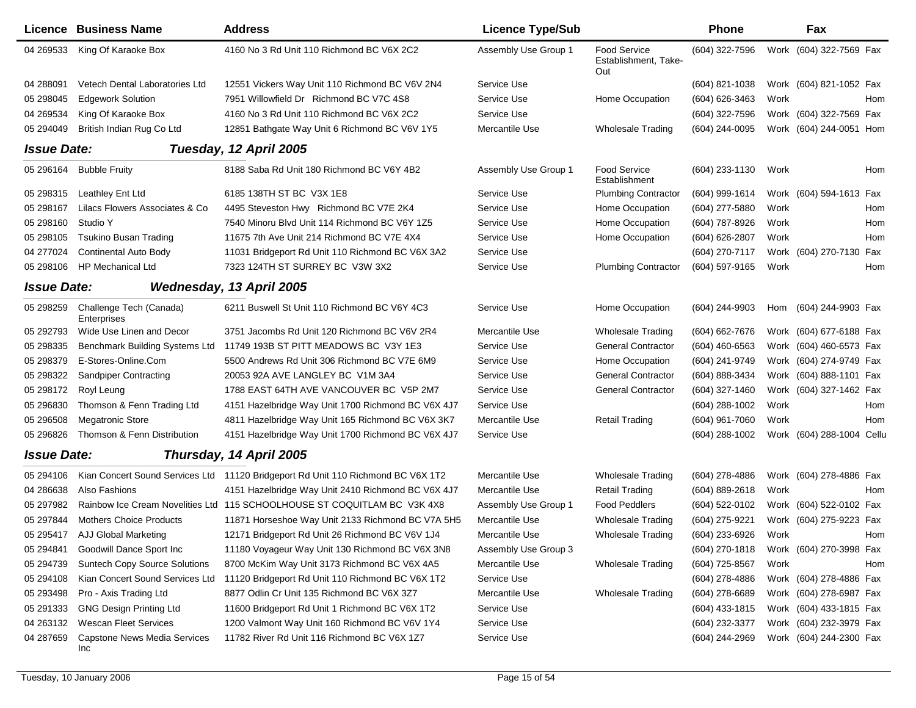|                    | Licence Business Name                       | <b>Address</b>                                                                   | <b>Licence Type/Sub</b> |                                                    | <b>Phone</b>     |      | Fax                       |     |
|--------------------|---------------------------------------------|----------------------------------------------------------------------------------|-------------------------|----------------------------------------------------|------------------|------|---------------------------|-----|
| 04 269533          | King Of Karaoke Box                         | 4160 No 3 Rd Unit 110 Richmond BC V6X 2C2                                        | Assembly Use Group 1    | <b>Food Service</b><br>Establishment, Take-<br>Out | (604) 322-7596   |      | Work (604) 322-7569 Fax   |     |
| 04 288091          | Vetech Dental Laboratories Ltd              | 12551 Vickers Way Unit 110 Richmond BC V6V 2N4                                   | Service Use             |                                                    | (604) 821-1038   |      | Work (604) 821-1052 Fax   |     |
| 05 298045          | <b>Edgework Solution</b>                    | 7951 Willowfield Dr Richmond BC V7C 4S8                                          | Service Use             | Home Occupation                                    | (604) 626-3463   | Work |                           | Hom |
| 04 269534          | King Of Karaoke Box                         | 4160 No 3 Rd Unit 110 Richmond BC V6X 2C2                                        | Service Use             |                                                    | (604) 322-7596   |      | Work (604) 322-7569 Fax   |     |
| 05 294049          | British Indian Rug Co Ltd                   | 12851 Bathgate Way Unit 6 Richmond BC V6V 1Y5                                    | Mercantile Use          | Wholesale Trading                                  | (604) 244-0095   |      | Work (604) 244-0051 Hom   |     |
| <b>Issue Date:</b> |                                             | Tuesday, 12 April 2005                                                           |                         |                                                    |                  |      |                           |     |
| 05 296164          | <b>Bubble Fruity</b>                        | 8188 Saba Rd Unit 180 Richmond BC V6Y 4B2                                        | Assembly Use Group 1    | <b>Food Service</b><br>Establishment               | (604) 233-1130   | Work |                           | Hom |
| 05 298315          | Leathley Ent Ltd                            | 6185 138TH ST BC V3X 1E8                                                         | Service Use             | <b>Plumbing Contractor</b>                         | $(604)$ 999-1614 |      | Work (604) 594-1613 Fax   |     |
| 05 298167          | Lilacs Flowers Associates & Co              | 4495 Steveston Hwy Richmond BC V7E 2K4                                           | Service Use             | Home Occupation                                    | $(604)$ 277-5880 | Work |                           | Hom |
| 05 298160          | Studio Y                                    | 7540 Minoru Blvd Unit 114 Richmond BC V6Y 1Z5                                    | Service Use             | Home Occupation                                    | (604) 787-8926   | Work |                           | Hom |
| 05 298105          | <b>Tsukino Busan Trading</b>                | 11675 7th Ave Unit 214 Richmond BC V7E 4X4                                       | Service Use             | Home Occupation                                    | (604) 626-2807   | Work |                           | Hom |
| 04 277024          | <b>Continental Auto Body</b>                | 11031 Bridgeport Rd Unit 110 Richmond BC V6X 3A2                                 | Service Use             |                                                    | (604) 270-7117   |      | Work (604) 270-7130 Fax   |     |
| 05 298106          | <b>HP Mechanical Ltd</b>                    | 7323 124TH ST SURREY BC V3W 3X2                                                  | Service Use             | <b>Plumbing Contractor</b>                         | (604) 597-9165   | Work |                           | Hom |
| <b>Issue Date:</b> |                                             | Wednesday, 13 April 2005                                                         |                         |                                                    |                  |      |                           |     |
| 05 298259          | Challenge Tech (Canada)<br>Enterprises      | 6211 Buswell St Unit 110 Richmond BC V6Y 4C3                                     | Service Use             | Home Occupation                                    | (604) 244-9903   |      | Hom (604) 244-9903 Fax    |     |
| 05 29 279 3        | Wide Use Linen and Decor                    | 3751 Jacombs Rd Unit 120 Richmond BC V6V 2R4                                     | Mercantile Use          | <b>Wholesale Trading</b>                           | (604) 662-7676   |      | Work (604) 677-6188 Fax   |     |
| 05 298335          | Benchmark Building Systems Ltd              | 11749 193B ST PITT MEADOWS BC V3Y 1E3                                            | Service Use             | <b>General Contractor</b>                          | $(604)$ 460-6563 |      | Work (604) 460-6573 Fax   |     |
| 05 298379          | E-Stores-Online.Com                         | 5500 Andrews Rd Unit 306 Richmond BC V7E 6M9                                     | Service Use             | Home Occupation                                    | (604) 241-9749   |      | Work (604) 274-9749 Fax   |     |
| 05 298322          | Sandpiper Contracting                       | 20053 92A AVE LANGLEY BC V1M 3A4                                                 | Service Use             | <b>General Contractor</b>                          | (604) 888-3434   |      | Work (604) 888-1101 Fax   |     |
| 05 298172          | Royl Leung                                  | 1788 EAST 64TH AVE VANCOUVER BC V5P 2M7                                          | Service Use             | <b>General Contractor</b>                          | (604) 327-1460   |      | Work (604) 327-1462 Fax   |     |
| 05 296830          | Thomson & Fenn Trading Ltd                  | 4151 Hazelbridge Way Unit 1700 Richmond BC V6X 4J7                               | Service Use             |                                                    | (604) 288-1002   | Work |                           | Hom |
| 05 29 6508         | Megatronic Store                            | 4811 Hazelbridge Way Unit 165 Richmond BC V6X 3K7                                | Mercantile Use          | <b>Retail Trading</b>                              | $(604)$ 961-7060 | Work |                           | Hom |
| 05 29 68 26        | Thomson & Fenn Distribution                 | 4151 Hazelbridge Way Unit 1700 Richmond BC V6X 4J7                               | Service Use             |                                                    | $(604)$ 288-1002 |      | Work (604) 288-1004 Cellu |     |
| <b>Issue Date:</b> |                                             | Thursday, 14 April 2005                                                          |                         |                                                    |                  |      |                           |     |
| 05 294106          |                                             | Kian Concert Sound Services Ltd 11120 Bridgeport Rd Unit 110 Richmond BC V6X 1T2 | Mercantile Use          | <b>Wholesale Trading</b>                           | $(604)$ 278-4886 |      | Work (604) 278-4886 Fax   |     |
| 04 286638          | Also Fashions                               | 4151 Hazelbridge Way Unit 2410 Richmond BC V6X 4J7                               | Mercantile Use          | <b>Retail Trading</b>                              | $(604)$ 889-2618 | Work |                           | Hom |
| 05 297982          |                                             | Rainbow Ice Cream Novelities Ltd 115 SCHOOLHOUSE ST COQUITLAM BC V3K 4X8         | Assembly Use Group 1    | <b>Food Peddlers</b>                               | (604) 522-0102   |      | Work (604) 522-0102 Fax   |     |
| 05 297844          | <b>Mothers Choice Products</b>              | 11871 Horseshoe Way Unit 2133 Richmond BC V7A 5H5                                | Mercantile Use          | <b>Wholesale Trading</b>                           | (604) 275-9221   |      | Work (604) 275-9223 Fax   |     |
|                    | 05 295417 AJJ Global Marketing              | 12171 Bridgeport Rd Unit 26 Richmond BC V6V 1J4                                  | Mercantile Use          | Wholesale Trading                                  | (604) 233-6926   | Work |                           | Hom |
| 05 294841          | Goodwill Dance Sport Inc                    | 11180 Voyageur Way Unit 130 Richmond BC V6X 3N8                                  | Assembly Use Group 3    |                                                    | $(604)$ 270-1818 |      | Work (604) 270-3998 Fax   |     |
| 05 294739          | <b>Suntech Copy Source Solutions</b>        | 8700 McKim Way Unit 3173 Richmond BC V6X 4A5                                     | Mercantile Use          | <b>Wholesale Trading</b>                           | (604) 725-8567   | Work |                           | Hom |
| 05 294108          | Kian Concert Sound Services Ltd             | 11120 Bridgeport Rd Unit 110 Richmond BC V6X 1T2                                 | Service Use             |                                                    | $(604)$ 278-4886 |      | Work (604) 278-4886 Fax   |     |
| 05 293498          | Pro - Axis Trading Ltd                      | 8877 Odlin Cr Unit 135 Richmond BC V6X 3Z7                                       | Mercantile Use          | <b>Wholesale Trading</b>                           | $(604)$ 278-6689 |      | Work (604) 278-6987 Fax   |     |
| 05 291333          | <b>GNG Design Printing Ltd</b>              | 11600 Bridgeport Rd Unit 1 Richmond BC V6X 1T2                                   | Service Use             |                                                    | (604) 433-1815   |      | Work (604) 433-1815 Fax   |     |
| 04 263132          | <b>Wescan Fleet Services</b>                | 1200 Valmont Way Unit 160 Richmond BC V6V 1Y4                                    | Service Use             |                                                    | (604) 232-3377   |      | Work (604) 232-3979 Fax   |     |
| 04 287659          | <b>Capstone News Media Services</b><br>Inc. | 11782 River Rd Unit 116 Richmond BC V6X 1Z7                                      | Service Use             |                                                    | (604) 244-2969   |      | Work (604) 244-2300 Fax   |     |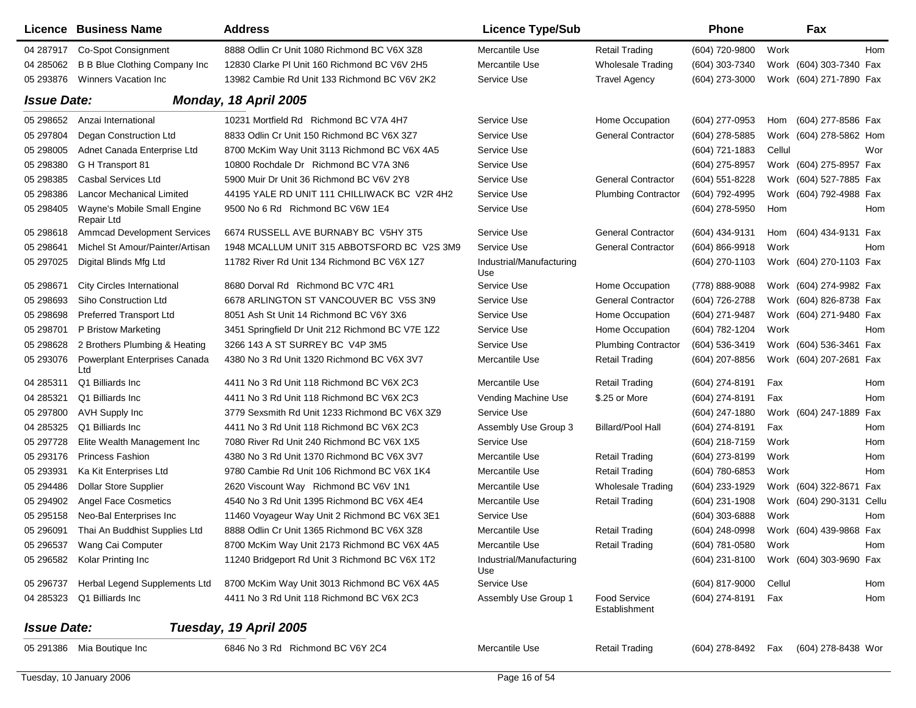|                    | Licence Business Name                     | <b>Address</b>                                   | <b>Licence Type/Sub</b>         |                                      | <b>Phone</b>       |        | Fax                     |            |
|--------------------|-------------------------------------------|--------------------------------------------------|---------------------------------|--------------------------------------|--------------------|--------|-------------------------|------------|
| 04 287917          | Co-Spot Consignment                       | 8888 Odlin Cr Unit 1080 Richmond BC V6X 3Z8      | Mercantile Use                  | <b>Retail Trading</b>                | (604) 720-9800     | Work   |                         | Hom        |
| 04 285062          | B B Blue Clothing Company Inc             | 12830 Clarke PI Unit 160 Richmond BC V6V 2H5     | Mercantile Use                  | <b>Wholesale Trading</b>             | (604) 303-7340     |        | Work (604) 303-7340 Fax |            |
| 05 293876          | Winners Vacation Inc                      | 13982 Cambie Rd Unit 133 Richmond BC V6V 2K2     | Service Use                     | <b>Travel Agency</b>                 | (604) 273-3000     |        | Work (604) 271-7890 Fax |            |
| <b>Issue Date:</b> |                                           | Monday, 18 April 2005                            |                                 |                                      |                    |        |                         |            |
| 05 298652          | Anzai International                       | 10231 Mortfield Rd Richmond BC V7A 4H7           | Service Use                     | Home Occupation                      | (604) 277-0953     | Hom    | (604) 277-8586 Fax      |            |
| 05 297804          | Degan Construction Ltd                    | 8833 Odlin Cr Unit 150 Richmond BC V6X 3Z7       | Service Use                     | <b>General Contractor</b>            | (604) 278-5885     |        | Work (604) 278-5862 Hom |            |
| 05 298005          | Adnet Canada Enterprise Ltd               | 8700 McKim Way Unit 3113 Richmond BC V6X 4A5     | Service Use                     |                                      | (604) 721-1883     | Cellul |                         | Wor        |
| 05 298380          | G H Transport 81                          | 10800 Rochdale Dr Richmond BC V7A 3N6            | Service Use                     |                                      | (604) 275-8957     |        | Work (604) 275-8957 Fax |            |
| 05 298385          | Casbal Services Ltd                       | 5900 Muir Dr Unit 36 Richmond BC V6V 2Y8         | Service Use                     | <b>General Contractor</b>            | (604) 551-8228     |        | Work (604) 527-7885 Fax |            |
| 05 298386          | <b>Lancor Mechanical Limited</b>          | 44195 YALE RD UNIT 111 CHILLIWACK BC V2R 4H2     | Service Use                     | <b>Plumbing Contractor</b>           | (604) 792-4995     |        | Work (604) 792-4988 Fax |            |
| 05 298405          | Wayne's Mobile Small Engine<br>Repair Ltd | 9500 No 6 Rd Richmond BC V6W 1E4                 | Service Use                     |                                      | (604) 278-5950     | Hom    |                         | Hom        |
| 05 298618          | <b>Ammcad Development Services</b>        | 6674 RUSSELL AVE BURNABY BC V5HY 3T5             | Service Use                     | <b>General Contractor</b>            | (604) 434-9131     | Hom    | (604) 434-9131 Fax      |            |
| 05 298641          | Michel St Amour/Painter/Artisan           | 1948 MCALLUM UNIT 315 ABBOTSFORD BC V2S 3M9      | Service Use                     | <b>General Contractor</b>            | $(604) 866 - 9918$ | Work   |                         | <b>Hom</b> |
| 05 297025          | Digital Blinds Mfg Ltd                    | 11782 River Rd Unit 134 Richmond BC V6X 1Z7      | Industrial/Manufacturing<br>Use |                                      | (604) 270-1103     |        | Work (604) 270-1103 Fax |            |
| 05 298671          | <b>City Circles International</b>         | 8680 Dorval Rd Richmond BC V7C 4R1               | Service Use                     | Home Occupation                      | (778) 888-9088     |        | Work (604) 274-9982 Fax |            |
| 05 298693          | Siho Construction Ltd                     | 6678 ARLINGTON ST VANCOUVER BC V5S 3N9           | Service Use                     | <b>General Contractor</b>            | (604) 726-2788     |        | Work (604) 826-8738 Fax |            |
| 05 298698          | <b>Preferred Transport Ltd</b>            | 8051 Ash St Unit 14 Richmond BC V6Y 3X6          | Service Use                     | Home Occupation                      | (604) 271-9487     |        | Work (604) 271-9480 Fax |            |
| 05 298701          | P Bristow Marketing                       | 3451 Springfield Dr Unit 212 Richmond BC V7E 1Z2 | Service Use                     | Home Occupation                      | (604) 782-1204     | Work   |                         | Hom        |
| 05 298628          | 2 Brothers Plumbing & Heating             | 3266 143 A ST SURREY BC V4P 3M5                  | Service Use                     | <b>Plumbing Contractor</b>           | (604) 536-3419     |        | Work (604) 536-3461 Fax |            |
| 05 293076          | Powerplant Enterprises Canada<br>Ltd      | 4380 No 3 Rd Unit 1320 Richmond BC V6X 3V7       | Mercantile Use                  | <b>Retail Trading</b>                | (604) 207-8856     |        | Work (604) 207-2681 Fax |            |
| 04 285311          | Q1 Billiards Inc                          | 4411 No 3 Rd Unit 118 Richmond BC V6X 2C3        | Mercantile Use                  | <b>Retail Trading</b>                | $(604)$ 274-8191   | Fax    |                         | Hom        |
| 04 285321          | Q1 Billiards Inc                          | 4411 No 3 Rd Unit 118 Richmond BC V6X 2C3        | Vending Machine Use             | \$.25 or More                        | (604) 274-8191     | Fax    |                         | Hom        |
| 05 297800          | AVH Supply Inc                            | 3779 Sexsmith Rd Unit 1233 Richmond BC V6X 3Z9   | Service Use                     |                                      | (604) 247-1880     |        | Work (604) 247-1889     | Fax        |
| 04 285325          | Q1 Billiards Inc                          | 4411 No 3 Rd Unit 118 Richmond BC V6X 2C3        | Assembly Use Group 3            | <b>Billard/Pool Hall</b>             | (604) 274-8191     | Fax    |                         | Hom        |
| 05 297728          | Elite Wealth Management Inc               | 7080 River Rd Unit 240 Richmond BC V6X 1X5       | Service Use                     |                                      | (604) 218-7159     | Work   |                         | Hom        |
| 05 293176          | <b>Princess Fashion</b>                   | 4380 No 3 Rd Unit 1370 Richmond BC V6X 3V7       | Mercantile Use                  | <b>Retail Trading</b>                | (604) 273-8199     | Work   |                         | Hom        |
| 05 293931          | Ka Kit Enterprises Ltd                    | 9780 Cambie Rd Unit 106 Richmond BC V6X 1K4      | Mercantile Use                  | <b>Retail Trading</b>                | (604) 780-6853     | Work   |                         | Hom        |
| 05 294486          | <b>Dollar Store Supplier</b>              | 2620 Viscount Way Richmond BC V6V 1N1            | Mercantile Use                  | <b>Wholesale Trading</b>             | (604) 233-1929     |        | Work (604) 322-8671     | Fax        |
| 05 294902          | <b>Angel Face Cosmetics</b>               | 4540 No 3 Rd Unit 1395 Richmond BC V6X 4E4       | Mercantile Use                  | <b>Retail Trading</b>                | (604) 231-1908     |        | Work (604) 290-3131     | Cellu      |
| 05 295158          | Neo-Bal Enterprises Inc                   | 11460 Voyageur Way Unit 2 Richmond BC V6X 3E1    | Service Use                     |                                      | (604) 303-6888     | Work   |                         | Hom        |
| 05 29 6091         | Thai An Buddhist Supplies Ltd             | 8888 Odlin Cr Unit 1365 Richmond BC V6X 3Z8      | Mercantile Use                  | <b>Retail Trading</b>                | (604) 248-0998     |        | Work (604) 439-9868 Fax |            |
| 05 296537          | Wang Cai Computer                         | 8700 McKim Way Unit 2173 Richmond BC V6X 4A5     | Mercantile Use                  | <b>Retail Trading</b>                | (604) 781-0580     | Work   |                         | Hom        |
|                    | 05 296582 Kolar Printing Inc              | 11240 Bridgeport Rd Unit 3 Richmond BC V6X 1T2   | Industrial/Manufacturing<br>Use |                                      | (604) 231-8100     |        | Work (604) 303-9690 Fax |            |
| 05 296737          | Herbal Legend Supplements Ltd             | 8700 McKim Way Unit 3013 Richmond BC V6X 4A5     | Service Use                     |                                      | (604) 817-9000     | Cellul |                         | Hom        |
| 04 285323          | Q1 Billiards Inc                          | 4411 No 3 Rd Unit 118 Richmond BC V6X 2C3        | Assembly Use Group 1            | <b>Food Service</b><br>Establishment | (604) 274-8191     | Fax    |                         | Hom        |
| <b>Issue Date:</b> |                                           | Tuesday, 19 April 2005                           |                                 |                                      |                    |        |                         |            |
|                    | 05 291386 Mia Boutique Inc                | 6846 No 3 Rd Richmond BC V6Y 2C4                 | Mercantile Use                  | <b>Retail Trading</b>                | (604) 278-8492     | Fax    | (604) 278-8438 Wor      |            |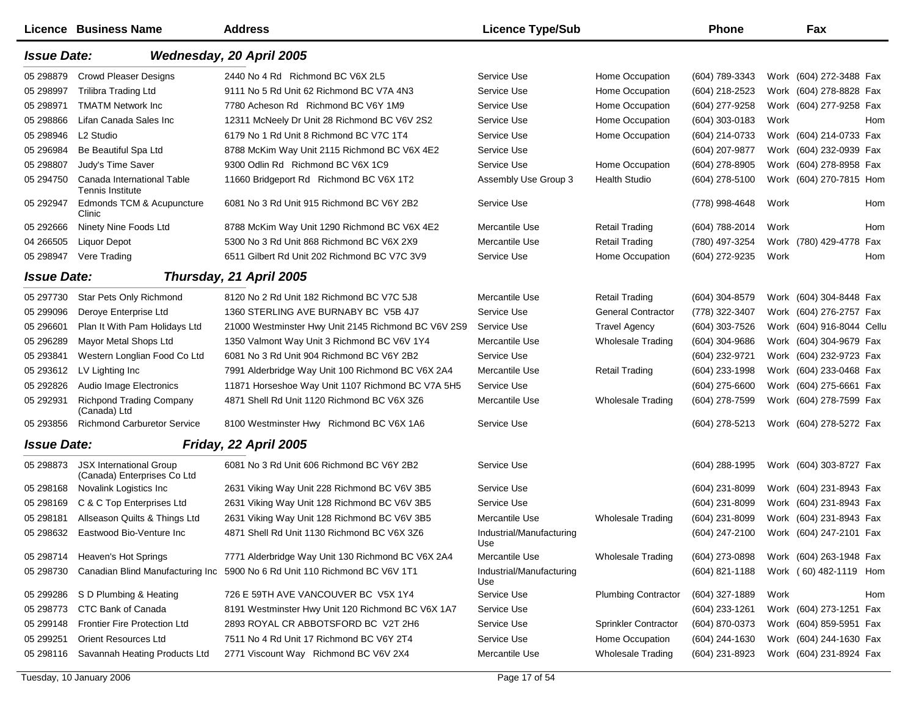|                    | Licence Business Name                                         | <b>Address</b>                                      | <b>Licence Type/Sub</b>         |                            | <b>Phone</b>     |      | Fax                        |
|--------------------|---------------------------------------------------------------|-----------------------------------------------------|---------------------------------|----------------------------|------------------|------|----------------------------|
| <b>Issue Date:</b> |                                                               | Wednesday, 20 April 2005                            |                                 |                            |                  |      |                            |
| 05 298879          | <b>Crowd Pleaser Designs</b>                                  | 2440 No 4 Rd Richmond BC V6X 2L5                    | Service Use                     | Home Occupation            | (604) 789-3343   |      | Work (604) 272-3488 Fax    |
| 05 298997          | <b>Trilibra Trading Ltd</b>                                   | 9111 No 5 Rd Unit 62 Richmond BC V7A 4N3            | Service Use                     | Home Occupation            | (604) 218-2523   |      | Work (604) 278-8828 Fax    |
| 05 298971          | <b>TMATM Network Inc.</b>                                     | 7780 Acheson Rd Richmond BC V6Y 1M9                 | Service Use                     | Home Occupation            | (604) 277-9258   |      | Work (604) 277-9258 Fax    |
| 05 298866          | Lifan Canada Sales Inc                                        | 12311 McNeely Dr Unit 28 Richmond BC V6V 2S2        | Service Use                     | Home Occupation            | (604) 303-0183   | Work | Hom                        |
| 05 298946          | L <sub>2</sub> Studio                                         | 6179 No 1 Rd Unit 8 Richmond BC V7C 1T4             | Service Use                     | Home Occupation            | (604) 214-0733   |      | Work (604) 214-0733 Fax    |
| 05 29 6984         | Be Beautiful Spa Ltd                                          | 8788 McKim Way Unit 2115 Richmond BC V6X 4E2        | Service Use                     |                            | (604) 207-9877   |      | Work (604) 232-0939 Fax    |
| 05 298807          | Judy's Time Saver                                             | 9300 Odlin Rd Richmond BC V6X 1C9                   | Service Use                     | Home Occupation            | (604) 278-8905   |      | Work (604) 278-8958 Fax    |
| 05 294750          | Canada International Table<br><b>Tennis Institute</b>         | 11660 Bridgeport Rd Richmond BC V6X 1T2             | Assembly Use Group 3            | <b>Health Studio</b>       | (604) 278-5100   |      | Work (604) 270-7815 Hom    |
| 05 29 2947         | Edmonds TCM & Acupuncture<br>Clinic                           | 6081 No 3 Rd Unit 915 Richmond BC V6Y 2B2           | Service Use                     |                            | (778) 998-4648   | Work | Hom                        |
| 05 29 2666         | Ninety Nine Foods Ltd                                         | 8788 McKim Way Unit 1290 Richmond BC V6X 4E2        | Mercantile Use                  | <b>Retail Trading</b>      | (604) 788-2014   | Work | Hom                        |
| 04 266505          | <b>Liquor Depot</b>                                           | 5300 No 3 Rd Unit 868 Richmond BC V6X 2X9           | Mercantile Use                  | <b>Retail Trading</b>      | (780) 497-3254   |      | Work (780) 429-4778<br>Fax |
| 05 298947          | Vere Trading                                                  | 6511 Gilbert Rd Unit 202 Richmond BC V7C 3V9        | Service Use                     | Home Occupation            | (604) 272-9235   | Work | Hom                        |
| <b>Issue Date:</b> |                                                               | Thursday, 21 April 2005                             |                                 |                            |                  |      |                            |
| 05 297730          | Star Pets Only Richmond                                       | 8120 No 2 Rd Unit 182 Richmond BC V7C 5J8           | Mercantile Use                  | <b>Retail Trading</b>      | $(604)$ 304-8579 |      | Work (604) 304-8448 Fax    |
| 05 299096          | Deroye Enterprise Ltd                                         | 1360 STERLING AVE BURNABY BC V5B 4J7                | Service Use                     | <b>General Contractor</b>  | (778) 322-3407   |      | Work (604) 276-2757 Fax    |
| 05 29 6601         | Plan It With Pam Holidays Ltd                                 | 21000 Westminster Hwy Unit 2145 Richmond BC V6V 2S9 | Service Use                     | <b>Travel Agency</b>       | (604) 303-7526   |      | Work (604) 916-8044 Cellu  |
| 05 29 6289         | Mayor Metal Shops Ltd                                         | 1350 Valmont Way Unit 3 Richmond BC V6V 1Y4         | Mercantile Use                  | <b>Wholesale Trading</b>   | (604) 304-9686   |      | Work (604) 304-9679 Fax    |
| 05 29 3841         | Western Longlian Food Co Ltd                                  | 6081 No 3 Rd Unit 904 Richmond BC V6Y 2B2           | Service Use                     |                            | (604) 232-9721   |      | Work (604) 232-9723 Fax    |
| 05 293612          | LV Lighting Inc                                               | 7991 Alderbridge Way Unit 100 Richmond BC V6X 2A4   | Mercantile Use                  | <b>Retail Trading</b>      | (604) 233-1998   |      | Work (604) 233-0468 Fax    |
| 05 29 28 26        | Audio Image Electronics                                       | 11871 Horseshoe Way Unit 1107 Richmond BC V7A 5H5   | Service Use                     |                            | $(604)$ 275-6600 |      | Work (604) 275-6661 Fax    |
| 05 29 29 31        | <b>Richpond Trading Company</b><br>(Canada) Ltd               | 4871 Shell Rd Unit 1120 Richmond BC V6X 3Z6         | Mercantile Use                  | <b>Wholesale Trading</b>   | (604) 278-7599   |      | Work (604) 278-7599 Fax    |
| 05 293856          | <b>Richmond Carburetor Service</b>                            | 8100 Westminster Hwy Richmond BC V6X 1A6            | Service Use                     |                            | (604) 278-5213   |      | Work (604) 278-5272 Fax    |
| <b>Issue Date:</b> |                                                               | Friday, 22 April 2005                               |                                 |                            |                  |      |                            |
| 05 298873          | <b>JSX International Group</b><br>(Canada) Enterprises Co Ltd | 6081 No 3 Rd Unit 606 Richmond BC V6Y 2B2           | Service Use                     |                            | $(604)$ 288-1995 |      | Work (604) 303-8727 Fax    |
| 05 298168          | Novalink Logistics Inc                                        | 2631 Viking Way Unit 228 Richmond BC V6V 3B5        | Service Use                     |                            | (604) 231-8099   |      | Work (604) 231-8943 Fax    |
| 05 298169          | C & C Top Enterprises Ltd                                     | 2631 Viking Way Unit 128 Richmond BC V6V 3B5        | Service Use                     |                            | (604) 231-8099   |      | Work (604) 231-8943 Fax    |
| 05 298181          | Allseason Quilts & Things Ltd                                 | 2631 Viking Way Unit 128 Richmond BC V6V 3B5        | Mercantile Use                  | Wholesale Trading          | (604) 231-8099   |      | Work (604) 231-8943 Fax    |
| 05 298632          | Eastwood Bio-Venture Inc                                      | 4871 Shell Rd Unit 1130 Richmond BC V6X 3Z6         | Industrial/Manufacturing<br>Use |                            | (604) 247-2100   |      | Work (604) 247-2101 Fax    |
| 05 298714          | Heaven's Hot Springs                                          | 7771 Alderbridge Way Unit 130 Richmond BC V6X 2A4   | Mercantile Use                  | <b>Wholesale Trading</b>   | (604) 273-0898   |      | Work (604) 263-1948 Fax    |
| 05 298730          | Canadian Blind Manufacturing Inc                              | 5900 No 6 Rd Unit 110 Richmond BC V6V 1T1           | Industrial/Manufacturing<br>Use |                            | (604) 821-1188   |      | Work (60) 482-1119 Hom     |
| 05 299286          | S D Plumbing & Heating                                        | 726 E 59TH AVE VANCOUVER BC V5X 1Y4                 | Service Use                     | <b>Plumbing Contractor</b> | (604) 327-1889   | Work | Hom                        |
| 05 298773          | CTC Bank of Canada                                            | 8191 Westminster Hwy Unit 120 Richmond BC V6X 1A7   | Service Use                     |                            | (604) 233-1261   |      | Work (604) 273-1251 Fax    |
| 05 299148          | <b>Frontier Fire Protection Ltd</b>                           | 2893 ROYAL CR ABBOTSFORD BC V2T 2H6                 | Service Use                     | Sprinkler Contractor       | (604) 870-0373   |      | Work (604) 859-5951 Fax    |
| 05 299251          | <b>Orient Resources Ltd</b>                                   | 7511 No 4 Rd Unit 17 Richmond BC V6Y 2T4            | Service Use                     | Home Occupation            | (604) 244-1630   |      | Work (604) 244-1630 Fax    |
| 05 298116          | Savannah Heating Products Ltd                                 | 2771 Viscount Way Richmond BC V6V 2X4               | Mercantile Use                  | <b>Wholesale Trading</b>   | (604) 231-8923   |      | Work (604) 231-8924 Fax    |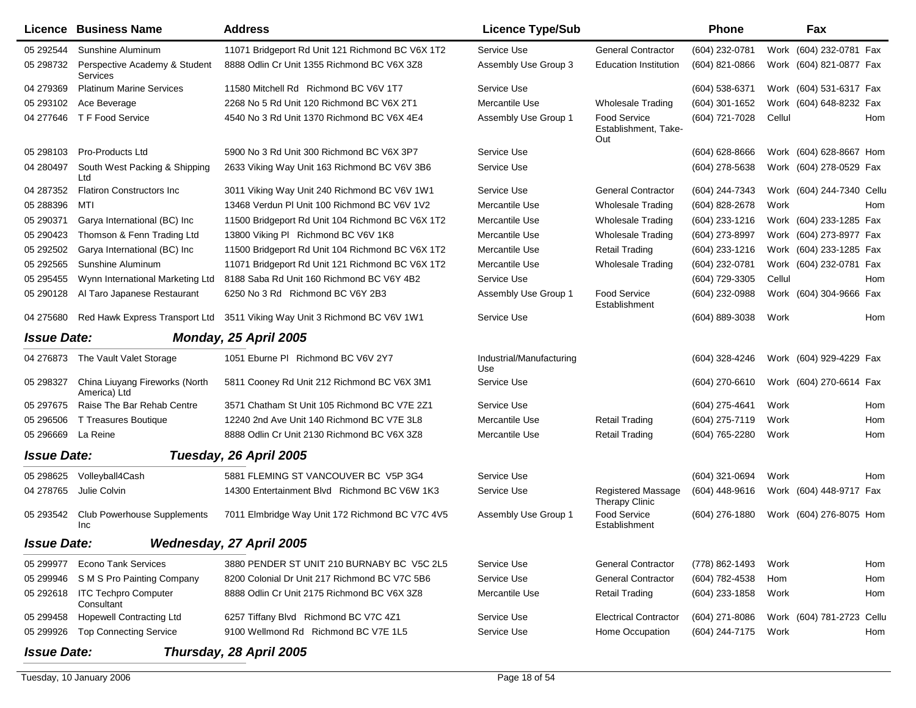|                    | Licence Business Name                          | <b>Address</b>                                                            | <b>Licence Type/Sub</b>         |                                                    | <b>Phone</b>     |        | Fax                          |
|--------------------|------------------------------------------------|---------------------------------------------------------------------------|---------------------------------|----------------------------------------------------|------------------|--------|------------------------------|
| 05 29 2544         | Sunshine Aluminum                              | 11071 Bridgeport Rd Unit 121 Richmond BC V6X 1T2                          | Service Use                     | <b>General Contractor</b>                          | (604) 232-0781   |        | Work (604) 232-0781 Fax      |
| 05 298732          | Perspective Academy & Student<br>Services      | 8888 Odlin Cr Unit 1355 Richmond BC V6X 3Z8                               | Assembly Use Group 3            | <b>Education Institution</b>                       | (604) 821-0866   |        | Work (604) 821-0877 Fax      |
| 04 279369          | <b>Platinum Marine Services</b>                | 11580 Mitchell Rd Richmond BC V6V 1T7                                     | Service Use                     |                                                    | (604) 538-6371   |        | Work (604) 531-6317 Fax      |
| 05 293102          | Ace Beverage                                   | 2268 No 5 Rd Unit 120 Richmond BC V6X 2T1                                 | Mercantile Use                  | <b>Wholesale Trading</b>                           | $(604)$ 301-1652 |        | Work (604) 648-8232 Fax      |
| 04 277646          | T F Food Service                               | 4540 No 3 Rd Unit 1370 Richmond BC V6X 4E4                                | Assembly Use Group 1            | <b>Food Service</b><br>Establishment, Take-<br>Out | (604) 721-7028   | Cellul | Hom                          |
| 05 298103          | Pro-Products Ltd                               | 5900 No 3 Rd Unit 300 Richmond BC V6X 3P7                                 | Service Use                     |                                                    | (604) 628-8666   |        | Work (604) 628-8667 Hom      |
| 04 280497          | South West Packing & Shipping<br>Ltd           | 2633 Viking Way Unit 163 Richmond BC V6V 3B6                              | Service Use                     |                                                    | (604) 278-5638   |        | Work (604) 278-0529 Fax      |
| 04 287352          | <b>Flatiron Constructors Inc.</b>              | 3011 Viking Way Unit 240 Richmond BC V6V 1W1                              | Service Use                     | <b>General Contractor</b>                          | (604) 244-7343   |        | Work (604) 244-7340 Cellu    |
| 05 288396          | MTI                                            | 13468 Verdun PI Unit 100 Richmond BC V6V 1V2                              | Mercantile Use                  | <b>Wholesale Trading</b>                           | (604) 828-2678   | Work   | Hom                          |
| 05 29 0371         | Garya International (BC) Inc                   | 11500 Bridgeport Rd Unit 104 Richmond BC V6X 1T2                          | Mercantile Use                  | <b>Wholesale Trading</b>                           | (604) 233-1216   |        | Work (604) 233-1285 Fax      |
| 05 290423          | Thomson & Fenn Trading Ltd                     | 13800 Viking PI Richmond BC V6V 1K8                                       | Mercantile Use                  | <b>Wholesale Trading</b>                           | (604) 273-8997   |        | Work (604) 273-8977 Fax      |
| 05 29 25 02        | Garya International (BC) Inc                   | 11500 Bridgeport Rd Unit 104 Richmond BC V6X 1T2                          | Mercantile Use                  | <b>Retail Trading</b>                              | (604) 233-1216   |        | Work (604) 233-1285 Fax      |
| 05 29 25 65        | Sunshine Aluminum                              | 11071 Bridgeport Rd Unit 121 Richmond BC V6X 1T2                          | Mercantile Use                  | <b>Wholesale Trading</b>                           | (604) 232-0781   |        | Work (604) 232-0781 Fax      |
| 05 29 54 55        | Wynn International Marketing Ltd               | 8188 Saba Rd Unit 160 Richmond BC V6Y 4B2                                 | Service Use                     |                                                    | (604) 729-3305   | Cellul | Hom                          |
| 05 290128          | Al Taro Japanese Restaurant                    | 6250 No 3 Rd Richmond BC V6Y 2B3                                          | Assembly Use Group 1            | Food Service<br>Establishment                      | (604) 232-0988   |        | Work (604) 304-9666 Fax      |
| 04 275680          |                                                | Red Hawk Express Transport Ltd 3511 Viking Way Unit 3 Richmond BC V6V 1W1 | Service Use                     |                                                    | (604) 889-3038   | Work   | Hom                          |
| <b>Issue Date:</b> |                                                | Monday, 25 April 2005                                                     |                                 |                                                    |                  |        |                              |
| 04 276873          | The Vault Valet Storage                        | 1051 Eburne PI Richmond BC V6V 2Y7                                        | Industrial/Manufacturing<br>Use |                                                    | $(604)$ 328-4246 |        | Work (604) 929-4229 Fax      |
| 05 298327          | China Liuyang Fireworks (North<br>America) Ltd | 5811 Cooney Rd Unit 212 Richmond BC V6X 3M1                               | Service Use                     |                                                    | (604) 270-6610   |        | Work (604) 270-6614 Fax      |
| 05 297675          | Raise The Bar Rehab Centre                     | 3571 Chatham St Unit 105 Richmond BC V7E 2Z1                              | Service Use                     |                                                    | (604) 275-4641   | Work   | Hom                          |
| 05 29 6506         | T Treasures Boutique                           | 12240 2nd Ave Unit 140 Richmond BC V7E 3L8                                | Mercantile Use                  | <b>Retail Trading</b>                              | (604) 275-7119   | Work   | Hom                          |
| 05 29 66 69        | La Reine                                       | 8888 Odlin Cr Unit 2130 Richmond BC V6X 3Z8                               | Mercantile Use                  | <b>Retail Trading</b>                              | (604) 765-2280   | Work   | Hom                          |
| <b>Issue Date:</b> |                                                | Tuesday, 26 April 2005                                                    |                                 |                                                    |                  |        |                              |
| 05 298625          | Volleyball4Cash                                | 5881 FLEMING ST VANCOUVER BC V5P 3G4                                      | Service Use                     |                                                    | (604) 321-0694   | Work   | Hom                          |
| 04 278765          | Julie Colvin                                   | 14300 Entertainment Blvd Richmond BC V6W 1K3                              | Service Use                     | <b>Registered Massage</b><br><b>Therapy Clinic</b> | $(604)$ 448-9616 |        | Work (604) 448-9717 Fax      |
| 05 293542          | <b>Club Powerhouse Supplements</b><br>Inc      | 7011 Elmbridge Way Unit 172 Richmond BC V7C 4V5                           | Assembly Use Group 1            | <b>Food Service</b><br>Establishment               | (604) 276-1880   |        | Work (604) 276-8075 Hom      |
| <b>Issue Date:</b> |                                                | Wednesday, 27 April 2005                                                  |                                 |                                                    |                  |        |                              |
| 05 299977          | <b>Econo Tank Services</b>                     | 3880 PENDER ST UNIT 210 BURNABY BC V5C 2L5                                | Service Use                     | <b>General Contractor</b>                          | (778) 862-1493   | Work   | Hom                          |
| 05 299946          | S M S Pro Painting Company                     | 8200 Colonial Dr Unit 217 Richmond BC V7C 5B6                             | Service Use                     | <b>General Contractor</b>                          | (604) 782-4538   | Hom    | Hom                          |
| 05 29 2618         | <b>ITC Techpro Computer</b><br>Consultant      | 8888 Odlin Cr Unit 2175 Richmond BC V6X 3Z8                               | Mercantile Use                  | <b>Retail Trading</b>                              | (604) 233-1858   | Work   | Hom                          |
| 05 299458          | <b>Hopewell Contracting Ltd</b>                | 6257 Tiffany Blvd Richmond BC V7C 4Z1                                     | Service Use                     | <b>Electrical Contractor</b>                       | $(604)$ 271-8086 |        | Work (604) 781-2723<br>Cellu |
| 05 299926          | <b>Top Connecting Service</b>                  | 9100 Wellmond Rd Richmond BC V7E 1L5                                      | Service Use                     | Home Occupation                                    | (604) 244-7175   | Work   | Hom                          |
| <b>Issue Date:</b> |                                                | Thursday, 28 April 2005                                                   |                                 |                                                    |                  |        |                              |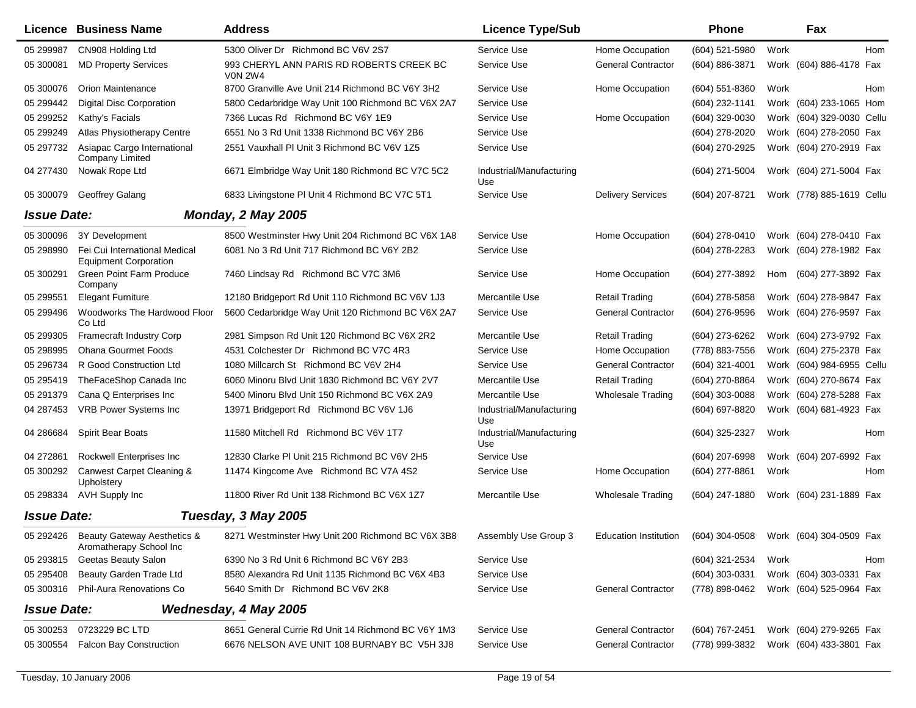|                    | <b>Licence Business Name</b>                                     | <b>Address</b>                                             | <b>Licence Type/Sub</b>         |                                                              | Phone            |      | Fax                       |
|--------------------|------------------------------------------------------------------|------------------------------------------------------------|---------------------------------|--------------------------------------------------------------|------------------|------|---------------------------|
| 05 299987          | CN908 Holding Ltd                                                | 5300 Oliver Dr Richmond BC V6V 2S7                         | Service Use                     | Home Occupation                                              | (604) 521-5980   | Work | Hom                       |
| 05 300081          | <b>MD Property Services</b>                                      | 993 CHERYL ANN PARIS RD ROBERTS CREEK BC<br><b>VON 2W4</b> | Service Use                     | <b>General Contractor</b>                                    | (604) 886-3871   |      | Work (604) 886-4178 Fax   |
| 05 300076          | <b>Orion Maintenance</b>                                         | 8700 Granville Ave Unit 214 Richmond BC V6Y 3H2            | Service Use                     | Home Occupation                                              | $(604)$ 551-8360 | Work | Hom                       |
| 05 299442          | <b>Digital Disc Corporation</b>                                  | 5800 Cedarbridge Way Unit 100 Richmond BC V6X 2A7          | Service Use                     |                                                              | (604) 232-1141   |      | Work (604) 233-1065 Hom   |
| 05 299252          | Kathy's Facials                                                  | 7366 Lucas Rd Richmond BC V6Y 1E9                          | Service Use                     | Home Occupation                                              | (604) 329-0030   |      | Work (604) 329-0030 Cellu |
| 05 299249          | Atlas Physiotherapy Centre                                       | 6551 No 3 Rd Unit 1338 Richmond BC V6Y 2B6                 | Service Use                     |                                                              | (604) 278-2020   |      | Work (604) 278-2050 Fax   |
| 05 297732          | Asiapac Cargo International<br><b>Company Limited</b>            | 2551 Vauxhall PI Unit 3 Richmond BC V6V 1Z5                | Service Use                     |                                                              | (604) 270-2925   |      | Work (604) 270-2919 Fax   |
| 04 277430          | Nowak Rope Ltd                                                   | 6671 Elmbridge Way Unit 180 Richmond BC V7C 5C2            | Industrial/Manufacturing<br>Use |                                                              | (604) 271-5004   |      | Work (604) 271-5004 Fax   |
| 05 300079          | Geoffrey Galang                                                  | 6833 Livingstone PI Unit 4 Richmond BC V7C 5T1             | Service Use                     | <b>Delivery Services</b>                                     | (604) 207-8721   |      | Work (778) 885-1619 Cellu |
| <b>Issue Date:</b> |                                                                  | <b>Monday, 2 May 2005</b>                                  |                                 |                                                              |                  |      |                           |
| 05 300096          | 3Y Development                                                   | 8500 Westminster Hwy Unit 204 Richmond BC V6X 1A8          | Service Use                     | Home Occupation                                              | (604) 278-0410   |      | Work (604) 278-0410 Fax   |
| 05 298990          | Fei Cui International Medical<br><b>Equipment Corporation</b>    | 6081 No 3 Rd Unit 717 Richmond BC V6Y 2B2                  | Service Use                     |                                                              | (604) 278-2283   |      | Work (604) 278-1982 Fax   |
| 05 300291          | <b>Green Point Farm Produce</b><br>Company                       | 7460 Lindsay Rd Richmond BC V7C 3M6                        | Service Use                     | Home Occupation                                              | (604) 277-3892   |      | Hom (604) 277-3892 Fax    |
| 05 299551          | <b>Elegant Furniture</b>                                         | 12180 Bridgeport Rd Unit 110 Richmond BC V6V 1J3           | Mercantile Use                  | <b>Retail Trading</b>                                        | (604) 278-5858   |      | Work (604) 278-9847 Fax   |
| 05 299496          | Woodworks The Hardwood Floor<br>Co Ltd                           | 5600 Cedarbridge Way Unit 120 Richmond BC V6X 2A7          | Service Use                     | <b>General Contractor</b>                                    | (604) 276-9596   |      | Work (604) 276-9597 Fax   |
| 05 299305          | Framecraft Industry Corp                                         | 2981 Simpson Rd Unit 120 Richmond BC V6X 2R2               | Mercantile Use                  | <b>Retail Trading</b>                                        | (604) 273-6262   |      | Work (604) 273-9792 Fax   |
| 05 298995          | <b>Ohana Gourmet Foods</b>                                       | 4531 Colchester Dr Richmond BC V7C 4R3                     | Service Use                     | Home Occupation                                              | (778) 883-7556   |      | Work (604) 275-2378 Fax   |
| 05 29 6734         | R Good Construction Ltd                                          | 1080 Millcarch St Richmond BC V6V 2H4                      | Service Use                     | <b>General Contractor</b>                                    | (604) 321-4001   |      | Work (604) 984-6955 Cellu |
| 05 29 5419         | TheFaceShop Canada Inc                                           | 6060 Minoru Blvd Unit 1830 Richmond BC V6Y 2V7             | Mercantile Use                  | <b>Retail Trading</b>                                        | (604) 270-8864   |      | Work (604) 270-8674 Fax   |
| 05 291379          | Cana Q Enterprises Inc                                           | 5400 Minoru Blvd Unit 150 Richmond BC V6X 2A9              | Mercantile Use                  | <b>Wholesale Trading</b>                                     | (604) 303-0088   |      | Work (604) 278-5288 Fax   |
| 04 287453          | VRB Power Systems Inc                                            | 13971 Bridgeport Rd Richmond BC V6V 1J6                    | Industrial/Manufacturing<br>Use |                                                              | (604) 697-8820   |      | Work (604) 681-4923 Fax   |
| 04 286684          | <b>Spirit Bear Boats</b>                                         | 11580 Mitchell Rd Richmond BC V6V 1T7                      | Industrial/Manufacturing<br>Use |                                                              | (604) 325-2327   | Work | Hom                       |
| 04 27 28 61        | Rockwell Enterprises Inc                                         | 12830 Clarke PI Unit 215 Richmond BC V6V 2H5               | Service Use                     |                                                              | (604) 207-6998   |      | Work (604) 207-6992 Fax   |
| 05 300292          | Canwest Carpet Cleaning &<br>Upholstery                          | 11474 Kingcome Ave Richmond BC V7A 4S2                     | Service Use                     | Home Occupation                                              | (604) 277-8861   | Work | Hom                       |
| 05 298334          | AVH Supply Inc                                                   | 11800 River Rd Unit 138 Richmond BC V6X 1Z7                | Mercantile Use                  | <b>Wholesale Trading</b>                                     | (604) 247-1880   |      | Work (604) 231-1889 Fax   |
| <b>Issue Date:</b> |                                                                  | Tuesday, 3 May 2005                                        |                                 |                                                              |                  |      |                           |
|                    | 05 292426 Beauty Gateway Aesthetics &<br>Aromatherapy School Inc | 8271 Westminster Hwy Unit 200 Richmond BC V6X 3B8          | Assembly Use Group 3            | Education Institution (604) 304-0508 Work (604) 304-0509 Fax |                  |      |                           |
|                    | 05 293815 Geetas Beauty Salon                                    | 6390 No 3 Rd Unit 6 Richmond BC V6Y 2B3                    | Service Use                     |                                                              | (604) 321-2534   | Work | Hom                       |
| 05 295408          | <b>Beauty Garden Trade Ltd</b>                                   | 8580 Alexandra Rd Unit 1135 Richmond BC V6X 4B3            | Service Use                     |                                                              | $(604)$ 303-0331 |      | Work (604) 303-0331 Fax   |
|                    | 05 300316 Phil-Aura Renovations Co                               | 5640 Smith Dr Richmond BC V6V 2K8                          | Service Use                     | <b>General Contractor</b>                                    | (778) 898-0462   |      | Work (604) 525-0964 Fax   |
| <b>Issue Date:</b> |                                                                  | Wednesday, 4 May 2005                                      |                                 |                                                              |                  |      |                           |
|                    | 05 300253 0723229 BC LTD                                         | 8651 General Currie Rd Unit 14 Richmond BC V6Y 1M3         | Service Use                     | <b>General Contractor</b>                                    | (604) 767-2451   |      | Work (604) 279-9265 Fax   |
| 05 300554          | <b>Falcon Bay Construction</b>                                   | 6676 NELSON AVE UNIT 108 BURNABY BC V5H 3J8                | Service Use                     | <b>General Contractor</b>                                    | (778) 999-3832   |      | Work (604) 433-3801 Fax   |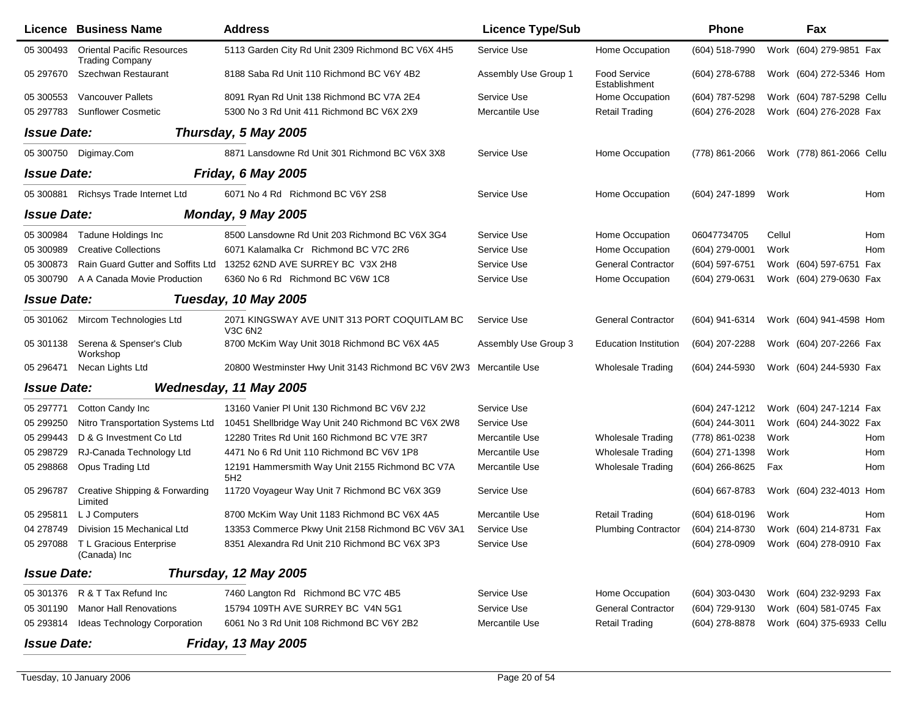|                    | Licence Business Name                                       | <b>Address</b>                                                     | <b>Licence Type/Sub</b> |                                      | <b>Phone</b>   |        | Fax                       |
|--------------------|-------------------------------------------------------------|--------------------------------------------------------------------|-------------------------|--------------------------------------|----------------|--------|---------------------------|
| 05 300493          | <b>Oriental Pacific Resources</b><br><b>Trading Company</b> | 5113 Garden City Rd Unit 2309 Richmond BC V6X 4H5                  | Service Use             | Home Occupation                      | (604) 518-7990 |        | Work (604) 279-9851 Fax   |
| 05 297670          | Szechwan Restaurant                                         | 8188 Saba Rd Unit 110 Richmond BC V6Y 4B2                          | Assembly Use Group 1    | <b>Food Service</b><br>Establishment | (604) 278-6788 |        | Work (604) 272-5346 Hom   |
| 05 300553          | <b>Vancouver Pallets</b>                                    | 8091 Ryan Rd Unit 138 Richmond BC V7A 2E4                          | Service Use             | Home Occupation                      | (604) 787-5298 |        | Work (604) 787-5298 Cellu |
| 05 297783          | <b>Sunflower Cosmetic</b>                                   | 5300 No 3 Rd Unit 411 Richmond BC V6X 2X9                          | Mercantile Use          | <b>Retail Trading</b>                | (604) 276-2028 |        | Work (604) 276-2028 Fax   |
| <b>Issue Date:</b> |                                                             | Thursday, 5 May 2005                                               |                         |                                      |                |        |                           |
|                    | 05 300750 Digimay.Com                                       | 8871 Lansdowne Rd Unit 301 Richmond BC V6X 3X8                     | Service Use             | Home Occupation                      | (778) 861-2066 |        | Work (778) 861-2066 Cellu |
| <b>Issue Date:</b> |                                                             | Friday, 6 May 2005                                                 |                         |                                      |                |        |                           |
|                    | 05 300881 Richsys Trade Internet Ltd                        | 6071 No 4 Rd Richmond BC V6Y 2S8                                   | Service Use             | Home Occupation                      | (604) 247-1899 | Work   | Hom                       |
| <b>Issue Date:</b> |                                                             | Monday, 9 May 2005                                                 |                         |                                      |                |        |                           |
| 05 300984          | <b>Tadune Holdings Inc</b>                                  | 8500 Lansdowne Rd Unit 203 Richmond BC V6X 3G4                     | Service Use             | Home Occupation                      | 06047734705    | Cellul | Hom                       |
| 05 300989          | <b>Creative Collections</b>                                 | 6071 Kalamalka Cr Richmond BC V7C 2R6                              | Service Use             | Home Occupation                      | (604) 279-0001 | Work   | Hom                       |
| 05 300873          | Rain Guard Gutter and Soffits Ltd                           | 13252 62ND AVE SURREY BC V3X 2H8                                   | Service Use             | <b>General Contractor</b>            | (604) 597-6751 |        | Work (604) 597-6751 Fax   |
| 05 300790          | A A Canada Movie Production                                 | 6360 No 6 Rd Richmond BC V6W 1C8                                   | Service Use             | Home Occupation                      | (604) 279-0631 |        | Work (604) 279-0630 Fax   |
| <b>Issue Date:</b> |                                                             | Tuesday, 10 May 2005                                               |                         |                                      |                |        |                           |
|                    | 05 301062 Mircom Technologies Ltd                           | 2071 KINGSWAY AVE UNIT 313 PORT COQUITLAM BC<br><b>V3C 6N2</b>     | Service Use             | <b>General Contractor</b>            | (604) 941-6314 |        | Work (604) 941-4598 Hom   |
| 05 301138          | Serena & Spenser's Club<br>Workshop                         | 8700 McKim Way Unit 3018 Richmond BC V6X 4A5                       | Assembly Use Group 3    | <b>Education Institution</b>         | (604) 207-2288 |        | Work (604) 207-2266 Fax   |
| 05 29 6471         | Necan Lights Ltd                                            | 20800 Westminster Hwy Unit 3143 Richmond BC V6V 2W3 Mercantile Use |                         | <b>Wholesale Trading</b>             | (604) 244-5930 |        | Work (604) 244-5930 Fax   |
| <b>Issue Date:</b> |                                                             | Wednesday, 11 May 2005                                             |                         |                                      |                |        |                           |
| 05 297771          | Cotton Candy Inc                                            | 13160 Vanier PI Unit 130 Richmond BC V6V 2J2                       | Service Use             |                                      | (604) 247-1212 |        | Work (604) 247-1214 Fax   |
| 05 299250          | Nitro Transportation Systems Ltd                            | 10451 Shellbridge Way Unit 240 Richmond BC V6X 2W8                 | Service Use             |                                      | (604) 244-3011 |        | Work (604) 244-3022 Fax   |
| 05 299443          | D & G Investment Co Ltd                                     | 12280 Trites Rd Unit 160 Richmond BC V7E 3R7                       | Mercantile Use          | <b>Wholesale Trading</b>             | (778) 861-0238 | Work   | Hom                       |
| 05 298729          | RJ-Canada Technology Ltd                                    | 4471 No 6 Rd Unit 110 Richmond BC V6V 1P8                          | Mercantile Use          | <b>Wholesale Trading</b>             | (604) 271-1398 | Work   | Hom                       |
| 05 298868          | Opus Trading Ltd                                            | 12191 Hammersmith Way Unit 2155 Richmond BC V7A<br>5H2             | Mercantile Use          | <b>Wholesale Trading</b>             | (604) 266-8625 | Fax    | Hom                       |
| 05 296787          | Creative Shipping & Forwarding<br>Limited                   | 11720 Voyageur Way Unit 7 Richmond BC V6X 3G9                      | Service Use             |                                      | (604) 667-8783 |        | Work (604) 232-4013 Hom   |
| 05 295811          | L J Computers                                               | 8700 McKim Way Unit 1183 Richmond BC V6X 4A5                       | Mercantile Use          | <b>Retail Trading</b>                | (604) 618-0196 | Work   | Hom                       |
| 04 278749          | Division 15 Mechanical Ltd                                  | 13353 Commerce Pkwy Unit 2158 Richmond BC V6V 3A1                  | Service Use             | <b>Plumbing Contractor</b>           | (604) 214-8730 |        | Work (604) 214-8731 Fax   |
|                    | 05 297088 T L Gracious Enterprise<br>(Canada) Inc           | 8351 Alexandra Rd Unit 210 Richmond BC V6X 3P3                     | Service Use             |                                      | (604) 278-0909 |        | Work (604) 278-0910 Fax   |
| <b>Issue Date:</b> |                                                             | Thursday, 12 May 2005                                              |                         |                                      |                |        |                           |
|                    | 05 301376 R & T Tax Refund Inc                              | 7460 Langton Rd Richmond BC V7C 4B5                                | Service Use             | Home Occupation                      | (604) 303-0430 |        | Work (604) 232-9293 Fax   |
| 05 301190          | <b>Manor Hall Renovations</b>                               | 15794 109TH AVE SURREY BC V4N 5G1                                  | Service Use             | <b>General Contractor</b>            | (604) 729-9130 |        | Work (604) 581-0745 Fax   |
| 05 293814          | Ideas Technology Corporation                                | 6061 No 3 Rd Unit 108 Richmond BC V6Y 2B2                          | Mercantile Use          | <b>Retail Trading</b>                | (604) 278-8878 |        | Work (604) 375-6933 Cellu |
| <b>Issue Date:</b> |                                                             | <b>Friday, 13 May 2005</b>                                         |                         |                                      |                |        |                           |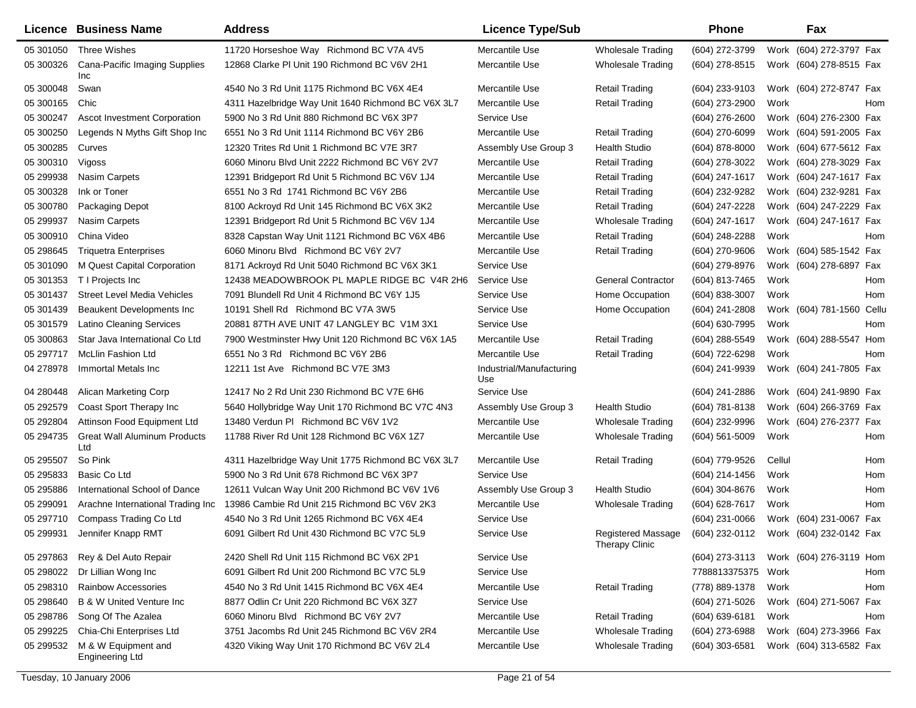|            | Licence Business Name                         | <b>Address</b>                                     | <b>Licence Type/Sub</b>         |                                                            | <b>Phone</b>       |        | Fax                       |     |
|------------|-----------------------------------------------|----------------------------------------------------|---------------------------------|------------------------------------------------------------|--------------------|--------|---------------------------|-----|
| 05 301050  | Three Wishes                                  | 11720 Horseshoe Way Richmond BC V7A 4V5            | Mercantile Use                  | Wholesale Trading                                          | (604) 272-3799     |        | Work (604) 272-3797 Fax   |     |
| 05 300326  | Cana-Pacific Imaging Supplies<br>Inc          | 12868 Clarke PI Unit 190 Richmond BC V6V 2H1       | Mercantile Use                  | Wholesale Trading                                          | (604) 278-8515     |        | Work (604) 278-8515 Fax   |     |
| 05 300048  | Swan                                          | 4540 No 3 Rd Unit 1175 Richmond BC V6X 4E4         | Mercantile Use                  | <b>Retail Trading</b>                                      | (604) 233-9103     |        | Work (604) 272-8747 Fax   |     |
| 05 300165  | Chic                                          | 4311 Hazelbridge Way Unit 1640 Richmond BC V6X 3L7 | Mercantile Use                  | <b>Retail Trading</b>                                      | (604) 273-2900     | Work   |                           | Hom |
| 05 300247  | <b>Ascot Investment Corporation</b>           | 5900 No 3 Rd Unit 880 Richmond BC V6X 3P7          | Service Use                     |                                                            | (604) 276-2600     |        | Work (604) 276-2300 Fax   |     |
| 05 300250  | Legends N Myths Gift Shop Inc                 | 6551 No 3 Rd Unit 1114 Richmond BC V6Y 2B6         | Mercantile Use                  | <b>Retail Trading</b>                                      | (604) 270-6099     |        | Work (604) 591-2005 Fax   |     |
| 05 300285  | Curves                                        | 12320 Trites Rd Unit 1 Richmond BC V7E 3R7         | Assembly Use Group 3            | Health Studio                                              | (604) 878-8000     |        | Work (604) 677-5612 Fax   |     |
| 05 300310  | Vigoss                                        | 6060 Minoru Blvd Unit 2222 Richmond BC V6Y 2V7     | Mercantile Use                  | Retail Trading                                             | (604) 278-3022     |        | Work (604) 278-3029 Fax   |     |
| 05 299938  | Nasim Carpets                                 | 12391 Bridgeport Rd Unit 5 Richmond BC V6V 1J4     | Mercantile Use                  | <b>Retail Trading</b>                                      | (604) 247-1617     |        | Work (604) 247-1617 Fax   |     |
| 05 300328  | Ink or Toner                                  | 6551 No 3 Rd 1741 Richmond BC V6Y 2B6              | Mercantile Use                  | <b>Retail Trading</b>                                      | (604) 232-9282     |        | Work (604) 232-9281 Fax   |     |
| 05 300780  | Packaging Depot                               | 8100 Ackroyd Rd Unit 145 Richmond BC V6X 3K2       | Mercantile Use                  | <b>Retail Trading</b>                                      | (604) 247-2228     |        | Work (604) 247-2229 Fax   |     |
| 05 299937  | <b>Nasim Carpets</b>                          | 12391 Bridgeport Rd Unit 5 Richmond BC V6V 1J4     | Mercantile Use                  | <b>Wholesale Trading</b>                                   | (604) 247-1617     |        | Work (604) 247-1617 Fax   |     |
| 05 300910  | China Video                                   | 8328 Capstan Way Unit 1121 Richmond BC V6X 4B6     | Mercantile Use                  | <b>Retail Trading</b>                                      | (604) 248-2288     | Work   |                           | Hom |
| 05 298645  | <b>Triquetra Enterprises</b>                  | 6060 Minoru Blvd Richmond BC V6Y 2V7               | Mercantile Use                  | <b>Retail Trading</b>                                      | (604) 270-9606     |        | Work (604) 585-1542 Fax   |     |
| 05 301090  | M Quest Capital Corporation                   | 8171 Ackroyd Rd Unit 5040 Richmond BC V6X 3K1      | Service Use                     |                                                            | (604) 279-8976     |        | Work (604) 278-6897 Fax   |     |
| 05 301353  | T I Projects Inc                              | 12438 MEADOWBROOK PL MAPLE RIDGE BC V4R 2H6        | Service Use                     | <b>General Contractor</b>                                  | (604) 813-7465     | Work   |                           | Hom |
| 05 301437  | <b>Street Level Media Vehicles</b>            | 7091 Blundell Rd Unit 4 Richmond BC V6Y 1J5        | Service Use                     | Home Occupation                                            | (604) 838-3007     | Work   |                           | Hom |
| 05 301439  | Beaukent Developments Inc.                    | 10191 Shell Rd Richmond BC V7A 3W5                 | Service Use                     | Home Occupation                                            | (604) 241-2808     |        | Work (604) 781-1560 Cellu |     |
| 05 301579  | <b>Latino Cleaning Services</b>               | 20881 87TH AVE UNIT 47 LANGLEY BC V1M 3X1          | Service Use                     |                                                            | (604) 630-7995     | Work   |                           | Hom |
| 05 300863  | Star Java International Co Ltd                | 7900 Westminster Hwy Unit 120 Richmond BC V6X 1A5  | Mercantile Use                  | <b>Retail Trading</b>                                      | (604) 288-5549     |        | Work (604) 288-5547 Hom   |     |
| 05 297717  | <b>McLlin Fashion Ltd</b>                     | 6551 No 3 Rd Richmond BC V6Y 2B6                   | Mercantile Use                  | <b>Retail Trading</b>                                      | (604) 722-6298     | Work   |                           | Hom |
| 04 278978  | Immortal Metals Inc                           | 12211 1st Ave Richmond BC V7E 3M3                  | Industrial/Manufacturing<br>Use |                                                            | (604) 241-9939     |        | Work (604) 241-7805 Fax   |     |
| 04 280448  | Alican Marketing Corp                         | 12417 No 2 Rd Unit 230 Richmond BC V7E 6H6         | Service Use                     |                                                            | $(604)$ 241-2886   |        | Work (604) 241-9890 Fax   |     |
| 05 29 2579 | Coast Sport Therapy Inc                       | 5640 Hollybridge Way Unit 170 Richmond BC V7C 4N3  | Assembly Use Group 3            | <b>Health Studio</b>                                       | $(604)$ 781-8138   |        | Work (604) 266-3769 Fax   |     |
| 05 29 2804 | Attinson Food Equipment Ltd                   | 13480 Verdun PI Richmond BC V6V 1V2                | Mercantile Use                  | <b>Wholesale Trading</b>                                   | (604) 232-9996     |        | Work (604) 276-2377 Fax   |     |
| 05 294735  | <b>Great Wall Aluminum Products</b><br>Ltd    | 11788 River Rd Unit 128 Richmond BC V6X 1Z7        | Mercantile Use                  | <b>Wholesale Trading</b>                                   | $(604)$ 561-5009   | Work   |                           | Hom |
| 05 295507  | So Pink                                       | 4311 Hazelbridge Way Unit 1775 Richmond BC V6X 3L7 | Mercantile Use                  | <b>Retail Trading</b>                                      | (604) 779-9526     | Cellul |                           | Hom |
| 05 295833  | Basic Co Ltd                                  | 5900 No 3 Rd Unit 678 Richmond BC V6X 3P7          | Service Use                     |                                                            | (604) 214-1456     | Work   |                           | Hom |
| 05 295886  | International School of Dance                 | 12611 Vulcan Way Unit 200 Richmond BC V6V 1V6      | Assembly Use Group 3            | Health Studio                                              | (604) 304-8676     | Work   |                           | Hom |
| 05 299091  | Arachne International Trading Inc             | 13986 Cambie Rd Unit 215 Richmond BC V6V 2K3       | Mercantile Use                  | <b>Wholesale Trading</b>                                   | (604) 628-7617     | Work   |                           | Hom |
| 05 297710  | Compass Trading Co Ltd                        | 4540 No 3 Rd Unit 1265 Richmond BC V6X 4E4         | Service Use                     |                                                            | (604) 231-0066     |        | Work (604) 231-0067 Fax   |     |
| 05 299931  | Jennifer Knapp RMT                            | 6091 Gilbert Rd Unit 430 Richmond BC V7C 5L9       | Service Use                     | Registered Massage (604) 232-0112<br><b>Therapy Clinic</b> |                    |        | Work (604) 232-0142 Fax   |     |
| 05 297863  | Rey & Del Auto Repair                         | 2420 Shell Rd Unit 115 Richmond BC V6X 2P1         | Service Use                     |                                                            | (604) 273-3113     |        | Work (604) 276-3119 Hom   |     |
| 05 298022  | Dr Lillian Wong Inc                           | 6091 Gilbert Rd Unit 200 Richmond BC V7C 5L9       | Service Use                     |                                                            | 7788813375375      | Work   |                           | Hom |
| 05 298310  | <b>Rainbow Accessories</b>                    | 4540 No 3 Rd Unit 1415 Richmond BC V6X 4E4         | Mercantile Use                  | <b>Retail Trading</b>                                      | (778) 889-1378     | Work   |                           | Hom |
| 05 298640  | <b>B &amp; W United Venture Inc</b>           | 8877 Odlin Cr Unit 220 Richmond BC V6X 3Z7         | Service Use                     |                                                            | (604) 271-5026     |        | Work (604) 271-5067 Fax   |     |
| 05 298786  | Song Of The Azalea                            | 6060 Minoru Blvd Richmond BC V6Y 2V7               | Mercantile Use                  | <b>Retail Trading</b>                                      | $(604) 639 - 6181$ | Work   |                           | Hom |
| 05 299225  | Chia-Chi Enterprises Ltd                      | 3751 Jacombs Rd Unit 245 Richmond BC V6V 2R4       | Mercantile Use                  | <b>Wholesale Trading</b>                                   | (604) 273-6988     |        | Work (604) 273-3966 Fax   |     |
| 05 299532  | M & W Equipment and<br><b>Engineering Ltd</b> | 4320 Viking Way Unit 170 Richmond BC V6V 2L4       | Mercantile Use                  | <b>Wholesale Trading</b>                                   | (604) 303-6581     |        | Work (604) 313-6582 Fax   |     |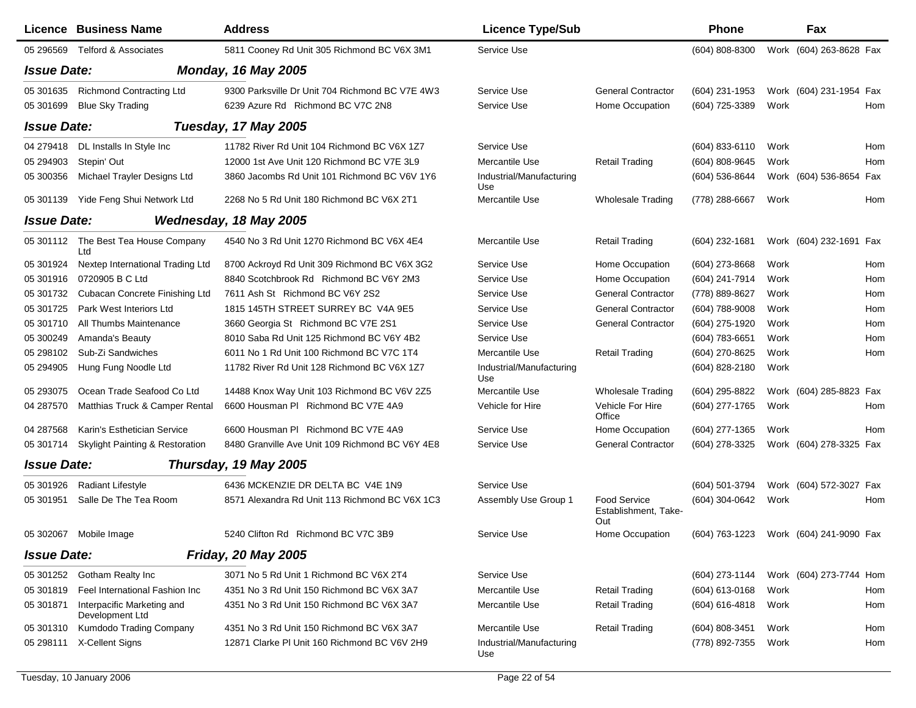|                    | Licence Business Name                         | <b>Address</b>                                  | <b>Licence Type/Sub</b>         |                                                    | Phone            |      | Fax                     |     |
|--------------------|-----------------------------------------------|-------------------------------------------------|---------------------------------|----------------------------------------------------|------------------|------|-------------------------|-----|
| 05 29 65 69        | <b>Telford &amp; Associates</b>               | 5811 Cooney Rd Unit 305 Richmond BC V6X 3M1     | Service Use                     |                                                    | (604) 808-8300   |      | Work (604) 263-8628 Fax |     |
| <b>Issue Date:</b> |                                               | <b>Monday, 16 May 2005</b>                      |                                 |                                                    |                  |      |                         |     |
| 05 301635          | <b>Richmond Contracting Ltd</b>               | 9300 Parksville Dr Unit 704 Richmond BC V7E 4W3 | Service Use                     | <b>General Contractor</b>                          | (604) 231-1953   |      | Work (604) 231-1954 Fax |     |
| 05 301699          | <b>Blue Sky Trading</b>                       | 6239 Azure Rd Richmond BC V7C 2N8               | Service Use                     | Home Occupation                                    | (604) 725-3389   | Work |                         | Hom |
| <b>Issue Date:</b> |                                               | Tuesday, 17 May 2005                            |                                 |                                                    |                  |      |                         |     |
| 04 279418          | DL Installs In Style Inc                      | 11782 River Rd Unit 104 Richmond BC V6X 1Z7     | Service Use                     |                                                    | (604) 833-6110   | Work |                         | Hom |
| 05 294903          | Stepin' Out                                   | 12000 1st Ave Unit 120 Richmond BC V7E 3L9      | Mercantile Use                  | <b>Retail Trading</b>                              | (604) 808-9645   | Work |                         | Hom |
| 05 300356          | Michael Trayler Designs Ltd                   | 3860 Jacombs Rd Unit 101 Richmond BC V6V 1Y6    | Industrial/Manufacturing<br>Use |                                                    | (604) 536-8644   |      | Work (604) 536-8654     | Fax |
| 05 301139          | Yide Feng Shui Network Ltd                    | 2268 No 5 Rd Unit 180 Richmond BC V6X 2T1       | Mercantile Use                  | <b>Wholesale Trading</b>                           | (778) 288-6667   | Work |                         | Hom |
| <b>Issue Date:</b> |                                               | Wednesday, 18 May 2005                          |                                 |                                                    |                  |      |                         |     |
|                    | 05 301112 The Best Tea House Company<br>Ltd   | 4540 No 3 Rd Unit 1270 Richmond BC V6X 4E4      | Mercantile Use                  | <b>Retail Trading</b>                              | (604) 232-1681   |      | Work (604) 232-1691 Fax |     |
| 05 301924          | Nextep International Trading Ltd              | 8700 Ackroyd Rd Unit 309 Richmond BC V6X 3G2    | Service Use                     | Home Occupation                                    | (604) 273-8668   | Work |                         | Hom |
| 05 301916          | 0720905 B C Ltd                               | 8840 Scotchbrook Rd Richmond BC V6Y 2M3         | Service Use                     | Home Occupation                                    | (604) 241-7914   | Work |                         | Hom |
| 05 301732          | Cubacan Concrete Finishing Ltd                | 7611 Ash St Richmond BC V6Y 2S2                 | Service Use                     | <b>General Contractor</b>                          | (778) 889-8627   | Work |                         | Hom |
| 05 301725          | Park West Interiors Ltd                       | 1815 145TH STREET SURREY BC V4A 9E5             | Service Use                     | <b>General Contractor</b>                          | (604) 788-9008   | Work |                         | Hom |
| 05 301710          | All Thumbs Maintenance                        | 3660 Georgia St Richmond BC V7E 2S1             | Service Use                     | <b>General Contractor</b>                          | (604) 275-1920   | Work |                         | Hom |
| 05 300249          | Amanda's Beauty                               | 8010 Saba Rd Unit 125 Richmond BC V6Y 4B2       | Service Use                     |                                                    | $(604)$ 783-6651 | Work |                         | Hom |
| 05 298102          | Sub-Zi Sandwiches                             | 6011 No 1 Rd Unit 100 Richmond BC V7C 1T4       | Mercantile Use                  | <b>Retail Trading</b>                              | (604) 270-8625   | Work |                         | Hom |
| 05 294905          | Hung Fung Noodle Ltd                          | 11782 River Rd Unit 128 Richmond BC V6X 1Z7     | Industrial/Manufacturing<br>Use |                                                    | (604) 828-2180   | Work |                         |     |
| 05 293075          | Ocean Trade Seafood Co Ltd                    | 14488 Knox Way Unit 103 Richmond BC V6V 2Z5     | Mercantile Use                  | <b>Wholesale Trading</b>                           | (604) 295-8822   |      | Work (604) 285-8823 Fax |     |
| 04 287570          | Matthias Truck & Camper Rental                | 6600 Housman PI Richmond BC V7E 4A9             | Vehicle for Hire                | Vehicle For Hire<br>Office                         | (604) 277-1765   | Work |                         | Hom |
| 04 287568          | Karin's Esthetician Service                   | 6600 Housman PI Richmond BC V7E 4A9             | Service Use                     | Home Occupation                                    | (604) 277-1365   | Work |                         | Hom |
| 05 301714          | <b>Skylight Painting &amp; Restoration</b>    | 8480 Granville Ave Unit 109 Richmond BC V6Y 4E8 | Service Use                     | <b>General Contractor</b>                          | (604) 278-3325   |      | Work (604) 278-3325 Fax |     |
| <b>Issue Date:</b> |                                               | Thursday, 19 May 2005                           |                                 |                                                    |                  |      |                         |     |
| 05 301926          | Radiant Lifestyle                             | 6436 MCKENZIE DR DELTA BC V4E 1N9               | Service Use                     |                                                    | (604) 501-3794   |      | Work (604) 572-3027 Fax |     |
| 05 301951          | Salle De The Tea Room                         | 8571 Alexandra Rd Unit 113 Richmond BC V6X 1C3  | Assembly Use Group 1            | <b>Food Service</b><br>Establishment, Take-<br>Out | (604) 304-0642   | Work |                         | Hom |
| 05 30 2067         | Mobile Image                                  | 5240 Clifton Rd Richmond BC V7C 3B9             | Service Use                     | Home Occupation                                    | (604) 763-1223   |      | Work (604) 241-9090 Fax |     |
| <b>Issue Date:</b> |                                               | <b>Friday, 20 May 2005</b>                      |                                 |                                                    |                  |      |                         |     |
|                    | 05 301252 Gotham Realty Inc                   | 3071 No 5 Rd Unit 1 Richmond BC V6X 2T4         | Service Use                     |                                                    | (604) 273-1144   |      | Work (604) 273-7744     | Hom |
| 05 301819          | Feel International Fashion Inc                | 4351 No 3 Rd Unit 150 Richmond BC V6X 3A7       | Mercantile Use                  | <b>Retail Trading</b>                              | (604) 613-0168   | Work |                         | Hom |
| 05 301871          | Interpacific Marketing and<br>Development Ltd | 4351 No 3 Rd Unit 150 Richmond BC V6X 3A7       | Mercantile Use                  | <b>Retail Trading</b>                              | (604) 616-4818   | Work |                         | Hom |
| 05 301310          | Kumdodo Trading Company                       | 4351 No 3 Rd Unit 150 Richmond BC V6X 3A7       | Mercantile Use                  | <b>Retail Trading</b>                              | (604) 808-3451   | Work |                         | Hom |
|                    | 05 298111 X-Cellent Signs                     | 12871 Clarke PI Unit 160 Richmond BC V6V 2H9    | Industrial/Manufacturing<br>Use |                                                    | (778) 892-7355   | Work |                         | Hom |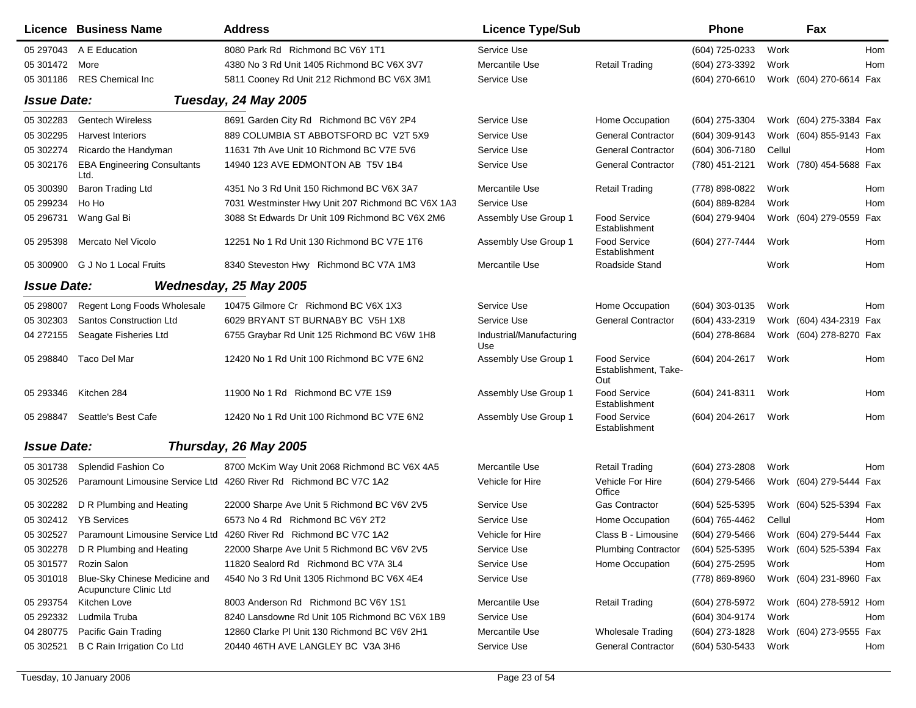|                    | Licence Business Name                                   | <b>Address</b>                                                              | <b>Licence Type/Sub</b>         |                                                    | <b>Phone</b>     |        | Fax                     |            |
|--------------------|---------------------------------------------------------|-----------------------------------------------------------------------------|---------------------------------|----------------------------------------------------|------------------|--------|-------------------------|------------|
| 05 297043          | A E Education                                           | 8080 Park Rd Richmond BC V6Y 1T1                                            | Service Use                     |                                                    | (604) 725-0233   | Work   |                         | Hom        |
| 05 301472          | More                                                    | 4380 No 3 Rd Unit 1405 Richmond BC V6X 3V7                                  | Mercantile Use                  | <b>Retail Trading</b>                              | (604) 273-3392   | Work   |                         | Hom        |
| 05 301186          | <b>RES Chemical Inc</b>                                 | 5811 Cooney Rd Unit 212 Richmond BC V6X 3M1                                 | Service Use                     |                                                    | (604) 270-6610   |        | Work (604) 270-6614 Fax |            |
| <b>Issue Date:</b> |                                                         | Tuesday, 24 May 2005                                                        |                                 |                                                    |                  |        |                         |            |
| 05 302283          | <b>Gentech Wireless</b>                                 | 8691 Garden City Rd Richmond BC V6Y 2P4                                     | Service Use                     | Home Occupation                                    | $(604)$ 275-3304 |        | Work (604) 275-3384 Fax |            |
| 05 302295          | <b>Harvest Interiors</b>                                | 889 COLUMBIA ST ABBOTSFORD BC V2T 5X9                                       | Service Use                     | <b>General Contractor</b>                          | (604) 309-9143   |        | Work (604) 855-9143 Fax |            |
| 05 302274          | Ricardo the Handyman                                    | 11631 7th Ave Unit 10 Richmond BC V7E 5V6                                   | Service Use                     | <b>General Contractor</b>                          | (604) 306-7180   | Cellul |                         | Hom        |
| 05 302176          | <b>EBA Engineering Consultants</b><br>Ltd.              | 14940 123 AVE EDMONTON AB T5V 1B4                                           | Service Use                     | <b>General Contractor</b>                          | (780) 451-2121   |        | Work (780) 454-5688 Fax |            |
| 05 300390          | Baron Trading Ltd                                       | 4351 No 3 Rd Unit 150 Richmond BC V6X 3A7                                   | Mercantile Use                  | <b>Retail Trading</b>                              | (778) 898-0822   | Work   |                         | Hom        |
| 05 299234          | Ho Ho                                                   | 7031 Westminster Hwy Unit 207 Richmond BC V6X 1A3                           | Service Use                     |                                                    | (604) 889-8284   | Work   |                         | Hom        |
| 05 29 6731         | Wang Gal Bi                                             | 3088 St Edwards Dr Unit 109 Richmond BC V6X 2M6                             | Assembly Use Group 1            | <b>Food Service</b><br>Establishment               | (604) 279-9404   |        | Work (604) 279-0559     | Fax        |
| 05 295398          | Mercato Nel Vicolo                                      | 12251 No 1 Rd Unit 130 Richmond BC V7E 1T6                                  | Assembly Use Group 1            | <b>Food Service</b><br>Establishment               | (604) 277-7444   | Work   |                         | Hom        |
|                    | 05 300900 G J No 1 Local Fruits                         | 8340 Steveston Hwy Richmond BC V7A 1M3                                      | Mercantile Use                  | Roadside Stand                                     |                  | Work   |                         | <b>Hom</b> |
| <b>Issue Date:</b> |                                                         | Wednesday, 25 May 2005                                                      |                                 |                                                    |                  |        |                         |            |
| 05 298007          | Regent Long Foods Wholesale                             | 10475 Gilmore Cr Richmond BC V6X 1X3                                        | Service Use                     | Home Occupation                                    | $(604)$ 303-0135 | Work   |                         | Hom        |
| 05 302303          | <b>Santos Construction Ltd</b>                          | 6029 BRYANT ST BURNABY BC V5H 1X8                                           | Service Use                     | <b>General Contractor</b>                          | (604) 433-2319   |        | Work (604) 434-2319 Fax |            |
| 04 272155          | Seagate Fisheries Ltd                                   | 6755 Graybar Rd Unit 125 Richmond BC V6W 1H8                                | Industrial/Manufacturing<br>Use |                                                    | (604) 278-8684   |        | Work (604) 278-8270 Fax |            |
| 05 298840          | Taco Del Mar                                            | 12420 No 1 Rd Unit 100 Richmond BC V7E 6N2                                  | Assembly Use Group 1            | <b>Food Service</b><br>Establishment, Take-<br>Out | (604) 204-2617   | Work   |                         | Hom        |
| 05 293346          | Kitchen 284                                             | 11900 No 1 Rd Richmond BC V7E 1S9                                           | Assembly Use Group 1            | <b>Food Service</b><br>Establishment               | (604) 241-8311   | Work   |                         | Hom        |
| 05 298847          | Seattle's Best Cafe                                     | 12420 No 1 Rd Unit 100 Richmond BC V7E 6N2                                  | Assembly Use Group 1            | <b>Food Service</b><br>Establishment               | (604) 204-2617   | Work   |                         | Hom        |
| <b>Issue Date:</b> |                                                         | Thursday, 26 May 2005                                                       |                                 |                                                    |                  |        |                         |            |
| 05 301738          | Splendid Fashion Co                                     | 8700 McKim Way Unit 2068 Richmond BC V6X 4A5                                | Mercantile Use                  | <b>Retail Trading</b>                              | (604) 273-2808   | Work   |                         | Hom        |
| 05 302526          |                                                         | Paramount Limousine Service Ltd 4260 River Rd Richmond BC V7C 1A2           | Vehicle for Hire                | Vehicle For Hire<br>Office                         | (604) 279-5466   |        | Work (604) 279-5444 Fax |            |
| 05 302282          | D R Plumbing and Heating                                | 22000 Sharpe Ave Unit 5 Richmond BC V6V 2V5                                 | Service Use                     | <b>Gas Contractor</b>                              | (604) 525-5395   |        | Work (604) 525-5394 Fax |            |
|                    | 05 302412  YB Services                                  | 6573 No 4 Rd Richmond BC V6Y 2T2                                            | Service Use                     | Home Occupation                                    | (604) 765-4462   | Cellul |                         | Hom        |
|                    |                                                         | 05 302527 Paramount Limousine Service Ltd 4260 River Rd Richmond BC V7C 1A2 | Vehicle for Hire                | Class B - Limousine                                | (604) 279-5466   |        | Work (604) 279-5444 Fax |            |
| 05 302278          | D R Plumbing and Heating                                | 22000 Sharpe Ave Unit 5 Richmond BC V6V 2V5                                 | Service Use                     | <b>Plumbing Contractor</b>                         | $(604)$ 525-5395 |        | Work (604) 525-5394 Fax |            |
| 05 301577          | Rozin Salon                                             | 11820 Sealord Rd Richmond BC V7A 3L4                                        | Service Use                     | Home Occupation                                    | (604) 275-2595   | Work   |                         | Hom        |
| 05 301018          | Blue-Sky Chinese Medicine and<br>Acupuncture Clinic Ltd | 4540 No 3 Rd Unit 1305 Richmond BC V6X 4E4                                  | Service Use                     |                                                    | (778) 869-8960   |        | Work (604) 231-8960 Fax |            |
| 05 293754          | Kitchen Love                                            | 8003 Anderson Rd Richmond BC V6Y 1S1                                        | Mercantile Use                  | <b>Retail Trading</b>                              | (604) 278-5972   |        | Work (604) 278-5912 Hom |            |
| 05 29 23 32        | Ludmila Truba                                           | 8240 Lansdowne Rd Unit 105 Richmond BC V6X 1B9                              | Service Use                     |                                                    | (604) 304-9174   | Work   |                         | Hom        |
| 04 280775          | Pacific Gain Trading                                    | 12860 Clarke PI Unit 130 Richmond BC V6V 2H1                                | Mercantile Use                  | <b>Wholesale Trading</b>                           | (604) 273-1828   |        | Work (604) 273-9555 Fax |            |
| 05 302521          | <b>B C Rain Irrigation Co Ltd</b>                       | 20440 46TH AVE LANGLEY BC V3A 3H6                                           | Service Use                     | <b>General Contractor</b>                          | (604) 530-5433   | Work   |                         | Hom        |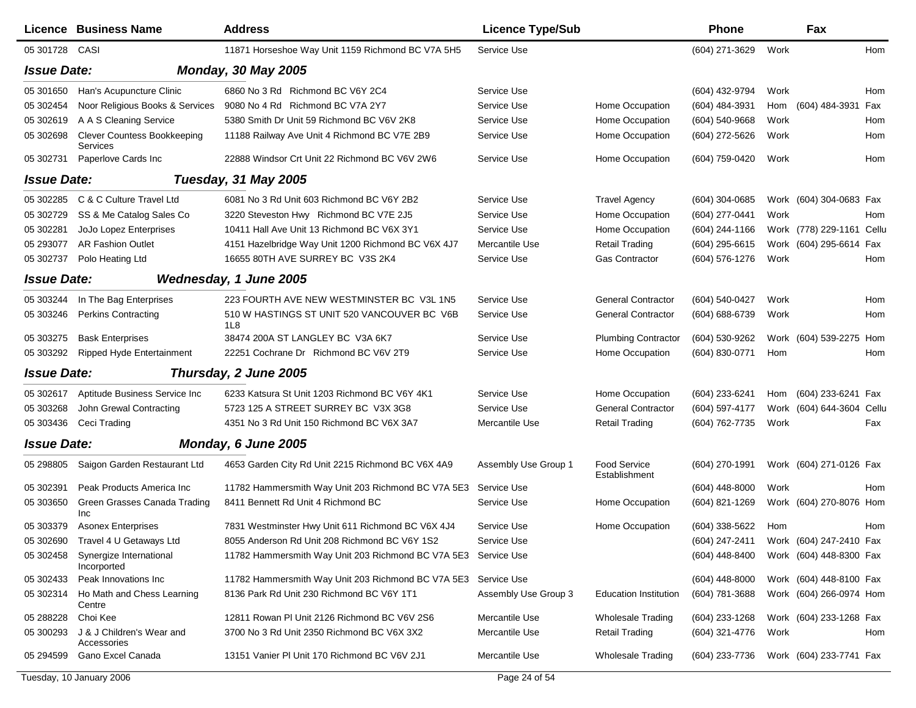|                    | Licence Business Name                          | <b>Address</b>                                                 | <b>Licence Type/Sub</b> |                               | <b>Phone</b>     |      | Fax                       |     |
|--------------------|------------------------------------------------|----------------------------------------------------------------|-------------------------|-------------------------------|------------------|------|---------------------------|-----|
| 05 301728 CASI     |                                                | 11871 Horseshoe Way Unit 1159 Richmond BC V7A 5H5              | Service Use             |                               | (604) 271-3629   | Work |                           | Hom |
| <b>Issue Date:</b> |                                                | <b>Monday, 30 May 2005</b>                                     |                         |                               |                  |      |                           |     |
| 05 301650          | Han's Acupuncture Clinic                       | 6860 No 3 Rd Richmond BC V6Y 2C4                               | Service Use             |                               | (604) 432-9794   | Work |                           | Hom |
| 05 302454          | Noor Religious Books & Services                | 9080 No 4 Rd Richmond BC V7A 2Y7                               | Service Use             | Home Occupation               | (604) 484-3931   | Hom  | (604) 484-3931            | Fax |
| 05 30 2619         | A A S Cleaning Service                         | 5380 Smith Dr Unit 59 Richmond BC V6V 2K8                      | Service Use             | Home Occupation               | (604) 540-9668   | Work |                           | Hom |
| 05 302698          | <b>Clever Countess Bookkeeping</b><br>Services | 11188 Railway Ave Unit 4 Richmond BC V7E 2B9                   | Service Use             | Home Occupation               | (604) 272-5626   | Work |                           | Hom |
| 05 302731          | Paperlove Cards Inc                            | 22888 Windsor Crt Unit 22 Richmond BC V6V 2W6                  | Service Use             | Home Occupation               | (604) 759-0420   | Work |                           | Hom |
| <b>Issue Date:</b> |                                                | <b>Tuesday, 31 May 2005</b>                                    |                         |                               |                  |      |                           |     |
| 05 302285          | C & C Culture Travel Ltd                       | 6081 No 3 Rd Unit 603 Richmond BC V6Y 2B2                      | Service Use             | <b>Travel Agency</b>          | $(604)$ 304-0685 |      | Work (604) 304-0683 Fax   |     |
| 05 302729          | SS & Me Catalog Sales Co                       | 3220 Steveston Hwy Richmond BC V7E 2J5                         | Service Use             | Home Occupation               | (604) 277-0441   | Work |                           | Hom |
| 05 302281          | JoJo Lopez Enterprises                         | 10411 Hall Ave Unit 13 Richmond BC V6X 3Y1                     | Service Use             | Home Occupation               | (604) 244-1166   |      | Work (778) 229-1161 Cellu |     |
| 05 293077          | <b>AR Fashion Outlet</b>                       | 4151 Hazelbridge Way Unit 1200 Richmond BC V6X 4J7             | Mercantile Use          | <b>Retail Trading</b>         | (604) 295-6615   |      | Work (604) 295-6614       | Fax |
| 05 302737          | Polo Heating Ltd                               | 16655 80TH AVE SURREY BC V3S 2K4                               | Service Use             | Gas Contractor                | (604) 576-1276   | Work |                           | Hom |
| <b>Issue Date:</b> |                                                | Wednesday, 1 June 2005                                         |                         |                               |                  |      |                           |     |
| 05 303244          | In The Bag Enterprises                         | 223 FOURTH AVE NEW WESTMINSTER BC V3L 1N5                      | Service Use             | <b>General Contractor</b>     | (604) 540-0427   | Work |                           | Hom |
| 05 303246          | <b>Perkins Contracting</b>                     | 510 W HASTINGS ST UNIT 520 VANCOUVER BC V6B<br>1L8             | Service Use             | <b>General Contractor</b>     | (604) 688-6739   | Work |                           | Hom |
| 05 303275          | <b>Bask Enterprises</b>                        | 38474 200A ST LANGLEY BC V3A 6K7                               | Service Use             | <b>Plumbing Contractor</b>    | (604) 530-9262   |      | Work (604) 539-2275       | Hom |
| 05 303292          | Ripped Hyde Entertainment                      | 22251 Cochrane Dr Richmond BC V6V 2T9                          | Service Use             | Home Occupation               | (604) 830-0771   | Hom  |                           | Hom |
| <b>Issue Date:</b> |                                                | Thursday, 2 June 2005                                          |                         |                               |                  |      |                           |     |
| 05 302617          | Aptitude Business Service Inc                  | 6233 Katsura St Unit 1203 Richmond BC V6Y 4K1                  | Service Use             | Home Occupation               | (604) 233-6241   | Hom  | (604) 233-6241 Fax        |     |
| 05 303268          | John Grewal Contracting                        | 5723 125 A STREET SURREY BC V3X 3G8                            | Service Use             | <b>General Contractor</b>     | (604) 597-4177   |      | Work (604) 644-3604 Cellu |     |
| 05 303436          | Ceci Trading                                   | 4351 No 3 Rd Unit 150 Richmond BC V6X 3A7                      | Mercantile Use          | <b>Retail Trading</b>         | (604) 762-7735   | Work |                           | Fax |
| <b>Issue Date:</b> |                                                | Monday, 6 June 2005                                            |                         |                               |                  |      |                           |     |
| 05 298805          | Saigon Garden Restaurant Ltd                   | 4653 Garden City Rd Unit 2215 Richmond BC V6X 4A9              | Assembly Use Group 1    | Food Service<br>Establishment | $(604)$ 270-1991 |      | Work (604) 271-0126 Fax   |     |
| 05 302391          | Peak Products America Inc                      | 11782 Hammersmith Way Unit 203 Richmond BC V7A 5E3             | Service Use             |                               | $(604)$ 448-8000 | Work |                           | Hom |
| 05 303650          | Green Grasses Canada Trading<br>Inc            | 8411 Bennett Rd Unit 4 Richmond BC                             | Service Use             | Home Occupation               | (604) 821-1269   |      | Work (604) 270-8076 Hom   |     |
| 05 303379          | <b>Asonex Enterprises</b>                      | 7831 Westminster Hwy Unit 611 Richmond BC V6X 4J4              | Service Use             | Home Occupation               | (604) 338-5622   | Hom  |                           | Hom |
| 05 302690          | Travel 4 U Getaways Ltd                        | 8055 Anderson Rd Unit 208 Richmond BC V6Y 1S2                  | Service Use             |                               | (604) 247-2411   |      | Work (604) 247-2410 Fax   |     |
| 05 302458          | Synergize International<br>Incorported         | 11782 Hammersmith Way Unit 203 Richmond BC V7A 5E3 Service Use |                         |                               | $(604)$ 448-8400 |      | Work (604) 448-8300 Fax   |     |
| 05 302433          | Peak Innovations Inc                           | 11782 Hammersmith Way Unit 203 Richmond BC V7A 5E3 Service Use |                         |                               | $(604)$ 448-8000 |      | Work (604) 448-8100 Fax   |     |
| 05 302314          | Ho Math and Chess Learning<br>Centre           | 8136 Park Rd Unit 230 Richmond BC V6Y 1T1                      | Assembly Use Group 3    | <b>Education Institution</b>  | (604) 781-3688   |      | Work (604) 266-0974 Hom   |     |
| 05 288228          | Choi Kee                                       | 12811 Rowan PI Unit 2126 Richmond BC V6V 2S6                   | Mercantile Use          | <b>Wholesale Trading</b>      | (604) 233-1268   |      | Work (604) 233-1268 Fax   |     |
| 05 300293          | J & J Children's Wear and<br>Accessories       | 3700 No 3 Rd Unit 2350 Richmond BC V6X 3X2                     | Mercantile Use          | <b>Retail Trading</b>         | (604) 321-4776   | Work |                           | Hom |
| 05 294599          | Gano Excel Canada                              | 13151 Vanier PI Unit 170 Richmond BC V6V 2J1                   | Mercantile Use          | <b>Wholesale Trading</b>      | (604) 233-7736   |      | Work (604) 233-7741 Fax   |     |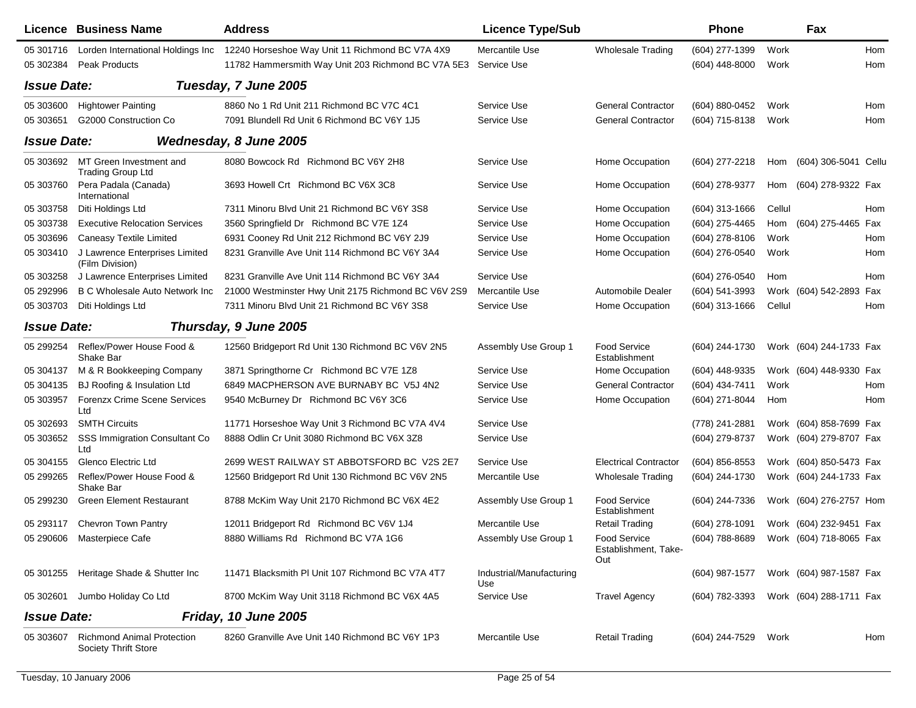|                    | Licence Business Name                                            | <b>Address</b>                                                 | <b>Licence Type/Sub</b>         |                                             | <b>Phone</b>     |        | Fax                     |     |
|--------------------|------------------------------------------------------------------|----------------------------------------------------------------|---------------------------------|---------------------------------------------|------------------|--------|-------------------------|-----|
| 05 301716          | Lorden International Holdings Inc                                | 12240 Horseshoe Way Unit 11 Richmond BC V7A 4X9                | Mercantile Use                  | <b>Wholesale Trading</b>                    | (604) 277-1399   | Work   |                         | Hom |
| 05 302384          | <b>Peak Products</b>                                             | 11782 Hammersmith Way Unit 203 Richmond BC V7A 5E3 Service Use |                                 |                                             | $(604)$ 448-8000 | Work   |                         | Hom |
| <b>Issue Date:</b> |                                                                  | Tuesday, 7 June 2005                                           |                                 |                                             |                  |        |                         |     |
| 05 303600          | <b>Hightower Painting</b>                                        | 8860 No 1 Rd Unit 211 Richmond BC V7C 4C1                      | Service Use                     | <b>General Contractor</b>                   | (604) 880-0452   | Work   |                         | Hom |
| 05 30 3651         | G2000 Construction Co                                            | 7091 Blundell Rd Unit 6 Richmond BC V6Y 1J5                    | Service Use                     | <b>General Contractor</b>                   | (604) 715-8138   | Work   |                         | Hom |
| <b>Issue Date:</b> |                                                                  | Wednesday, 8 June 2005                                         |                                 |                                             |                  |        |                         |     |
| 05 303692          | MT Green Investment and<br><b>Trading Group Ltd</b>              | 8080 Bowcock Rd Richmond BC V6Y 2H8                            | Service Use                     | Home Occupation                             | (604) 277-2218   | Hom    | (604) 306-5041 Cellu    |     |
| 05 303760          | Pera Padala (Canada)<br>International                            | 3693 Howell Crt Richmond BC V6X 3C8                            | Service Use                     | Home Occupation                             | (604) 278-9377   | Hom    | (604) 278-9322 Fax      |     |
| 05 303758          | Diti Holdings Ltd                                                | 7311 Minoru Blvd Unit 21 Richmond BC V6Y 3S8                   | Service Use                     | Home Occupation                             | $(604)$ 313-1666 | Cellul |                         | Hom |
| 05 303738          | <b>Executive Relocation Services</b>                             | 3560 Springfield Dr Richmond BC V7E 1Z4                        | Service Use                     | Home Occupation                             | (604) 275-4465   |        | Hom (604) 275-4465 Fax  |     |
| 05 303696          | <b>Caneasy Textile Limited</b>                                   | 6931 Cooney Rd Unit 212 Richmond BC V6Y 2J9                    | Service Use                     | Home Occupation                             | (604) 278-8106   | Work   |                         | Hom |
| 05 303410          | J Lawrence Enterprises Limited<br>(Film Division)                | 8231 Granville Ave Unit 114 Richmond BC V6Y 3A4                | Service Use                     | Home Occupation                             | (604) 276-0540   | Work   |                         | Hom |
| 05 303258          | J Lawrence Enterprises Limited                                   | 8231 Granville Ave Unit 114 Richmond BC V6Y 3A4                | Service Use                     |                                             | (604) 276-0540   | Hom    |                         | Hom |
| 05 29 29 96        | <b>B C Wholesale Auto Network Inc.</b>                           | 21000 Westminster Hwy Unit 2175 Richmond BC V6V 2S9            | Mercantile Use                  | Automobile Dealer                           | (604) 541-3993   |        | Work (604) 542-2893 Fax |     |
| 05 303703          | Diti Holdings Ltd                                                | 7311 Minoru Blvd Unit 21 Richmond BC V6Y 3S8                   | Service Use                     | Home Occupation                             | $(604)$ 313-1666 | Cellul |                         | Hom |
| <b>Issue Date:</b> |                                                                  | Thursday, 9 June 2005                                          |                                 |                                             |                  |        |                         |     |
| 05 299254          | Reflex/Power House Food &<br>Shake Bar                           | 12560 Bridgeport Rd Unit 130 Richmond BC V6V 2N5               | Assembly Use Group 1            | Food Service<br>Establishment               | (604) 244-1730   |        | Work (604) 244-1733 Fax |     |
| 05 304137          | M & R Bookkeeping Company                                        | 3871 Springthorne Cr Richmond BC V7E 1Z8                       | Service Use                     | Home Occupation                             | (604) 448-9335   |        | Work (604) 448-9330 Fax |     |
| 05 304135          | BJ Roofing & Insulation Ltd                                      | 6849 MACPHERSON AVE BURNABY BC V5J 4N2                         | Service Use                     | <b>General Contractor</b>                   | (604) 434-7411   | Work   |                         | Hom |
| 05 303957          | <b>Forenzx Crime Scene Services</b><br>Ltd                       | 9540 McBurney Dr Richmond BC V6Y 3C6                           | Service Use                     | Home Occupation                             | (604) 271-8044   | Hom    |                         | Hom |
| 05 302693          | <b>SMTH Circuits</b>                                             | 11771 Horseshoe Way Unit 3 Richmond BC V7A 4V4                 | Service Use                     |                                             | (778) 241-2881   |        | Work (604) 858-7699 Fax |     |
| 05 303652          | SSS Immigration Consultant Co<br>Ltd                             | 8888 Odlin Cr Unit 3080 Richmond BC V6X 3Z8                    | Service Use                     |                                             | (604) 279-8737   |        | Work (604) 279-8707 Fax |     |
| 05 304155          | <b>Glenco Electric Ltd</b>                                       | 2699 WEST RAILWAY ST ABBOTSFORD BC V2S 2E7                     | Service Use                     | <b>Electrical Contractor</b>                | (604) 856-8553   |        | Work (604) 850-5473 Fax |     |
| 05 299 265         | Reflex/Power House Food &<br>Shake Bar                           | 12560 Bridgeport Rd Unit 130 Richmond BC V6V 2N5               | Mercantile Use                  | <b>Wholesale Trading</b>                    | (604) 244-1730   |        | Work (604) 244-1733 Fax |     |
| 05 299230          | <b>Green Element Restaurant</b>                                  | 8788 McKim Way Unit 2170 Richmond BC V6X 4E2                   | Assembly Use Group 1            | Food Service<br>Establishment               | (604) 244-7336   |        | Work (604) 276-2757 Hom |     |
| 05 293117          | <b>Chevron Town Pantry</b>                                       | 12011 Bridgeport Rd Richmond BC V6V 1J4                        | Mercantile Use                  | <b>Retail Trading</b>                       | (604) 278-1091   |        | Work (604) 232-9451 Fax |     |
|                    | 05 290606 Masterpiece Cafe                                       | 8880 Williams Rd Richmond BC V7A 1G6                           | Assembly Use Group 1            | Food Service<br>Establishment, Take-<br>Out | (604) 788-8689   |        | Work (604) 718-8065 Fax |     |
|                    | 05 301255 Heritage Shade & Shutter Inc                           | 11471 Blacksmith PI Unit 107 Richmond BC V7A 4T7               | Industrial/Manufacturing<br>Use |                                             | (604) 987-1577   |        | Work (604) 987-1587 Fax |     |
| 05 302601          | Jumbo Holiday Co Ltd                                             | 8700 McKim Way Unit 3118 Richmond BC V6X 4A5                   | Service Use                     | <b>Travel Agency</b>                        | (604) 782-3393   |        | Work (604) 288-1711 Fax |     |
| <b>Issue Date:</b> |                                                                  | <b>Friday, 10 June 2005</b>                                    |                                 |                                             |                  |        |                         |     |
| 05 303607          | <b>Richmond Animal Protection</b><br><b>Society Thrift Store</b> | 8260 Granville Ave Unit 140 Richmond BC V6Y 1P3                | Mercantile Use                  | Retail Trading                              | (604) 244-7529   | Work   |                         | Hom |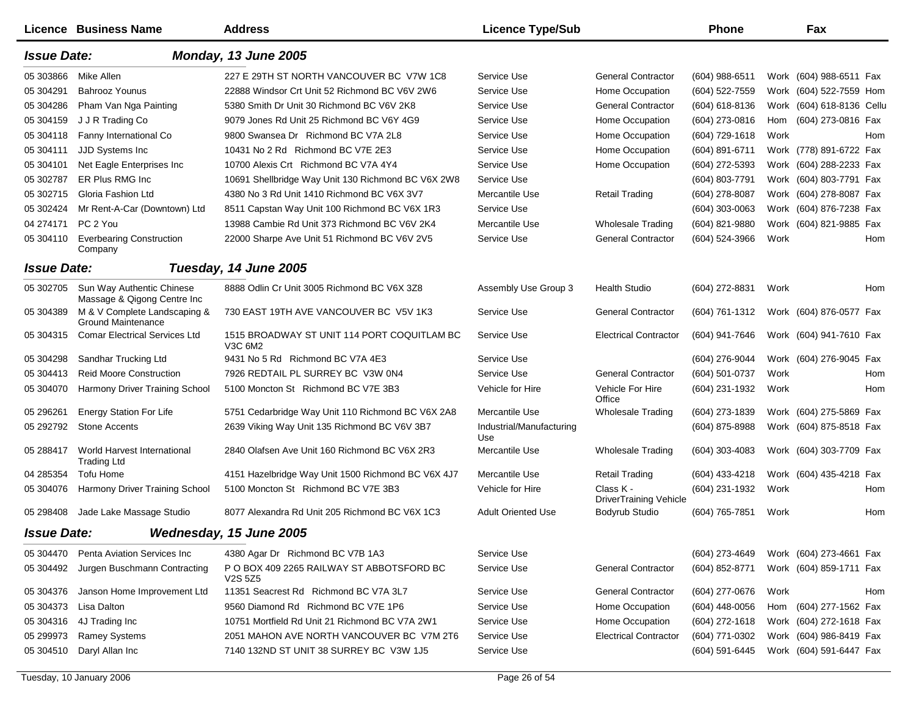|                    | Licence Business Name                                    | <b>Address</b>                                         | <b>Licence Type/Sub</b>         |                                            | <b>Phone</b>   |      | Fax                       |     |
|--------------------|----------------------------------------------------------|--------------------------------------------------------|---------------------------------|--------------------------------------------|----------------|------|---------------------------|-----|
| <b>Issue Date:</b> |                                                          | Monday, 13 June 2005                                   |                                 |                                            |                |      |                           |     |
| 05 303866          | Mike Allen                                               | 227 E 29TH ST NORTH VANCOUVER BC V7W 1C8               | Service Use                     | <b>General Contractor</b>                  | (604) 988-6511 |      | Work (604) 988-6511 Fax   |     |
| 05 304291          | <b>Bahrooz Younus</b>                                    | 22888 Windsor Crt Unit 52 Richmond BC V6V 2W6          | Service Use                     | Home Occupation                            | (604) 522-7559 |      | Work (604) 522-7559 Hom   |     |
| 05 304286          | Pham Van Nga Painting                                    | 5380 Smith Dr Unit 30 Richmond BC V6V 2K8              | Service Use                     | <b>General Contractor</b>                  | (604) 618-8136 |      | Work (604) 618-8136 Cellu |     |
| 05 304159          | J J R Trading Co                                         | 9079 Jones Rd Unit 25 Richmond BC V6Y 4G9              | Service Use                     | Home Occupation                            | (604) 273-0816 | Hom  | (604) 273-0816 Fax        |     |
| 05 304118          | Fanny International Co                                   | 9800 Swansea Dr Richmond BC V7A 2L8                    | Service Use                     | Home Occupation                            | (604) 729-1618 | Work |                           | Hom |
| 05 304111          | JJD Systems Inc                                          | 10431 No 2 Rd Richmond BC V7E 2E3                      | Service Use                     | Home Occupation                            | (604) 891-6711 |      | Work (778) 891-6722 Fax   |     |
| 05 304101          | Net Eagle Enterprises Inc.                               | 10700 Alexis Crt Richmond BC V7A 4Y4                   | Service Use                     | Home Occupation                            | (604) 272-5393 |      | Work (604) 288-2233 Fax   |     |
| 05 302787          | ER Plus RMG Inc                                          | 10691 Shellbridge Way Unit 130 Richmond BC V6X 2W8     | Service Use                     |                                            | (604) 803-7791 |      | Work (604) 803-7791 Fax   |     |
| 05 302715          | Gloria Fashion Ltd                                       | 4380 No 3 Rd Unit 1410 Richmond BC V6X 3V7             | Mercantile Use                  | <b>Retail Trading</b>                      | (604) 278-8087 |      | Work (604) 278-8087 Fax   |     |
| 05 302424          | Mr Rent-A-Car (Downtown) Ltd                             | 8511 Capstan Way Unit 100 Richmond BC V6X 1R3          | Service Use                     |                                            | (604) 303-0063 |      | Work (604) 876-7238 Fax   |     |
| 04 274171          | PC 2 You                                                 | 13988 Cambie Rd Unit 373 Richmond BC V6V 2K4           | Mercantile Use                  | <b>Wholesale Trading</b>                   | (604) 821-9880 |      | Work (604) 821-9885 Fax   |     |
| 05 304110          | <b>Everbearing Construction</b><br>Company               | 22000 Sharpe Ave Unit 51 Richmond BC V6V 2V5           | Service Use                     | <b>General Contractor</b>                  | (604) 524-3966 | Work |                           | Hom |
| <b>Issue Date:</b> |                                                          | Tuesday, 14 June 2005                                  |                                 |                                            |                |      |                           |     |
| 05 302705          | Sun Way Authentic Chinese<br>Massage & Qigong Centre Inc | 8888 Odlin Cr Unit 3005 Richmond BC V6X 3Z8            | Assembly Use Group 3            | <b>Health Studio</b>                       | (604) 272-8831 | Work |                           | Hom |
| 05 304389          | M & V Complete Landscaping &<br>Ground Maintenance       | 730 EAST 19TH AVE VANCOUVER BC V5V 1K3                 | Service Use                     | <b>General Contractor</b>                  | (604) 761-1312 |      | Work (604) 876-0577 Fax   |     |
| 05 304315          | <b>Comar Electrical Services Ltd</b>                     | 1515 BROADWAY ST UNIT 114 PORT COQUITLAM BC<br>V3C 6M2 | Service Use                     | <b>Electrical Contractor</b>               | (604) 941-7646 |      | Work (604) 941-7610 Fax   |     |
| 05 304298          | Sandhar Trucking Ltd                                     | 9431 No 5 Rd Richmond BC V7A 4E3                       | Service Use                     |                                            | (604) 276-9044 |      | Work (604) 276-9045 Fax   |     |
| 05 304413          | <b>Reid Moore Construction</b>                           | 7926 REDTAIL PL SURREY BC V3W 0N4                      | Service Use                     | <b>General Contractor</b>                  | (604) 501-0737 | Work |                           | Hom |
| 05 304070          | Harmony Driver Training School                           | 5100 Moncton St Richmond BC V7E 3B3                    | Vehicle for Hire                | Vehicle For Hire<br>Office                 | (604) 231-1932 | Work |                           | Hom |
| 05 29 62 61        | <b>Energy Station For Life</b>                           | 5751 Cedarbridge Way Unit 110 Richmond BC V6X 2A8      | Mercantile Use                  | <b>Wholesale Trading</b>                   | (604) 273-1839 |      | Work (604) 275-5869 Fax   |     |
| 05 29 27 92        | <b>Stone Accents</b>                                     | 2639 Viking Way Unit 135 Richmond BC V6V 3B7           | Industrial/Manufacturing<br>Use |                                            | (604) 875-8988 |      | Work (604) 875-8518 Fax   |     |
| 05 288417          | World Harvest International<br><b>Trading Ltd</b>        | 2840 Olafsen Ave Unit 160 Richmond BC V6X 2R3          | Mercantile Use                  | <b>Wholesale Trading</b>                   | (604) 303-4083 |      | Work (604) 303-7709 Fax   |     |
| 04 285354          | Tofu Home                                                | 4151 Hazelbridge Way Unit 1500 Richmond BC V6X 4J7     | Mercantile Use                  | <b>Retail Trading</b>                      | (604) 433-4218 |      | Work (604) 435-4218 Fax   |     |
| 05 304076          | Harmony Driver Training School                           | 5100 Moncton St Richmond BC V7E 3B3                    | Vehicle for Hire                | Class K -<br><b>DriverTraining Vehicle</b> | (604) 231-1932 | Work |                           | Hom |
| 05 298408          | Jade Lake Massage Studio                                 | 8077 Alexandra Rd Unit 205 Richmond BC V6X 1C3         | <b>Adult Oriented Use</b>       | Bodyrub Studio                             | (604) 765-7851 | Work |                           | Hom |
| <b>Issue Date:</b> |                                                          | Wednesday, 15 June 2005                                |                                 |                                            |                |      |                           |     |
| 05 304470          | Penta Aviation Services Inc                              | 4380 Agar Dr Richmond BC V7B 1A3                       | Service Use                     |                                            | (604) 273-4649 |      | Work (604) 273-4661 Fax   |     |
| 05 304492          | Jurgen Buschmann Contracting                             | P O BOX 409 2265 RAILWAY ST ABBOTSFORD BC<br>V2S 5Z5   | Service Use                     | <b>General Contractor</b>                  | (604) 852-8771 |      | Work (604) 859-1711 Fax   |     |
| 05 304376          | Janson Home Improvement Ltd                              | 11351 Seacrest Rd Richmond BC V7A 3L7                  | Service Use                     | <b>General Contractor</b>                  | (604) 277-0676 | Work |                           | Hom |
| 05 304373          | Lisa Dalton                                              | 9560 Diamond Rd Richmond BC V7E 1P6                    | Service Use                     | Home Occupation                            | (604) 448-0056 |      | Hom (604) 277-1562 Fax    |     |
| 05 304316          | 4J Trading Inc                                           | 10751 Mortfield Rd Unit 21 Richmond BC V7A 2W1         | Service Use                     | Home Occupation                            | (604) 272-1618 |      | Work (604) 272-1618 Fax   |     |
| 05 299973          | <b>Ramey Systems</b>                                     | 2051 MAHON AVE NORTH VANCOUVER BC V7M 2T6              | Service Use                     | <b>Electrical Contractor</b>               | (604) 771-0302 |      | Work (604) 986-8419 Fax   |     |
| 05 304510          | Daryl Allan Inc                                          | 7140 132ND ST UNIT 38 SURREY BC V3W 1J5                | Service Use                     |                                            | (604) 591-6445 |      | Work (604) 591-6447 Fax   |     |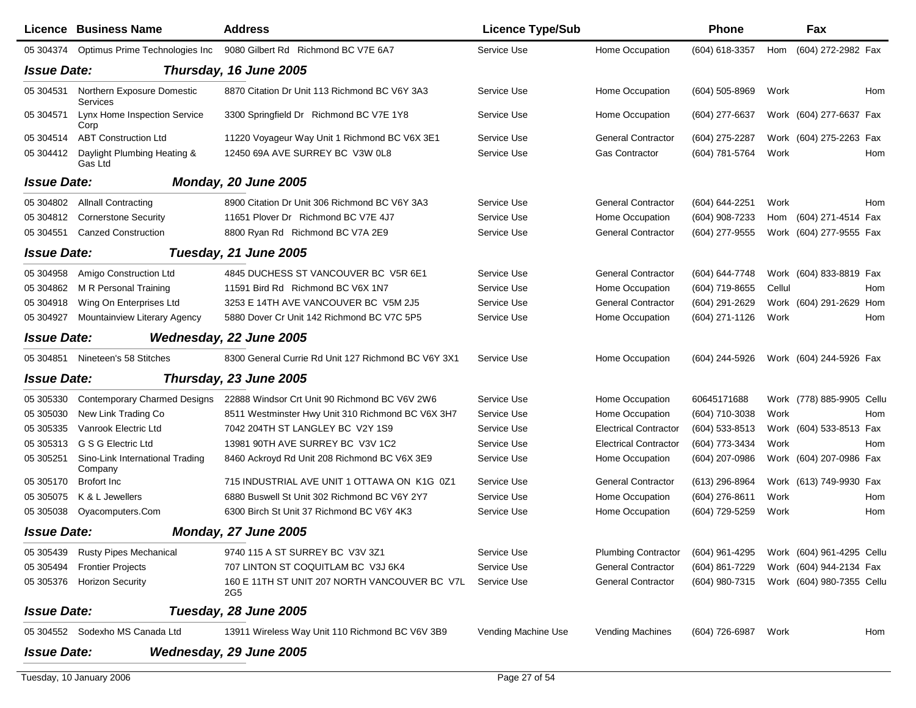|                    | <b>Licence Business Name</b>                  | <b>Address</b>                                                   | <b>Licence Type/Sub</b> |                              | Phone            |        | Fax                        |
|--------------------|-----------------------------------------------|------------------------------------------------------------------|-------------------------|------------------------------|------------------|--------|----------------------------|
|                    | 05 304374 Optimus Prime Technologies Inc      | 9080 Gilbert Rd Richmond BC V7E 6A7                              | Service Use             | Home Occupation              | (604) 618-3357   | Hom    | (604) 272-2982 Fax         |
| <b>Issue Date:</b> |                                               | Thursday, 16 June 2005                                           |                         |                              |                  |        |                            |
| 05 304531          | Northern Exposure Domestic<br><b>Services</b> | 8870 Citation Dr Unit 113 Richmond BC V6Y 3A3                    | Service Use             | Home Occupation              | (604) 505-8969   | Work   | Hom                        |
| 05 304571          | Lynx Home Inspection Service<br>Corp          | 3300 Springfield Dr Richmond BC V7E 1Y8                          | Service Use             | Home Occupation              | $(604)$ 277-6637 |        | Work (604) 277-6637 Fax    |
| 05 304514          | <b>ABT Construction Ltd</b>                   | 11220 Voyageur Way Unit 1 Richmond BC V6X 3E1                    | Service Use             | <b>General Contractor</b>    | (604) 275-2287   |        | Work (604) 275-2263 Fax    |
| 05 304412          | Daylight Plumbing Heating &<br>Gas Ltd        | 12450 69A AVE SURREY BC V3W 0L8                                  | Service Use             | <b>Gas Contractor</b>        | (604) 781-5764   | Work   | Hom                        |
| <b>Issue Date:</b> |                                               | <b>Monday, 20 June 2005</b>                                      |                         |                              |                  |        |                            |
| 05 304802          | <b>Allnall Contracting</b>                    | 8900 Citation Dr Unit 306 Richmond BC V6Y 3A3                    | Service Use             | <b>General Contractor</b>    | (604) 644-2251   | Work   | Hom                        |
| 05 304812          | <b>Cornerstone Security</b>                   | 11651 Plover Dr Richmond BC V7E 4J7                              | Service Use             | Home Occupation              | (604) 908-7233   | Hom    | (604) 271-4514 Fax         |
| 05 304551          | <b>Canzed Construction</b>                    | 8800 Ryan Rd Richmond BC V7A 2E9                                 | Service Use             | <b>General Contractor</b>    | (604) 277-9555   |        | Work (604) 277-9555 Fax    |
| <b>Issue Date:</b> |                                               | Tuesday, 21 June 2005                                            |                         |                              |                  |        |                            |
| 05 304958          | Amigo Construction Ltd                        | 4845 DUCHESS ST VANCOUVER BC V5R 6E1                             | Service Use             | <b>General Contractor</b>    | (604) 644-7748   |        | Work (604) 833-8819 Fax    |
| 05 304862          | M R Personal Training                         | 11591 Bird Rd Richmond BC V6X 1N7                                | Service Use             | Home Occupation              | (604) 719-8655   | Cellul | Hom                        |
| 05 304918          | Wing On Enterprises Ltd                       | 3253 E 14TH AVE VANCOUVER BC V5M 2J5                             | Service Use             | <b>General Contractor</b>    | (604) 291-2629   |        | Work (604) 291-2629<br>Hom |
| 05 304927          | Mountainview Literary Agency                  | 5880 Dover Cr Unit 142 Richmond BC V7C 5P5                       | Service Use             | Home Occupation              | (604) 271-1126   | Work   | Hom                        |
| <b>Issue Date:</b> |                                               | Wednesday, 22 June 2005                                          |                         |                              |                  |        |                            |
|                    | 05 304851 Nineteen's 58 Stitches              | 8300 General Currie Rd Unit 127 Richmond BC V6Y 3X1              | Service Use             | Home Occupation              | (604) 244-5926   |        | Work (604) 244-5926 Fax    |
| <b>Issue Date:</b> |                                               | Thursday, 23 June 2005                                           |                         |                              |                  |        |                            |
| 05 30 5330         | <b>Contemporary Charmed Designs</b>           | 22888 Windsor Crt Unit 90 Richmond BC V6V 2W6                    | Service Use             | Home Occupation              | 60645171688      |        | Work (778) 885-9905 Cellu  |
| 05 305030          | New Link Trading Co                           | 8511 Westminster Hwy Unit 310 Richmond BC V6X 3H7                | Service Use             | Home Occupation              | (604) 710-3038   | Work   | Hom                        |
| 05 30 5335         | Vanrook Electric Ltd                          | 7042 204TH ST LANGLEY BC V2Y 1S9                                 | Service Use             | <b>Electrical Contractor</b> | (604) 533-8513   |        | Work (604) 533-8513 Fax    |
| 05 30 5313         | G S G Electric Ltd                            | 13981 90TH AVE SURREY BC V3V 1C2                                 | Service Use             | <b>Electrical Contractor</b> | (604) 773-3434   | Work   | Hom                        |
| 05 30 5251         | Sino-Link International Trading<br>Company    | 8460 Ackroyd Rd Unit 208 Richmond BC V6X 3E9                     | Service Use             | Home Occupation              | (604) 207-0986   |        | Work (604) 207-0986 Fax    |
| 05 30 5170         | <b>Brofort</b> Inc                            | 715 INDUSTRIAL AVE UNIT 1 OTTAWA ON K1G 0Z1                      | Service Use             | <b>General Contractor</b>    | (613) 296-8964   |        | Work (613) 749-9930 Fax    |
| 05 30 50 75        | K & L Jewellers                               | 6880 Buswell St Unit 302 Richmond BC V6Y 2Y7                     | Service Use             | Home Occupation              | (604) 276-8611   | Work   | Hom                        |
| 05 30 50 38        | Oyacomputers.Com                              | 6300 Birch St Unit 37 Richmond BC V6Y 4K3                        | Service Use             | Home Occupation              | (604) 729-5259   | Work   | Hom                        |
| <b>Issue Date:</b> |                                               | <b>Monday, 27 June 2005</b>                                      |                         |                              |                  |        |                            |
| 05 305439          | <b>Rusty Pipes Mechanical</b>                 | 9740 115 A ST SURREY BC V3V 3Z1                                  | Service Use             | <b>Plumbing Contractor</b>   | (604) 961-4295   |        | Work (604) 961-4295 Cellu  |
| 05 30 54 94        | <b>Frontier Projects</b>                      | 707 LINTON ST COQUITLAM BC V3J 6K4                               | Service Use             | <b>General Contractor</b>    | (604) 861-7229   |        | Work (604) 944-2134 Fax    |
| 05 305376          | <b>Horizon Security</b>                       | 160 E 11TH ST UNIT 207 NORTH VANCOUVER BC V7L<br>2G <sub>5</sub> | Service Use             | <b>General Contractor</b>    | (604) 980-7315   |        | Work (604) 980-7355 Cellu  |
| <b>Issue Date:</b> |                                               | Tuesday, 28 June 2005                                            |                         |                              |                  |        |                            |
|                    | 05 304552 Sodexho MS Canada Ltd               | 13911 Wireless Way Unit 110 Richmond BC V6V 3B9                  | Vending Machine Use     | <b>Vending Machines</b>      | (604) 726-6987   | Work   | Hom                        |
| <b>Issue Date:</b> |                                               | Wednesday, 29 June 2005                                          |                         |                              |                  |        |                            |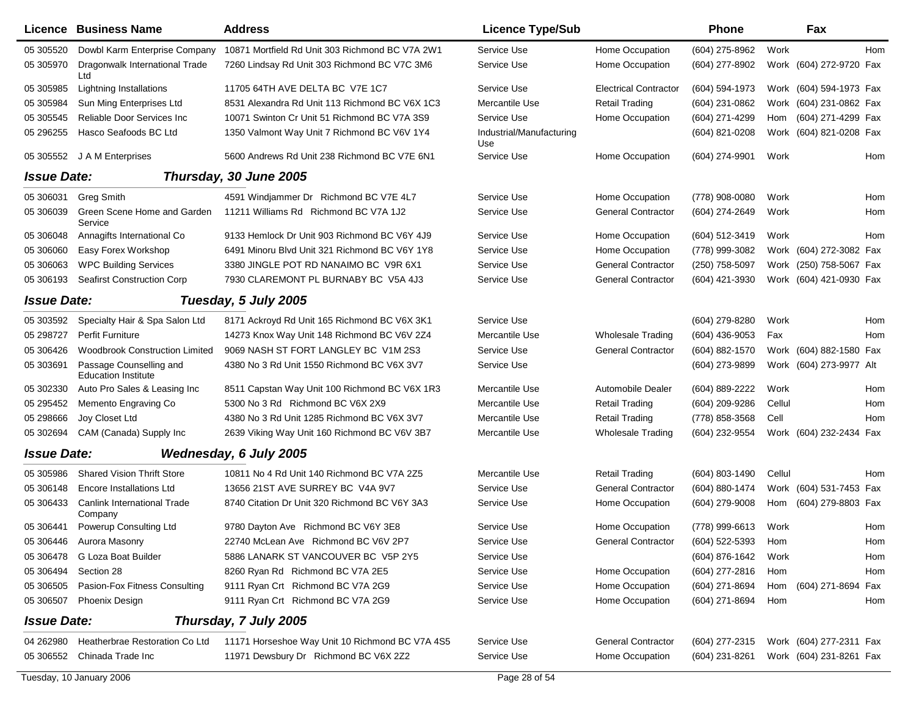|                    | <b>Licence Business Name</b>                          | <b>Address</b>                                  | <b>Licence Type/Sub</b>         |                              | Phone          |        | Fax                     |     |
|--------------------|-------------------------------------------------------|-------------------------------------------------|---------------------------------|------------------------------|----------------|--------|-------------------------|-----|
| 05 30 5520         | Dowbl Karm Enterprise Company                         | 10871 Mortfield Rd Unit 303 Richmond BC V7A 2W1 | Service Use                     | Home Occupation              | (604) 275-8962 | Work   |                         | Hom |
| 05 30 5970         | Dragonwalk International Trade<br>Ltd                 | 7260 Lindsay Rd Unit 303 Richmond BC V7C 3M6    | Service Use                     | Home Occupation              | (604) 277-8902 |        | Work (604) 272-9720 Fax |     |
| 05 30 5985         | Lightning Installations                               | 11705 64TH AVE DELTA BC V7E 1C7                 | Service Use                     | <b>Electrical Contractor</b> | (604) 594-1973 |        | Work (604) 594-1973 Fax |     |
| 05 30 5984         | Sun Ming Enterprises Ltd                              | 8531 Alexandra Rd Unit 113 Richmond BC V6X 1C3  | Mercantile Use                  | <b>Retail Trading</b>        | (604) 231-0862 |        | Work (604) 231-0862 Fax |     |
| 05 30 5545         | Reliable Door Services Inc                            | 10071 Swinton Cr Unit 51 Richmond BC V7A 3S9    | Service Use                     | Home Occupation              | (604) 271-4299 | Hom    | (604) 271-4299 Fax      |     |
| 05 29 62 55        | Hasco Seafoods BC Ltd                                 | 1350 Valmont Way Unit 7 Richmond BC V6V 1Y4     | Industrial/Manufacturing<br>Use |                              | (604) 821-0208 |        | Work (604) 821-0208 Fax |     |
| 05 30 5552         | J A M Enterprises                                     | 5600 Andrews Rd Unit 238 Richmond BC V7E 6N1    | Service Use                     | Home Occupation              | (604) 274-9901 | Work   |                         | Hom |
| <b>Issue Date:</b> |                                                       | Thursday, 30 June 2005                          |                                 |                              |                |        |                         |     |
| 05 30 6031         | <b>Greg Smith</b>                                     | 4591 Windjammer Dr Richmond BC V7E 4L7          | Service Use                     | Home Occupation              | (778) 908-0080 | Work   |                         | Hom |
| 05 30 60 39        | Green Scene Home and Garden<br>Service                | 11211 Williams Rd Richmond BC V7A 1J2           | Service Use                     | <b>General Contractor</b>    | (604) 274-2649 | Work   |                         | Hom |
| 05 30 6048         | Annagifts International Co                            | 9133 Hemlock Dr Unit 903 Richmond BC V6Y 4J9    | Service Use                     | Home Occupation              | (604) 512-3419 | Work   |                         | Hom |
| 05 30 60 60        | Easy Forex Workshop                                   | 6491 Minoru Blvd Unit 321 Richmond BC V6Y 1Y8   | Service Use                     | Home Occupation              | (778) 999-3082 |        | Work (604) 272-3082 Fax |     |
| 05 30 60 63        | <b>WPC Building Services</b>                          | 3380 JINGLE POT RD NANAIMO BC V9R 6X1           | Service Use                     | <b>General Contractor</b>    | (250) 758-5097 |        | Work (250) 758-5067 Fax |     |
| 05 30 6193         | <b>Seafirst Construction Corp</b>                     | 7930 CLAREMONT PL BURNABY BC V5A 4J3            | Service Use                     | <b>General Contractor</b>    | (604) 421-3930 |        | Work (604) 421-0930 Fax |     |
| <b>Issue Date:</b> |                                                       | Tuesday, 5 July 2005                            |                                 |                              |                |        |                         |     |
| 05 303592          | Specialty Hair & Spa Salon Ltd                        | 8171 Ackroyd Rd Unit 165 Richmond BC V6X 3K1    | Service Use                     |                              | (604) 279-8280 | Work   |                         | Hom |
| 05 298727          | <b>Perfit Furniture</b>                               | 14273 Knox Way Unit 148 Richmond BC V6V 2Z4     | Mercantile Use                  | <b>Wholesale Trading</b>     | (604) 436-9053 | Fax    |                         | Hom |
| 05 30 64 26        | <b>Woodbrook Construction Limited</b>                 | 9069 NASH ST FORT LANGLEY BC V1M 2S3            | Service Use                     | <b>General Contractor</b>    | (604) 882-1570 |        | Work (604) 882-1580 Fax |     |
| 05 303691          | Passage Counselling and<br><b>Education Institute</b> | 4380 No 3 Rd Unit 1550 Richmond BC V6X 3V7      | Service Use                     |                              | (604) 273-9899 |        | Work (604) 273-9977 Alt |     |
| 05 302330          | Auto Pro Sales & Leasing Inc                          | 8511 Capstan Way Unit 100 Richmond BC V6X 1R3   | Mercantile Use                  | Automobile Dealer            | (604) 889-2222 | Work   |                         | Hom |
| 05 29 54 52        | Memento Engraving Co                                  | 5300 No 3 Rd Richmond BC V6X 2X9                | Mercantile Use                  | <b>Retail Trading</b>        | (604) 209-9286 | Cellul |                         | Hom |
| 05 298666          | Joy Closet Ltd                                        | 4380 No 3 Rd Unit 1285 Richmond BC V6X 3V7      | Mercantile Use                  | <b>Retail Trading</b>        | (778) 858-3568 | Cell   |                         | Hom |
| 05 302694          | CAM (Canada) Supply Inc                               | 2639 Viking Way Unit 160 Richmond BC V6V 3B7    | Mercantile Use                  | <b>Wholesale Trading</b>     | (604) 232-9554 |        | Work (604) 232-2434 Fax |     |
| <b>Issue Date:</b> |                                                       | Wednesday, 6 July 2005                          |                                 |                              |                |        |                         |     |
| 05 30 5986         | <b>Shared Vision Thrift Store</b>                     | 10811 No 4 Rd Unit 140 Richmond BC V7A 2Z5      | Mercantile Use                  | <b>Retail Trading</b>        | (604) 803-1490 | Cellul |                         | Hom |
| 05 30 6148         | <b>Encore Installations Ltd</b>                       | 13656 21ST AVE SURREY BC V4A 9V7                | Service Use                     | <b>General Contractor</b>    | (604) 880-1474 |        | Work (604) 531-7453 Fax |     |
| 05 30 64 33        | Canlink International Trade<br>Company                | 8740 Citation Dr Unit 320 Richmond BC V6Y 3A3   | Service Use                     | Home Occupation              | (604) 279-9008 | Hom    | (604) 279-8803 Fax      |     |
| 05 30 6441         | Powerup Consulting Ltd                                | 9780 Dayton Ave Richmond BC V6Y 3E8             | Service Use                     | Home Occupation              | (778) 999-6613 | Work   |                         | Hom |
|                    | 05 306446 Aurora Masonry                              | 22740 McLean Ave Richmond BC V6V 2P7            | Service Use                     | General Contractor           | (604) 522-5393 | Hom    |                         | Hom |
| 05 30 6478         | G Loza Boat Builder                                   | 5886 LANARK ST VANCOUVER BC V5P 2Y5             | Service Use                     |                              | (604) 876-1642 | Work   |                         | Hom |
| 05 306494          | Section 28                                            | 8260 Ryan Rd Richmond BC V7A 2E5                | Service Use                     | Home Occupation              | (604) 277-2816 | Hom    |                         | Hom |
| 05 30 650 5        | Pasion-Fox Fitness Consulting                         | 9111 Ryan Crt Richmond BC V7A 2G9               | Service Use                     | Home Occupation              | (604) 271-8694 | Hom    | (604) 271-8694 Fax      |     |
| 05 30 6507         | <b>Phoenix Design</b>                                 | 9111 Ryan Crt Richmond BC V7A 2G9               | Service Use                     | Home Occupation              | (604) 271-8694 | Hom    |                         | Hom |
| <b>Issue Date:</b> |                                                       | Thursday, 7 July 2005                           |                                 |                              |                |        |                         |     |
| 04 26 29 80        | Heatherbrae Restoration Co Ltd                        | 11171 Horseshoe Way Unit 10 Richmond BC V7A 4S5 | Service Use                     | <b>General Contractor</b>    | (604) 277-2315 |        | Work (604) 277-2311 Fax |     |
|                    | 05 306552 Chinada Trade Inc                           | 11971 Dewsbury Dr Richmond BC V6X 2Z2           | Service Use                     | Home Occupation              | (604) 231-8261 |        | Work (604) 231-8261 Fax |     |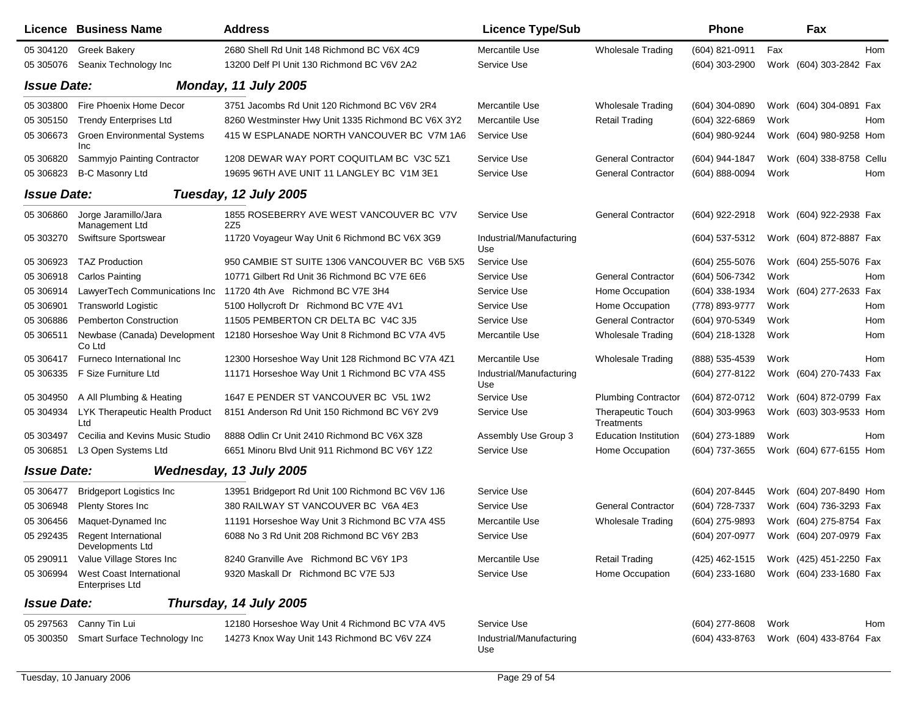|                    | Licence Business Name                        | <b>Address</b>                                              | <b>Licence Type/Sub</b>         |                                 | Phone            |      | Fax                       |     |
|--------------------|----------------------------------------------|-------------------------------------------------------------|---------------------------------|---------------------------------|------------------|------|---------------------------|-----|
| 05 304120          | <b>Greek Bakery</b>                          | 2680 Shell Rd Unit 148 Richmond BC V6X 4C9                  | Mercantile Use                  | <b>Wholesale Trading</b>        | (604) 821-0911   | Fax  |                           | Hom |
| 05 30 50 76        | Seanix Technology Inc                        | 13200 Delf PI Unit 130 Richmond BC V6V 2A2                  | Service Use                     |                                 | $(604)$ 303-2900 |      | Work (604) 303-2842 Fax   |     |
| <b>Issue Date:</b> |                                              | Monday, 11 July 2005                                        |                                 |                                 |                  |      |                           |     |
| 05 303800          | Fire Phoenix Home Decor                      | 3751 Jacombs Rd Unit 120 Richmond BC V6V 2R4                | Mercantile Use                  | <b>Wholesale Trading</b>        | (604) 304-0890   |      | Work (604) 304-0891 Fax   |     |
| 05 30 5150         | <b>Trendy Enterprises Ltd</b>                | 8260 Westminster Hwy Unit 1335 Richmond BC V6X 3Y2          | Mercantile Use                  | <b>Retail Trading</b>           | (604) 322-6869   | Work |                           | Hom |
| 05 30 6673         | <b>Groen Environmental Systems</b><br>Inc    | 415 W ESPLANADE NORTH VANCOUVER BC V7M 1A6                  | Service Use                     |                                 | (604) 980-9244   |      | Work (604) 980-9258 Hom   |     |
| 05 30 68 20        | Sammyjo Painting Contractor                  | 1208 DEWAR WAY PORT COQUITLAM BC V3C 5Z1                    | Service Use                     | <b>General Contractor</b>       | (604) 944-1847   |      | Work (604) 338-8758 Cellu |     |
| 05 30 6823         | <b>B-C Masonry Ltd</b>                       | 19695 96TH AVE UNIT 11 LANGLEY BC V1M 3E1                   | Service Use                     | <b>General Contractor</b>       | (604) 888-0094   | Work |                           | Hom |
| <b>Issue Date:</b> |                                              | Tuesday, 12 July 2005                                       |                                 |                                 |                  |      |                           |     |
| 05 30 6860         | Jorge Jaramillo/Jara<br>Management Ltd       | 1855 ROSEBERRY AVE WEST VANCOUVER BC V7V<br>2Z <sub>5</sub> | Service Use                     | <b>General Contractor</b>       | (604) 922-2918   |      | Work (604) 922-2938 Fax   |     |
| 05 303270          | Swiftsure Sportswear                         | 11720 Voyageur Way Unit 6 Richmond BC V6X 3G9               | Industrial/Manufacturing<br>Use |                                 | (604) 537-5312   |      | Work (604) 872-8887 Fax   |     |
| 05 30 69 23        | <b>TAZ Production</b>                        | 950 CAMBIE ST SUITE 1306 VANCOUVER BC V6B 5X5               | Service Use                     |                                 | (604) 255-5076   |      | Work (604) 255-5076 Fax   |     |
| 05 30 6918         | <b>Carlos Painting</b>                       | 10771 Gilbert Rd Unit 36 Richmond BC V7E 6E6                | Service Use                     | <b>General Contractor</b>       | (604) 506-7342   | Work |                           | Hom |
| 05 30 6914         | LawyerTech Communications Inc                | 11720 4th Ave Richmond BC V7E 3H4                           | Service Use                     | Home Occupation                 | (604) 338-1934   |      | Work (604) 277-2633 Fax   |     |
| 05 30 6901         | <b>Transworld Logistic</b>                   | 5100 Hollvcroft Dr Richmond BC V7E 4V1                      | Service Use                     | Home Occupation                 | (778) 893-9777   | Work |                           | Hom |
| 05 30 6886         | <b>Pemberton Construction</b>                | 11505 PEMBERTON CR DELTA BC V4C 3J5                         | Service Use                     | <b>General Contractor</b>       | (604) 970-5349   | Work |                           | Hom |
| 05 30 6511         | Newbase (Canada) Development<br>Co Ltd       | 12180 Horseshoe Way Unit 8 Richmond BC V7A 4V5              | Mercantile Use                  | <b>Wholesale Trading</b>        | (604) 218-1328   | Work |                           | Hom |
| 05 30 6417         | Furneco International Inc                    | 12300 Horseshoe Way Unit 128 Richmond BC V7A 4Z1            | Mercantile Use                  | <b>Wholesale Trading</b>        | (888) 535-4539   | Work |                           | Hom |
| 05 30 6335         | F Size Furniture Ltd                         | 11171 Horseshoe Way Unit 1 Richmond BC V7A 4S5              | Industrial/Manufacturing<br>Use |                                 | (604) 277-8122   |      | Work (604) 270-7433 Fax   |     |
| 05 304950          | A All Plumbing & Heating                     | 1647 E PENDER ST VANCOUVER BC V5L 1W2                       | Service Use                     | <b>Plumbing Contractor</b>      | (604) 872-0712   |      | Work (604) 872-0799 Fax   |     |
| 05 304934          | <b>LYK Therapeutic Health Product</b><br>Ltd | 8151 Anderson Rd Unit 150 Richmond BC V6Y 2V9               | Service Use                     | Therapeutic Touch<br>Treatments | $(604)$ 303-9963 |      | Work (603) 303-9533 Hom   |     |
| 05 30 349 7        | Cecilia and Kevins Music Studio              | 8888 Odlin Cr Unit 2410 Richmond BC V6X 3Z8                 | Assembly Use Group 3            | <b>Education Institution</b>    | (604) 273-1889   | Work |                           | Hom |
| 05 30 6851         | L3 Open Systems Ltd                          | 6651 Minoru Blvd Unit 911 Richmond BC V6Y 1Z2               | Service Use                     | Home Occupation                 | (604) 737-3655   |      | Work (604) 677-6155 Hom   |     |
| <b>Issue Date:</b> |                                              | Wednesday, 13 July 2005                                     |                                 |                                 |                  |      |                           |     |
| 05 30 6477         | <b>Bridgeport Logistics Inc</b>              | 13951 Bridgeport Rd Unit 100 Richmond BC V6V 1J6            | Service Use                     |                                 | (604) 207-8445   |      | Work (604) 207-8490 Hom   |     |
| 05 30 6948         | Plenty Stores Inc                            | 380 RAILWAY ST VANCOUVER BC V6A 4E3                         | Service Use                     | <b>General Contractor</b>       | (604) 728-7337   |      | Work (604) 736-3293 Fax   |     |
| 05 30 645 6        | Maquet-Dynamed Inc                           | 11191 Horseshoe Way Unit 3 Richmond BC V7A 4S5              | Mercantile Use                  | <b>Wholesale Trading</b>        | (604) 275-9893   |      | Work (604) 275-8754 Fax   |     |
| 05 29 24 35        | Regent International<br>Developments Ltd     | 6088 No 3 Rd Unit 208 Richmond BC V6Y 2B3                   | Service Use                     |                                 | (604) 207-0977   |      | Work (604) 207-0979 Fax   |     |
| 05 290911          | Value Village Stores Inc                     | 8240 Granville Ave Richmond BC V6Y 1P3                      | Mercantile Use                  | <b>Retail Trading</b>           | (425) 462-1515   |      | Work (425) 451-2250 Fax   |     |
| 05 30 6994         | West Coast International<br>Enterprises Ltd  | 9320 Maskall Dr Richmond BC V7E 5J3                         | Service Use                     | Home Occupation                 | (604) 233-1680   |      | Work (604) 233-1680 Fax   |     |
| <b>Issue Date:</b> |                                              | Thursday, 14 July 2005                                      |                                 |                                 |                  |      |                           |     |
| 05 297563          | Canny Tin Lui                                | 12180 Horseshoe Way Unit 4 Richmond BC V7A 4V5              | Service Use                     |                                 | $(604)$ 277-8608 | Work |                           | Hom |
| 05 300350          | Smart Surface Technology Inc                 | 14273 Knox Way Unit 143 Richmond BC V6V 2Z4                 | Industrial/Manufacturing<br>Use |                                 | (604) 433-8763   |      | Work (604) 433-8764 Fax   |     |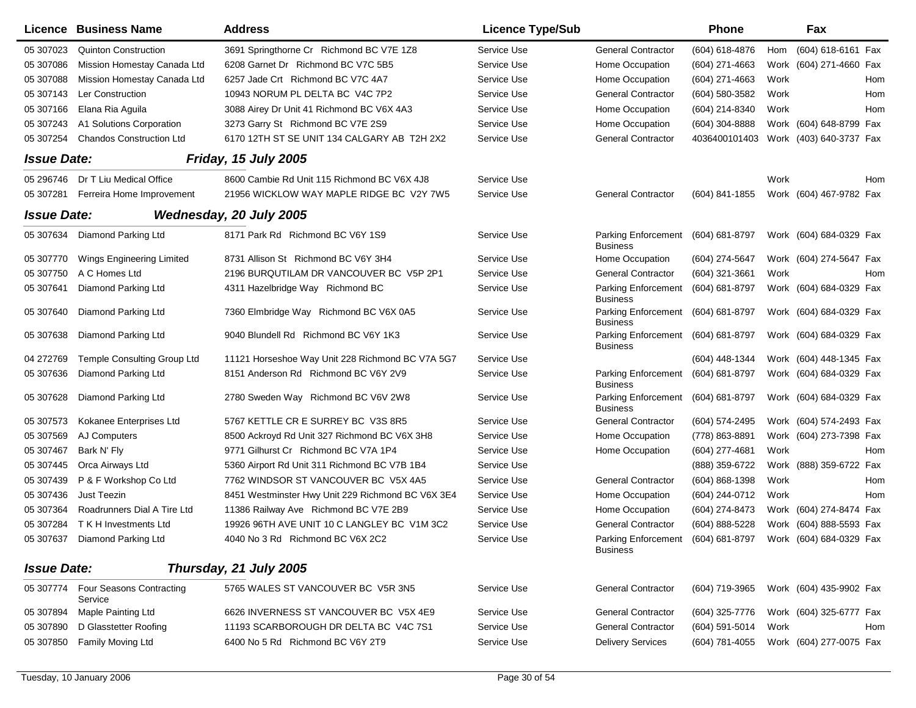|                    | <b>Licence Business Name</b>                  | <b>Address</b>                                    | <b>Licence Type/Sub</b> |                                               | Phone            |      | Fax                                                        |
|--------------------|-----------------------------------------------|---------------------------------------------------|-------------------------|-----------------------------------------------|------------------|------|------------------------------------------------------------|
| 05 307023          | <b>Quinton Construction</b>                   | 3691 Springthorne Cr Richmond BC V7E 1Z8          | Service Use             | General Contractor                            | (604) 618-4876   | Hom  | (604) 618-6161 Fax                                         |
| 05 307086          | Mission Homestay Canada Ltd                   | 6208 Garnet Dr Richmond BC V7C 5B5                | Service Use             | Home Occupation                               | $(604)$ 271-4663 |      | Work (604) 271-4660 Fax                                    |
| 05 307088          | Mission Homestay Canada Ltd                   | 6257 Jade Crt Richmond BC V7C 4A7                 | Service Use             | Home Occupation                               | (604) 271-4663   | Work | Hom                                                        |
| 05 307143          | Ler Construction                              | 10943 NORUM PL DELTA BC V4C 7P2                   | Service Use             | <b>General Contractor</b>                     | (604) 580-3582   | Work | Hom                                                        |
| 05 307166          | Elana Ria Aguila                              | 3088 Airey Dr Unit 41 Richmond BC V6X 4A3         | Service Use             | Home Occupation                               | (604) 214-8340   | Work | Hom                                                        |
| 05 307243          | A1 Solutions Corporation                      | 3273 Garry St Richmond BC V7E 2S9                 | Service Use             | Home Occupation                               | $(604)$ 304-8888 |      | Work (604) 648-8799 Fax                                    |
| 05 307254          | <b>Chandos Construction Ltd</b>               | 6170 12TH ST SE UNIT 134 CALGARY AB T2H 2X2       | Service Use             | <b>General Contractor</b>                     |                  |      | 4036400101403 Work (403) 640-3737 Fax                      |
| <b>Issue Date:</b> |                                               | <b>Friday, 15 July 2005</b>                       |                         |                                               |                  |      |                                                            |
|                    | 05 296746 Dr T Liu Medical Office             | 8600 Cambie Rd Unit 115 Richmond BC V6X 4J8       | Service Use             |                                               |                  | Work | Hom                                                        |
| 05 307281          | Ferreira Home Improvement                     | 21956 WICKLOW WAY MAPLE RIDGE BC V2Y 7W5          | Service Use             | <b>General Contractor</b>                     | (604) 841-1855   |      | Work (604) 467-9782 Fax                                    |
| <b>Issue Date:</b> |                                               | Wednesday, 20 July 2005                           |                         |                                               |                  |      |                                                            |
|                    | 05 307634 Diamond Parking Ltd                 | 8171 Park Rd Richmond BC V6Y 1S9                  | Service Use             | <b>Parking Enforcement</b><br><b>Business</b> | (604) 681-8797   |      | Work (604) 684-0329 Fax                                    |
| 05 307770          | Wings Engineering Limited                     | 8731 Allison St Richmond BC V6Y 3H4               | Service Use             | Home Occupation                               | (604) 274-5647   |      | Work (604) 274-5647 Fax                                    |
| 05 307750          | A C Homes Ltd                                 | 2196 BURQUTILAM DR VANCOUVER BC V5P 2P1           | Service Use             | <b>General Contractor</b>                     | (604) 321-3661   | Work | Hom                                                        |
| 05 307641          | Diamond Parking Ltd                           | 4311 Hazelbridge Way Richmond BC                  | Service Use             | <b>Parking Enforcement</b><br><b>Business</b> | (604) 681-8797   |      | Work (604) 684-0329 Fax                                    |
| 05 307640          | Diamond Parking Ltd                           | 7360 Elmbridge Way Richmond BC V6X 0A5            | Service Use             | <b>Parking Enforcement</b><br><b>Business</b> | (604) 681-8797   |      | Work (604) 684-0329 Fax                                    |
| 05 307638          | Diamond Parking Ltd                           | 9040 Blundell Rd Richmond BC V6Y 1K3              | Service Use             | <b>Parking Enforcement</b><br><b>Business</b> | (604) 681-8797   |      | Work (604) 684-0329 Fax                                    |
| 04 272769          | <b>Temple Consulting Group Ltd</b>            | 11121 Horseshoe Way Unit 228 Richmond BC V7A 5G7  | Service Use             |                                               | (604) 448-1344   |      | Work (604) 448-1345 Fax                                    |
| 05 307636          | Diamond Parking Ltd                           | 8151 Anderson Rd Richmond BC V6Y 2V9              | Service Use             | <b>Parking Enforcement</b><br><b>Business</b> | (604) 681-8797   |      | Work (604) 684-0329 Fax                                    |
| 05 307628          | Diamond Parking Ltd                           | 2780 Sweden Way Richmond BC V6V 2W8               | Service Use             | <b>Parking Enforcement</b><br><b>Business</b> | (604) 681-8797   |      | Work (604) 684-0329 Fax                                    |
| 05 307573          | Kokanee Enterprises Ltd                       | 5767 KETTLE CR E SURREY BC V3S 8R5                | Service Use             | <b>General Contractor</b>                     | (604) 574-2495   |      | Work (604) 574-2493 Fax                                    |
| 05 307569          | AJ Computers                                  | 8500 Ackroyd Rd Unit 327 Richmond BC V6X 3H8      | Service Use             | Home Occupation                               | (778) 863-8891   |      | Work (604) 273-7398 Fax                                    |
| 05 307467          | Bark N' Fly                                   | 9771 Gilhurst Cr Richmond BC V7A 1P4              | Service Use             | Home Occupation                               | $(604)$ 277-4681 | Work | Hom                                                        |
| 05 307445          | Orca Airways Ltd                              | 5360 Airport Rd Unit 311 Richmond BC V7B 1B4      | Service Use             |                                               | (888) 359-6722   |      | Work (888) 359-6722 Fax                                    |
| 05 307439          | P & F Workshop Co Ltd                         | 7762 WINDSOR ST VANCOUVER BC V5X 4A5              | Service Use             | <b>General Contractor</b>                     | $(604)$ 868-1398 | Work | Hom                                                        |
| 05 307436          | Just Teezin                                   | 8451 Westminster Hwy Unit 229 Richmond BC V6X 3E4 | Service Use             | Home Occupation                               | (604) 244-0712   | Work | Hom                                                        |
| 05 307364          | Roadrunners Dial A Tire Ltd                   | 11386 Railway Ave Richmond BC V7E 2B9             | Service Use             | Home Occupation                               | (604) 274-8473   |      | Work (604) 274-8474 Fax                                    |
| 05 307284          | T K H Investments Ltd                         | 19926 96TH AVE UNIT 10 C LANGLEY BC V1M 3C2       | Service Use             | <b>General Contractor</b>                     | (604) 888-5228   |      | Work (604) 888-5593 Fax                                    |
|                    | 05 307637 Diamond Parking Ltd                 | 4040 No 3 Rd Richmond BC V6X 2C2                  | Service Use             | <b>Business</b>                               |                  |      | Parking Enforcement (604) 681-8797 Work (604) 684-0329 Fax |
| <b>Issue Date:</b> |                                               | Thursday, 21 July 2005                            |                         |                                               |                  |      |                                                            |
|                    | 05 307774 Four Seasons Contracting<br>Service | 5765 WALES ST VANCOUVER BC V5R 3N5                | Service Use             | <b>General Contractor</b>                     | (604) 719-3965   |      | Work (604) 435-9902 Fax                                    |
| 05 307894          | Maple Painting Ltd                            | 6626 INVERNESS ST VANCOUVER BC V5X 4E9            | Service Use             | <b>General Contractor</b>                     | (604) 325-7776   |      | Work (604) 325-6777 Fax                                    |
| 05 307890          | D Glasstetter Roofing                         | 11193 SCARBOROUGH DR DELTA BC V4C 7S1             | Service Use             | <b>General Contractor</b>                     | (604) 591-5014   | Work | Hom                                                        |
| 05 307850          | Family Moving Ltd                             | 6400 No 5 Rd Richmond BC V6Y 2T9                  | Service Use             | <b>Delivery Services</b>                      | (604) 781-4055   |      | Work (604) 277-0075 Fax                                    |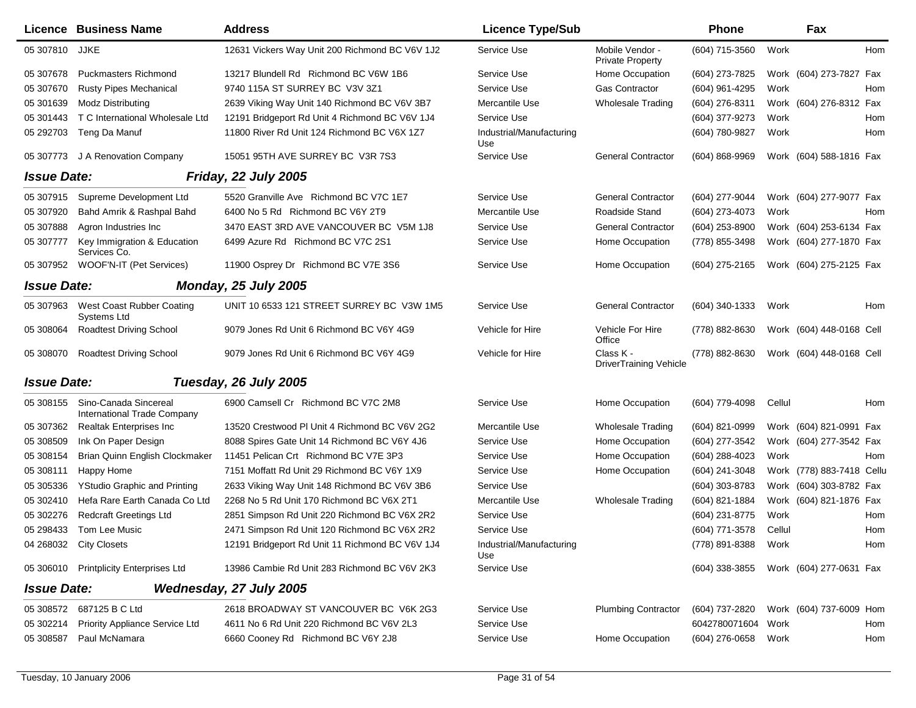| <b>Licence Business Name</b>                                      | <b>Address</b>                                  | <b>Licence Type/Sub</b>                                                                                        |                                            | <b>Phone</b>     |                               | Fax                |                                                                                                                                                                                                                                                                                                                                                                                                                                                  |
|-------------------------------------------------------------------|-------------------------------------------------|----------------------------------------------------------------------------------------------------------------|--------------------------------------------|------------------|-------------------------------|--------------------|--------------------------------------------------------------------------------------------------------------------------------------------------------------------------------------------------------------------------------------------------------------------------------------------------------------------------------------------------------------------------------------------------------------------------------------------------|
| 05 307810 JJKE                                                    | 12631 Vickers Way Unit 200 Richmond BC V6V 1J2  | Service Use                                                                                                    | Mobile Vendor -<br><b>Private Property</b> | (604) 715-3560   | Work                          |                    | Hom                                                                                                                                                                                                                                                                                                                                                                                                                                              |
| <b>Puckmasters Richmond</b>                                       | 13217 Blundell Rd Richmond BC V6W 1B6           | Service Use                                                                                                    | Home Occupation                            | (604) 273-7825   |                               |                    |                                                                                                                                                                                                                                                                                                                                                                                                                                                  |
| <b>Rusty Pipes Mechanical</b>                                     | 9740 115A ST SURREY BC V3V 3Z1                  | Service Use                                                                                                    | Gas Contractor                             | (604) 961-4295   | Work                          |                    | Hom                                                                                                                                                                                                                                                                                                                                                                                                                                              |
| <b>Modz Distributing</b>                                          | 2639 Viking Way Unit 140 Richmond BC V6V 3B7    | Mercantile Use                                                                                                 | <b>Wholesale Trading</b>                   | (604) 276-8311   |                               |                    |                                                                                                                                                                                                                                                                                                                                                                                                                                                  |
| T C International Wholesale Ltd                                   | 12191 Bridgeport Rd Unit 4 Richmond BC V6V 1J4  | Service Use                                                                                                    |                                            | (604) 377-9273   | Work                          |                    | Hom                                                                                                                                                                                                                                                                                                                                                                                                                                              |
| Teng Da Manuf                                                     | 11800 River Rd Unit 124 Richmond BC V6X 1Z7     | Industrial/Manufacturing<br>Use                                                                                |                                            | (604) 780-9827   | Work                          |                    | Hom                                                                                                                                                                                                                                                                                                                                                                                                                                              |
| 05 307773 J A Renovation Company                                  | 15051 95TH AVE SURREY BC V3R 7S3                | Service Use                                                                                                    | <b>General Contractor</b>                  | $(604)$ 868-9969 |                               |                    |                                                                                                                                                                                                                                                                                                                                                                                                                                                  |
| <b>Issue Date:</b>                                                |                                                 |                                                                                                                |                                            |                  |                               |                    |                                                                                                                                                                                                                                                                                                                                                                                                                                                  |
| Supreme Development Ltd                                           | 5520 Granville Ave Richmond BC V7C 1E7          | Service Use                                                                                                    | <b>General Contractor</b>                  | (604) 277-9044   |                               |                    |                                                                                                                                                                                                                                                                                                                                                                                                                                                  |
| Bahd Amrik & Rashpal Bahd                                         | 6400 No 5 Rd Richmond BC V6Y 2T9                | Mercantile Use                                                                                                 | Roadside Stand                             | (604) 273-4073   | Work                          |                    | Hom                                                                                                                                                                                                                                                                                                                                                                                                                                              |
| Agron Industries Inc                                              | 3470 EAST 3RD AVE VANCOUVER BC V5M 1J8          | Service Use                                                                                                    | <b>General Contractor</b>                  | (604) 253-8900   |                               |                    |                                                                                                                                                                                                                                                                                                                                                                                                                                                  |
| Key Immigration & Education<br>Services Co.                       | 6499 Azure Rd Richmond BC V7C 2S1               | Service Use                                                                                                    | Home Occupation                            | (778) 855-3498   |                               |                    |                                                                                                                                                                                                                                                                                                                                                                                                                                                  |
| 05 307952 WOOF'N-IT (Pet Services)                                | 11900 Osprey Dr Richmond BC V7E 3S6             | Service Use                                                                                                    | Home Occupation                            | (604) 275-2165   |                               |                    |                                                                                                                                                                                                                                                                                                                                                                                                                                                  |
| <b>Issue Date:</b>                                                |                                                 |                                                                                                                |                                            |                  |                               |                    |                                                                                                                                                                                                                                                                                                                                                                                                                                                  |
| West Coast Rubber Coating<br>05 307963<br>Systems Ltd             | UNIT 10 6533 121 STREET SURREY BC V3W 1M5       | Service Use                                                                                                    | <b>General Contractor</b>                  | $(604)$ 340-1333 | Work                          |                    | Hom                                                                                                                                                                                                                                                                                                                                                                                                                                              |
| <b>Roadtest Driving School</b>                                    | 9079 Jones Rd Unit 6 Richmond BC V6Y 4G9        | Vehicle for Hire                                                                                               | Vehicle For Hire<br>Office                 | (778) 882-8630   |                               |                    |                                                                                                                                                                                                                                                                                                                                                                                                                                                  |
| <b>Roadtest Driving School</b>                                    | 9079 Jones Rd Unit 6 Richmond BC V6Y 4G9        | Vehicle for Hire                                                                                               | Class K -                                  | (778) 882-8630   |                               |                    |                                                                                                                                                                                                                                                                                                                                                                                                                                                  |
| <b>Issue Date:</b>                                                |                                                 |                                                                                                                |                                            |                  |                               |                    |                                                                                                                                                                                                                                                                                                                                                                                                                                                  |
| Sino-Canada Sincereal<br>05 308155<br>International Trade Company | 6900 Camsell Cr Richmond BC V7C 2M8             | Service Use                                                                                                    | Home Occupation                            | (604) 779-4098   | Cellul                        |                    | Hom                                                                                                                                                                                                                                                                                                                                                                                                                                              |
| <b>Realtak Enterprises Inc</b>                                    | 13520 Crestwood PI Unit 4 Richmond BC V6V 2G2   | Mercantile Use                                                                                                 | Wholesale Trading                          | (604) 821-0999   |                               |                    |                                                                                                                                                                                                                                                                                                                                                                                                                                                  |
| Ink On Paper Design                                               | 8088 Spires Gate Unit 14 Richmond BC V6Y 4J6    | Service Use                                                                                                    | Home Occupation                            | (604) 277-3542   |                               |                    |                                                                                                                                                                                                                                                                                                                                                                                                                                                  |
| Brian Quinn English Clockmaker                                    | 11451 Pelican Crt Richmond BC V7E 3P3           | Service Use                                                                                                    | Home Occupation                            | $(604)$ 288-4023 | Work                          |                    | Hom                                                                                                                                                                                                                                                                                                                                                                                                                                              |
| Happy Home                                                        | 7151 Moffatt Rd Unit 29 Richmond BC V6Y 1X9     | Service Use                                                                                                    | Home Occupation                            | (604) 241-3048   |                               |                    |                                                                                                                                                                                                                                                                                                                                                                                                                                                  |
| <b>YStudio Graphic and Printing</b>                               | 2633 Viking Way Unit 148 Richmond BC V6V 3B6    | Service Use                                                                                                    |                                            | (604) 303-8783   |                               |                    |                                                                                                                                                                                                                                                                                                                                                                                                                                                  |
| Hefa Rare Earth Canada Co Ltd                                     | 2268 No 5 Rd Unit 170 Richmond BC V6X 2T1       | Mercantile Use                                                                                                 | <b>Wholesale Trading</b>                   | (604) 821-1884   |                               |                    |                                                                                                                                                                                                                                                                                                                                                                                                                                                  |
| <b>Redcraft Greetings Ltd</b>                                     | 2851 Simpson Rd Unit 220 Richmond BC V6X 2R2    | Service Use                                                                                                    |                                            | (604) 231-8775   | Work                          |                    | Hom                                                                                                                                                                                                                                                                                                                                                                                                                                              |
| Tom Lee Music                                                     | 2471 Simpson Rd Unit 120 Richmond BC V6X 2R2    | Service Use                                                                                                    |                                            | (604) 771-3578   | Cellul                        |                    | Hom                                                                                                                                                                                                                                                                                                                                                                                                                                              |
| 04 268032 City Closets                                            | 12191 Bridgeport Rd Unit 11 Richmond BC V6V 1J4 | Industrial/Manufacturing<br>Use                                                                                |                                            | (778) 891-8388   | Work                          |                    | Hom                                                                                                                                                                                                                                                                                                                                                                                                                                              |
| 05 306010 Printplicity Enterprises Ltd                            | 13986 Cambie Rd Unit 283 Richmond BC V6V 2K3    | Service Use                                                                                                    |                                            | (604) 338-3855   |                               |                    |                                                                                                                                                                                                                                                                                                                                                                                                                                                  |
| <b>Issue Date:</b>                                                |                                                 |                                                                                                                |                                            |                  |                               |                    |                                                                                                                                                                                                                                                                                                                                                                                                                                                  |
| 05 308572 687125 B C Ltd                                          | 2618 BROADWAY ST VANCOUVER BC V6K 2G3           | Service Use                                                                                                    | <b>Plumbing Contractor</b>                 | (604) 737-2820   |                               |                    |                                                                                                                                                                                                                                                                                                                                                                                                                                                  |
| Priority Appliance Service Ltd                                    | 4611 No 6 Rd Unit 220 Richmond BC V6V 2L3       | Service Use                                                                                                    |                                            |                  |                               |                    | Hom                                                                                                                                                                                                                                                                                                                                                                                                                                              |
| Paul McNamara                                                     | 6660 Cooney Rd Richmond BC V6Y 2J8              | Service Use                                                                                                    | Home Occupation                            | (604) 276-0658   | Work                          |                    | Hom                                                                                                                                                                                                                                                                                                                                                                                                                                              |
|                                                                   |                                                 | <b>Friday, 22 July 2005</b><br><b>Monday, 25 July 2005</b><br>Tuesday, 26 July 2005<br>Wednesday, 27 July 2005 |                                            |                  | <b>DriverTraining Vehicle</b> | 6042780071604 Work | Work (604) 273-7827 Fax<br>Work (604) 276-8312 Fax<br>Work (604) 588-1816 Fax<br>Work (604) 277-9077 Fax<br>Work (604) 253-6134 Fax<br>Work (604) 277-1870 Fax<br>Work (604) 275-2125 Fax<br>Work (604) 448-0168 Cell<br>Work (604) 448-0168 Cell<br>Work (604) 821-0991 Fax<br>Work (604) 277-3542 Fax<br>Work (778) 883-7418 Cellu<br>Work (604) 303-8782 Fax<br>Work (604) 821-1876 Fax<br>Work (604) 277-0631 Fax<br>Work (604) 737-6009 Hom |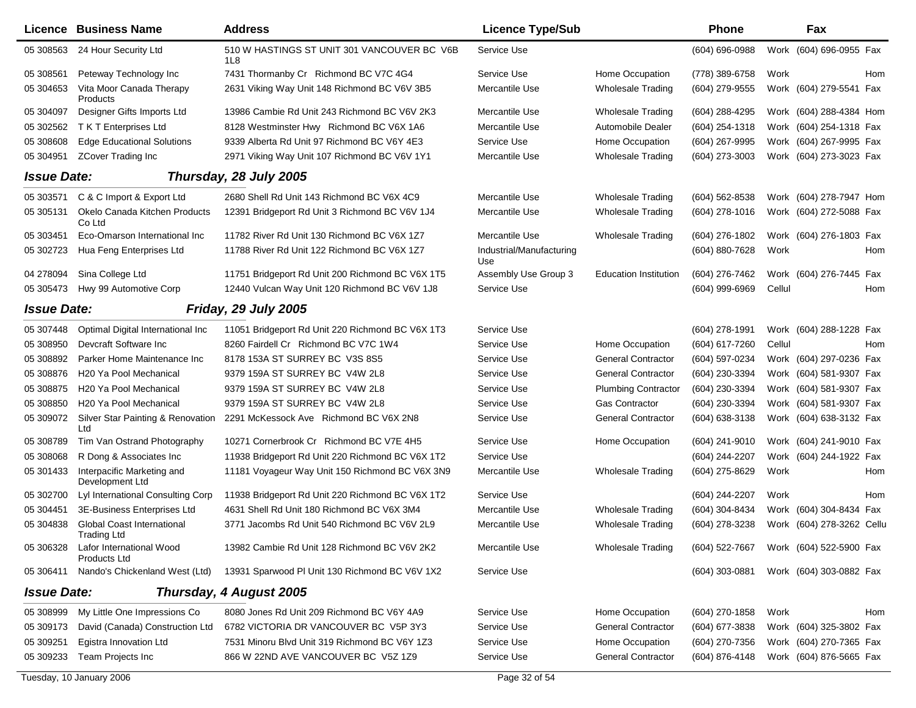|                    | Licence Business Name                         | <b>Address</b>                                     | <b>Licence Type/Sub</b>         |                              | <b>Phone</b>     |        | Fax                       |     |
|--------------------|-----------------------------------------------|----------------------------------------------------|---------------------------------|------------------------------|------------------|--------|---------------------------|-----|
| 05 308563          | 24 Hour Security Ltd                          | 510 W HASTINGS ST UNIT 301 VANCOUVER BC V6B<br>1L8 | Service Use                     |                              | (604) 696-0988   |        | Work (604) 696-0955 Fax   |     |
| 05 308561          | Peteway Technology Inc                        | 7431 Thormanby Cr Richmond BC V7C 4G4              | Service Use                     | Home Occupation              | (778) 389-6758   | Work   |                           | Hom |
| 05 304653          | Vita Moor Canada Therapy<br>Products          | 2631 Viking Way Unit 148 Richmond BC V6V 3B5       | Mercantile Use                  | <b>Wholesale Trading</b>     | (604) 279-9555   |        | Work (604) 279-5541 Fax   |     |
| 05 304097          | Designer Gifts Imports Ltd                    | 13986 Cambie Rd Unit 243 Richmond BC V6V 2K3       | Mercantile Use                  | <b>Wholesale Trading</b>     | (604) 288-4295   |        | Work (604) 288-4384 Hom   |     |
| 05 302562          | T K T Enterprises Ltd                         | 8128 Westminster Hwy Richmond BC V6X 1A6           | Mercantile Use                  | Automobile Dealer            | (604) 254-1318   |        | Work (604) 254-1318 Fax   |     |
| 05 308608          | <b>Edge Educational Solutions</b>             | 9339 Alberta Rd Unit 97 Richmond BC V6Y 4E3        | Service Use                     | Home Occupation              | (604) 267-9995   |        | Work (604) 267-9995 Fax   |     |
| 05 304951          | <b>ZCover Trading Inc</b>                     | 2971 Viking Way Unit 107 Richmond BC V6V 1Y1       | Mercantile Use                  | <b>Wholesale Trading</b>     | (604) 273-3003   |        | Work (604) 273-3023 Fax   |     |
| <b>Issue Date:</b> |                                               | Thursday, 28 July 2005                             |                                 |                              |                  |        |                           |     |
| 05 303571          | C & C Import & Export Ltd                     | 2680 Shell Rd Unit 143 Richmond BC V6X 4C9         | Mercantile Use                  | <b>Wholesale Trading</b>     | (604) 562-8538   |        | Work (604) 278-7947 Hom   |     |
| 05 305131          | Okelo Canada Kitchen Products<br>Co Ltd       | 12391 Bridgeport Rd Unit 3 Richmond BC V6V 1J4     | Mercantile Use                  | <b>Wholesale Trading</b>     | $(604)$ 278-1016 |        | Work (604) 272-5088 Fax   |     |
| 05 30 3451         | Eco-Omarson International Inc                 | 11782 River Rd Unit 130 Richmond BC V6X 1Z7        | Mercantile Use                  | <b>Wholesale Trading</b>     | (604) 276-1802   |        | Work (604) 276-1803 Fax   |     |
| 05 302723          | Hua Feng Enterprises Ltd                      | 11788 River Rd Unit 122 Richmond BC V6X 1Z7        | Industrial/Manufacturing<br>Use |                              | (604) 880-7628   | Work   |                           | Hom |
| 04 278094          | Sina College Ltd                              | 11751 Bridgeport Rd Unit 200 Richmond BC V6X 1T5   | Assembly Use Group 3            | <b>Education Institution</b> | (604) 276-7462   |        | Work (604) 276-7445 Fax   |     |
| 05 30 54 73        | Hwy 99 Automotive Corp                        | 12440 Vulcan Way Unit 120 Richmond BC V6V 1J8      | Service Use                     |                              | (604) 999-6969   | Cellul |                           | Hom |
| <b>Issue Date:</b> |                                               | Friday, 29 July 2005                               |                                 |                              |                  |        |                           |     |
| 05 307448          | Optimal Digital International Inc             | 11051 Bridgeport Rd Unit 220 Richmond BC V6X 1T3   | Service Use                     |                              | (604) 278-1991   |        | Work (604) 288-1228 Fax   |     |
| 05 308950          | Devcraft Software Inc                         | 8260 Fairdell Cr Richmond BC V7C 1W4               | Service Use                     | Home Occupation              | (604) 617-7260   | Cellul |                           | Hom |
| 05 308892          | Parker Home Maintenance Inc                   | 8178 153A ST SURREY BC V3S 8S5                     | Service Use                     | <b>General Contractor</b>    | (604) 597-0234   |        | Work (604) 297-0236 Fax   |     |
| 05 308876          | H20 Ya Pool Mechanical                        | 9379 159A ST SURREY BC V4W 2L8                     | Service Use                     | <b>General Contractor</b>    | (604) 230-3394   |        | Work (604) 581-9307 Fax   |     |
| 05 308875          | H <sub>20</sub> Ya Pool Mechanical            | 9379 159A ST SURREY BC V4W 2L8                     | Service Use                     | <b>Plumbing Contractor</b>   | (604) 230-3394   |        | Work (604) 581-9307 Fax   |     |
| 05 308850          | H <sub>20</sub> Ya Pool Mechanical            | 9379 159A ST SURREY BC V4W 2L8                     | Service Use                     | <b>Gas Contractor</b>        | (604) 230-3394   |        | Work (604) 581-9307 Fax   |     |
| 05 309072          | Silver Star Painting & Renovation<br>Ltd      | 2291 McKessock Ave Richmond BC V6X 2N8             | Service Use                     | <b>General Contractor</b>    | (604) 638-3138   |        | Work (604) 638-3132 Fax   |     |
| 05 308789          | Tim Van Ostrand Photography                   | 10271 Cornerbrook Cr Richmond BC V7E 4H5           | Service Use                     | Home Occupation              | $(604)$ 241-9010 |        | Work (604) 241-9010 Fax   |     |
| 05 308068          | R Dong & Associates Inc.                      | 11938 Bridgeport Rd Unit 220 Richmond BC V6X 1T2   | Service Use                     |                              | (604) 244-2207   |        | Work (604) 244-1922 Fax   |     |
| 05 301433          | Interpacific Marketing and<br>Development Ltd | 11181 Voyageur Way Unit 150 Richmond BC V6X 3N9    | Mercantile Use                  | <b>Wholesale Trading</b>     | (604) 275-8629   | Work   |                           | Hom |
| 05 302700          | Lyl International Consulting Corp             | 11938 Bridgeport Rd Unit 220 Richmond BC V6X 1T2   | Service Use                     |                              | (604) 244-2207   | Work   |                           | Hom |
| 05 304451          | 3E-Business Enterprises Ltd                   | 4631 Shell Rd Unit 180 Richmond BC V6X 3M4         | Mercantile Use                  | <b>Wholesale Trading</b>     | (604) 304-8434   |        | Work (604) 304-8434 Fax   |     |
| 05 304838          | Global Coast International<br>Trading Ltd     | 3771 Jacombs Rd Unit 540 Richmond BC V6V 2L9       | Mercantile Use                  | <b>Wholesale Trading</b>     | (604) 278-3238   |        | Work (604) 278-3262 Cellu |     |
| 05 306328          | Lafor International Wood<br>Products Ltd      | 13982 Cambie Rd Unit 128 Richmond BC V6V 2K2       | Mercantile Use                  | <b>Wholesale Trading</b>     | (604) 522-7667   |        | Work (604) 522-5900 Fax   |     |
| 05 306411          | Nando's Chickenland West (Ltd)                | 13931 Sparwood PI Unit 130 Richmond BC V6V 1X2     | Service Use                     |                              | $(604)$ 303-0881 |        | Work (604) 303-0882 Fax   |     |
| <b>Issue Date:</b> |                                               | Thursday, 4 August 2005                            |                                 |                              |                  |        |                           |     |
| 05 308999          | My Little One Impressions Co                  | 8080 Jones Rd Unit 209 Richmond BC V6Y 4A9         | Service Use                     | Home Occupation              | (604) 270-1858   | Work   |                           | Hom |
| 05 309173          | David (Canada) Construction Ltd               | 6782 VICTORIA DR VANCOUVER BC V5P 3Y3              | Service Use                     | <b>General Contractor</b>    | (604) 677-3838   |        | Work (604) 325-3802 Fax   |     |
| 05 309251          | Egistra Innovation Ltd                        | 7531 Minoru Blvd Unit 319 Richmond BC V6Y 1Z3      | Service Use                     | Home Occupation              | (604) 270-7356   |        | Work (604) 270-7365 Fax   |     |
| 05 309233          | Team Projects Inc                             | 866 W 22ND AVE VANCOUVER BC V5Z 1Z9                | Service Use                     | <b>General Contractor</b>    | (604) 876-4148   |        | Work (604) 876-5665 Fax   |     |
|                    | Tuesday, 10 January 2006                      |                                                    | Page 32 of 54                   |                              |                  |        |                           |     |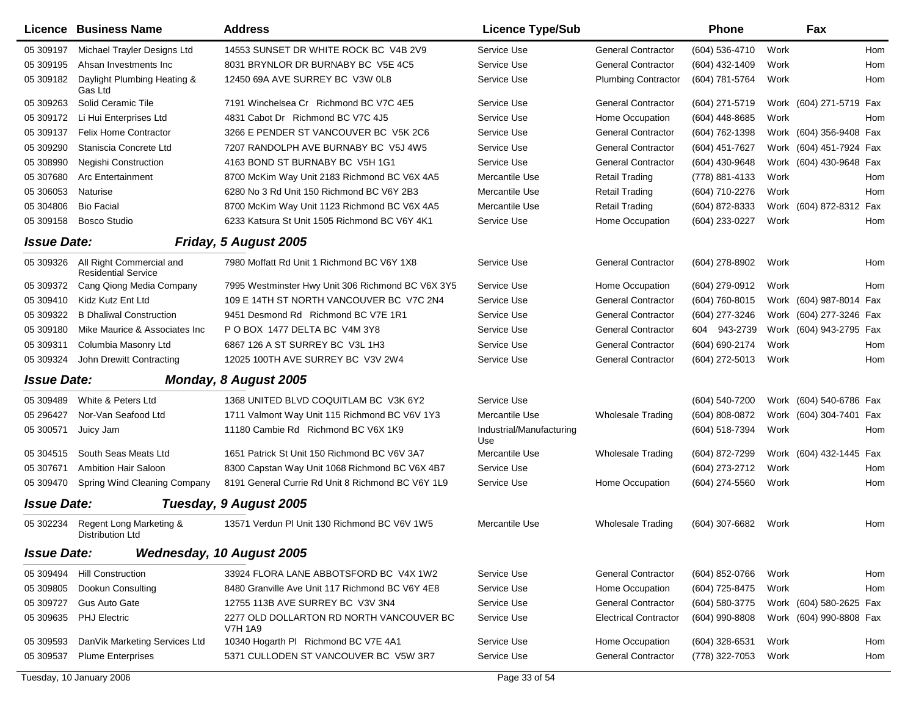|                    | Licence Business Name                                  | <b>Address</b>                                             | <b>Licence Type/Sub</b>         |                              | <b>Phone</b>   |      | Fax                        |
|--------------------|--------------------------------------------------------|------------------------------------------------------------|---------------------------------|------------------------------|----------------|------|----------------------------|
| 05 309197          | Michael Trayler Designs Ltd                            | 14553 SUNSET DR WHITE ROCK BC V4B 2V9                      | Service Use                     | <b>General Contractor</b>    | (604) 536-4710 | Work | Hom                        |
| 05 309195          | Ahsan Investments Inc                                  | 8031 BRYNLOR DR BURNABY BC V5E 4C5                         | Service Use                     | <b>General Contractor</b>    | (604) 432-1409 | Work | Hom                        |
| 05 309182          | Daylight Plumbing Heating &<br>Gas Ltd                 | 12450 69A AVE SURREY BC V3W 0L8                            | Service Use                     | <b>Plumbing Contractor</b>   | (604) 781-5764 | Work | Hom                        |
| 05 309263          | Solid Ceramic Tile                                     | 7191 Winchelsea Cr Richmond BC V7C 4E5                     | Service Use                     | <b>General Contractor</b>    | (604) 271-5719 |      | Work (604) 271-5719<br>Fax |
| 05 309172          | Li Hui Enterprises Ltd                                 | 4831 Cabot Dr Richmond BC V7C 4J5                          | Service Use                     | Home Occupation              | (604) 448-8685 | Work | Hom                        |
| 05 309137          | <b>Felix Home Contractor</b>                           | 3266 E PENDER ST VANCOUVER BC V5K 2C6                      | Service Use                     | <b>General Contractor</b>    | (604) 762-1398 |      | Work (604) 356-9408 Fax    |
| 05 309290          | Staniscia Concrete Ltd                                 | 7207 RANDOLPH AVE BURNABY BC V5J 4W5                       | Service Use                     | <b>General Contractor</b>    | (604) 451-7627 |      | Work (604) 451-7924 Fax    |
| 05 308990          | <b>Negishi Construction</b>                            | 4163 BOND ST BURNABY BC V5H 1G1                            | Service Use                     | <b>General Contractor</b>    | (604) 430-9648 |      | Work (604) 430-9648 Fax    |
| 05 307680          | <b>Arc Entertainment</b>                               | 8700 McKim Way Unit 2183 Richmond BC V6X 4A5               | Mercantile Use                  | <b>Retail Trading</b>        | (778) 881-4133 | Work | Hom                        |
| 05 30 60 53        | Naturise                                               | 6280 No 3 Rd Unit 150 Richmond BC V6Y 2B3                  | Mercantile Use                  | <b>Retail Trading</b>        | (604) 710-2276 | Work | Hom                        |
| 05 304806          | <b>Bio Facial</b>                                      | 8700 McKim Way Unit 1123 Richmond BC V6X 4A5               | Mercantile Use                  | <b>Retail Trading</b>        | (604) 872-8333 |      | Work (604) 872-8312<br>Fax |
| 05 309158          | <b>Bosco Studio</b>                                    | 6233 Katsura St Unit 1505 Richmond BC V6Y 4K1              | Service Use                     | Home Occupation              | (604) 233-0227 | Work | Hom                        |
| <b>Issue Date:</b> |                                                        | <b>Friday, 5 August 2005</b>                               |                                 |                              |                |      |                            |
| 05 309326          | All Right Commercial and<br><b>Residential Service</b> | 7980 Moffatt Rd Unit 1 Richmond BC V6Y 1X8                 | Service Use                     | <b>General Contractor</b>    | (604) 278-8902 | Work | Hom                        |
| 05 309372          | Cang Qiong Media Company                               | 7995 Westminster Hwy Unit 306 Richmond BC V6X 3Y5          | Service Use                     | Home Occupation              | (604) 279-0912 | Work | Hom                        |
| 05 309410          | Kidz Kutz Ent Ltd                                      | 109 E 14TH ST NORTH VANCOUVER BC V7C 2N4                   | Service Use                     | <b>General Contractor</b>    | (604) 760-8015 |      | Work (604) 987-8014 Fax    |
| 05 309322          | <b>B Dhaliwal Construction</b>                         | 9451 Desmond Rd Richmond BC V7E 1R1                        | Service Use                     | <b>General Contractor</b>    | (604) 277-3246 |      | Work (604) 277-3246 Fax    |
| 05 309180          | Mike Maurice & Associates Inc                          | P O BOX 1477 DELTA BC V4M 3Y8                              | Service Use                     | <b>General Contractor</b>    | 604 943-2739   |      | Work (604) 943-2795 Fax    |
| 05 309311          | Columbia Masonry Ltd                                   | 6867 126 A ST SURREY BC V3L 1H3                            | Service Use                     | <b>General Contractor</b>    | (604) 690-2174 | Work | Hom                        |
| 05 309324          | John Drewitt Contracting                               | 12025 100TH AVE SURREY BC V3V 2W4                          | Service Use                     | <b>General Contractor</b>    | (604) 272-5013 | Work | Hom                        |
| <b>Issue Date:</b> |                                                        | Monday, 8 August 2005                                      |                                 |                              |                |      |                            |
| 05 309489          | White & Peters Ltd                                     | 1368 UNITED BLVD COQUITLAM BC V3K 6Y2                      | Service Use                     |                              | (604) 540-7200 |      | Work (604) 540-6786 Fax    |
| 05 29 6427         | Nor-Van Seafood Ltd                                    | 1711 Valmont Way Unit 115 Richmond BC V6V 1Y3              | Mercantile Use                  | <b>Wholesale Trading</b>     | (604) 808-0872 |      | Work (604) 304-7401<br>Fax |
| 05 300571          | Juicy Jam                                              | 11180 Cambie Rd Richmond BC V6X 1K9                        | Industrial/Manufacturing<br>Use |                              | (604) 518-7394 | Work | Hom                        |
| 05 304515          | South Seas Meats Ltd                                   | 1651 Patrick St Unit 150 Richmond BC V6V 3A7               | Mercantile Use                  | <b>Wholesale Trading</b>     | (604) 872-7299 |      | Work (604) 432-1445 Fax    |
| 05 307671          | <b>Ambition Hair Saloon</b>                            | 8300 Capstan Way Unit 1068 Richmond BC V6X 4B7             | Service Use                     |                              | (604) 273-2712 | Work | Hom                        |
| 05 309470          | Spring Wind Cleaning Company                           | 8191 General Currie Rd Unit 8 Richmond BC V6Y 1L9          | Service Use                     | Home Occupation              | (604) 274-5560 | Work | Hom                        |
| <b>Issue Date:</b> |                                                        | Tuesday, 9 August 2005                                     |                                 |                              |                |      |                            |
| 05 302234          | Regent Long Marketing &<br>Distribution Ltd            | 13571 Verdun PI Unit 130 Richmond BC V6V 1W5               | Mercantile Use                  | <b>Wholesale Trading</b>     | (604) 307-6682 | Work | Hom                        |
| <b>Issue Date:</b> |                                                        | <b>Wednesday, 10 August 2005</b>                           |                                 |                              |                |      |                            |
| 05 309494          | <b>Hill Construction</b>                               | 33924 FLORA LANE ABBOTSFORD BC V4X 1W2                     | Service Use                     | <b>General Contractor</b>    | (604) 852-0766 | Work | Hom                        |
| 05 309805          | Dookun Consulting                                      | 8480 Granville Ave Unit 117 Richmond BC V6Y 4E8            | Service Use                     | Home Occupation              | (604) 725-8475 | Work | Hom                        |
| 05 309727          | Gus Auto Gate                                          | 12755 113B AVE SURREY BC V3V 3N4                           | Service Use                     | <b>General Contractor</b>    | (604) 580-3775 |      | Work (604) 580-2625 Fax    |
| 05 309635          | <b>PHJ Electric</b>                                    | 2277 OLD DOLLARTON RD NORTH VANCOUVER BC<br><b>V7H 1A9</b> | Service Use                     | <b>Electrical Contractor</b> | (604) 990-8808 |      | Work (604) 990-8808 Fax    |
| 05 309593          | DanVik Marketing Services Ltd                          | 10340 Hogarth PI Richmond BC V7E 4A1                       | Service Use                     | Home Occupation              | (604) 328-6531 | Work | Hom                        |
| 05 309537          | <b>Plume Enterprises</b>                               | 5371 CULLODEN ST VANCOUVER BC V5W 3R7                      | Service Use                     | <b>General Contractor</b>    | (778) 322-7053 | Work | Hom                        |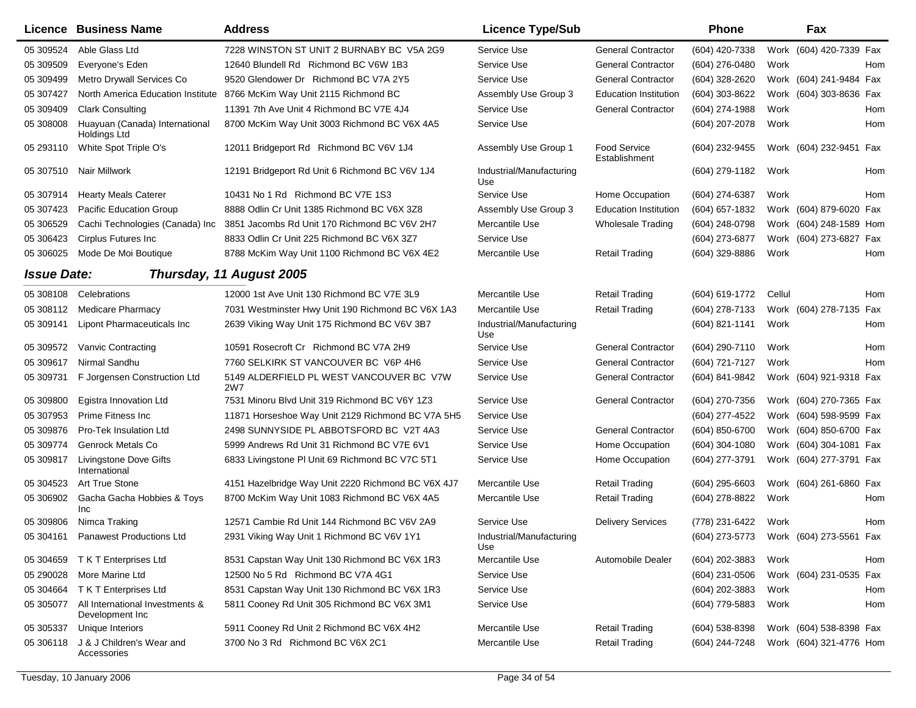|                    | Licence Business Name                              | <b>Address</b>                                         | <b>Licence Type/Sub</b>         |                                      | Phone            | Fax                                    |
|--------------------|----------------------------------------------------|--------------------------------------------------------|---------------------------------|--------------------------------------|------------------|----------------------------------------|
| 05 309524          | Able Glass Ltd                                     | 7228 WINSTON ST UNIT 2 BURNABY BC V5A 2G9              | Service Use                     | <b>General Contractor</b>            | (604) 420-7338   | Work (604) 420-7339 Fax                |
| 05 309509          | Everyone's Eden                                    | 12640 Blundell Rd Richmond BC V6W 1B3                  | Service Use                     | <b>General Contractor</b>            | (604) 276-0480   | Work<br>Hom                            |
| 05 309499          | Metro Drywall Services Co                          | 9520 Glendower Dr Richmond BC V7A 2Y5                  | Service Use                     | <b>General Contractor</b>            | (604) 328-2620   | Work (604) 241-9484 Fax                |
| 05 307427          | North America Education Institute                  | 8766 McKim Way Unit 2115 Richmond BC                   | Assembly Use Group 3            | <b>Education Institution</b>         | (604) 303-8622   | Work (604) 303-8636 Fax                |
| 05 309409          | <b>Clark Consulting</b>                            | 11391 7th Ave Unit 4 Richmond BC V7E 4J4               | Service Use                     | <b>General Contractor</b>            | (604) 274-1988   | Work<br>Hom                            |
| 05 308008          | Huayuan (Canada) International<br>Holdings Ltd     | 8700 McKim Way Unit 3003 Richmond BC V6X 4A5           | Service Use                     |                                      | (604) 207-2078   | Work<br>Hom                            |
| 05 293110          | White Spot Triple O's                              | 12011 Bridgeport Rd Richmond BC V6V 1J4                | Assembly Use Group 1            | <b>Food Service</b><br>Establishment | (604) 232-9455   | Work (604) 232-9451 Fax                |
| 05 307510          | Nair Millwork                                      | 12191 Bridgeport Rd Unit 6 Richmond BC V6V 1J4         | Industrial/Manufacturing<br>Use |                                      | (604) 279-1182   | Work<br>Hom                            |
| 05 307914          | <b>Hearty Meals Caterer</b>                        | 10431 No 1 Rd Richmond BC V7E 1S3                      | Service Use                     | Home Occupation                      | (604) 274-6387   | Work<br>Hom                            |
| 05 307423          | <b>Pacific Education Group</b>                     | 8888 Odlin Cr Unit 1385 Richmond BC V6X 3Z8            | Assembly Use Group 3            | <b>Education Institution</b>         | (604) 657-1832   | Work (604) 879-6020 Fax                |
| 05 30 6529         | Cachi Technologies (Canada) Inc                    | 3851 Jacombs Rd Unit 170 Richmond BC V6V 2H7           | Mercantile Use                  | <b>Wholesale Trading</b>             | (604) 248-0798   | Work (604) 248-1589 Hom                |
| 05 30 64 23        | Cirplus Futures Inc.                               | 8833 Odlin Cr Unit 225 Richmond BC V6X 3Z7             | Service Use                     |                                      | (604) 273-6877   | Work (604) 273-6827 Fax                |
| 05 30 60 25        | Mode De Moi Boutique                               | 8788 McKim Way Unit 1100 Richmond BC V6X 4E2           | Mercantile Use                  | <b>Retail Trading</b>                | (604) 329-8886   | Work<br>Hom                            |
| <b>Issue Date:</b> |                                                    | Thursday, 11 August 2005                               |                                 |                                      |                  |                                        |
| 05 308108          | Celebrations                                       | 12000 1st Ave Unit 130 Richmond BC V7E 3L9             | Mercantile Use                  | <b>Retail Trading</b>                | (604) 619-1772   | Cellul<br><b>Hom</b>                   |
| 05 308112          | Medicare Pharmacy                                  | 7031 Westminster Hwy Unit 190 Richmond BC V6X 1A3      | Mercantile Use                  | <b>Retail Trading</b>                | (604) 278-7133   | Work (604) 278-7135<br>Fax             |
| 05 309141          | Lipont Pharmaceuticals Inc                         | 2639 Viking Way Unit 175 Richmond BC V6V 3B7           | Industrial/Manufacturing<br>Use |                                      | (604) 821-1141   | Work<br>Hom                            |
| 05 309572          | Vanvic Contracting                                 | 10591 Rosecroft Cr Richmond BC V7A 2H9                 | Service Use                     | <b>General Contractor</b>            | (604) 290-7110   | Hom<br>Work                            |
| 05 309617          | Nirmal Sandhu                                      | 7760 SELKIRK ST VANCOUVER BC V6P 4H6                   | Service Use                     | <b>General Contractor</b>            | (604) 721-7127   | Work<br><b>Hom</b>                     |
| 05 309731          | F Jorgensen Construction Ltd                       | 5149 ALDERFIELD PL WEST VANCOUVER BC V7W<br><b>2W7</b> | Service Use                     | <b>General Contractor</b>            | (604) 841-9842   | Work (604) 921-9318 Fax                |
| 05 309800          | Egistra Innovation Ltd                             | 7531 Minoru Blvd Unit 319 Richmond BC V6Y 1Z3          | Service Use                     | <b>General Contractor</b>            | (604) 270-7356   | Work (604) 270-7365 Fax                |
| 05 307953          | Prime Fitness Inc                                  | 11871 Horseshoe Way Unit 2129 Richmond BC V7A 5H5      | Service Use                     |                                      | (604) 277-4522   | Work (604) 598-9599 Fax                |
| 05 309876          | Pro-Tek Insulation Ltd                             | 2498 SUNNYSIDE PL ABBOTSFORD BC V2T 4A3                | Service Use                     | <b>General Contractor</b>            | (604) 850-6700   | Work (604) 850-6700 Fax                |
| 05 309774          | Genrock Metals Co                                  | 5999 Andrews Rd Unit 31 Richmond BC V7E 6V1            | Service Use                     | Home Occupation                      | $(604)$ 304-1080 | Work (604) 304-1081 Fax                |
| 05 309817          | Livingstone Dove Gifts<br>International            | 6833 Livingstone PI Unit 69 Richmond BC V7C 5T1        | Service Use                     | Home Occupation                      | (604) 277-3791   | Work (604) 277-3791 Fax                |
| 05 304523          | Art True Stone                                     | 4151 Hazelbridge Way Unit 2220 Richmond BC V6X 4J7     | Mercantile Use                  | <b>Retail Trading</b>                | (604) 295-6603   | Work (604) 261-6860 Fax                |
| 05 30 69 02        | Gacha Gacha Hobbies & Toys<br>Inc                  | 8700 McKim Way Unit 1083 Richmond BC V6X 4A5           | Mercantile Use                  | <b>Retail Trading</b>                | (604) 278-8822   | Work<br>Hom                            |
| 05 309806          | Nimca Traking                                      | 12571 Cambie Rd Unit 144 Richmond BC V6V 2A9           | Service Use                     | <b>Delivery Services</b>             | (778) 231-6422   | Work<br>Hom                            |
| 05 304161          | <b>Panawest Productions Ltd</b>                    | 2931 Viking Way Unit 1 Richmond BC V6V 1Y1             | Industrial/Manufacturing<br>Use |                                      |                  | (604) 273-5773 Work (604) 273-5561 Fax |
| 05 304659          | T K T Enterprises Ltd                              | 8531 Capstan Way Unit 130 Richmond BC V6X 1R3          | Mercantile Use                  | Automobile Dealer                    | (604) 202-3883   | Work<br>Hom                            |
| 05 290028          | More Marine Ltd                                    | 12500 No 5 Rd Richmond BC V7A 4G1                      | Service Use                     |                                      | $(604)$ 231-0506 | Work (604) 231-0535 Fax                |
| 05 304664          | T K T Enterprises Ltd                              | 8531 Capstan Way Unit 130 Richmond BC V6X 1R3          | Service Use                     |                                      | (604) 202-3883   | Work<br>Hom                            |
| 05 30 50 77        | All International Investments &<br>Development Inc | 5811 Cooney Rd Unit 305 Richmond BC V6X 3M1            | Service Use                     |                                      | (604) 779-5883   | Work<br>Hom                            |
| 05 30 5337         | Unique Interiors                                   | 5911 Cooney Rd Unit 2 Richmond BC V6X 4H2              | Mercantile Use                  | <b>Retail Trading</b>                | $(604)$ 538-8398 | Work (604) 538-8398 Fax                |
| 05 30 6118         | J & J Children's Wear and<br>Accessories           | 3700 No 3 Rd Richmond BC V6X 2C1                       | Mercantile Use                  | <b>Retail Trading</b>                | (604) 244-7248   | Work (604) 321-4776 Hom                |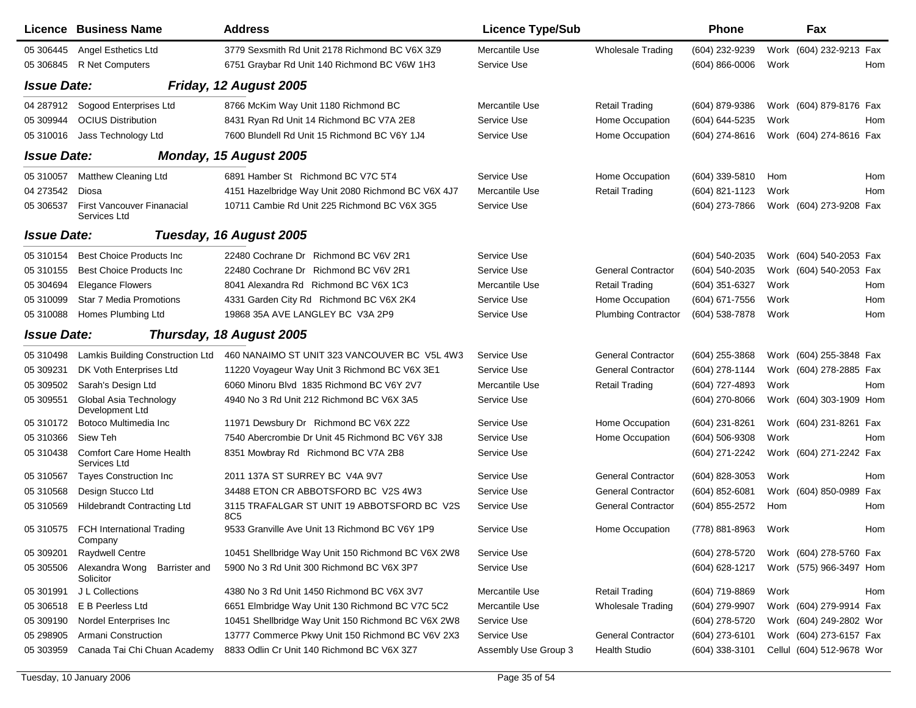|                    | <b>Licence Business Name</b>                      | <b>Address</b>                                                 | <b>Licence Type/Sub</b> |                            | Phone              |      | Fax                       |     |
|--------------------|---------------------------------------------------|----------------------------------------------------------------|-------------------------|----------------------------|--------------------|------|---------------------------|-----|
| 05 30 6445         | Angel Esthetics Ltd                               | 3779 Sexsmith Rd Unit 2178 Richmond BC V6X 3Z9                 | Mercantile Use          | <b>Wholesale Trading</b>   | (604) 232-9239     |      | Work (604) 232-9213 Fax   |     |
| 05 30 6845         | R Net Computers                                   | 6751 Graybar Rd Unit 140 Richmond BC V6W 1H3                   | Service Use             |                            | $(604) 866 - 0006$ | Work |                           | Hom |
| <b>Issue Date:</b> |                                                   | Friday, 12 August 2005                                         |                         |                            |                    |      |                           |     |
| 04 287912          | Sogood Enterprises Ltd                            | 8766 McKim Way Unit 1180 Richmond BC                           | Mercantile Use          | <b>Retail Trading</b>      | (604) 879-9386     |      | Work (604) 879-8176 Fax   |     |
| 05 309944          | <b>OCIUS Distribution</b>                         | 8431 Ryan Rd Unit 14 Richmond BC V7A 2E8                       | Service Use             | Home Occupation            | (604) 644-5235     | Work |                           | Hom |
| 05 310016          | Jass Technology Ltd                               | 7600 Blundell Rd Unit 15 Richmond BC V6Y 1J4                   | Service Use             | Home Occupation            | (604) 274-8616     |      | Work (604) 274-8616 Fax   |     |
| <b>Issue Date:</b> |                                                   | Monday, 15 August 2005                                         |                         |                            |                    |      |                           |     |
| 05 310057          | Matthew Cleaning Ltd                              | 6891 Hamber St Richmond BC V7C 5T4                             | Service Use             | Home Occupation            | (604) 339-5810     | Hom  |                           | Hom |
| 04 273542          | Diosa                                             | 4151 Hazelbridge Way Unit 2080 Richmond BC V6X 4J7             | Mercantile Use          | <b>Retail Trading</b>      | (604) 821-1123     | Work |                           | Hom |
| 05 30 6537         | <b>First Vancouver Finanacial</b><br>Services Ltd | 10711 Cambie Rd Unit 225 Richmond BC V6X 3G5                   | Service Use             |                            | (604) 273-7866     |      | Work (604) 273-9208 Fax   |     |
| <b>Issue Date:</b> |                                                   | Tuesday, 16 August 2005                                        |                         |                            |                    |      |                           |     |
| 05 310154          | <b>Best Choice Products Inc.</b>                  | 22480 Cochrane Dr Richmond BC V6V 2R1                          | Service Use             |                            | (604) 540-2035     |      | Work (604) 540-2053 Fax   |     |
| 05 310155          | <b>Best Choice Products Inc.</b>                  | 22480 Cochrane Dr Richmond BC V6V 2R1                          | Service Use             | <b>General Contractor</b>  | (604) 540-2035     |      | Work (604) 540-2053 Fax   |     |
| 05 304694          | <b>Elegance Flowers</b>                           | 8041 Alexandra Rd Richmond BC V6X 1C3                          | Mercantile Use          | <b>Retail Trading</b>      | (604) 351-6327     | Work |                           | Hom |
| 05 310099          | <b>Star 7 Media Promotions</b>                    | 4331 Garden City Rd Richmond BC V6X 2K4                        | Service Use             | Home Occupation            | (604) 671-7556     | Work |                           | Hom |
| 05 310088          | Homes Plumbing Ltd                                | 19868 35A AVE LANGLEY BC V3A 2P9                               | Service Use             | <b>Plumbing Contractor</b> | (604) 538-7878     | Work |                           | Hom |
| <b>Issue Date:</b> |                                                   | Thursday, 18 August 2005                                       |                         |                            |                    |      |                           |     |
| 05 310498          | Lamkis Building Construction Ltd                  | 460 NANAIMO ST UNIT 323 VANCOUVER BC V5L 4W3                   | Service Use             | <b>General Contractor</b>  | (604) 255-3868     |      | Work (604) 255-3848 Fax   |     |
| 05 309231          | DK Voth Enterprises Ltd                           | 11220 Voyageur Way Unit 3 Richmond BC V6X 3E1                  | Service Use             | <b>General Contractor</b>  | (604) 278-1144     |      | Work (604) 278-2885 Fax   |     |
| 05 309502          | Sarah's Design Ltd                                | 6060 Minoru Blvd 1835 Richmond BC V6Y 2V7                      | Mercantile Use          | <b>Retail Trading</b>      | (604) 727-4893     | Work |                           | Hom |
| 05 309551          | Global Asia Technology<br>Development Ltd         | 4940 No 3 Rd Unit 212 Richmond BC V6X 3A5                      | Service Use             |                            | (604) 270-8066     |      | Work (604) 303-1909 Hom   |     |
| 05 310172          | Botoco Multimedia Inc                             | 11971 Dewsbury Dr Richmond BC V6X 2Z2                          | Service Use             | Home Occupation            | (604) 231-8261     |      | Work (604) 231-8261 Fax   |     |
| 05 310366          | Siew Teh                                          | 7540 Abercrombie Dr Unit 45 Richmond BC V6Y 3J8                | Service Use             | Home Occupation            | (604) 506-9308     | Work |                           | Hom |
| 05 310438          | Comfort Care Home Health<br>Services Ltd          | 8351 Mowbray Rd Richmond BC V7A 2B8                            | Service Use             |                            | (604) 271-2242     |      | Work (604) 271-2242 Fax   |     |
| 05 310567          | <b>Tayes Construction Inc</b>                     | 2011 137A ST SURREY BC V4A 9V7                                 | Service Use             | <b>General Contractor</b>  | (604) 828-3053     | Work |                           | Hom |
| 05 310568          | Design Stucco Ltd                                 | 34488 ETON CR ABBOTSFORD BC V2S 4W3                            | Service Use             | <b>General Contractor</b>  | (604) 852-6081     |      | Work (604) 850-0989 Fax   |     |
| 05 310569          | <b>Hildebrandt Contracting Ltd</b>                | 3115 TRAFALGAR ST UNIT 19 ABBOTSFORD BC V2S<br>8C <sub>5</sub> | Service Use             | <b>General Contractor</b>  | (604) 855-2572     | Hom  |                           | Hom |
| 05 310575          | <b>FCH International Trading</b><br>Company       | 9533 Granville Ave Unit 13 Richmond BC V6Y 1P9                 | Service Use             | Home Occupation            | (778) 881-8963     | Work |                           | Hom |
| 05 309201          | <b>Raydwell Centre</b>                            | 10451 Shellbridge Way Unit 150 Richmond BC V6X 2W8             | Service Use             |                            | (604) 278-5720     |      | Work (604) 278-5760 Fax   |     |
| 05 305506          | Alexandra Wong<br>Barrister and<br>Solicitor      | 5900 No 3 Rd Unit 300 Richmond BC V6X 3P7                      | Service Use             |                            | (604) 628-1217     |      | Work (575) 966-3497 Hom   |     |
| 05 301991          | J L Collections                                   | 4380 No 3 Rd Unit 1450 Richmond BC V6X 3V7                     | Mercantile Use          | <b>Retail Trading</b>      | (604) 719-8869     | Work |                           | Hom |
| 05 30 6518         | E B Peerless Ltd                                  | 6651 Elmbridge Way Unit 130 Richmond BC V7C 5C2                | Mercantile Use          | <b>Wholesale Trading</b>   | (604) 279-9907     |      | Work (604) 279-9914 Fax   |     |
| 05 309190          | Nordel Enterprises Inc                            | 10451 Shellbridge Way Unit 150 Richmond BC V6X 2W8             | Service Use             |                            | (604) 278-5720     |      | Work (604) 249-2802 Wor   |     |
| 05 298905          | Armani Construction                               | 13777 Commerce Pkwy Unit 150 Richmond BC V6V 2X3               | Service Use             | <b>General Contractor</b>  | (604) 273-6101     |      | Work (604) 273-6157 Fax   |     |
| 05 303959          | Canada Tai Chi Chuan Academy                      | 8833 Odlin Cr Unit 140 Richmond BC V6X 3Z7                     | Assembly Use Group 3    | Health Studio              | (604) 338-3101     |      | Cellul (604) 512-9678 Wor |     |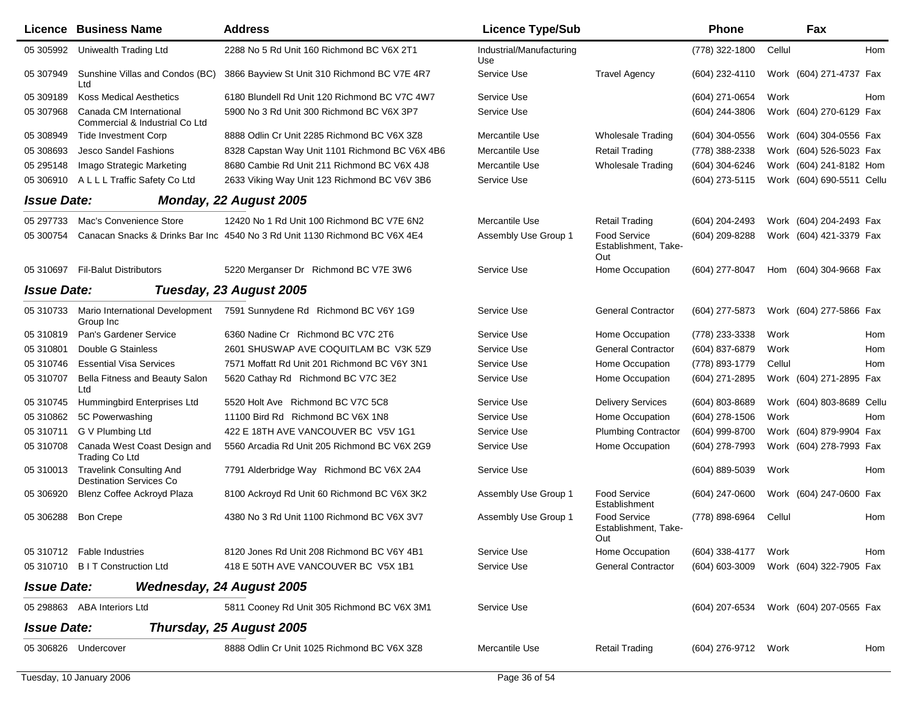|                    | Licence Business Name                                             | <b>Address</b>                                                             | <b>Licence Type/Sub</b>         |                                             | Phone               |        | Fax                       |     |
|--------------------|-------------------------------------------------------------------|----------------------------------------------------------------------------|---------------------------------|---------------------------------------------|---------------------|--------|---------------------------|-----|
| 05 305992          | Uniwealth Trading Ltd                                             | 2288 No 5 Rd Unit 160 Richmond BC V6X 2T1                                  | Industrial/Manufacturing<br>Use |                                             | (778) 322-1800      | Cellul |                           | Hom |
| 05 307949          | Sunshine Villas and Condos (BC)<br>Ltd                            | 3866 Bayview St Unit 310 Richmond BC V7E 4R7                               | Service Use                     | <b>Travel Agency</b>                        | $(604)$ 232-4110    |        | Work (604) 271-4737 Fax   |     |
| 05 309189          | <b>Koss Medical Aesthetics</b>                                    | 6180 Blundell Rd Unit 120 Richmond BC V7C 4W7                              | Service Use                     |                                             | (604) 271-0654      | Work   |                           | Hom |
| 05 307968          | Canada CM International<br>Commercial & Industrial Co Ltd         | 5900 No 3 Rd Unit 300 Richmond BC V6X 3P7                                  | Service Use                     |                                             | (604) 244-3806      |        | Work (604) 270-6129 Fax   |     |
| 05 308949          | <b>Tide Investment Corp</b>                                       | 8888 Odlin Cr Unit 2285 Richmond BC V6X 3Z8                                | Mercantile Use                  | <b>Wholesale Trading</b>                    | (604) 304-0556      |        | Work (604) 304-0556 Fax   |     |
| 05 308693          | Jesco Sandel Fashions                                             | 8328 Capstan Way Unit 1101 Richmond BC V6X 4B6                             | Mercantile Use                  | <b>Retail Trading</b>                       | (778) 388-2338      |        | Work (604) 526-5023 Fax   |     |
| 05 295148          | Imago Strategic Marketing                                         | 8680 Cambie Rd Unit 211 Richmond BC V6X 4J8                                | Mercantile Use                  | <b>Wholesale Trading</b>                    | (604) 304-6246      |        | Work (604) 241-8182 Hom   |     |
| 05 306910          | A L L L Traffic Safety Co Ltd                                     | 2633 Viking Way Unit 123 Richmond BC V6V 3B6                               | Service Use                     |                                             | (604) 273-5115      |        | Work (604) 690-5511 Cellu |     |
| <b>Issue Date:</b> |                                                                   | Monday, 22 August 2005                                                     |                                 |                                             |                     |        |                           |     |
| 05 297733          | Mac's Convenience Store                                           | 12420 No 1 Rd Unit 100 Richmond BC V7E 6N2                                 | Mercantile Use                  | <b>Retail Trading</b>                       | (604) 204-2493      |        | Work (604) 204-2493 Fax   |     |
| 05 300754          |                                                                   | Canacan Snacks & Drinks Bar Inc 4540 No 3 Rd Unit 1130 Richmond BC V6X 4E4 | Assembly Use Group 1            | Food Service<br>Establishment, Take-<br>Out | (604) 209-8288      |        | Work (604) 421-3379 Fax   |     |
|                    | 05 310697 Fil-Balut Distributors                                  | 5220 Merganser Dr Richmond BC V7E 3W6                                      | Service Use                     | Home Occupation                             | (604) 277-8047      | Hom    | (604) 304-9668 Fax        |     |
| <b>Issue Date:</b> |                                                                   | Tuesday, 23 August 2005                                                    |                                 |                                             |                     |        |                           |     |
| 05 310733          | Group Inc                                                         | Mario International Development 7591 Sunnydene Rd Richmond BC V6Y 1G9      | Service Use                     | <b>General Contractor</b>                   | (604) 277-5873      |        | Work (604) 277-5866 Fax   |     |
| 05 310819          | Pan's Gardener Service                                            | 6360 Nadine Cr Richmond BC V7C 2T6                                         | Service Use                     | Home Occupation                             | (778) 233-3338      | Work   |                           | Hom |
| 05 310801          | Double G Stainless                                                | 2601 SHUSWAP AVE COQUITLAM BC V3K 5Z9                                      | Service Use                     | <b>General Contractor</b>                   | (604) 837-6879      | Work   |                           | Hom |
| 05 310746          | <b>Essential Visa Services</b>                                    | 7571 Moffatt Rd Unit 201 Richmond BC V6Y 3N1                               | Service Use                     | Home Occupation                             | (778) 893-1779      | Cellul |                           | Hom |
| 05 310707          | Bella Fitness and Beauty Salon<br>Ltd                             | 5620 Cathay Rd Richmond BC V7C 3E2                                         | Service Use                     | Home Occupation                             | (604) 271-2895      |        | Work (604) 271-2895 Fax   |     |
| 05 310745          | Hummingbird Enterprises Ltd                                       | 5520 Holt Ave Richmond BC V7C 5C8                                          | Service Use                     | <b>Delivery Services</b>                    | (604) 803-8689      |        | Work (604) 803-8689 Cellu |     |
| 05 310862          | 5C Powerwashing                                                   | 11100 Bird Rd Richmond BC V6X 1N8                                          | Service Use                     | Home Occupation                             | $(604)$ 278-1506    | Work   |                           | Hom |
| 05 310711          | G V Plumbing Ltd                                                  | 422 E 18TH AVE VANCOUVER BC V5V 1G1                                        | Service Use                     | <b>Plumbing Contractor</b>                  | (604) 999-8700      |        | Work (604) 879-9904 Fax   |     |
| 05 310708          | Canada West Coast Design and<br><b>Trading Co Ltd</b>             | 5560 Arcadia Rd Unit 205 Richmond BC V6X 2G9                               | Service Use                     | Home Occupation                             | (604) 278-7993      |        | Work (604) 278-7993 Fax   |     |
| 05 310013          | <b>Travelink Consulting And</b><br><b>Destination Services Co</b> | 7791 Alderbridge Way Richmond BC V6X 2A4                                   | Service Use                     |                                             | (604) 889-5039      | Work   |                           | Hom |
| 05 306920          | Blenz Coffee Ackroyd Plaza                                        | 8100 Ackroyd Rd Unit 60 Richmond BC V6X 3K2                                | Assembly Use Group 1            | <b>Food Service</b><br>Establishment        | (604) 247-0600      |        | Work (604) 247-0600 Fax   |     |
| 05 30 6288         | <b>Bon Crepe</b>                                                  | 4380 No 3 Rd Unit 1100 Richmond BC V6X 3V7                                 | Assembly Use Group 1            | Food Service<br>Establishment, Take-<br>Out | (778) 898-6964      | Cellul |                           | Hom |
|                    | 05 310712  Fable Industries                                       | 8120 Jones Rd Unit 208 Richmond BC V6Y 4B1                                 | Service Use                     | Home Occupation                             | (604) 338-4177      | Work   |                           | Hom |
|                    | 05 310710 B I T Construction Ltd                                  | 418 E 50TH AVE VANCOUVER BC V5X 1B1                                        | Service Use                     | <b>General Contractor</b>                   | (604) 603-3009      |        | Work (604) 322-7905 Fax   |     |
| <b>Issue Date:</b> |                                                                   | <b>Wednesday, 24 August 2005</b>                                           |                                 |                                             |                     |        |                           |     |
|                    | 05 298863 ABA Interiors Ltd                                       | 5811 Cooney Rd Unit 305 Richmond BC V6X 3M1                                | Service Use                     |                                             | (604) 207-6534      |        | Work (604) 207-0565 Fax   |     |
| <b>Issue Date:</b> |                                                                   | Thursday, 25 August 2005                                                   |                                 |                                             |                     |        |                           |     |
|                    | 05 306826 Undercover                                              | 8888 Odlin Cr Unit 1025 Richmond BC V6X 3Z8                                | Mercantile Use                  | <b>Retail Trading</b>                       | (604) 276-9712 Work |        |                           | Hom |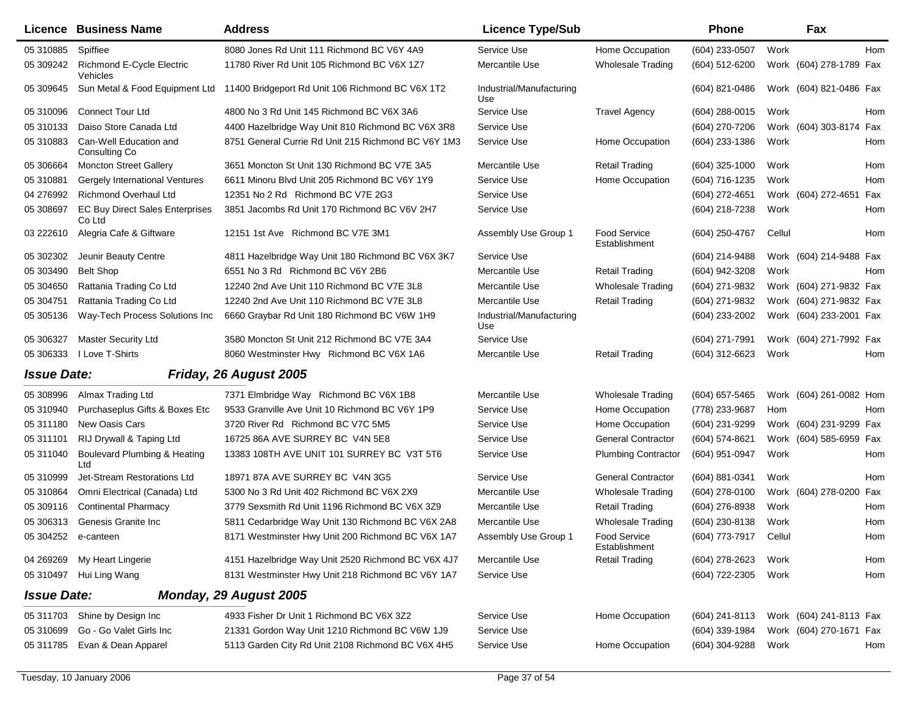|                    | <b>Licence Business Name</b>                     | <b>Address</b>                                      | <b>Licence Type/Sub</b>         |                                      | <b>Phone</b>     |        | Fax                     |     |
|--------------------|--------------------------------------------------|-----------------------------------------------------|---------------------------------|--------------------------------------|------------------|--------|-------------------------|-----|
| 05 310885          | Spiffiee                                         | 8080 Jones Rd Unit 111 Richmond BC V6Y 4A9          | Service Use                     | Home Occupation                      | (604) 233-0507   | Work   |                         | Hom |
| 05 309242          | Richmond E-Cycle Electric<br>Vehicles            | 11780 River Rd Unit 105 Richmond BC V6X 1Z7         | Mercantile Use                  | <b>Wholesale Trading</b>             | $(604)$ 512-6200 |        | Work (604) 278-1789 Fax |     |
| 05 309645          | Sun Metal & Food Equipment Ltd                   | 11400 Bridgeport Rd Unit 106 Richmond BC V6X 1T2    | Industrial/Manufacturing<br>Use |                                      | (604) 821-0486   |        | Work (604) 821-0486 Fax |     |
| 05 310096          | <b>Connect Tour Ltd</b>                          | 4800 No 3 Rd Unit 145 Richmond BC V6X 3A6           | Service Use                     | <b>Travel Agency</b>                 | (604) 288-0015   | Work   |                         | Hom |
| 05 310133          | Daiso Store Canada Ltd                           | 4400 Hazelbridge Way Unit 810 Richmond BC V6X 3R8   | Service Use                     |                                      | (604) 270-7206   |        | Work (604) 303-8174     | Fax |
| 05 310883          | Can-Well Education and<br>Consulting Co.         | 8751 General Currie Rd Unit 215 Richmond BC V6Y 1M3 | Service Use                     | Home Occupation                      | (604) 233-1386   | Work   |                         | Hom |
| 05 30 6664         | <b>Moncton Street Gallery</b>                    | 3651 Moncton St Unit 130 Richmond BC V7E 3A5        | Mercantile Use                  | <b>Retail Trading</b>                | $(604)$ 325-1000 | Work   |                         | Hom |
| 05 310881          | Gergely International Ventures                   | 6611 Minoru Blvd Unit 205 Richmond BC V6Y 1Y9       | Service Use                     | Home Occupation                      | (604) 716-1235   | Work   |                         | Hom |
| 04 276992          | <b>Richmond Overhaul Ltd</b>                     | 12351 No 2 Rd Richmond BC V7E 2G3                   | Service Use                     |                                      | $(604)$ 272-4651 |        | Work (604) 272-4651     | Fax |
| 05 308697          | <b>EC Buy Direct Sales Enterprises</b><br>Co Ltd | 3851 Jacombs Rd Unit 170 Richmond BC V6V 2H7        | Service Use                     |                                      | (604) 218-7238   | Work   |                         | Hom |
| 03 222610          | Alegria Cafe & Giftware                          | 12151 1st Ave Richmond BC V7E 3M1                   | Assembly Use Group 1            | <b>Food Service</b><br>Establishment | $(604)$ 250-4767 | Cellul |                         | Hom |
| 05 302302          | Jeunir Beauty Centre                             | 4811 Hazelbridge Way Unit 180 Richmond BC V6X 3K7   | Service Use                     |                                      | (604) 214-9488   |        | Work (604) 214-9488 Fax |     |
| 05 303490          | <b>Belt Shop</b>                                 | 6551 No 3 Rd Richmond BC V6Y 2B6                    | Mercantile Use                  | <b>Retail Trading</b>                | (604) 942-3208   | Work   |                         | Hom |
| 05 304650          | Rattania Trading Co Ltd                          | 12240 2nd Ave Unit 110 Richmond BC V7E 3L8          | Mercantile Use                  | <b>Wholesale Trading</b>             | (604) 271-9832   |        | Work (604) 271-9832 Fax |     |
| 05 304751          | Rattania Trading Co Ltd                          | 12240 2nd Ave Unit 110 Richmond BC V7E 3L8          | Mercantile Use                  | <b>Retail Trading</b>                | (604) 271-9832   |        | Work (604) 271-9832 Fax |     |
| 05 30 5136         | Way-Tech Process Solutions Inc                   | 6660 Graybar Rd Unit 180 Richmond BC V6W 1H9        | Industrial/Manufacturing<br>Use |                                      | (604) 233-2002   |        | Work (604) 233-2001 Fax |     |
| 05 30 6327         | <b>Master Security Ltd</b>                       | 3580 Moncton St Unit 212 Richmond BC V7E 3A4        | Service Use                     |                                      | (604) 271-7991   |        | Work (604) 271-7992 Fax |     |
| 05 30 6333         | I Love T-Shirts                                  | 8060 Westminster Hwy Richmond BC V6X 1A6            | Mercantile Use                  | <b>Retail Trading</b>                | (604) 312-6623   | Work   |                         | Hom |
| <b>Issue Date:</b> |                                                  | Friday, 26 August 2005                              |                                 |                                      |                  |        |                         |     |
| 05 308996          | Almax Trading Ltd                                | 7371 Elmbridge Way Richmond BC V6X 1B8              | Mercantile Use                  | <b>Wholesale Trading</b>             | (604) 657-5465   |        | Work (604) 261-0082 Hom |     |
| 05 310940          | Purchaseplus Gifts & Boxes Etc                   | 9533 Granville Ave Unit 10 Richmond BC V6Y 1P9      | Service Use                     | Home Occupation                      | (778) 233-9687   | Hom    |                         | Hom |
| 05 311180          | New Oasis Cars                                   | 3720 River Rd Richmond BC V7C 5M5                   | Service Use                     | Home Occupation                      | (604) 231-9299   |        | Work (604) 231-9299 Fax |     |
| 05 311101          | RIJ Drywall & Taping Ltd                         | 16725 86A AVE SURREY BC V4N 5E8                     | Service Use                     | <b>General Contractor</b>            | (604) 574-8621   |        | Work (604) 585-6959 Fax |     |
| 05 311040          | Boulevard Plumbing & Heating<br>Ltd              | 13383 108TH AVE UNIT 101 SURREY BC V3T 5T6          | Service Use                     | <b>Plumbing Contractor</b>           | (604) 951-0947   | Work   |                         | Hom |
| 05 310999          | Jet-Stream Restorations Ltd                      | 18971 87A AVE SURREY BC V4N 3G5                     | Service Use                     | <b>General Contractor</b>            | (604) 881-0341   | Work   |                         | Hom |
| 05 310864          | Omni Electrical (Canada) Ltd                     | 5300 No 3 Rd Unit 402 Richmond BC V6X 2X9           | Mercantile Use                  | <b>Wholesale Trading</b>             | $(604)$ 278-0100 |        | Work (604) 278-0200     | Fax |
| 05 309116          | <b>Continental Pharmacy</b>                      | 3779 Sexsmith Rd Unit 1196 Richmond BC V6X 3Z9      | Mercantile Use                  | <b>Retail Trading</b>                | (604) 276-8938   | Work   |                         | Hom |
| 05 30 6313         | Genesis Granite Inc                              | 5811 Cedarbridge Way Unit 130 Richmond BC V6X 2A8   | Mercantile Use                  | <b>Wholesale Trading</b>             | (604) 230-8138   | Work   |                         | Hom |
|                    | 05 304252 e-canteen                              | 8171 Westminster Hwy Unit 200 Richmond BC V6X 1A7   | Assembly Use Group 1            | <b>Food Service</b><br>Establishment | (604) 773-7917   | Cellul |                         | Hom |
|                    | 04 269269 My Heart Lingerie                      | 4151 Hazelbridge Way Unit 2520 Richmond BC V6X 4J7  | Mercantile Use                  | <b>Retail Trading</b>                | (604) 278-2623   | Work   |                         | Hom |
|                    | 05 310497 Hui Ling Wang                          | 8131 Westminster Hwy Unit 218 Richmond BC V6Y 1A7   | Service Use                     |                                      | (604) 722-2305   | Work   |                         | Hom |
| <b>Issue Date:</b> |                                                  | Monday, 29 August 2005                              |                                 |                                      |                  |        |                         |     |
| 05 311703          | Shine by Design Inc                              | 4933 Fisher Dr Unit 1 Richmond BC V6X 3Z2           | Service Use                     | Home Occupation                      | (604) 241-8113   |        | Work (604) 241-8113 Fax |     |
| 05 310699          | Go - Go Valet Girls Inc                          | 21331 Gordon Way Unit 1210 Richmond BC V6W 1J9      | Service Use                     |                                      | (604) 339-1984   |        | Work (604) 270-1671 Fax |     |
| 05 311785          | Evan & Dean Apparel                              | 5113 Garden City Rd Unit 2108 Richmond BC V6X 4H5   | Service Use                     | Home Occupation                      | (604) 304-9288   | Work   |                         | Hom |
|                    |                                                  |                                                     |                                 |                                      |                  |        |                         |     |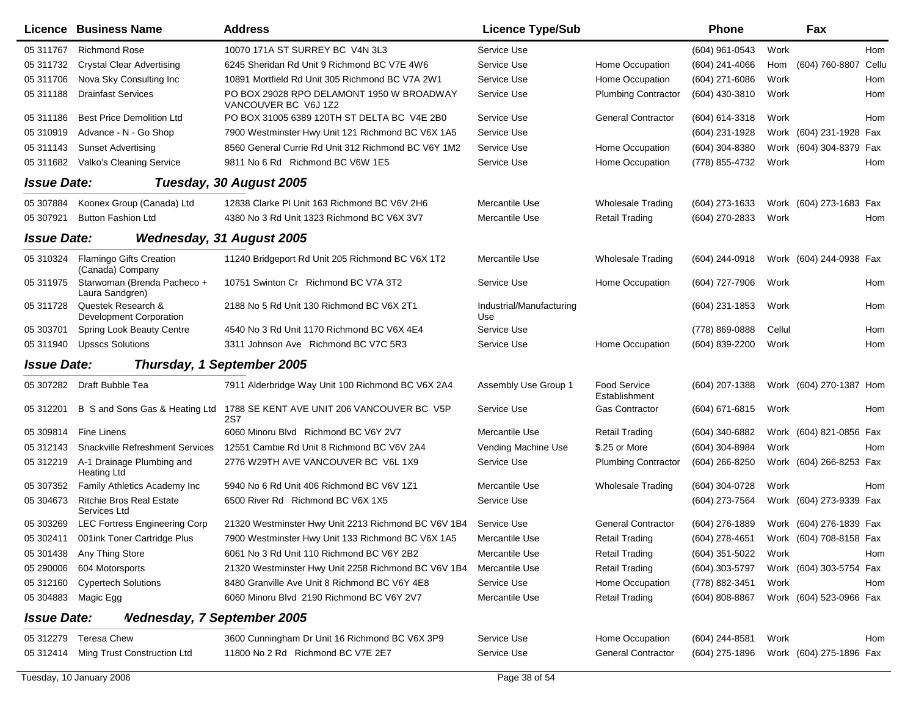|                           | Licence Business Name                           | <b>Address</b>                                                    | <b>Licence Type/Sub</b>         |                                      | <b>Phone</b>     |        | Fax                     |     |
|---------------------------|-------------------------------------------------|-------------------------------------------------------------------|---------------------------------|--------------------------------------|------------------|--------|-------------------------|-----|
| 05 311767                 | <b>Richmond Rose</b>                            | 10070 171A ST SURREY BC V4N 3L3                                   | Service Use                     |                                      | $(604)$ 961-0543 | Work   |                         | Hom |
| 05 311732                 | <b>Crystal Clear Advertising</b>                | 6245 Sheridan Rd Unit 9 Richmond BC V7E 4W6                       | Service Use                     | Home Occupation                      | $(604)$ 241-4066 | Hom    | (604) 760-8807 Cellu    |     |
| 05 311706                 | Nova Sky Consulting Inc                         | 10891 Mortfield Rd Unit 305 Richmond BC V7A 2W1                   | Service Use                     | Home Occupation                      | $(604)$ 271-6086 | Work   |                         | Hom |
| 05 311188                 | <b>Drainfast Services</b>                       | PO BOX 29028 RPO DELAMONT 1950 W BROADWAY<br>VANCOUVER BC V6J 1Z2 | Service Use                     | <b>Plumbing Contractor</b>           | (604) 430-3810   | Work   |                         | Hom |
| 05 311186                 | <b>Best Price Demolition Ltd</b>                | PO BOX 31005 6389 120TH ST DELTA BC V4E 2B0                       | Service Use                     | <b>General Contractor</b>            | (604) 614-3318   | Work   |                         | Hom |
| 05 310919                 | Advance - N - Go Shop                           | 7900 Westminster Hwy Unit 121 Richmond BC V6X 1A5                 | Service Use                     |                                      | (604) 231-1928   |        | Work (604) 231-1928 Fax |     |
| 05 311143                 | <b>Sunset Advertising</b>                       | 8560 General Currie Rd Unit 312 Richmond BC V6Y 1M2               | Service Use                     | Home Occupation                      | (604) 304-8380   |        | Work (604) 304-8379 Fax |     |
| 05 311682                 | Valko's Cleaning Service                        | 9811 No 6 Rd Richmond BC V6W 1E5                                  | Service Use                     | Home Occupation                      | (778) 855-4732   | Work   |                         | Hom |
| <b>Issue Date:</b>        |                                                 | Tuesday, 30 August 2005                                           |                                 |                                      |                  |        |                         |     |
| 05 307884                 | Koonex Group (Canada) Ltd                       | 12838 Clarke PI Unit 163 Richmond BC V6V 2H6                      | Mercantile Use                  | <b>Wholesale Trading</b>             | (604) 273-1633   |        | Work (604) 273-1683 Fax |     |
| 05 307921                 | <b>Button Fashion Ltd</b>                       | 4380 No 3 Rd Unit 1323 Richmond BC V6X 3V7                        | Mercantile Use                  | <b>Retail Trading</b>                | (604) 270-2833   | Work   |                         | Hom |
| <i><b>Issue Date:</b></i> |                                                 | <b>Wednesday, 31 August 2005</b>                                  |                                 |                                      |                  |        |                         |     |
| 05 310324                 | Flamingo Gifts Creation<br>(Canada) Company     | 11240 Bridgeport Rd Unit 205 Richmond BC V6X 1T2                  | Mercantile Use                  | <b>Wholesale Trading</b>             | (604) 244-0918   |        | Work (604) 244-0938 Fax |     |
| 05 311975                 | Starwoman (Brenda Pacheco +<br>Laura Sandgren)  | 10751 Swinton Cr Richmond BC V7A 3T2                              | Service Use                     | Home Occupation                      | (604) 727-7906   | Work   |                         | Hom |
| 05 311728                 | Questek Research &<br>Development Corporation   | 2188 No 5 Rd Unit 130 Richmond BC V6X 2T1                         | Industrial/Manufacturing<br>Use |                                      | (604) 231-1853   | Work   |                         | Hom |
| 05 303701                 | Spring Look Beauty Centre                       | 4540 No 3 Rd Unit 1170 Richmond BC V6X 4E4                        | Service Use                     |                                      | (778) 869-0888   | Cellul |                         | Hom |
| 05 311940                 | <b>Upsscs Solutions</b>                         | 3311 Johnson Ave Richmond BC V7C 5R3                              | Service Use                     | Home Occupation                      | (604) 839-2200   | Work   |                         | Hom |
| <b>Issue Date:</b>        |                                                 | Thursday, 1 September 2005                                        |                                 |                                      |                  |        |                         |     |
| 05 307282                 | Draft Bubble Tea                                | 7911 Alderbridge Way Unit 100 Richmond BC V6X 2A4                 | Assembly Use Group 1            | <b>Food Service</b><br>Establishment | $(604)$ 207-1388 |        | Work (604) 270-1387 Hom |     |
| 05 31 2201                | B S and Sons Gas & Heating Ltd                  | 1788 SE KENT AVE UNIT 206 VANCOUVER BC V5P<br><b>2S7</b>          | Service Use                     | <b>Gas Contractor</b>                | (604) 671-6815   | Work   |                         | Hom |
| 05 309814                 | Fine Linens                                     | 6060 Minoru Blvd Richmond BC V6Y 2V7                              | Mercantile Use                  | <b>Retail Trading</b>                | (604) 340-6882   |        | Work (604) 821-0856 Fax |     |
| 05 31 21 43               | <b>Snackville Refreshment Services</b>          | 12551 Cambie Rd Unit 8 Richmond BC V6V 2A4                        | Vending Machine Use             | \$.25 or More                        | (604) 304-8984   | Work   |                         | Hom |
| 05 312219                 | A-1 Drainage Plumbing and<br><b>Heating Ltd</b> | 2776 W29TH AVE VANCOUVER BC V6L 1X9                               | Service Use                     | <b>Plumbing Contractor</b>           | $(604)$ 266-8250 |        | Work (604) 266-8253 Fax |     |
| 05 307352                 | Family Athletics Academy Inc                    | 5940 No 6 Rd Unit 406 Richmond BC V6V 1Z1                         | Mercantile Use                  | <b>Wholesale Trading</b>             | (604) 304-0728   | Work   |                         | Hom |
| 05 304673                 | <b>Ritchie Bros Real Estate</b><br>Services Ltd | 6500 River Rd Richmond BC V6X 1X5                                 | Service Use                     |                                      | (604) 273-7564   |        | Work (604) 273-9339 Fax |     |
| 05 303269                 | <b>LEC Fortress Engineering Corp</b>            | 21320 Westminster Hwy Unit 2213 Richmond BC V6V 1B4               | Service Use                     | <b>General Contractor</b>            | (604) 276-1889   |        | Work (604) 276-1839 Fax |     |
|                           | 05 302411 001ink Toner Cartridge Plus           | 7900 Westminster Hwy Unit 133 Richmond BC V6X 1A5                 | Mercantile Use                  | <b>Retail Trading</b>                | (604) 278-4651   |        | Work (604) 708-8158 Fax |     |
| 05 301438                 | Any Thing Store                                 | 6061 No 3 Rd Unit 110 Richmond BC V6Y 2B2                         | Mercantile Use                  | <b>Retail Trading</b>                | (604) 351-5022   | Work   |                         | Hom |
| 05 290006                 | 604 Motorsports                                 | 21320 Westminster Hwy Unit 2258 Richmond BC V6V 1B4               | Mercantile Use                  | <b>Retail Trading</b>                | (604) 303-5797   |        | Work (604) 303-5754 Fax |     |
| 05 312160                 | <b>Cypertech Solutions</b>                      | 8480 Granville Ave Unit 8 Richmond BC V6Y 4E8                     | Service Use                     | Home Occupation                      | (778) 882-3451   | Work   |                         | Hom |
| 05 304883                 | Magic Egg                                       | 6060 Minoru Blvd 2190 Richmond BC V6Y 2V7                         | Mercantile Use                  | <b>Retail Trading</b>                | $(604)$ 808-8867 |        | Work (604) 523-0966 Fax |     |
| <b>Issue Date:</b>        | <b>Nednesday, 7 September 2005</b>              |                                                                   |                                 |                                      |                  |        |                         |     |
| 05 312279                 | Teresa Chew                                     | 3600 Cunningham Dr Unit 16 Richmond BC V6X 3P9                    | Service Use                     | Home Occupation                      | (604) 244-8581   | Work   |                         | Hom |
| 05 312414                 | Ming Trust Construction Ltd                     | 11800 No 2 Rd Richmond BC V7E 2E7                                 | Service Use                     | <b>General Contractor</b>            | (604) 275-1896   |        | Work (604) 275-1896 Fax |     |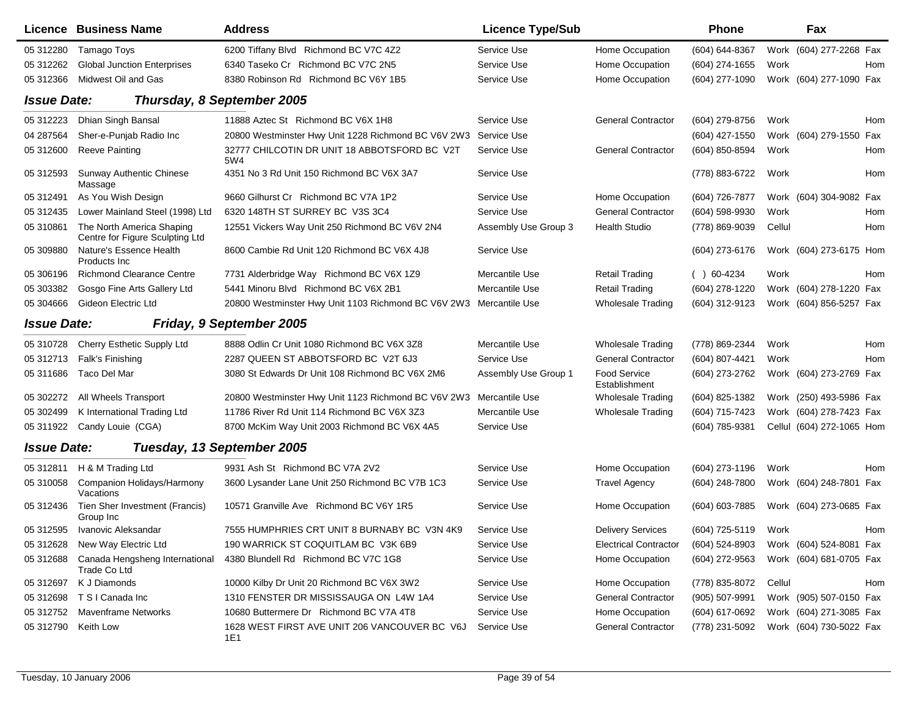|                    | Licence Business Name                                        | <b>Address</b>                                       | <b>Licence Type/Sub</b> |                               | Phone          |        | <b>Fax</b>                |     |
|--------------------|--------------------------------------------------------------|------------------------------------------------------|-------------------------|-------------------------------|----------------|--------|---------------------------|-----|
| 05 312280          | Tamago Toys                                                  | 6200 Tiffany Blvd Richmond BC V7C 4Z2                | Service Use             | Home Occupation               | (604) 644-8367 |        | Work (604) 277-2268 Fax   |     |
| 05 312262          | <b>Global Junction Enterprises</b>                           | 6340 Taseko Cr Richmond BC V7C 2N5                   | Service Use             | Home Occupation               | (604) 274-1655 | Work   |                           | Hom |
| 05 312366          | Midwest Oil and Gas                                          | 8380 Robinson Rd Richmond BC V6Y 1B5                 | Service Use             | Home Occupation               | (604) 277-1090 |        | Work (604) 277-1090 Fax   |     |
| <b>Issue Date:</b> |                                                              | Thursday, 8 September 2005                           |                         |                               |                |        |                           |     |
| 05 312223          | Dhian Singh Bansal                                           | 11888 Aztec St Richmond BC V6X 1H8                   | Service Use             | <b>General Contractor</b>     | (604) 279-8756 | Work   |                           | Hom |
| 04 287564          | Sher-e-Punjab Radio Inc                                      | 20800 Westminster Hwy Unit 1228 Richmond BC V6V 2W3  | Service Use             |                               | (604) 427-1550 |        | Work (604) 279-1550 Fax   |     |
| 05 31 2600         | <b>Reeve Painting</b>                                        | 32777 CHILCOTIN DR UNIT 18 ABBOTSFORD BC V2T<br>5W4  | Service Use             | <b>General Contractor</b>     | (604) 850-8594 | Work   |                           | Hom |
| 05 312593          | <b>Sunway Authentic Chinese</b><br>Massage                   | 4351 No 3 Rd Unit 150 Richmond BC V6X 3A7            | Service Use             |                               | (778) 883-6722 | Work   |                           | Hom |
| 05 312491          | As You Wish Design                                           | 9660 Gilhurst Cr Richmond BC V7A 1P2                 | Service Use             | Home Occupation               | (604) 726-7877 |        | Work (604) 304-9082 Fax   |     |
| 05 31 24 35        | Lower Mainland Steel (1998) Ltd                              | 6320 148TH ST SURREY BC V3S 3C4                      | Service Use             | <b>General Contractor</b>     | (604) 598-9930 | Work   |                           | Hom |
| 05 310861          | The North America Shaping<br>Centre for Figure Sculpting Ltd | 12551 Vickers Way Unit 250 Richmond BC V6V 2N4       | Assembly Use Group 3    | <b>Health Studio</b>          | (778) 869-9039 | Cellul |                           | Hom |
| 05 309880          | Nature's Essence Health<br>Products Inc.                     | 8600 Cambie Rd Unit 120 Richmond BC V6X 4J8          | Service Use             |                               | (604) 273-6176 |        | Work (604) 273-6175 Hom   |     |
| 05 30 619 6        | <b>Richmond Clearance Centre</b>                             | 7731 Alderbridge Way Richmond BC V6X 1Z9             | Mercantile Use          | <b>Retail Trading</b>         | $( ) 60-4234$  | Work   |                           | Hom |
| 05 303382          | Gosgo Fine Arts Gallery Ltd                                  | 5441 Minoru Blvd Richmond BC V6X 2B1                 | Mercantile Use          | <b>Retail Trading</b>         | (604) 278-1220 |        | Work (604) 278-1220 Fax   |     |
| 05 304 666         | Gideon Electric Ltd                                          | 20800 Westminster Hwy Unit 1103 Richmond BC V6V 2W3  | Mercantile Use          | <b>Wholesale Trading</b>      | (604) 312-9123 |        | Work (604) 856-5257 Fax   |     |
| <b>Issue Date:</b> |                                                              | Friday, 9 September 2005                             |                         |                               |                |        |                           |     |
| 05 310728          | Cherry Esthetic Supply Ltd                                   | 8888 Odlin Cr Unit 1080 Richmond BC V6X 3Z8          | Mercantile Use          | <b>Wholesale Trading</b>      | (778) 869-2344 | Work   |                           | Hom |
| 05 31 2713         | Falk's Finishing                                             | 2287 QUEEN ST ABBOTSFORD BC V2T 6J3                  | Service Use             | <b>General Contractor</b>     | (604) 807-4421 | Work   |                           | Hom |
| 05 311686          | Taco Del Mar                                                 | 3080 St Edwards Dr Unit 108 Richmond BC V6X 2M6      | Assembly Use Group 1    | Food Service<br>Establishment | (604) 273-2762 |        | Work (604) 273-2769 Fax   |     |
| 05 302272          | All Wheels Transport                                         | 20800 Westminster Hwy Unit 1123 Richmond BC V6V 2W3  | Mercantile Use          | <b>Wholesale Trading</b>      | (604) 825-1382 |        | Work (250) 493-5986 Fax   |     |
| 05 302499          | K International Trading Ltd                                  | 11786 River Rd Unit 114 Richmond BC V6X 3Z3          | Mercantile Use          | <b>Wholesale Trading</b>      | (604) 715-7423 |        | Work (604) 278-7423 Fax   |     |
| 05 311922          | Candy Louie (CGA)                                            | 8700 McKim Way Unit 2003 Richmond BC V6X 4A5         | Service Use             |                               | (604) 785-9381 |        | Cellul (604) 272-1065 Hom |     |
| <b>Issue Date:</b> |                                                              | Tuesday, 13 September 2005                           |                         |                               |                |        |                           |     |
| 05 31 2811         | H & M Trading Ltd                                            | 9931 Ash St Richmond BC V7A 2V2                      | Service Use             | Home Occupation               | (604) 273-1196 | Work   |                           | Hom |
| 05 310058          | Companion Holidays/Harmony<br>Vacations                      | 3600 Lysander Lane Unit 250 Richmond BC V7B 1C3      | Service Use             | <b>Travel Agency</b>          | (604) 248-7800 |        | Work (604) 248-7801 Fax   |     |
| 05 31 24 36        | Tien Sher Investment (Francis)<br>Group Inc                  | 10571 Granville Ave Richmond BC V6Y 1R5              | Service Use             | Home Occupation               | (604) 603-7885 |        | Work (604) 273-0685 Fax   |     |
| 05 312595          | Ivanovic Aleksandar                                          | 7555 HUMPHRIES CRT UNIT 8 BURNABY BC V3N 4K9         | Service Use             | <b>Delivery Services</b>      | (604) 725-5119 | Work   |                           | Hom |
| 05 312628          | New Way Electric Ltd                                         | 190 WARRICK ST COQUITLAM BC V3K 6B9                  | Service Use             | <b>Electrical Contractor</b>  | (604) 524-8903 |        | Work (604) 524-8081 Fax   |     |
| 05 312688          | Canada Hengsheng International<br>Trade Co Ltd               | 4380 Blundell Rd Richmond BC V7C 1G8                 | Service Use             | Home Occupation               | (604) 272-9563 |        | Work (604) 681-0705 Fax   |     |
| 05 31 269 7        | K J Diamonds                                                 | 10000 Kilby Dr Unit 20 Richmond BC V6X 3W2           | Service Use             | Home Occupation               | (778) 835-8072 | Cellul |                           | Hom |
| 05 312698          | T S I Canada Inc                                             | 1310 FENSTER DR MISSISSAUGA ON L4W 1A4               | Service Use             | <b>General Contractor</b>     | (905) 507-9991 |        | Work (905) 507-0150 Fax   |     |
| 05 312752          | <b>Mavenframe Networks</b>                                   | 10680 Buttermere Dr Richmond BC V7A 4T8              | Service Use             | Home Occupation               | (604) 617-0692 |        | Work (604) 271-3085 Fax   |     |
| 05 312790          | Keith Low                                                    | 1628 WEST FIRST AVE UNIT 206 VANCOUVER BC V6J<br>1E1 | Service Use             | <b>General Contractor</b>     | (778) 231-5092 |        | Work (604) 730-5022 Fax   |     |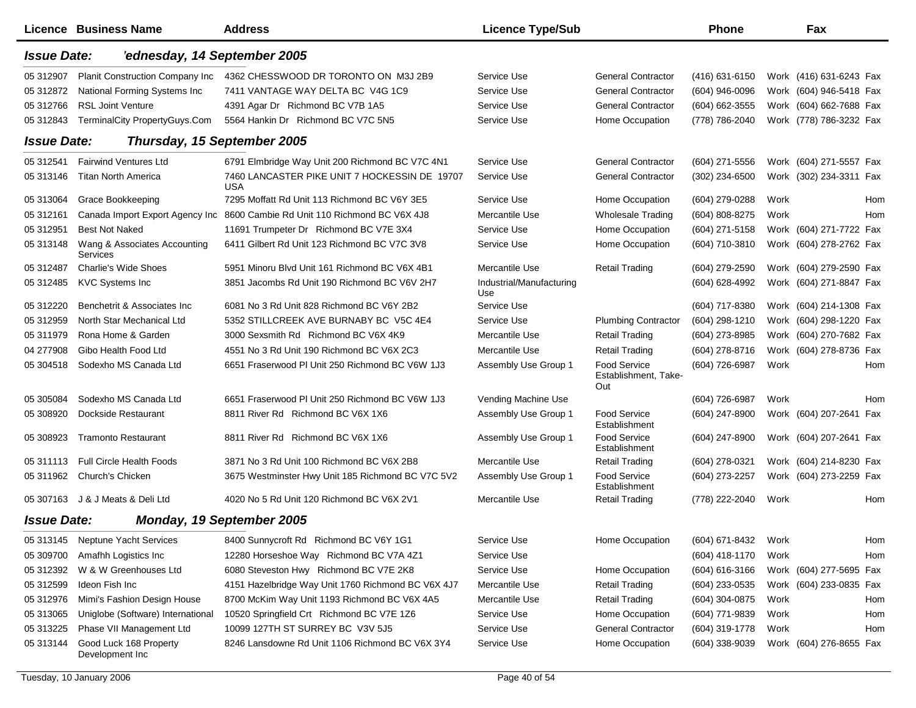|                    | <b>Licence Business Name</b>              | <b>Address</b>                                              | <b>Licence Type/Sub</b>         |                                             | <b>Phone</b>   |      | Fax                     |     |
|--------------------|-------------------------------------------|-------------------------------------------------------------|---------------------------------|---------------------------------------------|----------------|------|-------------------------|-----|
| <b>Issue Date:</b> | 'ednesday, 14 September 2005              |                                                             |                                 |                                             |                |      |                         |     |
| 05 31 290 7        | <b>Planit Construction Company Inc.</b>   | 4362 CHESSWOOD DR TORONTO ON M3J 2B9                        | Service Use                     | <b>General Contractor</b>                   | (416) 631-6150 |      | Work (416) 631-6243 Fax |     |
| 05 31 28 72        | National Forming Systems Inc              | 7411 VANTAGE WAY DELTA BC V4G 1C9                           | Service Use                     | <b>General Contractor</b>                   | (604) 946-0096 |      | Work (604) 946-5418 Fax |     |
| 05 31 2766         | <b>RSL Joint Venture</b>                  | 4391 Agar Dr Richmond BC V7B 1A5                            | Service Use                     | <b>General Contractor</b>                   | (604) 662-3555 |      | Work (604) 662-7688 Fax |     |
| 05 31 2843         | TerminalCity PropertyGuys.Com             | 5564 Hankin Dr Richmond BC V7C 5N5                          | Service Use                     | Home Occupation                             | (778) 786-2040 |      | Work (778) 786-3232 Fax |     |
| <b>Issue Date:</b> | Thursday, 15 September 2005               |                                                             |                                 |                                             |                |      |                         |     |
| 05 31 2541         | <b>Fairwind Ventures Ltd</b>              | 6791 Elmbridge Way Unit 200 Richmond BC V7C 4N1             | Service Use                     | <b>General Contractor</b>                   | (604) 271-5556 |      | Work (604) 271-5557 Fax |     |
| 05 313146          | <b>Titan North America</b>                | 7460 LANCASTER PIKE UNIT 7 HOCKESSIN DE 19707<br><b>USA</b> | Service Use                     | <b>General Contractor</b>                   | (302) 234-6500 |      | Work (302) 234-3311 Fax |     |
| 05 313064          | <b>Grace Bookkeeping</b>                  | 7295 Moffatt Rd Unit 113 Richmond BC V6Y 3E5                | Service Use                     | Home Occupation                             | (604) 279-0288 | Work |                         | Hom |
| 05 31 21 61        | Canada Import Export Agency Inc           | 8600 Cambie Rd Unit 110 Richmond BC V6X 4J8                 | Mercantile Use                  | <b>Wholesale Trading</b>                    | (604) 808-8275 | Work |                         | Hom |
| 05 31 29 51        | <b>Best Not Naked</b>                     | 11691 Trumpeter Dr Richmond BC V7E 3X4                      | Service Use                     | Home Occupation                             | (604) 271-5158 |      | Work (604) 271-7722 Fax |     |
| 05 313148          | Wang & Associates Accounting<br>Services  | 6411 Gilbert Rd Unit 123 Richmond BC V7C 3V8                | Service Use                     | Home Occupation                             | (604) 710-3810 |      | Work (604) 278-2762 Fax |     |
| 05 31 2487         | <b>Charlie's Wide Shoes</b>               | 5951 Minoru Blvd Unit 161 Richmond BC V6X 4B1               | Mercantile Use                  | <b>Retail Trading</b>                       | (604) 279-2590 |      | Work (604) 279-2590 Fax |     |
| 05 31 24 85        | <b>KVC Systems Inc</b>                    | 3851 Jacombs Rd Unit 190 Richmond BC V6V 2H7                | Industrial/Manufacturing<br>Use |                                             | (604) 628-4992 |      | Work (604) 271-8847 Fax |     |
| 05 312220          | Benchetrit & Associates Inc               | 6081 No 3 Rd Unit 828 Richmond BC V6Y 2B2                   | Service Use                     |                                             | (604) 717-8380 |      | Work (604) 214-1308 Fax |     |
| 05 31 2959         | North Star Mechanical Ltd                 | 5352 STILLCREEK AVE BURNABY BC V5C 4E4                      | Service Use                     | <b>Plumbing Contractor</b>                  | (604) 298-1210 |      | Work (604) 298-1220 Fax |     |
| 05 311979          | Rona Home & Garden                        | 3000 Sexsmith Rd Richmond BC V6X 4K9                        | Mercantile Use                  | <b>Retail Trading</b>                       | (604) 273-8985 |      | Work (604) 270-7682 Fax |     |
| 04 277908          | Gibo Health Food Ltd                      | 4551 No 3 Rd Unit 190 Richmond BC V6X 2C3                   | Mercantile Use                  | <b>Retail Trading</b>                       | (604) 278-8716 |      | Work (604) 278-8736 Fax |     |
| 05 304518          | Sodexho MS Canada Ltd                     | 6651 Fraserwood PI Unit 250 Richmond BC V6W 1J3             | Assembly Use Group 1            | Food Service<br>Establishment, Take-<br>Out | (604) 726-6987 | Work |                         | Hom |
| 05 30 50 84        | Sodexho MS Canada Ltd                     | 6651 Fraserwood PI Unit 250 Richmond BC V6W 1J3             | Vending Machine Use             |                                             | (604) 726-6987 | Work |                         | Hom |
| 05 308920          | Dockside Restaurant                       | 8811 River Rd Richmond BC V6X 1X6                           | Assembly Use Group 1            | Food Service<br>Establishment               | (604) 247-8900 |      | Work (604) 207-2641 Fax |     |
| 05 308923          | <b>Tramonto Restaurant</b>                | 8811 River Rd Richmond BC V6X 1X6                           | Assembly Use Group 1            | Food Service<br>Establishment               | (604) 247-8900 |      | Work (604) 207-2641 Fax |     |
| 05 311113          | <b>Full Circle Health Foods</b>           | 3871 No 3 Rd Unit 100 Richmond BC V6X 2B8                   | Mercantile Use                  | <b>Retail Trading</b>                       | (604) 278-0321 |      | Work (604) 214-8230 Fax |     |
| 05 311962          | Church's Chicken                          | 3675 Westminster Hwy Unit 185 Richmond BC V7C 5V2           | Assembly Use Group 1            | Food Service<br>Establishment               | (604) 273-2257 |      | Work (604) 273-2259 Fax |     |
|                    | 05 307163 J & J Meats & Deli Ltd          | 4020 No 5 Rd Unit 120 Richmond BC V6X 2V1                   | Mercantile Use                  | <b>Retail Trading</b>                       | (778) 222-2040 | Work |                         | Hom |
| <b>Issue Date:</b> |                                           | Monday, 19 September 2005                                   |                                 |                                             |                |      |                         |     |
| 05 313145          | <b>Neptune Yacht Services</b>             | 8400 Sunnycroft Rd Richmond BC V6Y 1G1                      | Service Use                     | Home Occupation                             | (604) 671-8432 | Work |                         | Hom |
| 05 309700          | Amafhh Logistics Inc                      | 12280 Horseshoe Way Richmond BC V7A 4Z1                     | Service Use                     |                                             | (604) 418-1170 | Work |                         | Hom |
| 05 312392          | W & W Greenhouses Ltd                     | 6080 Steveston Hwy Richmond BC V7E 2K8                      | Service Use                     | Home Occupation                             | (604) 616-3166 |      | Work (604) 277-5695 Fax |     |
| 05 312599          | Ideon Fish Inc                            | 4151 Hazelbridge Way Unit 1760 Richmond BC V6X 4J7          | Mercantile Use                  | <b>Retail Trading</b>                       | (604) 233-0535 |      | Work (604) 233-0835 Fax |     |
| 05 31 2976         | Mimi's Fashion Design House               | 8700 McKim Way Unit 1193 Richmond BC V6X 4A5                | Mercantile Use                  | <b>Retail Trading</b>                       | (604) 304-0875 | Work |                         | Hom |
| 05 313065          | Uniglobe (Software) International         | 10520 Springfield Crt Richmond BC V7E 1Z6                   | Service Use                     | Home Occupation                             | (604) 771-9839 | Work |                         | Hom |
| 05 31 32 25        | Phase VII Management Ltd                  | 10099 127TH ST SURREY BC V3V 5J5                            | Service Use                     | <b>General Contractor</b>                   | (604) 319-1778 | Work |                         | Hom |
| 05 313144          | Good Luck 168 Property<br>Development Inc | 8246 Lansdowne Rd Unit 1106 Richmond BC V6X 3Y4             | Service Use                     | Home Occupation                             | (604) 338-9039 |      | Work (604) 276-8655 Fax |     |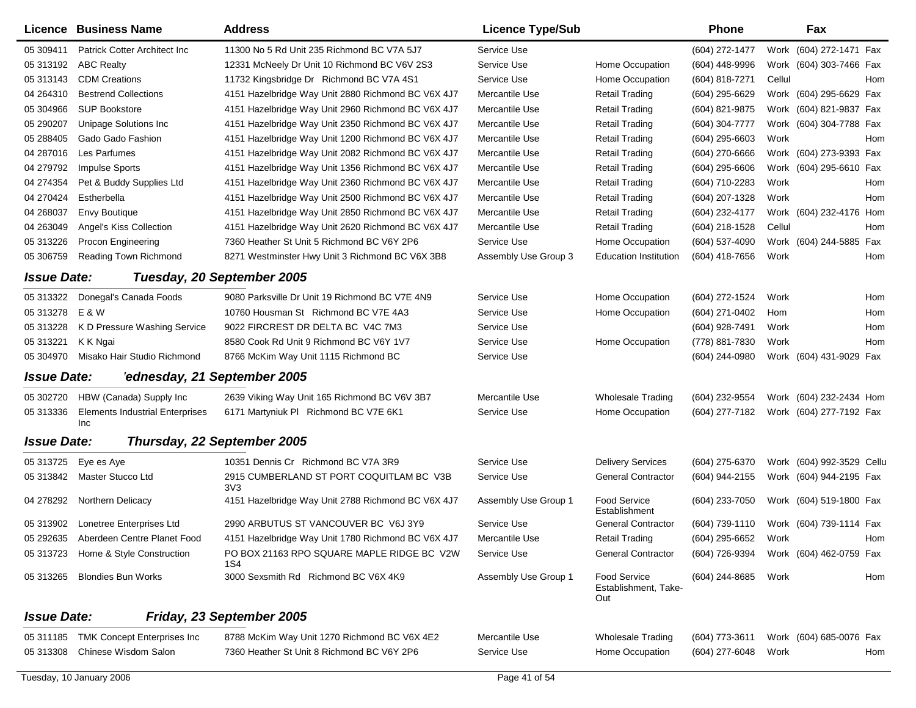|                    | <b>Licence Business Name</b>           | <b>Address</b>                                     | <b>Licence Type/Sub</b> |                                                    | <b>Phone</b>     |        | Fax                       |     |
|--------------------|----------------------------------------|----------------------------------------------------|-------------------------|----------------------------------------------------|------------------|--------|---------------------------|-----|
| 05 309411          | <b>Patrick Cotter Architect Inc.</b>   | 11300 No 5 Rd Unit 235 Richmond BC V7A 5J7         | Service Use             |                                                    | (604) 272-1477   |        | Work (604) 272-1471 Fax   |     |
| 05 313192          | <b>ABC Realty</b>                      | 12331 McNeely Dr Unit 10 Richmond BC V6V 2S3       | Service Use             | Home Occupation                                    | (604) 448-9996   |        | Work (604) 303-7466 Fax   |     |
| 05 313143          | <b>CDM Creations</b>                   | 11732 Kingsbridge Dr Richmond BC V7A 4S1           | Service Use             | Home Occupation                                    | (604) 818-7271   | Cellul |                           | Hom |
| 04 264310          | <b>Bestrend Collections</b>            | 4151 Hazelbridge Way Unit 2880 Richmond BC V6X 4J7 | Mercantile Use          | <b>Retail Trading</b>                              | (604) 295-6629   |        | Work (604) 295-6629 Fax   |     |
| 05 304966          | <b>SUP Bookstore</b>                   | 4151 Hazelbridge Way Unit 2960 Richmond BC V6X 4J7 | Mercantile Use          | <b>Retail Trading</b>                              | (604) 821-9875   |        | Work (604) 821-9837 Fax   |     |
| 05 290207          | Unipage Solutions Inc                  | 4151 Hazelbridge Way Unit 2350 Richmond BC V6X 4J7 | Mercantile Use          | <b>Retail Trading</b>                              | (604) 304-7777   |        | Work (604) 304-7788 Fax   |     |
| 05 288405          | Gado Gado Fashion                      | 4151 Hazelbridge Way Unit 1200 Richmond BC V6X 4J7 | Mercantile Use          | Retail Trading                                     | (604) 295-6603   | Work   |                           | Hom |
| 04 287016          | Les Parfumes                           | 4151 Hazelbridge Way Unit 2082 Richmond BC V6X 4J7 | Mercantile Use          | <b>Retail Trading</b>                              | (604) 270-6666   |        | Work (604) 273-9393 Fax   |     |
| 04 279792          | <b>Impulse Sports</b>                  | 4151 Hazelbridge Way Unit 1356 Richmond BC V6X 4J7 | Mercantile Use          | <b>Retail Trading</b>                              | $(604)$ 295-6606 |        | Work (604) 295-6610 Fax   |     |
| 04 274354          | Pet & Buddy Supplies Ltd               | 4151 Hazelbridge Way Unit 2360 Richmond BC V6X 4J7 | Mercantile Use          | <b>Retail Trading</b>                              | (604) 710-2283   | Work   |                           | Hom |
| 04 270424          | Estherbella                            | 4151 Hazelbridge Way Unit 2500 Richmond BC V6X 4J7 | Mercantile Use          | Retail Trading                                     | (604) 207-1328   | Work   |                           | Hom |
| 04 268037          | <b>Envy Boutique</b>                   | 4151 Hazelbridge Way Unit 2850 Richmond BC V6X 4J7 | Mercantile Use          | <b>Retail Trading</b>                              | (604) 232-4177   |        | Work (604) 232-4176 Hom   |     |
| 04 263049          | Angel's Kiss Collection                | 4151 Hazelbridge Way Unit 2620 Richmond BC V6X 4J7 | Mercantile Use          | <b>Retail Trading</b>                              | (604) 218-1528   | Cellul |                           | Hom |
| 05 313226          | Procon Engineering                     | 7360 Heather St Unit 5 Richmond BC V6Y 2P6         | Service Use             | Home Occupation                                    | $(604)$ 537-4090 |        | Work (604) 244-5885 Fax   |     |
| 05 30 6759         | Reading Town Richmond                  | 8271 Westminster Hwy Unit 3 Richmond BC V6X 3B8    | Assembly Use Group 3    | <b>Education Institution</b>                       | (604) 418-7656   | Work   |                           | Hom |
| <b>Issue Date:</b> |                                        | Tuesday, 20 September 2005                         |                         |                                                    |                  |        |                           |     |
| 05 313322          | Donegal's Canada Foods                 | 9080 Parksville Dr Unit 19 Richmond BC V7E 4N9     | Service Use             | Home Occupation                                    | (604) 272-1524   | Work   |                           | Hom |
| 05 313278          | E & W                                  | 10760 Housman St Richmond BC V7E 4A3               | Service Use             | Home Occupation                                    | (604) 271-0402   | Hom    |                           | Hom |
| 05 313228          | K D Pressure Washing Service           | 9022 FIRCREST DR DELTA BC V4C 7M3                  | Service Use             |                                                    | (604) 928-7491   | Work   |                           | Hom |
| 05 313221          | K K Ngai                               | 8580 Cook Rd Unit 9 Richmond BC V6Y 1V7            | Service Use             | Home Occupation                                    | (778) 881-7830   | Work   |                           | Hom |
| 05 304970          | Misako Hair Studio Richmond            | 8766 McKim Way Unit 1115 Richmond BC               | Service Use             |                                                    | (604) 244-0980   |        | Work (604) 431-9029 Fax   |     |
| <b>Issue Date:</b> | 'ednesday, 21 September 2005           |                                                    |                         |                                                    |                  |        |                           |     |
| 05 302720          | HBW (Canada) Supply Inc                | 2639 Viking Way Unit 165 Richmond BC V6V 3B7       | Mercantile Use          | <b>Wholesale Trading</b>                           | (604) 232-9554   |        | Work (604) 232-2434 Hom   |     |
| 05 313336          | <b>Elements Industrial Enterprises</b> | 6171 Martyniuk PI Richmond BC V7E 6K1              | Service Use             | Home Occupation                                    | (604) 277-7182   |        | Work (604) 277-7192 Fax   |     |
|                    | Inc                                    |                                                    |                         |                                                    |                  |        |                           |     |
| <b>Issue Date:</b> |                                        | Thursday, 22 September 2005                        |                         |                                                    |                  |        |                           |     |
| 05 313725          | Eye es Aye                             | 10351 Dennis Cr Richmond BC V7A 3R9                | Service Use             | <b>Delivery Services</b>                           | (604) 275-6370   |        | Work (604) 992-3529 Cellu |     |
| 05 313842          | Master Stucco Ltd                      | 2915 CUMBERLAND ST PORT COQUITLAM BC V3B<br>3V3    | Service Use             | <b>General Contractor</b>                          | (604) 944-2155   |        | Work (604) 944-2195 Fax   |     |
| 04 278292          | Northern Delicacy                      | 4151 Hazelbridge Way Unit 2788 Richmond BC V6X 4J7 | Assembly Use Group 1    | Food Service<br>Establishment                      | (604) 233-7050   |        | Work (604) 519-1800 Fax   |     |
|                    | 05 313902 Lonetree Enterprises Ltd     | 2990 ARBUTUS ST VANCOUVER BC V6J 3Y9               | Service Use             | General Contractor                                 | (604) 739-1110   |        | Work (604) 739-1114 Fax   |     |
| 05 29 26 35        | Aberdeen Centre Planet Food            | 4151 Hazelbridge Way Unit 1780 Richmond BC V6X 4J7 | Mercantile Use          | <b>Retail Trading</b>                              | (604) 295-6652   | Work   |                           | Hom |
| 05 313723          | Home & Style Construction              | PO BOX 21163 RPO SQUARE MAPLE RIDGE BC V2W<br>1S4  | Service Use             | <b>General Contractor</b>                          | (604) 726-9394   |        | Work (604) 462-0759 Fax   |     |
| 05 313265          | <b>Blondies Bun Works</b>              | 3000 Sexsmith Rd Richmond BC V6X 4K9               | Assembly Use Group 1    | <b>Food Service</b><br>Establishment, Take-<br>Out | (604) 244-8685   | Work   |                           | Hom |
| <b>Issue Date:</b> |                                        | Friday, 23 September 2005                          |                         |                                                    |                  |        |                           |     |
| 05 311185          | <b>TMK Concept Enterprises Inc</b>     | 8788 McKim Way Unit 1270 Richmond BC V6X 4E2       | Mercantile Use          | <b>Wholesale Trading</b>                           | (604) 773-3611   |        | Work (604) 685-0076 Fax   |     |
| 05 313308          | Chinese Wisdom Salon                   | 7360 Heather St Unit 8 Richmond BC V6Y 2P6         | Service Use             | Home Occupation                                    | (604) 277-6048   | Work   |                           | Hom |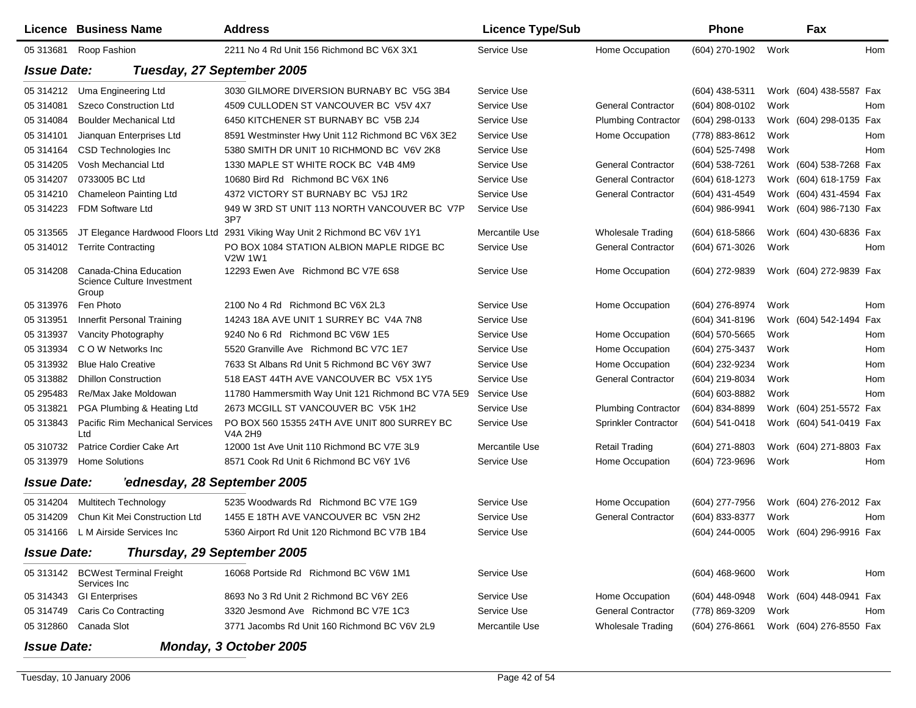|                    | Licence Business Name                                         | <b>Address</b>                                                             | <b>Licence Type/Sub</b> |                             | Phone            |      | Fax                     |     |
|--------------------|---------------------------------------------------------------|----------------------------------------------------------------------------|-------------------------|-----------------------------|------------------|------|-------------------------|-----|
| 05 313681          | Roop Fashion                                                  | 2211 No 4 Rd Unit 156 Richmond BC V6X 3X1                                  | Service Use             | Home Occupation             | (604) 270-1902   | Work |                         | Hom |
| <b>Issue Date:</b> |                                                               | Tuesday, 27 September 2005                                                 |                         |                             |                  |      |                         |     |
| 05 314212          | Uma Engineering Ltd                                           | 3030 GILMORE DIVERSION BURNABY BC V5G 3B4                                  | Service Use             |                             | (604) 438-5311   |      | Work (604) 438-5587 Fax |     |
| 05 314081          | Szeco Construction Ltd                                        | 4509 CULLODEN ST VANCOUVER BC V5V 4X7                                      | Service Use             | <b>General Contractor</b>   | (604) 808-0102   | Work |                         | Hom |
| 05 314084          | <b>Boulder Mechanical Ltd</b>                                 | 6450 KITCHENER ST BURNABY BC V5B 2J4                                       | Service Use             | <b>Plumbing Contractor</b>  | (604) 298-0133   |      | Work (604) 298-0135 Fax |     |
| 05 314101          | Jianguan Enterprises Ltd                                      | 8591 Westminster Hwy Unit 112 Richmond BC V6X 3E2                          | Service Use             | Home Occupation             | (778) 883-8612   | Work |                         | Hom |
| 05 314164          | CSD Technologies Inc                                          | 5380 SMITH DR UNIT 10 RICHMOND BC V6V 2K8                                  | Service Use             |                             | (604) 525-7498   | Work |                         | Hom |
| 05 314205          | Vosh Mechancial Ltd                                           | 1330 MAPLE ST WHITE ROCK BC V4B 4M9                                        | Service Use             | <b>General Contractor</b>   | (604) 538-7261   |      | Work (604) 538-7268 Fax |     |
| 05 314207          | 0733005 BC Ltd                                                | 10680 Bird Rd Richmond BC V6X 1N6                                          | Service Use             | <b>General Contractor</b>   | (604) 618-1273   |      | Work (604) 618-1759 Fax |     |
| 05 314210          | Chameleon Painting Ltd                                        | 4372 VICTORY ST BURNABY BC V5J 1R2                                         | Service Use             | <b>General Contractor</b>   | (604) 431-4549   |      | Work (604) 431-4594 Fax |     |
| 05 314223          | FDM Software Ltd                                              | 949 W 3RD ST UNIT 113 NORTH VANCOUVER BC V7P<br>3P7                        | Service Use             |                             | (604) 986-9941   |      | Work (604) 986-7130 Fax |     |
| 05 313565          |                                                               | JT Elegance Hardwood Floors Ltd 2931 Viking Way Unit 2 Richmond BC V6V 1Y1 | Mercantile Use          | <b>Wholesale Trading</b>    | (604) 618-5866   |      | Work (604) 430-6836 Fax |     |
| 05 314012          | <b>Territe Contracting</b>                                    | PO BOX 1084 STATION ALBION MAPLE RIDGE BC<br><b>V2W 1W1</b>                | Service Use             | <b>General Contractor</b>   | (604) 671-3026   | Work |                         | Hom |
| 05 314208          | Canada-China Education<br>Science Culture Investment<br>Group | 12293 Ewen Ave Richmond BC V7E 6S8                                         | Service Use             | Home Occupation             | (604) 272-9839   |      | Work (604) 272-9839 Fax |     |
| 05 313976          | Fen Photo                                                     | 2100 No 4 Rd Richmond BC V6X 2L3                                           | Service Use             | Home Occupation             | (604) 276-8974   | Work |                         | Hom |
| 05 313951          | <b>Innerfit Personal Training</b>                             | 14243 18A AVE UNIT 1 SURREY BC V4A 7N8                                     | Service Use             |                             | (604) 341-8196   |      | Work (604) 542-1494     | Fax |
| 05 313937          | Vancity Photography                                           | 9240 No 6 Rd Richmond BC V6W 1E5                                           | Service Use             | Home Occupation             | (604) 570-5665   | Work |                         | Hom |
| 05 313934          | C O W Networks Inc.                                           | 5520 Granville Ave Richmond BC V7C 1E7                                     | Service Use             | Home Occupation             | (604) 275-3437   | Work |                         | Hom |
| 05 313932          | <b>Blue Halo Creative</b>                                     | 7633 St Albans Rd Unit 5 Richmond BC V6Y 3W7                               | Service Use             | Home Occupation             | (604) 232-9234   | Work |                         | Hom |
| 05 313882          | <b>Dhillon Construction</b>                                   | 518 EAST 44TH AVE VANCOUVER BC V5X 1Y5                                     | Service Use             | <b>General Contractor</b>   | (604) 219-8034   | Work |                         | Hom |
| 05 295483          | Re/Max Jake Moldowan                                          | 11780 Hammersmith Way Unit 121 Richmond BC V7A 5E9                         | Service Use             |                             | (604) 603-8882   | Work |                         | Hom |
| 05 31 38 21        | PGA Plumbing & Heating Ltd                                    | 2673 MCGILL ST VANCOUVER BC V5K 1H2                                        | Service Use             | <b>Plumbing Contractor</b>  | (604) 834-8899   |      | Work (604) 251-5572 Fax |     |
| 05 31 38 43        | <b>Pacific Rim Mechanical Services</b><br>Ltd                 | PO BOX 560 15355 24TH AVE UNIT 800 SURREY BC<br>V4A 2H9                    | Service Use             | <b>Sprinkler Contractor</b> | (604) 541-0418   |      | Work (604) 541-0419 Fax |     |
| 05 310732          | Patrice Cordier Cake Art                                      | 12000 1st Ave Unit 110 Richmond BC V7E 3L9                                 | Mercantile Use          | <b>Retail Trading</b>       | (604) 271-8803   |      | Work (604) 271-8803 Fax |     |
| 05 313979          | <b>Home Solutions</b>                                         | 8571 Cook Rd Unit 6 Richmond BC V6Y 1V6                                    | Service Use             | Home Occupation             | (604) 723-9696   | Work |                         | Hom |
| <b>Issue Date:</b> | 'ednesday, 28 September 2005                                  |                                                                            |                         |                             |                  |      |                         |     |
| 05 314204          | Multitech Technology                                          | 5235 Woodwards Rd Richmond BC V7E 1G9                                      | Service Use             | Home Occupation             | (604) 277-7956   |      | Work (604) 276-2012 Fax |     |
| 05 314209          | Chun Kit Mei Construction Ltd                                 | 1455 E 18TH AVE VANCOUVER BC V5N 2H2                                       | Service Use             | <b>General Contractor</b>   | (604) 833-8377   | Work |                         | Hom |
| 05 314166          | L M Airside Services Inc                                      | 5360 Airport Rd Unit 120 Richmond BC V7B 1B4                               | Service Use             |                             | (604) 244-0005   |      | Work (604) 296-9916 Fax |     |
| <b>Issue Date:</b> | Thursday, 29 September 2005                                   |                                                                            |                         |                             |                  |      |                         |     |
|                    | 05 313142 BCWest Terminal Freight<br>Services Inc             | 16068 Portside Rd Richmond BC V6W 1M1                                      | Service Use             |                             | $(604)$ 468-9600 | Work |                         | Hom |
| 05 314343          | <b>GI Enterprises</b>                                         | 8693 No 3 Rd Unit 2 Richmond BC V6Y 2E6                                    | Service Use             | Home Occupation             | (604) 448-0948   |      | Work (604) 448-0941 Fax |     |
| 05 314749          | Caris Co Contracting                                          | 3320 Jesmond Ave Richmond BC V7E 1C3                                       | Service Use             | <b>General Contractor</b>   | (778) 869-3209   | Work |                         | Hom |
| 05 31 2860         | Canada Slot                                                   | 3771 Jacombs Rd Unit 160 Richmond BC V6V 2L9                               | Mercantile Use          | <b>Wholesale Trading</b>    | $(604)$ 276-8661 |      | Work (604) 276-8550 Fax |     |
| <b>Issue Date:</b> |                                                               | Monday, 3 October 2005                                                     |                         |                             |                  |      |                         |     |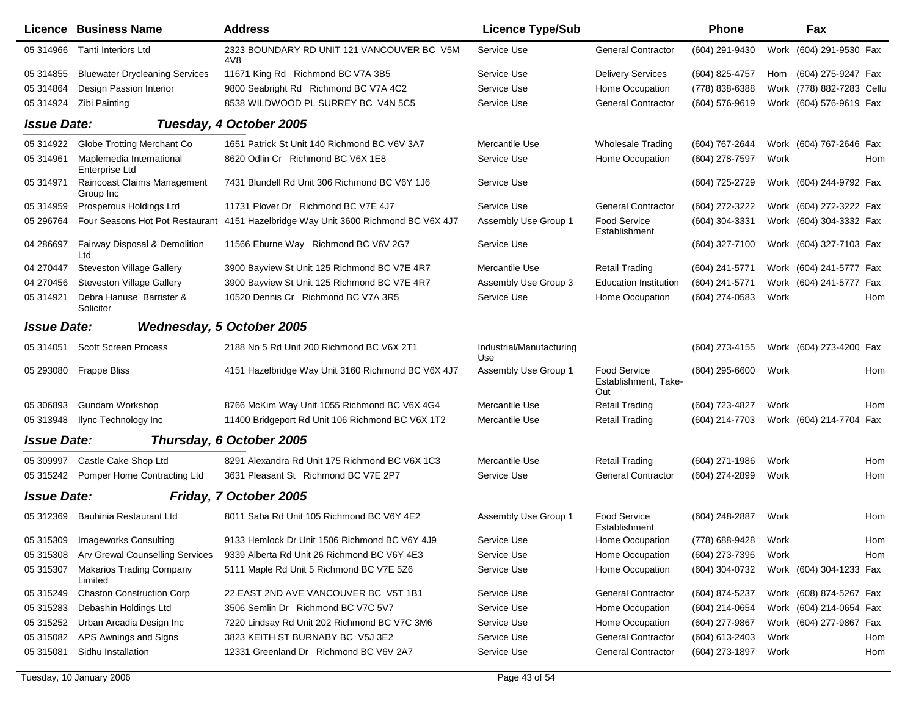|                    | <b>Licence Business Name</b>               | <b>Address</b>                                                                     | <b>Licence Type/Sub</b>         |                                                    | Phone               |      | Fax                       |     |
|--------------------|--------------------------------------------|------------------------------------------------------------------------------------|---------------------------------|----------------------------------------------------|---------------------|------|---------------------------|-----|
| 05 314966          | <b>Tanti Interiors Ltd</b>                 | 2323 BOUNDARY RD UNIT 121 VANCOUVER BC V5M<br>4V8                                  | Service Use                     | <b>General Contractor</b>                          | (604) 291-9430      |      | Work (604) 291-9530 Fax   |     |
| 05 314855          | <b>Bluewater Drycleaning Services</b>      | 11671 King Rd Richmond BC V7A 3B5                                                  | Service Use                     | <b>Delivery Services</b>                           | (604) 825-4757      |      | Hom (604) 275-9247 Fax    |     |
| 05 314864          | Design Passion Interior                    | 9800 Seabright Rd Richmond BC V7A 4C2                                              | Service Use                     | Home Occupation                                    | (778) 838-6388      |      | Work (778) 882-7283 Cellu |     |
| 05 314924          | Zibi Painting                              | 8538 WILDWOOD PL SURREY BC V4N 5C5                                                 | Service Use                     | <b>General Contractor</b>                          | (604) 576-9619      |      | Work (604) 576-9619 Fax   |     |
| <b>Issue Date:</b> |                                            | Tuesday, 4 October 2005                                                            |                                 |                                                    |                     |      |                           |     |
| 05 314922          | Globe Trotting Merchant Co                 | 1651 Patrick St Unit 140 Richmond BC V6V 3A7                                       | Mercantile Use                  | <b>Wholesale Trading</b>                           | (604) 767-2644      |      | Work (604) 767-2646 Fax   |     |
| 05 314961          | Maplemedia International<br>Enterprise Ltd | 8620 Odlin Cr Richmond BC V6X 1E8                                                  | Service Use                     | Home Occupation                                    | (604) 278-7597      | Work |                           | Hom |
| 05 314971          | Raincoast Claims Management<br>Group Inc   | 7431 Blundell Rd Unit 306 Richmond BC V6Y 1J6                                      | Service Use                     |                                                    | (604) 725-2729      |      | Work (604) 244-9792 Fax   |     |
| 05 314959          | Prosperous Holdings Ltd                    | 11731 Plover Dr Richmond BC V7E 4J7                                                | Service Use                     | <b>General Contractor</b>                          | (604) 272-3222      |      | Work (604) 272-3222 Fax   |     |
| 05 29 6764         |                                            | Four Seasons Hot Pot Restaurant 4151 Hazelbridge Way Unit 3600 Richmond BC V6X 4J7 | Assembly Use Group 1            | <b>Food Service</b><br>Establishment               | (604) 304-3331      |      | Work (604) 304-3332 Fax   |     |
| 04 286697          | Fairway Disposal & Demolition<br>Ltd       | 11566 Eburne Way Richmond BC V6V 2G7                                               | Service Use                     |                                                    | $(604)$ 327-7100    |      | Work (604) 327-7103 Fax   |     |
| 04 270447          | <b>Steveston Village Gallery</b>           | 3900 Bayview St Unit 125 Richmond BC V7E 4R7                                       | Mercantile Use                  | <b>Retail Trading</b>                              | (604) 241-5771      |      | Work (604) 241-5777 Fax   |     |
| 04 270456          | <b>Steveston Village Gallery</b>           | 3900 Bayview St Unit 125 Richmond BC V7E 4R7                                       | Assembly Use Group 3            | <b>Education Institution</b>                       | (604) 241-5771      |      | Work (604) 241-5777 Fax   |     |
| 05 314921          | Debra Hanuse Barrister &<br>Solicitor      | 10520 Dennis Cr Richmond BC V7A 3R5                                                | Service Use                     | Home Occupation                                    | (604) 274-0583      | Work |                           | Hom |
| <b>Issue Date:</b> |                                            | <b>Wednesday, 5 October 2005</b>                                                   |                                 |                                                    |                     |      |                           |     |
| 05 314051          | <b>Scott Screen Process</b>                | 2188 No 5 Rd Unit 200 Richmond BC V6X 2T1                                          | Industrial/Manufacturing<br>Use |                                                    | (604) 273-4155      |      | Work (604) 273-4200 Fax   |     |
| 05 293080          | <b>Frappe Bliss</b>                        | 4151 Hazelbridge Way Unit 3160 Richmond BC V6X 4J7                                 | Assembly Use Group 1            | <b>Food Service</b><br>Establishment, Take-<br>Out | $(604)$ 295-6600    | Work |                           | Hom |
| 05 306893          | <b>Gundam Workshop</b>                     | 8766 McKim Way Unit 1055 Richmond BC V6X 4G4                                       | Mercantile Use                  | <b>Retail Trading</b>                              | (604) 723-4827      | Work |                           | Hom |
| 05 313948          | Ilync Technology Inc                       | 11400 Bridgeport Rd Unit 106 Richmond BC V6X 1T2                                   | Mercantile Use                  | <b>Retail Trading</b>                              | (604) 214-7703      |      | Work (604) 214-7704 Fax   |     |
| <b>Issue Date:</b> |                                            | Thursday, 6 October 2005                                                           |                                 |                                                    |                     |      |                           |     |
| 05 309997          | Castle Cake Shop Ltd                       | 8291 Alexandra Rd Unit 175 Richmond BC V6X 1C3                                     | Mercantile Use                  | <b>Retail Trading</b>                              | (604) 271-1986      | Work |                           | Hom |
| 05 315242          | Pomper Home Contracting Ltd                | 3631 Pleasant St Richmond BC V7E 2P7                                               | Service Use                     | <b>General Contractor</b>                          | (604) 274-2899      | Work |                           | Hom |
| <b>Issue Date:</b> |                                            | Friday, 7 October 2005                                                             |                                 |                                                    |                     |      |                           |     |
| 05 312369          | Bauhinia Restaurant Ltd                    | 8011 Saba Rd Unit 105 Richmond BC V6Y 4E2                                          | Assembly Use Group 1            | <b>Food Service</b><br>Establishment               | (604) 248-2887      | Work |                           | Hom |
|                    | 05 315309 Imageworks Consulting            | 9133 Hemlock Dr Unit 1506 Richmond BC V6Y 4J9                                      | Service Use                     | Home Occupation                                    | (778) 688-9428 Work |      |                           | Hom |
| 05 315308          | Arv Grewal Counselling Services            | 9339 Alberta Rd Unit 26 Richmond BC V6Y 4E3                                        | Service Use                     | Home Occupation                                    | (604) 273-7396      | Work |                           | Hom |
| 05 31 530 7        | <b>Makarios Trading Company</b><br>Limited | 5111 Maple Rd Unit 5 Richmond BC V7E 5Z6                                           | Service Use                     | Home Occupation                                    | (604) 304-0732      |      | Work (604) 304-1233 Fax   |     |
| 05 315249          | <b>Chaston Construction Corp</b>           | 22 EAST 2ND AVE VANCOUVER BC V5T 1B1                                               | Service Use                     | <b>General Contractor</b>                          | (604) 874-5237      |      | Work (608) 874-5267 Fax   |     |
| 05 315283          | Debashin Holdings Ltd                      | 3506 Semlin Dr Richmond BC V7C 5V7                                                 | Service Use                     | Home Occupation                                    | (604) 214-0654      |      | Work (604) 214-0654 Fax   |     |
| 05 31 52 52        | Urban Arcadia Design Inc                   | 7220 Lindsay Rd Unit 202 Richmond BC V7C 3M6                                       | Service Use                     | Home Occupation                                    | (604) 277-9867      |      | Work (604) 277-9867 Fax   |     |
| 05 315082          | APS Awnings and Signs                      | 3823 KEITH ST BURNABY BC V5J 3E2                                                   | Service Use                     | <b>General Contractor</b>                          | (604) 613-2403      | Work |                           | Hom |
| 05 315081          | Sidhu Installation                         | 12331 Greenland Dr Richmond BC V6V 2A7                                             | Service Use                     | <b>General Contractor</b>                          | (604) 273-1897      | Work |                           | Hom |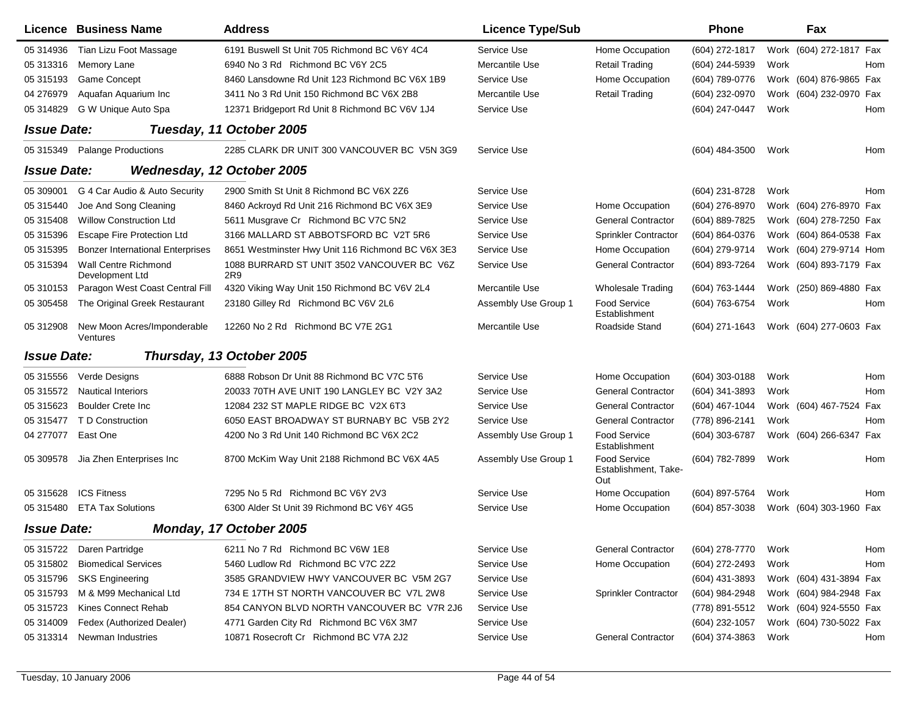|                    | <b>Licence Business Name</b>            | <b>Address</b>                                    | <b>Licence Type/Sub</b> |                                                    | <b>Phone</b>   |      | Fax                     |     |
|--------------------|-----------------------------------------|---------------------------------------------------|-------------------------|----------------------------------------------------|----------------|------|-------------------------|-----|
| 05 314936          | Tian Lizu Foot Massage                  | 6191 Buswell St Unit 705 Richmond BC V6Y 4C4      | Service Use             | Home Occupation                                    | (604) 272-1817 |      | Work (604) 272-1817 Fax |     |
| 05 31 3316         | Memory Lane                             | 6940 No 3 Rd Richmond BC V6Y 2C5                  | Mercantile Use          | <b>Retail Trading</b>                              | (604) 244-5939 | Work |                         | Hom |
| 05 31 51 93        | <b>Game Concept</b>                     | 8460 Lansdowne Rd Unit 123 Richmond BC V6X 1B9    | Service Use             | Home Occupation                                    | (604) 789-0776 |      | Work (604) 876-9865 Fax |     |
| 04 276979          | Aquafan Aquarium Inc                    | 3411 No 3 Rd Unit 150 Richmond BC V6X 2B8         | Mercantile Use          | <b>Retail Trading</b>                              | (604) 232-0970 |      | Work (604) 232-0970 Fax |     |
| 05 31 48 29        | G W Unique Auto Spa                     | 12371 Bridgeport Rd Unit 8 Richmond BC V6V 1J4    | Service Use             |                                                    | (604) 247-0447 | Work |                         | Hom |
| <b>Issue Date:</b> |                                         | Tuesday, 11 October 2005                          |                         |                                                    |                |      |                         |     |
| 05 315349          | <b>Palange Productions</b>              | 2285 CLARK DR UNIT 300 VANCOUVER BC V5N 3G9       | Service Use             |                                                    | (604) 484-3500 | Work |                         | Hom |
| <b>Issue Date:</b> |                                         | Wednesday, 12 October 2005                        |                         |                                                    |                |      |                         |     |
| 05 309001          | G 4 Car Audio & Auto Security           | 2900 Smith St Unit 8 Richmond BC V6X 2Z6          | Service Use             |                                                    | (604) 231-8728 | Work |                         | Hom |
| 05 31 5440         | Joe And Song Cleaning                   | 8460 Ackroyd Rd Unit 216 Richmond BC V6X 3E9      | Service Use             | Home Occupation                                    | (604) 276-8970 |      | Work (604) 276-8970 Fax |     |
| 05 31 54 08        | <b>Willow Construction Ltd</b>          | 5611 Musgrave Cr Richmond BC V7C 5N2              | Service Use             | <b>General Contractor</b>                          | (604) 889-7825 |      | Work (604) 278-7250 Fax |     |
| 05 31 5396         | <b>Escape Fire Protection Ltd</b>       | 3166 MALLARD ST ABBOTSFORD BC V2T 5R6             | Service Use             | <b>Sprinkler Contractor</b>                        | (604) 864-0376 |      | Work (604) 864-0538 Fax |     |
| 05 31 53 95        | <b>Bonzer International Enterprises</b> | 8651 Westminster Hwy Unit 116 Richmond BC V6X 3E3 | Service Use             | Home Occupation                                    | (604) 279-9714 |      | Work (604) 279-9714 Hom |     |
| 05 315394          | Wall Centre Richmond<br>Development Ltd | 1088 BURRARD ST UNIT 3502 VANCOUVER BC V6Z<br>2R9 | Service Use             | <b>General Contractor</b>                          | (604) 893-7264 |      | Work (604) 893-7179 Fax |     |
| 05 310153          | Paragon West Coast Central Fill         | 4320 Viking Way Unit 150 Richmond BC V6V 2L4      | Mercantile Use          | <b>Wholesale Trading</b>                           | (604) 763-1444 |      | Work (250) 869-4880 Fax |     |
| 05 30 5458         | The Original Greek Restaurant           | 23180 Gilley Rd Richmond BC V6V 2L6               | Assembly Use Group 1    | <b>Food Service</b><br>Establishment               | (604) 763-6754 | Work |                         | Hom |
| 05 312908          | New Moon Acres/Imponderable<br>Ventures | 12260 No 2 Rd Richmond BC V7E 2G1                 | Mercantile Use          | Roadside Stand                                     | (604) 271-1643 |      | Work (604) 277-0603 Fax |     |
| <b>Issue Date:</b> |                                         | Thursday, 13 October 2005                         |                         |                                                    |                |      |                         |     |
| 05 31 5556         | Verde Designs                           | 6888 Robson Dr Unit 88 Richmond BC V7C 5T6        | Service Use             | Home Occupation                                    | (604) 303-0188 | Work |                         | Hom |
| 05 31 55 72        | <b>Nautical Interiors</b>               | 20033 70TH AVE UNIT 190 LANGLEY BC V2Y 3A2        | Service Use             | <b>General Contractor</b>                          | (604) 341-3893 | Work |                         | Hom |
| 05 31 56 23        | <b>Boulder Crete Inc</b>                | 12084 232 ST MAPLE RIDGE BC V2X 6T3               | Service Use             | <b>General Contractor</b>                          | (604) 467-1044 |      | Work (604) 467-7524 Fax |     |
| 05 31 54 77        | T D Construction                        | 6050 EAST BROADWAY ST BURNABY BC V5B 2Y2          | Service Use             | <b>General Contractor</b>                          | (778) 896-2141 | Work |                         | Hom |
| 04 277077          | East One                                | 4200 No 3 Rd Unit 140 Richmond BC V6X 2C2         | Assembly Use Group 1    | <b>Food Service</b><br>Establishment               | (604) 303-6787 |      | Work (604) 266-6347 Fax |     |
| 05 309578          | Jia Zhen Enterprises Inc                | 8700 McKim Way Unit 2188 Richmond BC V6X 4A5      | Assembly Use Group 1    | <b>Food Service</b><br>Establishment, Take-<br>Out | (604) 782-7899 | Work |                         | Hom |
| 05 31 56 28        | <b>ICS Fitness</b>                      | 7295 No 5 Rd Richmond BC V6Y 2V3                  | Service Use             | Home Occupation                                    | (604) 897-5764 | Work |                         | Hom |
| 05 31 54 80        | <b>ETA Tax Solutions</b>                | 6300 Alder St Unit 39 Richmond BC V6Y 4G5         | Service Use             | Home Occupation                                    | (604) 857-3038 |      | Work (604) 303-1960 Fax |     |
| <b>Issue Date:</b> |                                         | Monday, 17 October 2005                           |                         |                                                    |                |      |                         |     |
| 05 315722          | Daren Partridge                         | 6211 No 7 Rd Richmond BC V6W 1E8                  | Service Use             | <b>General Contractor</b>                          | (604) 278-7770 | Work |                         | Hom |
| 05 315802          | <b>Biomedical Services</b>              | 5460 Ludlow Rd Richmond BC V7C 2Z2                | Service Use             | Home Occupation                                    | (604) 272-2493 | Work |                         | Hom |
| 05 315796          | <b>SKS Engineering</b>                  | 3585 GRANDVIEW HWY VANCOUVER BC V5M 2G7           | Service Use             |                                                    | (604) 431-3893 |      | Work (604) 431-3894 Fax |     |
| 05 31 579 3        | M & M99 Mechanical Ltd                  | 734 E 17TH ST NORTH VANCOUVER BC V7L 2W8          | Service Use             | Sprinkler Contractor                               | (604) 984-2948 |      | Work (604) 984-2948 Fax |     |
| 05 31 57 23        | Kines Connect Rehab                     | 854 CANYON BLVD NORTH VANCOUVER BC V7R 2J6        | Service Use             |                                                    | (778) 891-5512 |      | Work (604) 924-5550 Fax |     |
| 05 314009          | Fedex (Authorized Dealer)               | 4771 Garden City Rd Richmond BC V6X 3M7           | Service Use             |                                                    | (604) 232-1057 |      | Work (604) 730-5022 Fax |     |
| 05 313314          | Newman Industries                       | 10871 Rosecroft Cr Richmond BC V7A 2J2            | Service Use             | <b>General Contractor</b>                          | (604) 374-3863 | Work |                         | Hom |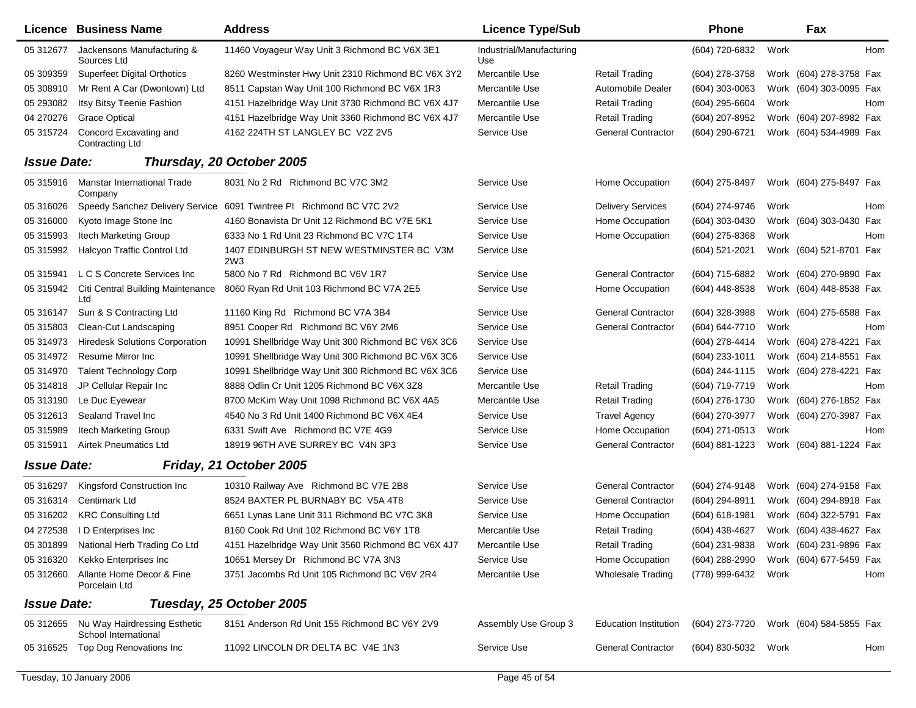|                    | Licence Business Name                              | <b>Address</b>                                                       | <b>Licence Type/Sub</b>         |                              | <b>Phone</b>     |      | Fax                     |     |
|--------------------|----------------------------------------------------|----------------------------------------------------------------------|---------------------------------|------------------------------|------------------|------|-------------------------|-----|
| 05 31 2677         | Jackensons Manufacturing &<br>Sources Ltd          | 11460 Voyageur Way Unit 3 Richmond BC V6X 3E1                        | Industrial/Manufacturing<br>Use |                              | (604) 720-6832   | Work |                         | Hom |
| 05 309359          | <b>Superfeet Digital Orthotics</b>                 | 8260 Westminster Hwy Unit 2310 Richmond BC V6X 3Y2                   | Mercantile Use                  | <b>Retail Trading</b>        | (604) 278-3758   |      | Work (604) 278-3758 Fax |     |
| 05 308910          | Mr Rent A Car (Dwontown) Ltd                       | 8511 Capstan Way Unit 100 Richmond BC V6X 1R3                        | Mercantile Use                  | Automobile Dealer            | $(604)$ 303-0063 |      | Work (604) 303-0095 Fax |     |
| 05 293082          | Itsy Bitsy Teenie Fashion                          | 4151 Hazelbridge Way Unit 3730 Richmond BC V6X 4J7                   | Mercantile Use                  | <b>Retail Trading</b>        | (604) 295-6604   | Work |                         | Hom |
| 04 270 276         | <b>Grace Optical</b>                               | 4151 Hazelbridge Way Unit 3360 Richmond BC V6X 4J7                   | Mercantile Use                  | <b>Retail Trading</b>        | (604) 207-8952   |      | Work (604) 207-8982 Fax |     |
| 05 315724          | Concord Excavating and<br><b>Contracting Ltd</b>   | 4162 224TH ST LANGLEY BC V2Z 2V5                                     | Service Use                     | <b>General Contractor</b>    | (604) 290-6721   |      | Work (604) 534-4989 Fax |     |
| <b>Issue Date:</b> |                                                    | Thursday, 20 October 2005                                            |                                 |                              |                  |      |                         |     |
| 05 315916          | <b>Manstar International Trade</b><br>Company      | 8031 No 2 Rd Richmond BC V7C 3M2                                     | Service Use                     | Home Occupation              | (604) 275-8497   |      | Work (604) 275-8497 Fax |     |
| 05 31 60 26        |                                                    | Speedy Sanchez Delivery Service 6091 Twintree PI Richmond BC V7C 2V2 | Service Use                     | <b>Delivery Services</b>     | (604) 274-9746   | Work |                         | Hom |
| 05 316000          | Kyoto Image Stone Inc                              | 4160 Bonavista Dr Unit 12 Richmond BC V7E 5K1                        | Service Use                     | Home Occupation              | (604) 303-0430   |      | Work (604) 303-0430 Fax |     |
| 05 315993          | Itech Marketing Group                              | 6333 No 1 Rd Unit 23 Richmond BC V7C 1T4                             | Service Use                     | Home Occupation              | (604) 275-8368   | Work |                         | Hom |
| 05 315992          | Halcyon Traffic Control Ltd                        | 1407 EDINBURGH ST NEW WESTMINSTER BC V3M<br>2W3                      | Service Use                     |                              | (604) 521-2021   |      | Work (604) 521-8701 Fax |     |
| 05 31 5941         | L C S Concrete Services Inc                        | 5800 No 7 Rd Richmond BC V6V 1R7                                     | Service Use                     | <b>General Contractor</b>    | (604) 715-6882   |      | Work (604) 270-9890 Fax |     |
|                    | 05 315942 Citi Central Building Maintenance<br>Ltd | 8060 Ryan Rd Unit 103 Richmond BC V7A 2E5                            | Service Use                     | Home Occupation              | (604) 448-8538   |      | Work (604) 448-8538 Fax |     |
| 05 31 61 47        | Sun & S Contracting Ltd                            | 11160 King Rd Richmond BC V7A 3B4                                    | Service Use                     | <b>General Contractor</b>    | (604) 328-3988   |      | Work (604) 275-6588 Fax |     |
| 05 31 580 3        | Clean-Cut Landscaping                              | 8951 Cooper Rd Richmond BC V6Y 2M6                                   | Service Use                     | <b>General Contractor</b>    | (604) 644-7710   | Work |                         | Hom |
| 05 31 49 73        | <b>Hiredesk Solutions Corporation</b>              | 10991 Shellbridge Way Unit 300 Richmond BC V6X 3C6                   | Service Use                     |                              | (604) 278-4414   |      | Work (604) 278-4221 Fax |     |
| 05 314972          | Resume Mirror Inc                                  | 10991 Shellbridge Way Unit 300 Richmond BC V6X 3C6                   | Service Use                     |                              | (604) 233-1011   |      | Work (604) 214-8551 Fax |     |
| 05 314970          | <b>Talent Technology Corp</b>                      | 10991 Shellbridge Way Unit 300 Richmond BC V6X 3C6                   | Service Use                     |                              | (604) 244-1115   |      | Work (604) 278-4221 Fax |     |
| 05 314818          | JP Cellular Repair Inc                             | 8888 Odlin Cr Unit 1205 Richmond BC V6X 3Z8                          | Mercantile Use                  | <b>Retail Trading</b>        | (604) 719-7719   | Work |                         | Hom |
| 05 313190          | Le Duc Eyewear                                     | 8700 McKim Way Unit 1098 Richmond BC V6X 4A5                         | Mercantile Use                  | <b>Retail Trading</b>        | (604) 276-1730   |      | Work (604) 276-1852 Fax |     |
| 05 31 261 3        | Sealand Travel Inc                                 | 4540 No 3 Rd Unit 1400 Richmond BC V6X 4E4                           | Service Use                     | <b>Travel Agency</b>         | (604) 270-3977   |      | Work (604) 270-3987 Fax |     |
| 05 315989          | Itech Marketing Group                              | 6331 Swift Ave Richmond BC V7E 4G9                                   | Service Use                     | Home Occupation              | (604) 271-0513   | Work |                         | Hom |
| 05 31 5911         | <b>Airtek Pneumatics Ltd</b>                       | 18919 96TH AVE SURREY BC V4N 3P3                                     | Service Use                     | <b>General Contractor</b>    | (604) 881-1223   |      | Work (604) 881-1224 Fax |     |
| <b>Issue Date:</b> |                                                    | Friday, 21 October 2005                                              |                                 |                              |                  |      |                         |     |
| 05 31 6297         | Kingsford Construction Inc                         | 10310 Railway Ave Richmond BC V7E 2B8                                | Service Use                     | <b>General Contractor</b>    | (604) 274-9148   |      | Work (604) 274-9158 Fax |     |
| 05 31 6314         | <b>Centimark Ltd</b>                               | 8524 BAXTER PL BURNABY BC V5A 4T8                                    | Service Use                     | <b>General Contractor</b>    | (604) 294-8911   |      | Work (604) 294-8918 Fax |     |
| 05 31 6202         | <b>KRC Consulting Ltd</b>                          | 6651 Lynas Lane Unit 311 Richmond BC V7C 3K8                         | Service Use                     | Home Occupation              | (604) 618-1981   |      | Work (604) 322-5791 Fax |     |
| 04 27 25 38        | ID Enterprises Inc                                 | 8160 Cook Rd Unit 102 Richmond BC V6Y 1T8                            | Mercantile Use                  | Retail Trading               | (604) 438-4627   |      | Work (604) 438-4627 Fax |     |
|                    | 05 301899 National Herb Trading Co Ltd             | 4151 Hazelbridge Way Unit 3560 Richmond BC V6X 4J7                   | Mercantile Use                  | <b>Retail Trading</b>        | (604) 231-9838   |      | Work (604) 231-9896 Fax |     |
| 05 31 63 20        | Kekko Enterprises Inc                              | 10651 Mersey Dr Richmond BC V7A 3N3                                  | Service Use                     | Home Occupation              | (604) 288-2990   |      | Work (604) 677-5459 Fax |     |
| 05 31 2660         | Allante Home Decor & Fine<br>Porcelain Ltd         | 3751 Jacombs Rd Unit 105 Richmond BC V6V 2R4                         | Mercantile Use                  | <b>Wholesale Trading</b>     | (778) 999-6432   | Work |                         | Hom |
| <b>Issue Date:</b> |                                                    | Tuesday, 25 October 2005                                             |                                 |                              |                  |      |                         |     |
|                    | 05 312655 Nu Way Hairdressing Esthetic             | 8151 Anderson Rd Unit 155 Richmond BC V6Y 2V9                        | Assembly Use Group 3            | <b>Education Institution</b> | (604) 273-7720   |      | Work (604) 584-5855 Fax |     |
| 05 31 65 25        | School International<br>Top Dog Renovations Inc    | 11092 LINCOLN DR DELTA BC V4E 1N3                                    | Service Use                     | <b>General Contractor</b>    | (604) 830-5032   | Work |                         | Hom |
|                    |                                                    |                                                                      |                                 |                              |                  |      |                         |     |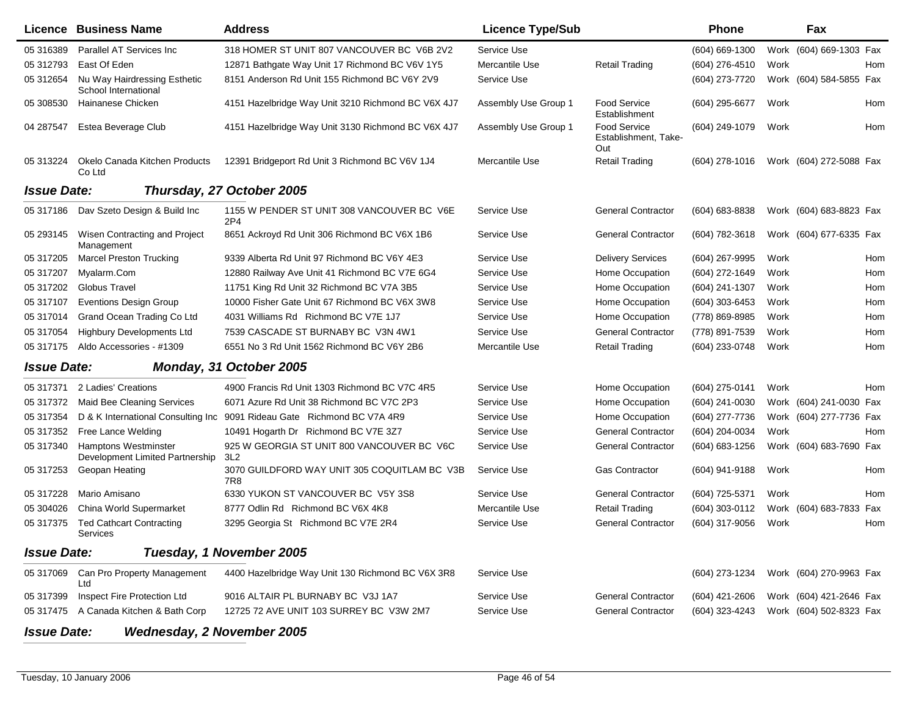|                    | Licence Business Name                                          | <b>Address</b>                                      | <b>Licence Type/Sub</b> |                                                    | Phone            |      | Fax                        |
|--------------------|----------------------------------------------------------------|-----------------------------------------------------|-------------------------|----------------------------------------------------|------------------|------|----------------------------|
| 05 31 63 89        | Parallel AT Services Inc                                       | 318 HOMER ST UNIT 807 VANCOUVER BC V6B 2V2          | Service Use             |                                                    | (604) 669-1300   |      | Work (604) 669-1303 Fax    |
| 05 312793          | East Of Eden                                                   | 12871 Bathgate Way Unit 17 Richmond BC V6V 1Y5      | Mercantile Use          | <b>Retail Trading</b>                              | $(604)$ 276-4510 | Work | Hom                        |
| 05 31 2654         | Nu Way Hairdressing Esthetic<br>School International           | 8151 Anderson Rd Unit 155 Richmond BC V6Y 2V9       | Service Use             |                                                    | (604) 273-7720   |      | Work (604) 584-5855 Fax    |
| 05 308530          | Hainanese Chicken                                              | 4151 Hazelbridge Way Unit 3210 Richmond BC V6X 4J7  | Assembly Use Group 1    | <b>Food Service</b><br>Establishment               | (604) 295-6677   | Work | Hom                        |
| 04 287547          | Estea Beverage Club                                            | 4151 Hazelbridge Way Unit 3130 Richmond BC V6X 4J7  | Assembly Use Group 1    | <b>Food Service</b><br>Establishment, Take-<br>Out | (604) 249-1079   | Work | Hom                        |
| 05 313224          | Okelo Canada Kitchen Products<br>Co Ltd                        | 12391 Bridgeport Rd Unit 3 Richmond BC V6V 1J4      | Mercantile Use          | <b>Retail Trading</b>                              | $(604)$ 278-1016 |      | Work (604) 272-5088 Fax    |
| <b>Issue Date:</b> |                                                                | Thursday, 27 October 2005                           |                         |                                                    |                  |      |                            |
| 05 317186          | Dav Szeto Design & Build Inc                                   | 1155 W PENDER ST UNIT 308 VANCOUVER BC V6E<br>2P4   | Service Use             | <b>General Contractor</b>                          | (604) 683-8838   |      | Work (604) 683-8823 Fax    |
| 05 293145          | Wisen Contracting and Project<br>Management                    | 8651 Ackroyd Rd Unit 306 Richmond BC V6X 1B6        | Service Use             | <b>General Contractor</b>                          | (604) 782-3618   |      | Work (604) 677-6335 Fax    |
| 05 317205          | <b>Marcel Preston Trucking</b>                                 | 9339 Alberta Rd Unit 97 Richmond BC V6Y 4E3         | Service Use             | <b>Delivery Services</b>                           | (604) 267-9995   | Work | Hom                        |
| 05 317207          | Myalarm.Com                                                    | 12880 Railway Ave Unit 41 Richmond BC V7E 6G4       | Service Use             | Home Occupation                                    | (604) 272-1649   | Work | Hom                        |
| 05 317202          | <b>Globus Travel</b>                                           | 11751 King Rd Unit 32 Richmond BC V7A 3B5           | Service Use             | Home Occupation                                    | (604) 241-1307   | Work | Hom                        |
| 05 317107          | <b>Eventions Design Group</b>                                  | 10000 Fisher Gate Unit 67 Richmond BC V6X 3W8       | Service Use             | Home Occupation                                    | $(604)$ 303-6453 | Work | Hom                        |
| 05 317014          | Grand Ocean Trading Co Ltd                                     | 4031 Williams Rd Richmond BC V7E 1J7                | Service Use             | Home Occupation                                    | (778) 869-8985   | Work | Hom                        |
| 05 317054          | <b>Highbury Developments Ltd</b>                               | 7539 CASCADE ST BURNABY BC V3N 4W1                  | Service Use             | <b>General Contractor</b>                          | (778) 891-7539   | Work | Hom                        |
| 05 317175          | Aldo Accessories - #1309                                       | 6551 No 3 Rd Unit 1562 Richmond BC V6Y 2B6          | Mercantile Use          | <b>Retail Trading</b>                              | (604) 233-0748   | Work | Hom                        |
| <b>Issue Date:</b> |                                                                | Monday, 31 October 2005                             |                         |                                                    |                  |      |                            |
| 05 317371          | 2 Ladies' Creations                                            | 4900 Francis Rd Unit 1303 Richmond BC V7C 4R5       | Service Use             | Home Occupation                                    | (604) 275-0141   | Work | Hom                        |
| 05 317372          | <b>Maid Bee Cleaning Services</b>                              | 6071 Azure Rd Unit 38 Richmond BC V7C 2P3           | Service Use             | Home Occupation                                    | $(604)$ 241-0030 |      | Work (604) 241-0030 Fax    |
| 05 317354          | D & K International Consulting Inc                             | 9091 Rideau Gate Richmond BC V7A 4R9                | Service Use             | Home Occupation                                    | (604) 277-7736   |      | Work (604) 277-7736 Fax    |
| 05 317352          | Free Lance Welding                                             | 10491 Hogarth Dr Richmond BC V7E 3Z7                | Service Use             | <b>General Contractor</b>                          | (604) 204-0034   | Work | Hom                        |
| 05 317340          | <b>Hamptons Westminster</b><br>Development Limited Partnership | 925 W GEORGIA ST UNIT 800 VANCOUVER BC V6C<br>3L2   | Service Use             | <b>General Contractor</b>                          | (604) 683-1256   |      | Work (604) 683-7690<br>Fax |
| 05 317253          | Geopan Heating                                                 | 3070 GUILDFORD WAY UNIT 305 COQUITLAM BC V3B<br>7R8 | Service Use             | <b>Gas Contractor</b>                              | (604) 941-9188   | Work | Hom                        |
| 05 317228          | Mario Amisano                                                  | 6330 YUKON ST VANCOUVER BC V5Y 3S8                  | Service Use             | <b>General Contractor</b>                          | (604) 725-5371   | Work | Hom                        |
| 05 304026          | China World Supermarket                                        | 8777 Odlin Rd Richmond BC V6X 4K8                   | Mercantile Use          | <b>Retail Trading</b>                              | (604) 303-0112   |      | Work (604) 683-7833<br>Fax |
| 05 317375          | <b>Ted Cathcart Contracting</b><br>Services                    | 3295 Georgia St Richmond BC V7E 2R4                 | Service Use             | <b>General Contractor</b>                          | (604) 317-9056   | Work | Hom                        |
| <b>Issue Date:</b> |                                                                | Tuesday, 1 November 2005                            |                         |                                                    |                  |      |                            |
| 05 317069          | Can Pro Property Management<br>Ltd                             | 4400 Hazelbridge Way Unit 130 Richmond BC V6X 3R8   | Service Use             |                                                    | (604) 273-1234   |      | Work (604) 270-9963 Fax    |
| 05 317399          | Inspect Fire Protection Ltd                                    | 9016 ALTAIR PL BURNABY BC V3J 1A7                   | Service Use             | <b>General Contractor</b>                          | (604) 421-2606   |      | Work (604) 421-2646 Fax    |
|                    | 05 317475 A Canada Kitchen & Bath Corp                         | 12725 72 AVE UNIT 103 SURREY BC V3W 2M7             | Service Use             | <b>General Contractor</b>                          | (604) 323-4243   |      | Work (604) 502-8323 Fax    |

*Issue Date:Wednesday, 2 November 2005*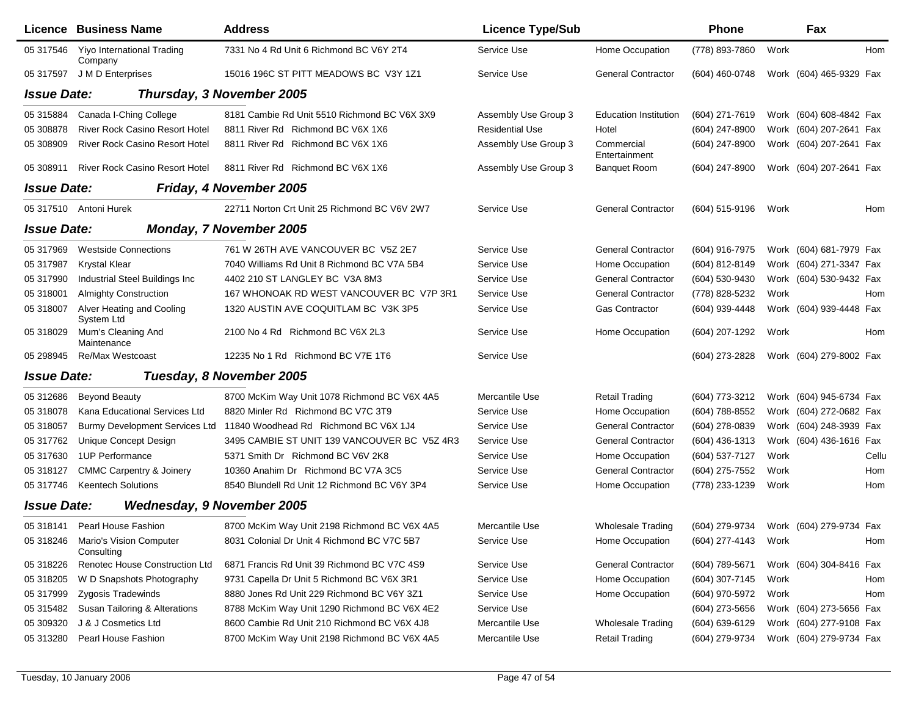|                    | Licence Business Name                           | <b>Address</b>                               | <b>Licence Type/Sub</b> |                              | <b>Phone</b>        |      | Fax                                    |       |
|--------------------|-------------------------------------------------|----------------------------------------------|-------------------------|------------------------------|---------------------|------|----------------------------------------|-------|
| 05 317546          | Yiyo International Trading<br>Company           | 7331 No 4 Rd Unit 6 Richmond BC V6Y 2T4      | Service Use             | Home Occupation              | (778) 893-7860      | Work |                                        | Hom   |
| 05 317597          | J M D Enterprises                               | 15016 196C ST PITT MEADOWS BC V3Y 1Z1        | Service Use             | <b>General Contractor</b>    | (604) 460-0748      |      | Work (604) 465-9329 Fax                |       |
| <b>Issue Date:</b> |                                                 | Thursday, 3 November 2005                    |                         |                              |                     |      |                                        |       |
| 05 31 5884         | Canada I-Ching College                          | 8181 Cambie Rd Unit 5510 Richmond BC V6X 3X9 | Assembly Use Group 3    | <b>Education Institution</b> | (604) 271-7619      |      | Work (604) 608-4842 Fax                |       |
| 05 308878          | <b>River Rock Casino Resort Hotel</b>           | 8811 River Rd Richmond BC V6X 1X6            | <b>Residential Use</b>  | Hotel                        | (604) 247-8900      |      | Work (604) 207-2641 Fax                |       |
| 05 308909          | <b>River Rock Casino Resort Hotel</b>           | 8811 River Rd Richmond BC V6X 1X6            | Assembly Use Group 3    | Commercial<br>Entertainment  | (604) 247-8900      |      | Work (604) 207-2641 Fax                |       |
| 05 308911          | <b>River Rock Casino Resort Hotel</b>           | 8811 River Rd Richmond BC V6X 1X6            | Assembly Use Group 3    | <b>Banquet Room</b>          | (604) 247-8900      |      | Work (604) 207-2641 Fax                |       |
| <b>Issue Date:</b> |                                                 | Friday, 4 November 2005                      |                         |                              |                     |      |                                        |       |
|                    | 05 317510 Antoni Hurek                          | 22711 Norton Crt Unit 25 Richmond BC V6V 2W7 | Service Use             | <b>General Contractor</b>    | (604) 515-9196      | Work |                                        | Hom   |
| <b>Issue Date:</b> |                                                 | <b>Monday, 7 November 2005</b>               |                         |                              |                     |      |                                        |       |
| 05 317969          | <b>Westside Connections</b>                     | 761 W 26TH AVE VANCOUVER BC V5Z 2E7          | Service Use             | <b>General Contractor</b>    | (604) 916-7975      |      | Work (604) 681-7979 Fax                |       |
| 05 317987          | <b>Krystal Klear</b>                            | 7040 Williams Rd Unit 8 Richmond BC V7A 5B4  | Service Use             | Home Occupation              | (604) 812-8149      |      | Work (604) 271-3347 Fax                |       |
| 05 317990          | Industrial Steel Buildings Inc                  | 4402 210 ST LANGLEY BC V3A 8M3               | Service Use             | <b>General Contractor</b>    | (604) 530-9430      |      | Work (604) 530-9432 Fax                |       |
| 05 318001          | <b>Almighty Construction</b>                    | 167 WHONOAK RD WEST VANCOUVER BC V7P 3R1     | Service Use             | <b>General Contractor</b>    | (778) 828-5232      | Work |                                        | Hom   |
| 05 318007          | Alver Heating and Cooling<br>System Ltd         | 1320 AUSTIN AVE COQUITLAM BC V3K 3P5         | Service Use             | <b>Gas Contractor</b>        | (604) 939-4448      |      | Work (604) 939-4448 Fax                |       |
| 05 318029          | Mum's Cleaning And<br>Maintenance               | 2100 No 4 Rd Richmond BC V6X 2L3             | Service Use             | Home Occupation              | (604) 207-1292      | Work |                                        | Hom   |
| 05 298945          | Re/Max Westcoast                                | 12235 No 1 Rd Richmond BC V7E 1T6            | Service Use             |                              | (604) 273-2828      |      | Work (604) 279-8002 Fax                |       |
| <b>Issue Date:</b> |                                                 | Tuesday, 8 November 2005                     |                         |                              |                     |      |                                        |       |
| 05 312686          | <b>Beyond Beauty</b>                            | 8700 McKim Way Unit 1078 Richmond BC V6X 4A5 | Mercantile Use          | <b>Retail Trading</b>        | (604) 773-3212      |      | Work (604) 945-6734 Fax                |       |
| 05 318078          | Kana Educational Services Ltd                   | 8820 Minler Rd Richmond BC V7C 3T9           | Service Use             | Home Occupation              | (604) 788-8552      |      | Work (604) 272-0682 Fax                |       |
| 05 318057          | Burmy Development Services Ltd                  | 11840 Woodhead Rd Richmond BC V6X 1J4        | Service Use             | <b>General Contractor</b>    | (604) 278-0839      |      | Work (604) 248-3939 Fax                |       |
| 05 317762          | Unique Concept Design                           | 3495 CAMBIE ST UNIT 139 VANCOUVER BC V5Z 4R3 | Service Use             | <b>General Contractor</b>    | (604) 436-1313      |      | Work (604) 436-1616 Fax                |       |
| 05 317630          | 1UP Performance                                 | 5371 Smith Dr Richmond BC V6V 2K8            | Service Use             | Home Occupation              | (604) 537-7127      | Work |                                        | Cellu |
| 05 318127          | <b>CMMC Carpentry &amp; Joinery</b>             | 10360 Anahim Dr Richmond BC V7A 3C5          | Service Use             | <b>General Contractor</b>    | (604) 275-7552      | Work |                                        | Hom   |
| 05 317746          | <b>Keentech Solutions</b>                       | 8540 Blundell Rd Unit 12 Richmond BC V6Y 3P4 | Service Use             | Home Occupation              | (778) 233-1239      | Work |                                        | Hom   |
| <b>Issue Date:</b> | <b>Wednesday, 9 November 2005</b>               |                                              |                         |                              |                     |      |                                        |       |
|                    | 05 318141 Pearl House Fashion                   | 8700 McKim Way Unit 2198 Richmond BC V6X 4A5 | Mercantile Use          | Wholesale Trading            |                     |      | (604) 279-9734 Work (604) 279-9734 Fax |       |
|                    | 05 318246 Mario's Vision Computer<br>Consulting | 8031 Colonial Dr Unit 4 Richmond BC V7C 5B7  | Service Use             | Home Occupation              | (604) 277-4143 Work |      |                                        | Hom   |
| 05 318226          | Renotec House Construction Ltd                  | 6871 Francis Rd Unit 39 Richmond BC V7C 4S9  | Service Use             | <b>General Contractor</b>    | (604) 789-5671      |      | Work (604) 304-8416 Fax                |       |
| 05 318205          | W D Snapshots Photography                       | 9731 Capella Dr Unit 5 Richmond BC V6X 3R1   | Service Use             | Home Occupation              | (604) 307-7145      | Work |                                        | Hom   |
| 05 317999          | Zygosis Tradewinds                              | 8880 Jones Rd Unit 229 Richmond BC V6Y 3Z1   | Service Use             | Home Occupation              | (604) 970-5972      | Work |                                        | Hom   |
| 05 31 54 82        | Susan Tailoring & Alterations                   | 8788 McKim Way Unit 1290 Richmond BC V6X 4E2 | Service Use             |                              | (604) 273-5656      |      | Work (604) 273-5656 Fax                |       |
| 05 309320          | J & J Cosmetics Ltd                             | 8600 Cambie Rd Unit 210 Richmond BC V6X 4J8  | Mercantile Use          | <b>Wholesale Trading</b>     | (604) 639-6129      |      | Work (604) 277-9108 Fax                |       |
| 05 313280          | Pearl House Fashion                             | 8700 McKim Way Unit 2198 Richmond BC V6X 4A5 | Mercantile Use          | <b>Retail Trading</b>        | (604) 279-9734      |      | Work (604) 279-9734 Fax                |       |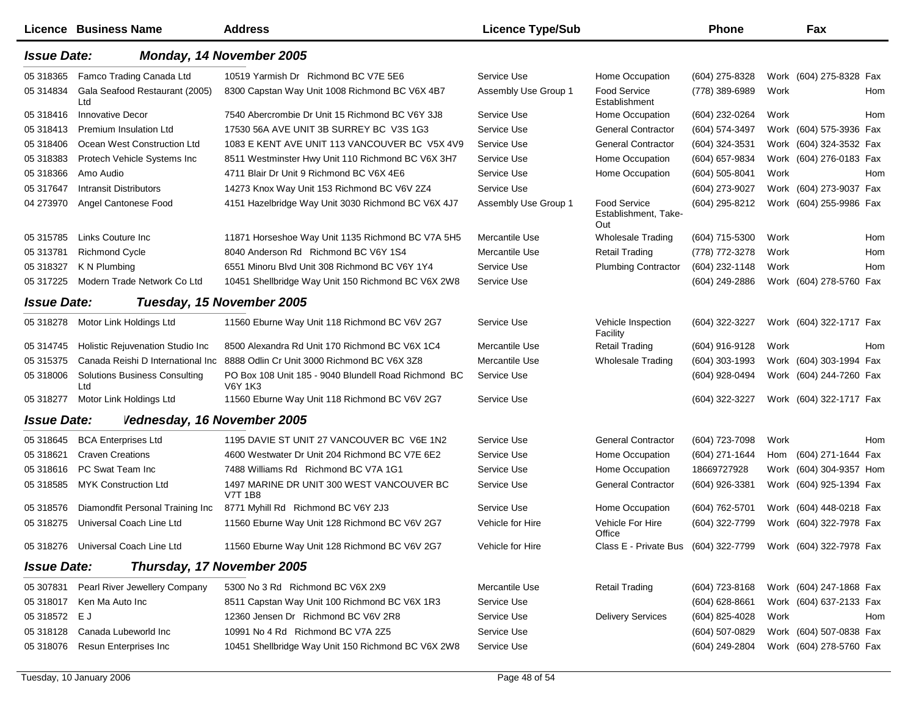|                    | <b>Licence Business Name</b>                | <b>Address</b>                                                         | <b>Licence Type/Sub</b> |                                                              | Phone            |      | Fax                     |  |
|--------------------|---------------------------------------------|------------------------------------------------------------------------|-------------------------|--------------------------------------------------------------|------------------|------|-------------------------|--|
| <b>Issue Date:</b> |                                             | Monday, 14 November 2005                                               |                         |                                                              |                  |      |                         |  |
| 05 318365          | Famco Trading Canada Ltd                    | 10519 Yarmish Dr Richmond BC V7E 5E6                                   | Service Use             | Home Occupation                                              | (604) 275-8328   |      | Work (604) 275-8328 Fax |  |
| 05 31 48 34        | Gala Seafood Restaurant (2005)<br>Ltd       | 8300 Capstan Way Unit 1008 Richmond BC V6X 4B7                         | Assembly Use Group 1    | Food Service<br>Establishment                                | (778) 389-6989   | Work | Hom                     |  |
| 05 318416          | <b>Innovative Decor</b>                     | 7540 Abercrombie Dr Unit 15 Richmond BC V6Y 3J8                        | Service Use             | Home Occupation                                              | (604) 232-0264   | Work | Hom                     |  |
| 05 318413          | <b>Premium Insulation Ltd</b>               | 17530 56A AVE UNIT 3B SURREY BC V3S 1G3                                | Service Use             | <b>General Contractor</b>                                    | (604) 574-3497   |      | Work (604) 575-3936 Fax |  |
| 05 318406          | Ocean West Construction Ltd                 | 1083 E KENT AVE UNIT 113 VANCOUVER BC V5X 4V9                          | Service Use             | <b>General Contractor</b>                                    | (604) 324-3531   |      | Work (604) 324-3532 Fax |  |
| 05 318383          | Protech Vehicle Systems Inc                 | 8511 Westminster Hwy Unit 110 Richmond BC V6X 3H7                      | Service Use             | Home Occupation                                              | (604) 657-9834   |      | Work (604) 276-0183 Fax |  |
| 05 318366          | Amo Audio                                   | 4711 Blair Dr Unit 9 Richmond BC V6X 4E6                               | Service Use             | Home Occupation                                              | (604) 505-8041   | Work | Hom                     |  |
| 05 317647          | <b>Intransit Distributors</b>               | 14273 Knox Way Unit 153 Richmond BC V6V 2Z4                            | Service Use             |                                                              | (604) 273-9027   |      | Work (604) 273-9037 Fax |  |
| 04 273970          | Angel Cantonese Food                        | 4151 Hazelbridge Way Unit 3030 Richmond BC V6X 4J7                     | Assembly Use Group 1    | <b>Food Service</b><br>Establishment, Take-<br>Out           | (604) 295-8212   |      | Work (604) 255-9986 Fax |  |
| 05 31 578 5        | Links Couture Inc                           | 11871 Horseshoe Way Unit 1135 Richmond BC V7A 5H5                      | Mercantile Use          | <b>Wholesale Trading</b>                                     | (604) 715-5300   | Work | Hom                     |  |
| 05 313781          | <b>Richmond Cycle</b>                       | 8040 Anderson Rd Richmond BC V6Y 1S4                                   | Mercantile Use          | <b>Retail Trading</b>                                        | (778) 772-3278   | Work | Hom                     |  |
| 05 318327          | K N Plumbing                                | 6551 Minoru Blvd Unit 308 Richmond BC V6Y 1Y4                          | Service Use             | <b>Plumbing Contractor</b>                                   | (604) 232-1148   | Work | Hom                     |  |
| 05 317225          | Modern Trade Network Co Ltd                 | 10451 Shellbridge Way Unit 150 Richmond BC V6X 2W8                     | Service Use             |                                                              | (604) 249-2886   |      | Work (604) 278-5760 Fax |  |
| <b>Issue Date:</b> |                                             | Tuesday, 15 November 2005                                              |                         |                                                              |                  |      |                         |  |
| 05 318278          | Motor Link Holdings Ltd                     | 11560 Eburne Way Unit 118 Richmond BC V6V 2G7                          | Service Use             | Vehicle Inspection<br>Facility                               | (604) 322-3227   |      | Work (604) 322-1717 Fax |  |
| 05 31 47 45        | Holistic Rejuvenation Studio Inc            | 8500 Alexandra Rd Unit 170 Richmond BC V6X 1C4                         | Mercantile Use          | Retail Trading                                               | (604) 916-9128   | Work | <b>Hom</b>              |  |
| 05 31 53 75        | Canada Reishi D International Inc           | 8888 Odlin Cr Unit 3000 Richmond BC V6X 3Z8                            | Mercantile Use          | <b>Wholesale Trading</b>                                     | $(604)$ 303-1993 |      | Work (604) 303-1994 Fax |  |
| 05 318006          | <b>Solutions Business Consulting</b><br>Ltd | PO Box 108 Unit 185 - 9040 Blundell Road Richmond BC<br><b>V6Y 1K3</b> | Service Use             |                                                              | (604) 928-0494   |      | Work (604) 244-7260 Fax |  |
| 05 318277          | Motor Link Holdings Ltd                     | 11560 Eburne Way Unit 118 Richmond BC V6V 2G7                          | Service Use             |                                                              | (604) 322-3227   |      | Work (604) 322-1717 Fax |  |
| <b>Issue Date:</b> | Vednesday, 16 November 2005                 |                                                                        |                         |                                                              |                  |      |                         |  |
| 05 318645          | <b>BCA Enterprises Ltd</b>                  | 1195 DAVIE ST UNIT 27 VANCOUVER BC V6E 1N2                             | Service Use             | <b>General Contractor</b>                                    | (604) 723-7098   | Work | Hom                     |  |
| 05 318621          | <b>Craven Creations</b>                     | 4600 Westwater Dr Unit 204 Richmond BC V7E 6E2                         | Service Use             | Home Occupation                                              | (604) 271-1644   |      | Hom (604) 271-1644 Fax  |  |
| 05 318616          | PC Swat Team Inc                            | 7488 Williams Rd Richmond BC V7A 1G1                                   | Service Use             | Home Occupation                                              | 18669727928      |      | Work (604) 304-9357 Hom |  |
| 05 318585          | <b>MYK Construction Ltd</b>                 | 1497 MARINE DR UNIT 300 WEST VANCOUVER BC<br><b>V7T 1B8</b>            | Service Use             | <b>General Contractor</b>                                    | (604) 926-3381   |      | Work (604) 925-1394 Fax |  |
| 05 318576          | Diamondfit Personal Training Inc            | 8771 Myhill Rd Richmond BC V6Y 2J3                                     | Service Use             | Home Occupation                                              | (604) 762-5701   |      | Work (604) 448-0218 Fax |  |
| 05 318275          | Universal Coach Line Ltd                    | 11560 Eburne Way Unit 128 Richmond BC V6V 2G7                          | Vehicle for Hire        | Vehicle For Hire<br>Office                                   | (604) 322-7799   |      | Work (604) 322-7978 Fax |  |
|                    | 05 318276 Universal Coach Line Ltd          | 11560 Eburne Way Unit 128 Richmond BC V6V 2G7                          | Vehicle for Hire        | Class E - Private Bus (604) 322-7799 Work (604) 322-7978 Fax |                  |      |                         |  |
| <b>Issue Date:</b> |                                             | Thursday, 17 November 2005                                             |                         |                                                              |                  |      |                         |  |
| 05 307831          | Pearl River Jewellery Company               | 5300 No 3 Rd Richmond BC V6X 2X9                                       | Mercantile Use          | <b>Retail Trading</b>                                        | (604) 723-8168   |      | Work (604) 247-1868 Fax |  |
| 05 318017          | Ken Ma Auto Inc                             | 8511 Capstan Way Unit 100 Richmond BC V6X 1R3                          | Service Use             |                                                              | $(604)$ 628-8661 |      | Work (604) 637-2133 Fax |  |
| 05 318572 E J      |                                             | 12360 Jensen Dr Richmond BC V6V 2R8                                    | Service Use             | <b>Delivery Services</b>                                     | (604) 825-4028   | Work | Hom                     |  |
| 05 318128          | Canada Lubeworld Inc                        | 10991 No 4 Rd Richmond BC V7A 2Z5                                      | Service Use             |                                                              | (604) 507-0829   |      | Work (604) 507-0838 Fax |  |
| 05 318076          | Resun Enterprises Inc                       | 10451 Shellbridge Way Unit 150 Richmond BC V6X 2W8                     | Service Use             |                                                              | (604) 249-2804   |      | Work (604) 278-5760 Fax |  |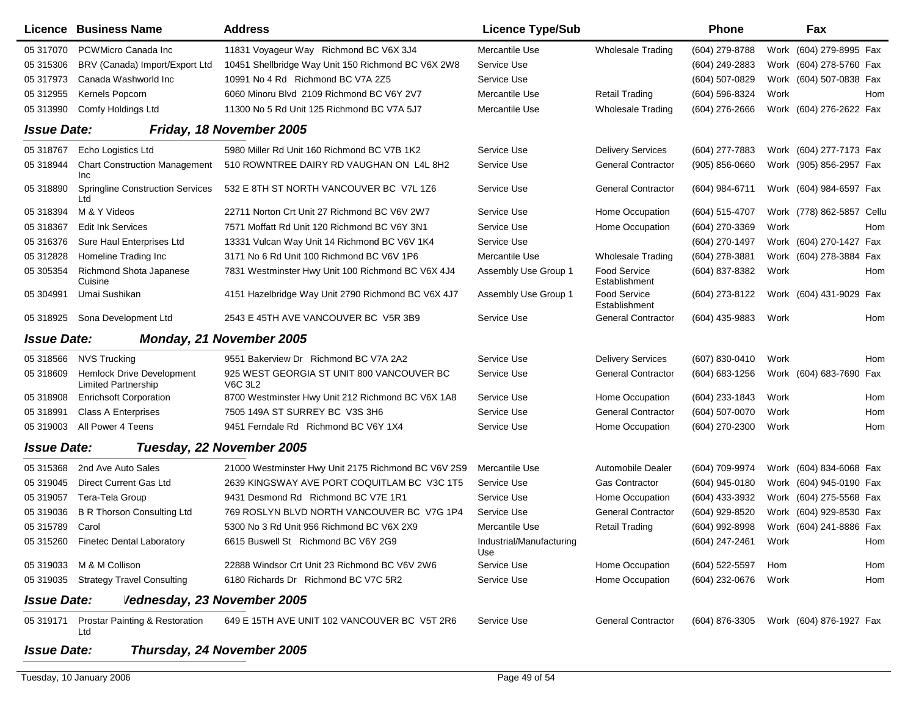|                    | Licence Business Name                                          | <b>Address</b>                                              | <b>Licence Type/Sub</b>         |                               | <b>Phone</b>       |      | Fax                                    |     |
|--------------------|----------------------------------------------------------------|-------------------------------------------------------------|---------------------------------|-------------------------------|--------------------|------|----------------------------------------|-----|
| 05 317070          | PCWMicro Canada Inc                                            | 11831 Voyageur Way Richmond BC V6X 3J4                      | Mercantile Use                  | <b>Wholesale Trading</b>      | (604) 279-8788     |      | Work (604) 279-8995 Fax                |     |
| 05 31 530 6        | BRV (Canada) Import/Export Ltd                                 | 10451 Shellbridge Way Unit 150 Richmond BC V6X 2W8          | Service Use                     |                               | (604) 249-2883     |      | Work (604) 278-5760 Fax                |     |
| 05 317973          | Canada Washworld Inc                                           | 10991 No 4 Rd Richmond BC V7A 2Z5                           | Service Use                     |                               | (604) 507-0829     |      | Work (604) 507-0838 Fax                |     |
| 05 312955          | Kernels Popcorn                                                | 6060 Minoru Blvd 2109 Richmond BC V6Y 2V7                   | Mercantile Use                  | <b>Retail Trading</b>         | (604) 596-8324     | Work |                                        | Hom |
| 05 313990          | Comfy Holdings Ltd                                             | 11300 No 5 Rd Unit 125 Richmond BC V7A 5J7                  | Mercantile Use                  | <b>Wholesale Trading</b>      | (604) 276-2666     |      | Work (604) 276-2622 Fax                |     |
| <b>Issue Date:</b> |                                                                | Friday, 18 November 2005                                    |                                 |                               |                    |      |                                        |     |
| 05 31 8767         | Echo Logistics Ltd                                             | 5980 Miller Rd Unit 160 Richmond BC V7B 1K2                 | Service Use                     | <b>Delivery Services</b>      | (604) 277-7883     |      | Work (604) 277-7173 Fax                |     |
| 05 318944          | <b>Chart Construction Management</b><br><b>Inc</b>             | 510 ROWNTREE DAIRY RD VAUGHAN ON L4L 8H2                    | Service Use                     | <b>General Contractor</b>     | $(905) 856 - 0660$ |      | Work (905) 856-2957 Fax                |     |
| 05 318890          | <b>Springline Construction Services</b><br>Ltd                 | 532 E 8TH ST NORTH VANCOUVER BC V7L 1Z6                     | Service Use                     | <b>General Contractor</b>     | (604) 984-6711     |      | Work (604) 984-6597 Fax                |     |
| 05 318394          | M & Y Videos                                                   | 22711 Norton Crt Unit 27 Richmond BC V6V 2W7                | Service Use                     | Home Occupation               | (604) 515-4707     |      | Work (778) 862-5857 Cellu              |     |
| 05 318367          | <b>Edit Ink Services</b>                                       | 7571 Moffatt Rd Unit 120 Richmond BC V6Y 3N1                | Service Use                     | Home Occupation               | (604) 270-3369     | Work |                                        | Hom |
| 05 31 6376         | Sure Haul Enterprises Ltd                                      | 13331 Vulcan Way Unit 14 Richmond BC V6V 1K4                | Service Use                     |                               | (604) 270-1497     |      | Work (604) 270-1427 Fax                |     |
| 05 312828          | Homeline Trading Inc                                           | 3171 No 6 Rd Unit 100 Richmond BC V6V 1P6                   | Mercantile Use                  | <b>Wholesale Trading</b>      | (604) 278-3881     |      | Work (604) 278-3884 Fax                |     |
| 05 30 5354         | Richmond Shota Japanese<br>Cuisine                             | 7831 Westminster Hwy Unit 100 Richmond BC V6X 4J4           | Assembly Use Group 1            | Food Service<br>Establishment | (604) 837-8382     | Work |                                        | Hom |
| 05 304991          | Umai Sushikan                                                  | 4151 Hazelbridge Way Unit 2790 Richmond BC V6X 4J7          | Assembly Use Group 1            | Food Service<br>Establishment | (604) 273-8122     |      | Work (604) 431-9029 Fax                |     |
| 05 318925          | Sona Development Ltd                                           | 2543 E 45TH AVE VANCOUVER BC V5R 3B9                        | Service Use                     | <b>General Contractor</b>     | (604) 435-9883     | Work |                                        | Hom |
| <b>Issue Date:</b> |                                                                | Monday, 21 November 2005                                    |                                 |                               |                    |      |                                        |     |
| 05 318566          | <b>NVS Trucking</b>                                            | 9551 Bakerview Dr Richmond BC V7A 2A2                       | Service Use                     | <b>Delivery Services</b>      | (607) 830-0410     | Work |                                        | Hom |
| 05 318609          | <b>Hemlock Drive Development</b><br><b>Limited Partnership</b> | 925 WEST GEORGIA ST UNIT 800 VANCOUVER BC<br><b>V6C 3L2</b> | Service Use                     | <b>General Contractor</b>     | (604) 683-1256     |      | Work (604) 683-7690 Fax                |     |
| 05 318908          | <b>Enrichsoft Corporation</b>                                  | 8700 Westminster Hwy Unit 212 Richmond BC V6X 1A8           | Service Use                     | Home Occupation               | (604) 233-1843     | Work |                                        | Hom |
| 05 318991          | <b>Class A Enterprises</b>                                     | 7505 149A ST SURREY BC V3S 3H6                              | Service Use                     | <b>General Contractor</b>     | (604) 507-0070     | Work |                                        | Hom |
| 05 319003          | All Power 4 Teens                                              | 9451 Ferndale Rd Richmond BC V6Y 1X4                        | Service Use                     | Home Occupation               | (604) 270-2300     | Work |                                        | Hom |
| <b>Issue Date:</b> |                                                                | Tuesday, 22 November 2005                                   |                                 |                               |                    |      |                                        |     |
| 05 31 53 68        | 2nd Ave Auto Sales                                             | 21000 Westminster Hwy Unit 2175 Richmond BC V6V 2S9         | Mercantile Use                  | Automobile Dealer             | (604) 709-9974     |      | Work (604) 834-6068 Fax                |     |
| 05 319045          | Direct Current Gas Ltd                                         | 2639 KINGSWAY AVE PORT COQUITLAM BC V3C 1T5                 | Service Use                     | Gas Contractor                | (604) 945-0180     |      | Work (604) 945-0190 Fax                |     |
| 05 319057          | Tera-Tela Group                                                | 9431 Desmond Rd Richmond BC V7E 1R1                         | Service Use                     | Home Occupation               | (604) 433-3932     |      | Work (604) 275-5568 Fax                |     |
| 05 319036          | <b>B R Thorson Consulting Ltd</b>                              | 769 ROSLYN BLVD NORTH VANCOUVER BC V7G 1P4                  | Service Use                     | <b>General Contractor</b>     | (604) 929-8520     |      | Work (604) 929-8530 Fax                |     |
| 05 31 5789         | Carol                                                          | 5300 No 3 Rd Unit 956 Richmond BC V6X 2X9                   | Mercantile Use                  | <b>Retail Trading</b>         | (604) 992-8998     |      | Work (604) 241-8886 Fax                |     |
|                    | 05 315260 Finetec Dental Laboratory                            | 6615 Buswell St Richmond BC V6Y 2G9                         | Industrial/Manufacturing<br>Use |                               | (604) 247-2461     | Work |                                        | Hom |
|                    | 05 319033 M & M Collison                                       | 22888 Windsor Crt Unit 23 Richmond BC V6V 2W6               | Service Use                     | Home Occupation               | (604) 522-5597     | Hom  |                                        | Hom |
|                    | 05 319035 Strategy Travel Consulting                           | 6180 Richards Dr Richmond BC V7C 5R2                        | Service Use                     | Home Occupation               | (604) 232-0676     | Work |                                        | Hom |
| <b>Issue Date:</b> | Vednesday, 23 November 2005                                    |                                                             |                                 |                               |                    |      |                                        |     |
| 05 319171          | Prostar Painting & Restoration<br>Ltd                          | 649 E 15TH AVE UNIT 102 VANCOUVER BC V5T 2R6                | Service Use                     | <b>General Contractor</b>     |                    |      | (604) 876-3305 Work (604) 876-1927 Fax |     |
| <b>Issue Date:</b> |                                                                | Thursday, 24 November 2005                                  |                                 |                               |                    |      |                                        |     |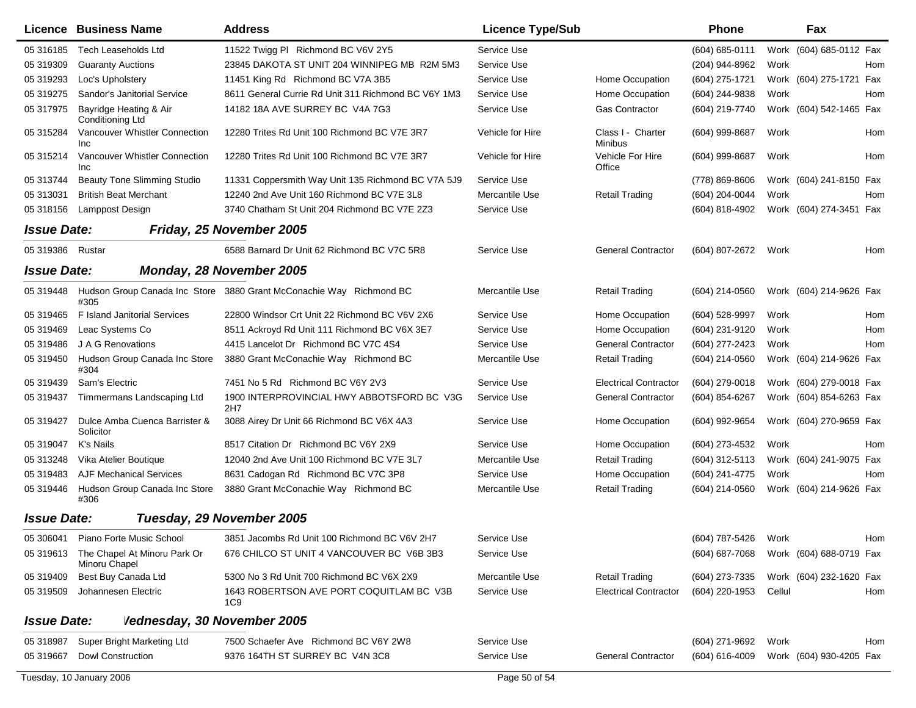|                    | Licence Business Name                                   | <b>Address</b>                                                      | <b>Licence Type/Sub</b> |                                     | <b>Phone</b>        |        | Fax                     |     |
|--------------------|---------------------------------------------------------|---------------------------------------------------------------------|-------------------------|-------------------------------------|---------------------|--------|-------------------------|-----|
| 05 31 61 85        | <b>Tech Leaseholds Ltd</b>                              | 11522 Twigg PI Richmond BC V6V 2Y5                                  | Service Use             |                                     | $(604) 685 - 0111$  |        | Work (604) 685-0112 Fax |     |
| 05 319309          | <b>Guaranty Auctions</b>                                | 23845 DAKOTA ST UNIT 204 WINNIPEG MB R2M 5M3                        | Service Use             |                                     | (204) 944-8962      | Work   |                         | Hom |
| 05 319293          | Loc's Upholstery                                        | 11451 King Rd Richmond BC V7A 3B5                                   | Service Use             | Home Occupation                     | (604) 275-1721      |        | Work (604) 275-1721 Fax |     |
| 05 319275          | Sandor's Janitorial Service                             | 8611 General Currie Rd Unit 311 Richmond BC V6Y 1M3                 | Service Use             | Home Occupation                     | (604) 244-9838      | Work   |                         | Hom |
| 05 317975          | Bayridge Heating & Air<br>Conditioning Ltd              | 14182 18A AVE SURREY BC V4A 7G3                                     | Service Use             | Gas Contractor                      | (604) 219-7740      |        | Work (604) 542-1465 Fax |     |
| 05 31 5284         | Vancouver Whistler Connection<br>Inc.                   | 12280 Trites Rd Unit 100 Richmond BC V7E 3R7                        | Vehicle for Hire        | Class I - Charter<br><b>Minibus</b> | (604) 999-8687      | Work   |                         | Hom |
| 05 315214          | Vancouver Whistler Connection<br>Inc                    | 12280 Trites Rd Unit 100 Richmond BC V7E 3R7                        | Vehicle for Hire        | Vehicle For Hire<br>Office          | (604) 999-8687      | Work   |                         | Hom |
| 05 313744          | <b>Beauty Tone Slimming Studio</b>                      | 11331 Coppersmith Way Unit 135 Richmond BC V7A 5J9                  | Service Use             |                                     | (778) 869-8606      |        | Work (604) 241-8150 Fax |     |
| 05 31 30 31        | <b>British Beat Merchant</b>                            | 12240 2nd Ave Unit 160 Richmond BC V7E 3L8                          | Mercantile Use          | <b>Retail Trading</b>               | (604) 204-0044      | Work   |                         | Hom |
| 05 318156          | Lamppost Design                                         | 3740 Chatham St Unit 204 Richmond BC V7E 2Z3                        | Service Use             |                                     | (604) 818-4902      |        | Work (604) 274-3451 Fax |     |
| <b>Issue Date:</b> |                                                         | Friday, 25 November 2005                                            |                         |                                     |                     |        |                         |     |
| 05 319386 Rustar   |                                                         | 6588 Barnard Dr Unit 62 Richmond BC V7C 5R8                         | Service Use             | <b>General Contractor</b>           | (604) 807-2672      | Work   |                         | Hom |
| <b>Issue Date:</b> |                                                         | Monday, 28 November 2005                                            |                         |                                     |                     |        |                         |     |
| 05 319448          | #305                                                    | Hudson Group Canada Inc Store 3880 Grant McConachie Way Richmond BC | Mercantile Use          | <b>Retail Trading</b>               | $(604)$ 214-0560    |        | Work (604) 214-9626 Fax |     |
| 05 31 94 65        | F Island Janitorial Services                            | 22800 Windsor Crt Unit 22 Richmond BC V6V 2X6                       | Service Use             | Home Occupation                     | (604) 528-9997      | Work   |                         | Hom |
| 05 31 94 69        | Leac Systems Co                                         | 8511 Ackroyd Rd Unit 111 Richmond BC V6X 3E7                        | Service Use             | Home Occupation                     | (604) 231-9120      | Work   |                         | Hom |
| 05 319486          | J A G Renovations                                       | 4415 Lancelot Dr Richmond BC V7C 4S4                                | Service Use             | <b>General Contractor</b>           | (604) 277-2423      | Work   |                         | Hom |
| 05 319450          | Hudson Group Canada Inc Store<br>#304                   | 3880 Grant McConachie Way Richmond BC                               | Mercantile Use          | <b>Retail Trading</b>               | (604) 214-0560      |        | Work (604) 214-9626 Fax |     |
| 05 319439          | Sam's Electric                                          | 7451 No 5 Rd Richmond BC V6Y 2V3                                    | Service Use             | <b>Electrical Contractor</b>        | (604) 279-0018      |        | Work (604) 279-0018 Fax |     |
| 05 319437          | Timmermans Landscaping Ltd                              | 1900 INTERPROVINCIAL HWY ABBOTSFORD BC V3G<br>2H7                   | Service Use             | <b>General Contractor</b>           | (604) 854-6267      |        | Work (604) 854-6263 Fax |     |
| 05 31 94 27        | Dulce Amba Cuenca Barrister &<br>Solicitor              | 3088 Airey Dr Unit 66 Richmond BC V6X 4A3                           | Service Use             | Home Occupation                     | (604) 992-9654      |        | Work (604) 270-9659 Fax |     |
| 05 319047          | K's Nails                                               | 8517 Citation Dr Richmond BC V6Y 2X9                                | Service Use             | Home Occupation                     | (604) 273-4532      | Work   |                         | Hom |
| 05 313248          | Vika Atelier Boutique                                   | 12040 2nd Ave Unit 100 Richmond BC V7E 3L7                          | Mercantile Use          | <b>Retail Trading</b>               | (604) 312-5113      |        | Work (604) 241-9075 Fax |     |
| 05 319483          | <b>AJF Mechanical Services</b>                          | 8631 Cadogan Rd Richmond BC V7C 3P8                                 | Service Use             | Home Occupation                     | (604) 241-4775      | Work   |                         | Hom |
| 05 31 944 6        | Hudson Group Canada Inc Store<br>#306                   | 3880 Grant McConachie Way Richmond BC                               | Mercantile Use          | <b>Retail Trading</b>               | (604) 214-0560      |        | Work (604) 214-9626 Fax |     |
| <b>Issue Date:</b> |                                                         | Tuesday, 29 November 2005                                           |                         |                                     |                     |        |                         |     |
|                    | 05 306041 Piano Forte Music School                      | 3851 Jacombs Rd Unit 100 Richmond BC V6V 2H7                        | Service Use             |                                     | (604) 787-5426 Work |        |                         | Hom |
|                    | 05 319613 The Chapel At Minoru Park Or<br>Minoru Chapel | 676 CHILCO ST UNIT 4 VANCOUVER BC V6B 3B3                           | Service Use             |                                     | (604) 687-7068      |        | Work (604) 688-0719 Fax |     |
| 05 319409          | Best Buy Canada Ltd                                     | 5300 No 3 Rd Unit 700 Richmond BC V6X 2X9                           | Mercantile Use          | <b>Retail Trading</b>               | (604) 273-7335      |        | Work (604) 232-1620 Fax |     |
| 05 319509          | Johannesen Electric                                     | 1643 ROBERTSON AVE PORT COQUITLAM BC V3B<br>1C9                     | Service Use             | <b>Electrical Contractor</b>        | (604) 220-1953      | Cellul |                         | Hom |
| <b>Issue Date:</b> | Vednesday, 30 November 2005                             |                                                                     |                         |                                     |                     |        |                         |     |
| 05 318987          | Super Bright Marketing Ltd                              | 7500 Schaefer Ave Richmond BC V6Y 2W8                               | Service Use             |                                     | (604) 271-9692      | Work   |                         | Hom |
| 05 319667          | <b>Dowl Construction</b>                                | 9376 164TH ST SURREY BC V4N 3C8                                     | Service Use             | <b>General Contractor</b>           | (604) 616-4009      |        | Work (604) 930-4205 Fax |     |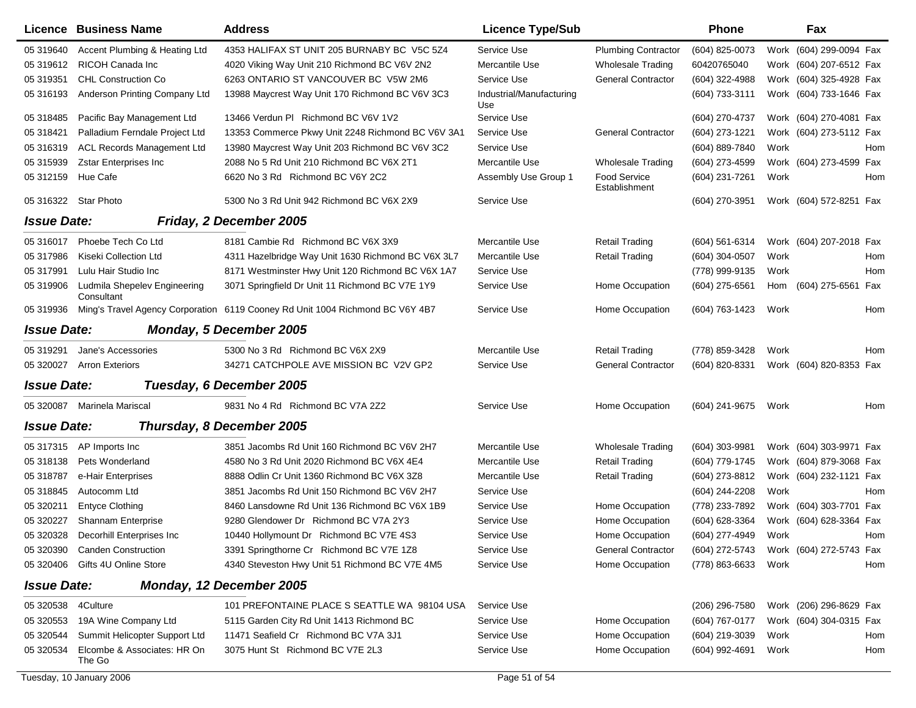|                                                | Licence Business Name                      | <b>Address</b>                                                                | <b>Licence Type/Sub</b>         |                               | <b>Phone</b>        |      | Fax                                    |            |
|------------------------------------------------|--------------------------------------------|-------------------------------------------------------------------------------|---------------------------------|-------------------------------|---------------------|------|----------------------------------------|------------|
| 05 319640                                      | Accent Plumbing & Heating Ltd              | 4353 HALIFAX ST UNIT 205 BURNABY BC V5C 5Z4                                   | Service Use                     | <b>Plumbing Contractor</b>    | (604) 825-0073      |      | Work (604) 299-0094 Fax                |            |
| 05 31 961 2                                    | RICOH Canada Inc                           | 4020 Viking Way Unit 210 Richmond BC V6V 2N2                                  | Mercantile Use                  | <b>Wholesale Trading</b>      | 60420765040         |      | Work (604) 207-6512 Fax                |            |
| 05 31 9351                                     | <b>CHL Construction Co</b>                 | 6263 ONTARIO ST VANCOUVER BC V5W 2M6                                          | Service Use                     | <b>General Contractor</b>     | (604) 322-4988      |      | Work (604) 325-4928 Fax                |            |
| 05 31 61 93                                    | Anderson Printing Company Ltd              | 13988 Maycrest Way Unit 170 Richmond BC V6V 3C3                               | Industrial/Manufacturing<br>Use |                               | (604) 733-3111      |      | Work (604) 733-1646 Fax                |            |
| 05 318485                                      | Pacific Bay Management Ltd                 | 13466 Verdun PI Richmond BC V6V 1V2                                           | Service Use                     |                               | (604) 270-4737      |      | Work (604) 270-4081 Fax                |            |
| 05 31 84 21                                    | Palladium Ferndale Project Ltd             | 13353 Commerce Pkwy Unit 2248 Richmond BC V6V 3A1                             | Service Use                     | <b>General Contractor</b>     | (604) 273-1221      |      | Work (604) 273-5112 Fax                |            |
| 05 31 631 9                                    | <b>ACL Records Management Ltd</b>          | 13980 Maycrest Way Unit 203 Richmond BC V6V 3C2                               | Service Use                     |                               | (604) 889-7840      | Work |                                        | Hom        |
| 05 31 59 39                                    | <b>Zstar Enterprises Inc</b>               | 2088 No 5 Rd Unit 210 Richmond BC V6X 2T1                                     | Mercantile Use                  | Wholesale Trading             | (604) 273-4599      |      | Work (604) 273-4599 Fax                |            |
| 05 312159                                      | Hue Cafe                                   | 6620 No 3 Rd Richmond BC V6Y 2C2                                              | Assembly Use Group 1            | Food Service<br>Establishment | (604) 231-7261      | Work |                                        | Hom        |
|                                                | 05 316322 Star Photo                       | 5300 No 3 Rd Unit 942 Richmond BC V6X 2X9                                     | Service Use                     |                               | (604) 270-3951      |      | Work (604) 572-8251 Fax                |            |
| <b>Issue Date:</b>                             |                                            | Friday, 2 December 2005                                                       |                                 |                               |                     |      |                                        |            |
| 05 31 6017                                     | Phoebe Tech Co Ltd                         | 8181 Cambie Rd Richmond BC V6X 3X9                                            | Mercantile Use                  | <b>Retail Trading</b>         | (604) 561-6314      |      | Work (604) 207-2018 Fax                |            |
| 05 317986                                      | Kiseki Collection Ltd                      | 4311 Hazelbridge Way Unit 1630 Richmond BC V6X 3L7                            | Mercantile Use                  | <b>Retail Trading</b>         | $(604)$ 304-0507    | Work |                                        | Hom        |
| 05 317991                                      | Lulu Hair Studio Inc                       | 8171 Westminster Hwy Unit 120 Richmond BC V6X 1A7                             | Service Use                     |                               | (778) 999-9135      | Work |                                        | Hom        |
| 05 319906                                      | Ludmila Shepelev Engineering<br>Consultant | 3071 Springfield Dr Unit 11 Richmond BC V7E 1Y9                               | Service Use                     | Home Occupation               | (604) 275-6561      | Hom  | (604) 275-6561                         | Fax        |
| 05 319936                                      |                                            | Ming's Travel Agency Corporation 6119 Cooney Rd Unit 1004 Richmond BC V6Y 4B7 | Service Use                     | Home Occupation               | (604) 763-1423      | Work |                                        | Hom        |
| <b>Issue Date:</b>                             |                                            | <b>Monday, 5 December 2005</b>                                                |                                 |                               |                     |      |                                        |            |
| 05 319291                                      | Jane's Accessories                         | 5300 No 3 Rd Richmond BC V6X 2X9                                              | Mercantile Use                  | <b>Retail Trading</b>         | (778) 859-3428      | Work |                                        | <b>Hom</b> |
| 05 320027                                      | <b>Arron Exteriors</b>                     | 34271 CATCHPOLE AVE MISSION BC V2V GP2                                        | Service Use                     | <b>General Contractor</b>     | (604) 820-8331      |      | Work (604) 820-8353 Fax                |            |
| <b>Issue Date:</b>                             |                                            | Tuesday, 6 December 2005                                                      |                                 |                               |                     |      |                                        |            |
| 05 320087                                      | Marinela Mariscal                          | 9831 No 4 Rd Richmond BC V7A 2Z2                                              | Service Use                     | Home Occupation               | (604) 241-9675      | Work |                                        | Hom        |
| <b>Issue Date:</b>                             |                                            | Thursday, 8 December 2005                                                     |                                 |                               |                     |      |                                        |            |
| 05 317315                                      | AP Imports Inc                             | 3851 Jacombs Rd Unit 160 Richmond BC V6V 2H7                                  | Mercantile Use                  | <b>Wholesale Trading</b>      | (604) 303-9981      |      | Work (604) 303-9971 Fax                |            |
| 05 318138                                      | Pets Wonderland                            | 4580 No 3 Rd Unit 2020 Richmond BC V6X 4E4                                    | Mercantile Use                  | <b>Retail Trading</b>         | (604) 779-1745      |      | Work (604) 879-3068 Fax                |            |
| 05 318787                                      | e-Hair Enterprises                         | 8888 Odlin Cr Unit 1360 Richmond BC V6X 3Z8                                   | Mercantile Use                  | <b>Retail Trading</b>         | (604) 273-8812      |      | Work (604) 232-1121 Fax                |            |
| 05 318845                                      | Autocomm Ltd                               | 3851 Jacombs Rd Unit 150 Richmond BC V6V 2H7                                  | Service Use                     |                               | (604) 244-2208      | Work |                                        | Hom        |
| 05 320211                                      | <b>Entyce Clothing</b>                     | 8460 Lansdowne Rd Unit 136 Richmond BC V6X 1B9                                | Service Use                     | Home Occupation               | (778) 233-7892      |      | Work (604) 303-7701 Fax                |            |
| 05 320227                                      | Shannam Enterprise                         | 9280 Glendower Dr Richmond BC V7A 2Y3                                         | Service Use                     | Home Occupation               | (604) 628-3364      |      | Work (604) 628-3364 Fax                |            |
|                                                | 05 320328 Decorhill Enterprises Inc        | 10440 Hollymount Dr Richmond BC V7E 4S3                                       | Service Use                     | Home Occupation               | (604) 277-4949      | Work |                                        | Hom        |
|                                                | 05 320390 Canden Construction              | 3391 Springthorne Cr Richmond BC V7E 1Z8                                      | Service Use                     | General Contractor            |                     |      | (604) 272-5743 Work (604) 272-5743 Fax |            |
|                                                | 05 320406 Gifts 4U Online Store            | 4340 Steveston Hwy Unit 51 Richmond BC V7E 4M5                                | Service Use                     | Home Occupation               | (778) 863-6633 Work |      |                                        | Hom        |
| <b>Issue Date:</b><br>Monday, 12 December 2005 |                                            |                                                                               |                                 |                               |                     |      |                                        |            |
| 05 320538                                      | 4Culture                                   | 101 PREFONTAINE PLACE S SEATTLE WA 98104 USA                                  | Service Use                     |                               | (206) 296-7580      |      | Work (206) 296-8629 Fax                |            |
| 05 320553                                      | 19A Wine Company Ltd                       | 5115 Garden City Rd Unit 1413 Richmond BC                                     | Service Use                     | Home Occupation               | (604) 767-0177      |      | Work (604) 304-0315 Fax                |            |
| 05 320544                                      | Summit Helicopter Support Ltd              | 11471 Seafield Cr Richmond BC V7A 3J1                                         | Service Use                     | Home Occupation               | (604) 219-3039      | Work |                                        | Hom        |
| 05 320534                                      | Elcombe & Associates: HR On<br>The Go      | 3075 Hunt St Richmond BC V7E 2L3                                              | Service Use                     | Home Occupation               | (604) 992-4691      | Work |                                        | Hom        |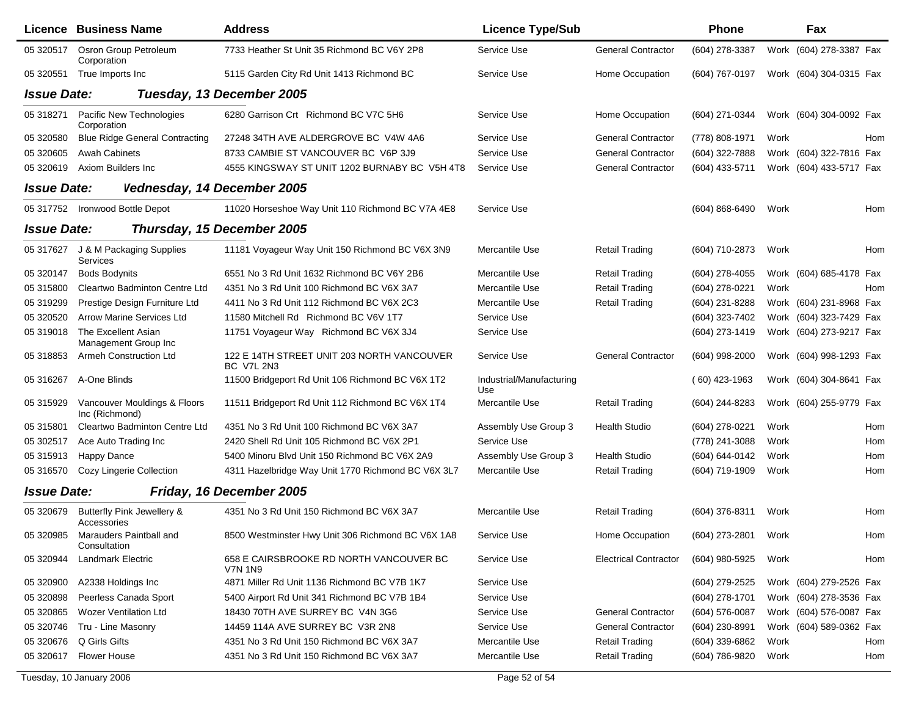|                    | <b>Licence Business Name</b>                   | <b>Address</b>                                            | <b>Licence Type/Sub</b>         |                              | <b>Phone</b>     |      | Fax                     |            |
|--------------------|------------------------------------------------|-----------------------------------------------------------|---------------------------------|------------------------------|------------------|------|-------------------------|------------|
| 05 320517          | Osron Group Petroleum<br>Corporation           | 7733 Heather St Unit 35 Richmond BC V6Y 2P8               | Service Use                     | <b>General Contractor</b>    | (604) 278-3387   |      | Work (604) 278-3387 Fax |            |
| 05 320551          | True Imports Inc                               | 5115 Garden City Rd Unit 1413 Richmond BC                 | Service Use                     | Home Occupation              | (604) 767-0197   |      | Work (604) 304-0315 Fax |            |
| <b>Issue Date:</b> |                                                | Tuesday, 13 December 2005                                 |                                 |                              |                  |      |                         |            |
| 05 318271          | Pacific New Technologies<br>Corporation        | 6280 Garrison Crt Richmond BC V7C 5H6                     | Service Use                     | Home Occupation              | (604) 271-0344   |      | Work (604) 304-0092 Fax |            |
| 05 320580          | <b>Blue Ridge General Contracting</b>          | 27248 34TH AVE ALDERGROVE BC V4W 4A6                      | Service Use                     | <b>General Contractor</b>    | (778) 808-1971   | Work |                         | Hom        |
| 05 320605          | <b>Awah Cabinets</b>                           | 8733 CAMBIE ST VANCOUVER BC V6P 3J9                       | Service Use                     | <b>General Contractor</b>    | (604) 322-7888   |      | Work (604) 322-7816 Fax |            |
| 05 320619          | Axiom Builders Inc                             | 4555 KINGSWAY ST UNIT 1202 BURNABY BC V5H 4T8             | Service Use                     | <b>General Contractor</b>    | (604) 433-5711   |      | Work (604) 433-5717 Fax |            |
| <b>Issue Date:</b> | Vednesday, 14 December 2005                    |                                                           |                                 |                              |                  |      |                         |            |
|                    | 05 317752 Ironwood Bottle Depot                | 11020 Horseshoe Way Unit 110 Richmond BC V7A 4E8          | Service Use                     |                              | (604) 868-6490   | Work |                         | Hom        |
| <b>Issue Date:</b> |                                                | Thursday, 15 December 2005                                |                                 |                              |                  |      |                         |            |
| 05 317627          | J & M Packaging Supplies<br>Services           | 11181 Voyageur Way Unit 150 Richmond BC V6X 3N9           | Mercantile Use                  | <b>Retail Trading</b>        | (604) 710-2873   | Work |                         | Hom        |
| 05 320147          | <b>Bods Bodynits</b>                           | 6551 No 3 Rd Unit 1632 Richmond BC V6Y 2B6                | Mercantile Use                  | <b>Retail Trading</b>        | $(604)$ 278-4055 |      | Work (604) 685-4178 Fax |            |
| 05 315800          | Cleartwo Badminton Centre Ltd                  | 4351 No 3 Rd Unit 100 Richmond BC V6X 3A7                 | Mercantile Use                  | <b>Retail Trading</b>        | (604) 278-0221   | Work |                         | Hom        |
| 05 31 92 99        | Prestige Design Furniture Ltd                  | 4411 No 3 Rd Unit 112 Richmond BC V6X 2C3                 | Mercantile Use                  | <b>Retail Trading</b>        | (604) 231-8288   |      | Work (604) 231-8968 Fax |            |
| 05 320520          | <b>Arrow Marine Services Ltd</b>               | 11580 Mitchell Rd Richmond BC V6V 1T7                     | Service Use                     |                              | (604) 323-7402   |      | Work (604) 323-7429 Fax |            |
| 05 319018          | The Excellent Asian<br>Management Group Inc    | 11751 Voyageur Way Richmond BC V6X 3J4                    | Service Use                     |                              | (604) 273-1419   |      | Work (604) 273-9217 Fax |            |
| 05 318853          | <b>Armeh Construction Ltd</b>                  | 122 E 14TH STREET UNIT 203 NORTH VANCOUVER<br>BC V7L 2N3  | Service Use                     | <b>General Contractor</b>    | (604) 998-2000   |      | Work (604) 998-1293 Fax |            |
| 05 31 62 67        | A-One Blinds                                   | 11500 Bridgeport Rd Unit 106 Richmond BC V6X 1T2          | Industrial/Manufacturing<br>Use |                              | (60) 423-1963    |      | Work (604) 304-8641 Fax |            |
| 05 315929          | Vancouver Mouldings & Floors<br>Inc (Richmond) | 11511 Bridgeport Rd Unit 112 Richmond BC V6X 1T4          | Mercantile Use                  | <b>Retail Trading</b>        | (604) 244-8283   |      | Work (604) 255-9779 Fax |            |
| 05 315801          | Cleartwo Badminton Centre Ltd                  | 4351 No 3 Rd Unit 100 Richmond BC V6X 3A7                 | Assembly Use Group 3            | <b>Health Studio</b>         | (604) 278-0221   | Work |                         | Hom        |
| 05 302517          | Ace Auto Trading Inc                           | 2420 Shell Rd Unit 105 Richmond BC V6X 2P1                | Service Use                     |                              | (778) 241-3088   | Work |                         | Hom        |
| 05 315913          | Happy Dance                                    | 5400 Minoru Blvd Unit 150 Richmond BC V6X 2A9             | Assembly Use Group 3            | <b>Health Studio</b>         | (604) 644-0142   | Work |                         | <b>Hom</b> |
| 05 31 6570         | Cozy Lingerie Collection                       | 4311 Hazelbridge Way Unit 1770 Richmond BC V6X 3L7        | Mercantile Use                  | <b>Retail Trading</b>        | (604) 719-1909   | Work |                         | Hom        |
| <b>Issue Date:</b> |                                                | Friday, 16 December 2005                                  |                                 |                              |                  |      |                         |            |
| 05 320679          | Butterfly Pink Jewellery &<br>Accessories      | 4351 No 3 Rd Unit 150 Richmond BC V6X 3A7                 | Mercantile Use                  | Retail Trading               | (604) 376-8311   | Work |                         | Hom        |
| 05 320985          | Marauders Paintball and<br>Consultation        | 8500 Westminster Hwy Unit 306 Richmond BC V6X 1A8         | Service Use                     | Home Occupation              | (604) 273-2801   | Work |                         | Hom        |
| 05 320944          | <b>Landmark Electric</b>                       | 658 E CAIRSBROOKE RD NORTH VANCOUVER BC<br><b>V7N 1N9</b> | Service Use                     | <b>Electrical Contractor</b> | (604) 980-5925   | Work |                         | Hom        |
| 05 320900          | A2338 Holdings Inc                             | 4871 Miller Rd Unit 1136 Richmond BC V7B 1K7              | Service Use                     |                              | (604) 279-2525   |      | Work (604) 279-2526 Fax |            |
| 05 320898          | Peerless Canada Sport                          | 5400 Airport Rd Unit 341 Richmond BC V7B 1B4              | Service Use                     |                              | (604) 278-1701   |      | Work (604) 278-3536 Fax |            |
| 05 320865          | <b>Wozer Ventilation Ltd</b>                   | 18430 70TH AVE SURREY BC V4N 3G6                          | Service Use                     | <b>General Contractor</b>    | (604) 576-0087   |      | Work (604) 576-0087 Fax |            |
| 05 320746          | Tru - Line Masonry                             | 14459 114A AVE SURREY BC V3R 2N8                          | Service Use                     | <b>General Contractor</b>    | $(604)$ 230-8991 |      | Work (604) 589-0362 Fax |            |
| 05 320676          | Q Girls Gifts                                  | 4351 No 3 Rd Unit 150 Richmond BC V6X 3A7                 | Mercantile Use                  | <b>Retail Trading</b>        | (604) 339-6862   | Work |                         | Hom        |
| 05 320617          | <b>Flower House</b>                            | 4351 No 3 Rd Unit 150 Richmond BC V6X 3A7                 | Mercantile Use                  | <b>Retail Trading</b>        | (604) 786-9820   | Work |                         | Hom        |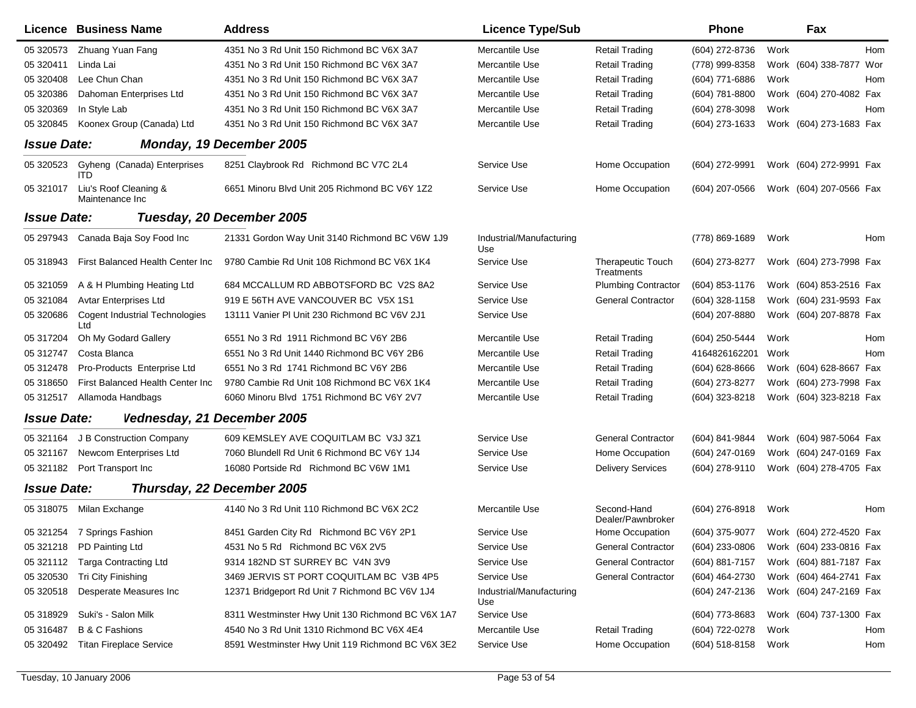|                    | Licence Business Name                        | <b>Address</b>                                    | <b>Licence Type/Sub</b>         |                                  | <b>Phone</b>     |      | Fax                        |
|--------------------|----------------------------------------------|---------------------------------------------------|---------------------------------|----------------------------------|------------------|------|----------------------------|
| 05 320573          | Zhuang Yuan Fang                             | 4351 No 3 Rd Unit 150 Richmond BC V6X 3A7         | Mercantile Use                  | <b>Retail Trading</b>            | (604) 272-8736   | Work | Hom                        |
| 05 320411          | Linda Lai                                    | 4351 No 3 Rd Unit 150 Richmond BC V6X 3A7         | Mercantile Use                  | <b>Retail Trading</b>            | (778) 999-8358   |      | Work (604) 338-7877<br>Wor |
| 05 320408          | Lee Chun Chan                                | 4351 No 3 Rd Unit 150 Richmond BC V6X 3A7         | Mercantile Use                  | <b>Retail Trading</b>            | (604) 771-6886   | Work | Hom                        |
| 05 320386          | Dahoman Enterprises Ltd                      | 4351 No 3 Rd Unit 150 Richmond BC V6X 3A7         | Mercantile Use                  | <b>Retail Trading</b>            | (604) 781-8800   |      | Work (604) 270-4082 Fax    |
| 05 320369          | In Style Lab                                 | 4351 No 3 Rd Unit 150 Richmond BC V6X 3A7         | Mercantile Use                  | <b>Retail Trading</b>            | (604) 278-3098   | Work | Hom                        |
| 05 320845          | Koonex Group (Canada) Ltd                    | 4351 No 3 Rd Unit 150 Richmond BC V6X 3A7         | Mercantile Use                  | <b>Retail Trading</b>            | (604) 273-1633   |      | Work (604) 273-1683 Fax    |
| <b>Issue Date:</b> |                                              | Monday, 19 December 2005                          |                                 |                                  |                  |      |                            |
| 05 320523          | Gyheng (Canada) Enterprises<br><b>ITD</b>    | 8251 Claybrook Rd Richmond BC V7C 2L4             | Service Use                     | Home Occupation                  | (604) 272-9991   |      | Work (604) 272-9991 Fax    |
| 05 321017          | Liu's Roof Cleaning &<br>Maintenance Inc     | 6651 Minoru Blvd Unit 205 Richmond BC V6Y 1Z2     | Service Use                     | Home Occupation                  | (604) 207-0566   |      | Work (604) 207-0566 Fax    |
| <b>Issue Date:</b> |                                              | Tuesday, 20 December 2005                         |                                 |                                  |                  |      |                            |
| 05 297943          | Canada Baja Soy Food Inc                     | 21331 Gordon Way Unit 3140 Richmond BC V6W 1J9    | Industrial/Manufacturing<br>Use |                                  | (778) 869-1689   | Work | Hom                        |
| 05 318943          | First Balanced Health Center Inc             | 9780 Cambie Rd Unit 108 Richmond BC V6X 1K4       | Service Use                     | Therapeutic Touch<br>Treatments  | (604) 273-8277   |      | Work (604) 273-7998 Fax    |
| 05 321059          | A & H Plumbing Heating Ltd                   | 684 MCCALLUM RD ABBOTSFORD BC V2S 8A2             | Service Use                     | <b>Plumbing Contractor</b>       | (604) 853-1176   |      | Work (604) 853-2516 Fax    |
| 05 321084          | <b>Avtar Enterprises Ltd</b>                 | 919 E 56TH AVE VANCOUVER BC V5X 1S1               | Service Use                     | <b>General Contractor</b>        | (604) 328-1158   |      | Work (604) 231-9593 Fax    |
| 05 320686          | <b>Cogent Industrial Technologies</b><br>Ltd | 13111 Vanier PI Unit 230 Richmond BC V6V 2J1      | Service Use                     |                                  | (604) 207-8880   |      | Work (604) 207-8878 Fax    |
| 05 317204          | Oh My Godard Gallery                         | 6551 No 3 Rd 1911 Richmond BC V6Y 2B6             | Mercantile Use                  | <b>Retail Trading</b>            | (604) 250-5444   | Work | Hom                        |
| 05 312747          | Costa Blanca                                 | 6551 No 3 Rd Unit 1440 Richmond BC V6Y 2B6        | Mercantile Use                  | <b>Retail Trading</b>            | 4164826162201    | Work | Hom                        |
| 05 31 24 78        | Pro-Products Enterprise Ltd                  | 6551 No 3 Rd 1741 Richmond BC V6Y 2B6             | Mercantile Use                  | <b>Retail Trading</b>            | $(604)$ 628-8666 |      | Work (604) 628-8667 Fax    |
| 05 318650          | First Balanced Health Center Inc             | 9780 Cambie Rd Unit 108 Richmond BC V6X 1K4       | Mercantile Use                  | <b>Retail Trading</b>            | (604) 273-8277   |      | Work (604) 273-7998 Fax    |
| 05 31 2517         | Allamoda Handbags                            | 6060 Minoru Blvd 1751 Richmond BC V6Y 2V7         | Mercantile Use                  | <b>Retail Trading</b>            | (604) 323-8218   |      | Work (604) 323-8218 Fax    |
| <b>Issue Date:</b> | Vednesday, 21 December 2005                  |                                                   |                                 |                                  |                  |      |                            |
| 05 321164          | J B Construction Company                     | 609 KEMSLEY AVE COQUITLAM BC V3J 3Z1              | Service Use                     | <b>General Contractor</b>        | (604) 841-9844   |      | Work (604) 987-5064 Fax    |
| 05 321167          | Newcom Enterprises Ltd                       | 7060 Blundell Rd Unit 6 Richmond BC V6Y 1J4       | Service Use                     | Home Occupation                  | (604) 247-0169   |      | Work (604) 247-0169 Fax    |
| 05 321182          | Port Transport Inc                           | 16080 Portside Rd Richmond BC V6W 1M1             | Service Use                     | <b>Delivery Services</b>         | (604) 278-9110   |      | Work (604) 278-4705 Fax    |
| <b>Issue Date:</b> |                                              | Thursday, 22 December 2005                        |                                 |                                  |                  |      |                            |
| 05 318075          | Milan Exchange                               | 4140 No 3 Rd Unit 110 Richmond BC V6X 2C2         | Mercantile Use                  | Second-Hand<br>Dealer/Pawnbroker | (604) 276-8918   | Work | Hom                        |
|                    | 05 321254 7 Springs Fashion                  | 8451 Garden City Rd Richmond BC V6Y 2P1           | Service Use                     | Home Occupation                  | (604) 375-9077   |      | Work (604) 272-4520 Fax    |
|                    | 05 321218 PD Painting Ltd                    | 4531 No 5 Rd Richmond BC V6X 2V5                  | Service Use                     | <b>General Contractor</b>        | $(604)$ 233-0806 |      | Work (604) 233-0816 Fax    |
| 05 321112          | <b>Targa Contracting Ltd</b>                 | 9314 182ND ST SURREY BC V4N 3V9                   | Service Use                     | <b>General Contractor</b>        | (604) 881-7157   |      | Work (604) 881-7187 Fax    |
| 05 320530          | Tri City Finishing                           | 3469 JERVIS ST PORT COQUITLAM BC V3B 4P5          | Service Use                     | <b>General Contractor</b>        | (604) 464-2730   |      | Work (604) 464-2741 Fax    |
| 05 320518          | Desperate Measures Inc                       | 12371 Bridgeport Rd Unit 7 Richmond BC V6V 1J4    | Industrial/Manufacturing<br>Use |                                  | (604) 247-2136   |      | Work (604) 247-2169 Fax    |
| 05 318929          | Suki's - Salon Milk                          | 8311 Westminster Hwy Unit 130 Richmond BC V6X 1A7 | Service Use                     |                                  | (604) 773-8683   |      | Work (604) 737-1300 Fax    |
| 05 31 6487         | B & C Fashions                               | 4540 No 3 Rd Unit 1310 Richmond BC V6X 4E4        | Mercantile Use                  | <b>Retail Trading</b>            | (604) 722-0278   | Work | Hom                        |
| 05 320492          | <b>Titan Fireplace Service</b>               | 8591 Westminster Hwy Unit 119 Richmond BC V6X 3E2 | Service Use                     | Home Occupation                  | (604) 518-8158   | Work | Hom                        |